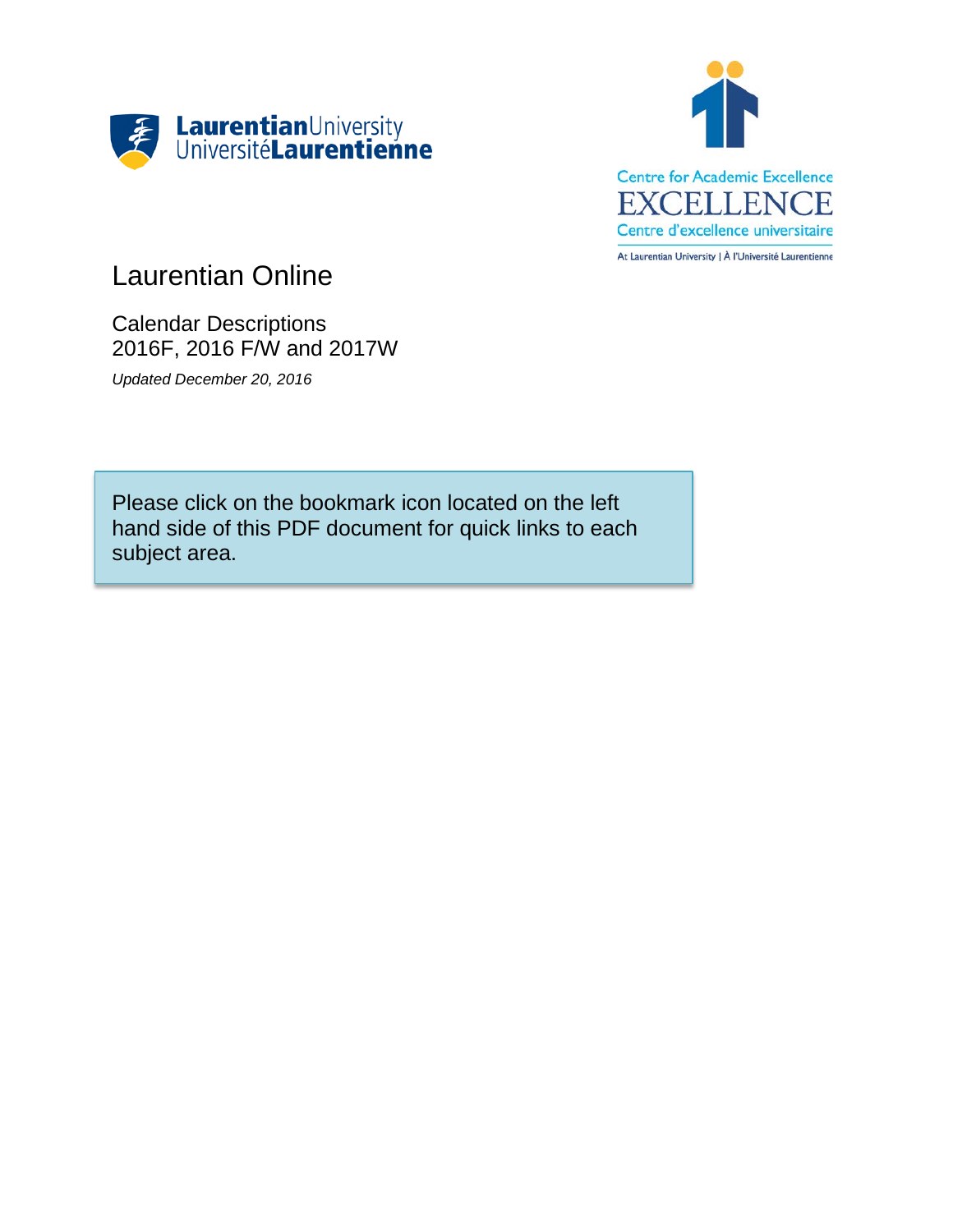



# Laurentian Online

Calendar Descriptions 2016F, 2016 F/W and 2017W

*Updated December 20, 2016*

Please click on the bookmark icon located on the left hand side of this PDF document for quick links to each subject area.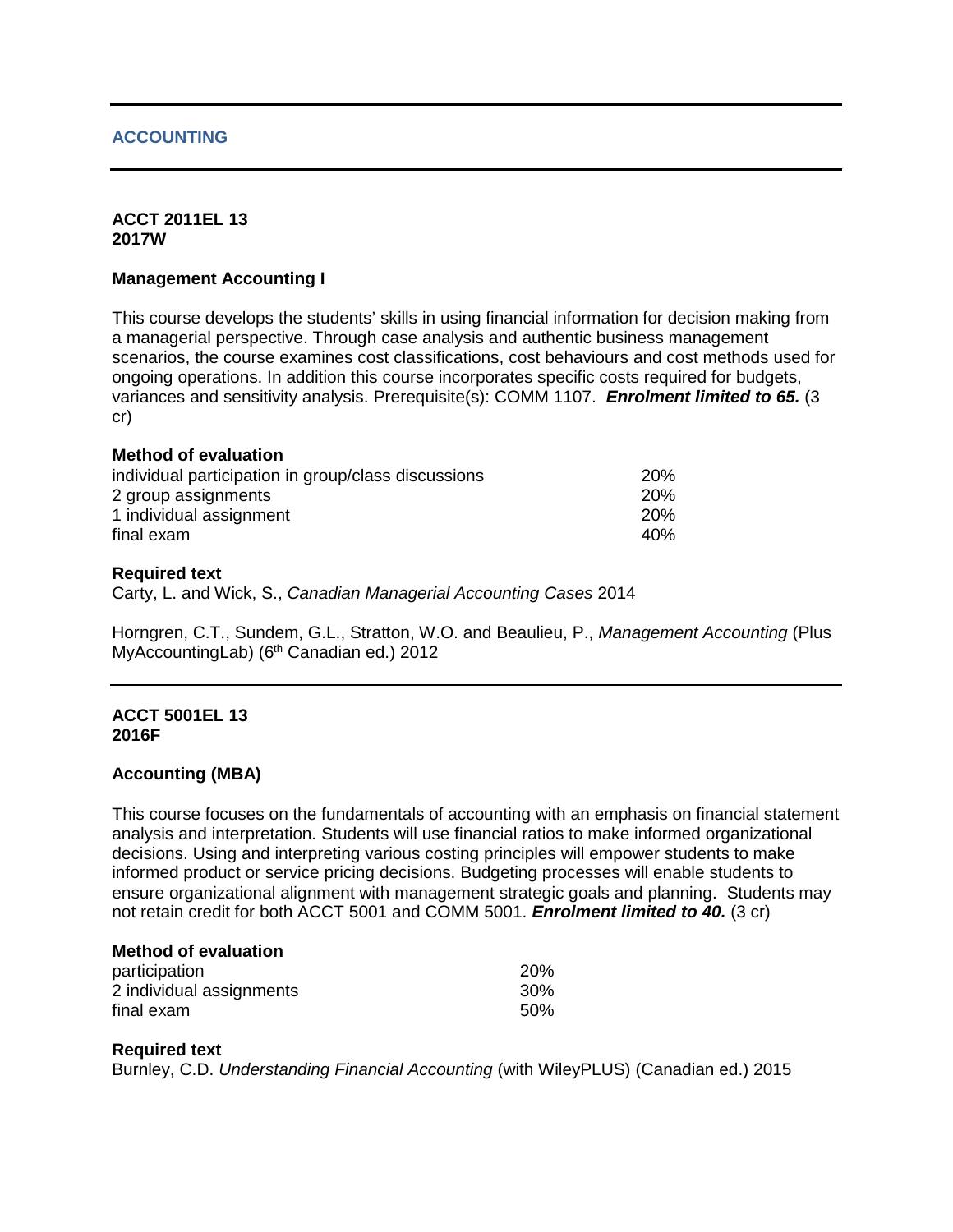# **ACCOUNTING**

#### **ACCT 2011EL 13 2017W**

# **Management Accounting I**

This course develops the students' skills in using financial information for decision making from a managerial perspective. Through case analysis and authentic business management scenarios, the course examines cost classifications, cost behaviours and cost methods used for ongoing operations. In addition this course incorporates specific costs required for budgets, variances and sensitivity analysis. Prerequisite(s): COMM 1107. *Enrolment limited to 65.* (3 cr)

## **Method of evaluation**

| individual participation in group/class discussions | <b>20%</b> |
|-----------------------------------------------------|------------|
| 2 group assignments                                 | <b>20%</b> |
| 1 individual assignment                             | <b>20%</b> |
| final exam                                          | 40%        |

#### **Required text**

Carty, L. and Wick, S., *Canadian Managerial Accounting Cases* 2014

Horngren, C.T., Sundem, G.L., Stratton, W.O. and Beaulieu, P., *Management Accounting* (Plus MyAccountingLab) (6<sup>th</sup> Canadian ed.) 2012

## **ACCT 5001EL 13 2016F**

## **Accounting (MBA)**

This course focuses on the fundamentals of accounting with an emphasis on financial statement analysis and interpretation. Students will use financial ratios to make informed organizational decisions. Using and interpreting various costing principles will empower students to make informed product or service pricing decisions. Budgeting processes will enable students to ensure organizational alignment with management strategic goals and planning. Students may not retain credit for both ACCT 5001 and COMM 5001. *Enrolment limited to 40.* (3 cr)

## **Method of evaluation**

| participation            | 20%             |
|--------------------------|-----------------|
| 2 individual assignments | 30 <sup>%</sup> |
| final exam               | .50%            |

## **Required text**

Burnley, C.D. *Understanding Financial Accounting* (with WileyPLUS) (Canadian ed.) 2015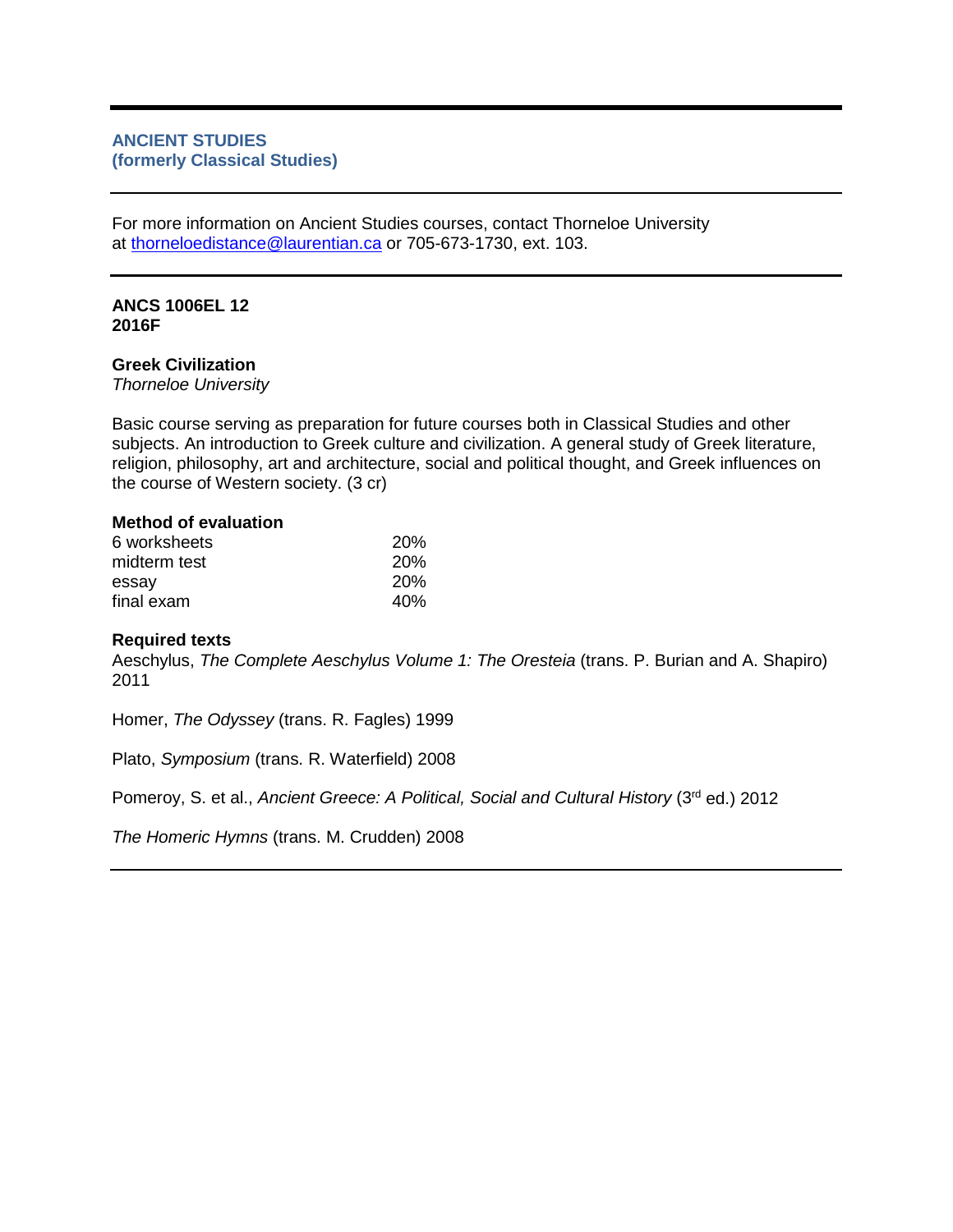# **ANCIENT STUDIES (formerly Classical Studies)**

For more information on Ancient Studies courses, contact Thorneloe University at [thorneloedistance@laurentian.ca](mailto:thorneloedistance@laurentian.ca) or 705-673-1730, ext. 103.

# **ANCS 1006EL 12 2016F**

#### **Greek Civilization**

*Thorneloe University*

Basic course serving as preparation for future courses both in Classical Studies and other subjects. An introduction to Greek culture and civilization. A general study of Greek literature, religion, philosophy, art and architecture, social and political thought, and Greek influences on the course of Western society. (3 cr)

#### **Method of evaluation**

| 6 worksheets | <b>20%</b> |
|--------------|------------|
| midterm test | <b>20%</b> |
| essay        | <b>20%</b> |
| final exam   | 40%        |

## **Required texts**

Aeschylus, *The Complete Aeschylus Volume 1: The Oresteia* (trans. P. Burian and A. Shapiro) 2011

Homer, *The Odyssey* (trans. R. Fagles) 1999

Plato, *Symposium* (trans. R. Waterfield) 2008

Pomeroy, S. et al., *Ancient Greece: A Political, Social and Cultural History* (3<sup>rd</sup> ed.) 2012

*The Homeric Hymns* (trans. M. Crudden) 2008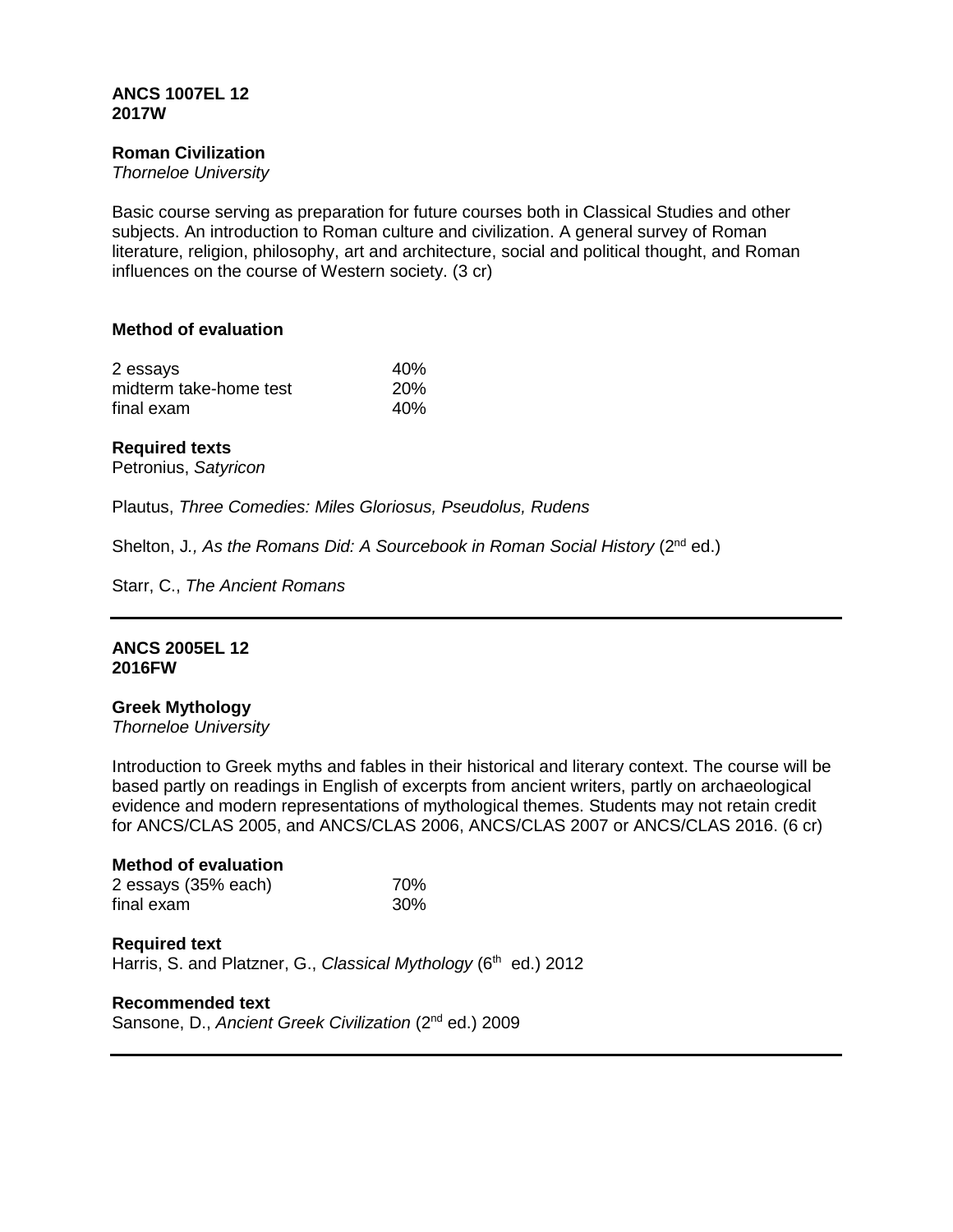#### **ANCS 1007EL 12 2017W**

## **Roman Civilization**

*Thorneloe University*

Basic course serving as preparation for future courses both in Classical Studies and other subjects. An introduction to Roman culture and civilization. A general survey of Roman literature, religion, philosophy, art and architecture, social and political thought, and Roman influences on the course of Western society. (3 cr)

## **Method of evaluation**

| 2 essays               | 40%        |
|------------------------|------------|
| midterm take-home test | <b>20%</b> |
| final exam             | 40%        |

#### **Required texts**

Petronius, *Satyricon*

Plautus, *Three Comedies: Miles Gloriosus, Pseudolus, Rudens*

Shelton, J., As the Romans Did: A Sourcebook in Roman Social History (2<sup>nd</sup> ed.)

Starr, C., *The Ancient Romans*

#### **ANCS 2005EL 12 2016FW**

#### **Greek Mythology**

*Thorneloe University*

Introduction to Greek myths and fables in their historical and literary context. The course will be based partly on readings in English of excerpts from ancient writers, partly on archaeological evidence and modern representations of mythological themes. Students may not retain credit for ANCS/CLAS 2005, and ANCS/CLAS 2006, ANCS/CLAS 2007 or ANCS/CLAS 2016. (6 cr)

# **Method of evaluation**

| 2 essays (35% each) | 70% |
|---------------------|-----|
| final exam          | 30% |

**Required text** Harris, S. and Platzner, G., *Classical Mythology* (6<sup>th</sup> ed.) 2012

#### **Recommended text**

Sansone, D., *Ancient Greek Civilization* (2nd ed.) 2009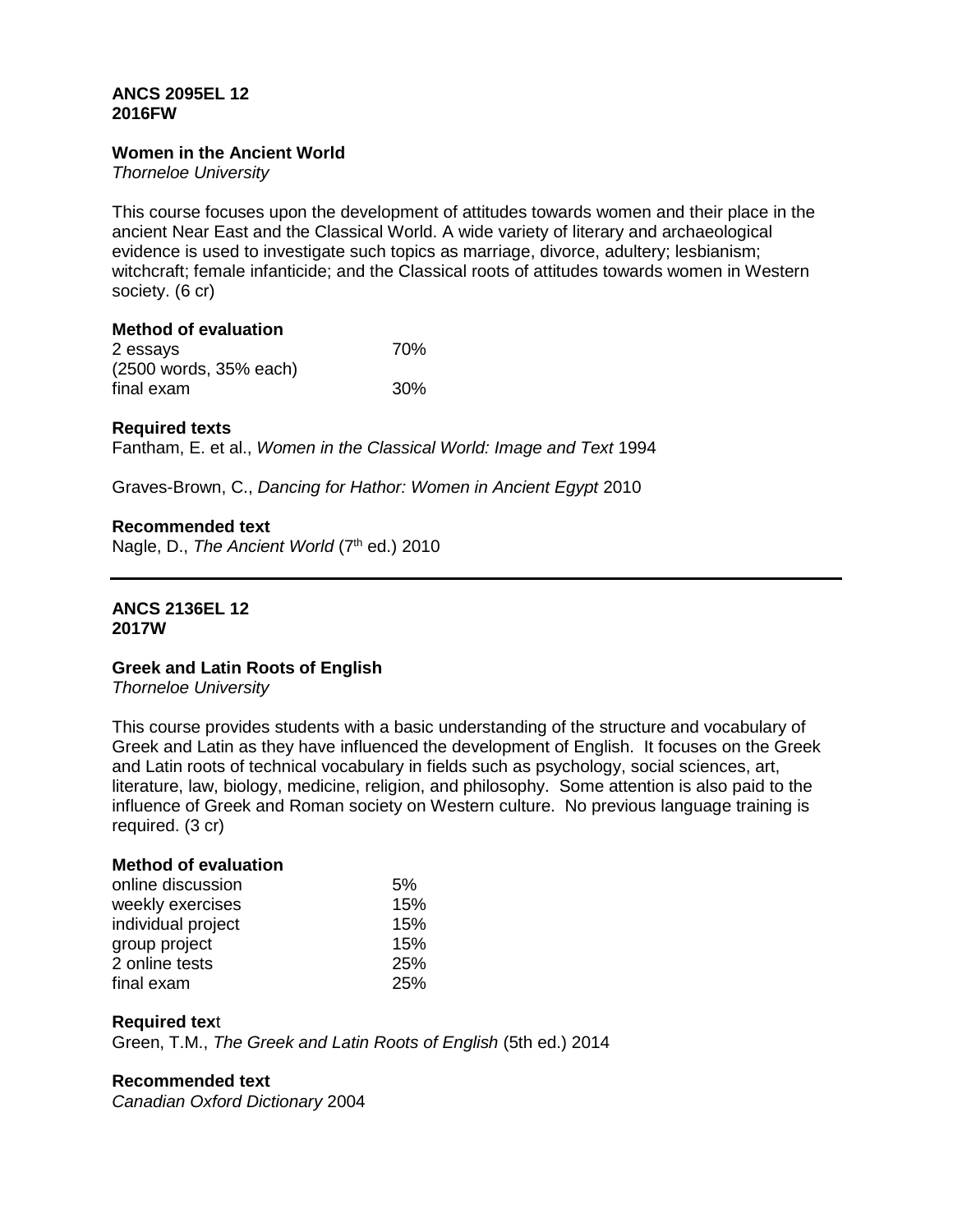## **ANCS 2095EL 12 2016FW**

# **Women in the Ancient World**

*Thorneloe University*

This course focuses upon the development of attitudes towards women and their place in the ancient Near East and the Classical World. A wide variety of literary and archaeological evidence is used to investigate such topics as marriage, divorce, adultery; lesbianism; witchcraft; female infanticide; and the Classical roots of attitudes towards women in Western society. (6 cr)

# **Method of evaluation**

| 2 essays               | 70% |
|------------------------|-----|
| (2500 words, 35% each) |     |
| final exam             | 30% |

# **Required texts**

Fantham, E. et al., *Women in the Classical World: Image and Text* 1994

Graves-Brown, C., *Dancing for Hathor: Women in Ancient Egypt* 2010

## **Recommended text**

Nagle, D., *The Ancient World* (7<sup>th</sup> ed.) 2010

#### **ANCS 2136EL 12 2017W**

# **Greek and Latin Roots of English**

*Thorneloe University*

This course provides students with a basic understanding of the structure and vocabulary of Greek and Latin as they have influenced the development of English. It focuses on the Greek and Latin roots of technical vocabulary in fields such as psychology, social sciences, art, literature, law, biology, medicine, religion, and philosophy. Some attention is also paid to the influence of Greek and Roman society on Western culture. No previous language training is required. (3 cr)

# **Method of evaluation**

| online discussion  | 5%         |
|--------------------|------------|
| weekly exercises   | 15%        |
| individual project | 15%        |
| group project      | 15%        |
| 2 online tests     | <b>25%</b> |
| final exam         | <b>25%</b> |

## **Required tex**t

Green, T.M., *The Greek and Latin Roots of English* (5th ed.) 2014

## **Recommended text**

*Canadian Oxford Dictionary* 2004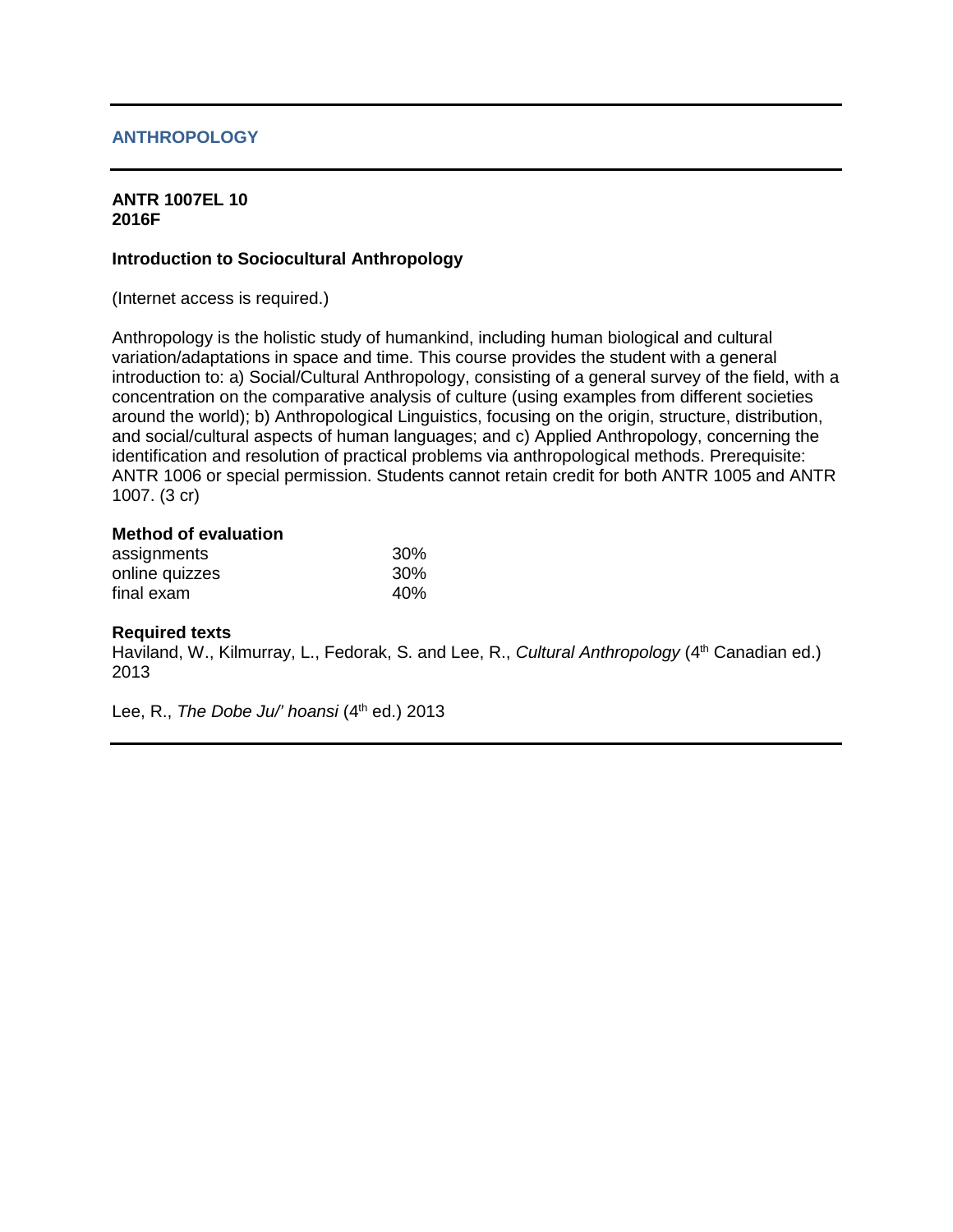# **ANTHROPOLOGY**

# **ANTR 1007EL 10 2016F**

#### **Introduction to Sociocultural Anthropology**

(Internet access is required.)

Anthropology is the holistic study of humankind, including human biological and cultural variation/adaptations in space and time. This course provides the student with a general introduction to: a) Social/Cultural Anthropology, consisting of a general survey of the field, with a concentration on the comparative analysis of culture (using examples from different societies around the world); b) Anthropological Linguistics, focusing on the origin, structure, distribution, and social/cultural aspects of human languages; and c) Applied Anthropology, concerning the identification and resolution of practical problems via anthropological methods. Prerequisite: ANTR 1006 or special permission. Students cannot retain credit for both ANTR 1005 and ANTR 1007. (3 cr)

#### **Method of evaluation**

| assignments    | 30% |
|----------------|-----|
| online quizzes | 30% |
| final exam     | 40% |

#### **Required texts**

Haviland, W., Kilmurray, L., Fedorak, S. and Lee, R., *Cultural Anthropology* (4<sup>th</sup> Canadian ed.) 2013

Lee, R., *The Dobe Ju*<sup>*'' hoansi* (4<sup>th</sup> ed.) 2013</sup>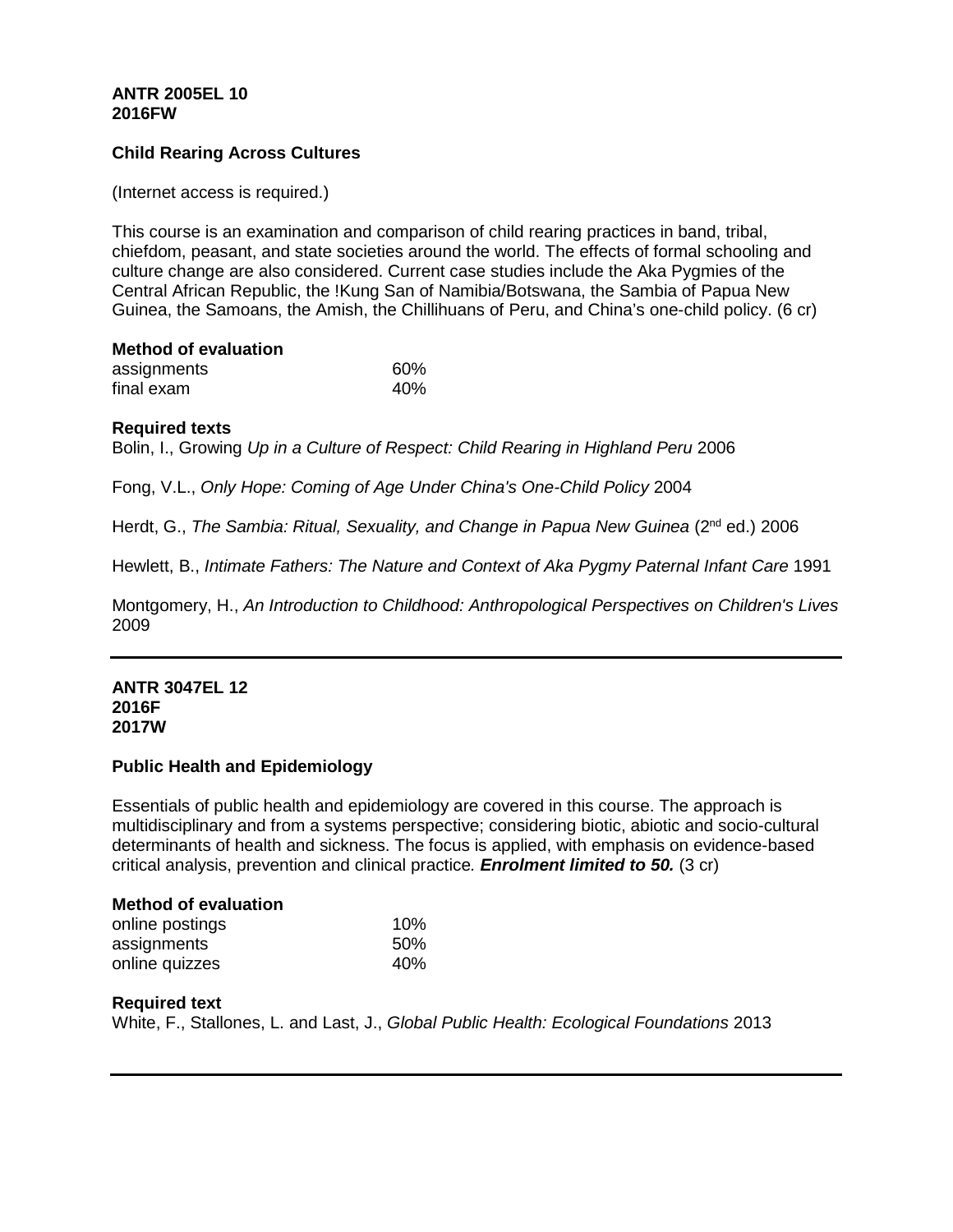# **ANTR 2005EL 10 2016FW**

# **Child Rearing Across Cultures**

(Internet access is required.)

This course is an examination and comparison of child rearing practices in band, tribal, chiefdom, peasant, and state societies around the world. The effects of formal schooling and culture change are also considered. Current case studies include the Aka Pygmies of the Central African Republic, the !Kung San of Namibia/Botswana, the Sambia of Papua New Guinea, the Samoans, the Amish, the Chillihuans of Peru, and China's one-child policy. (6 cr)

| <b>Method of evaluation</b> |     |
|-----------------------------|-----|
| assignments                 | 60% |
| final exam                  | 40% |

## **Required texts**

Bolin, I., Growing *Up in a Culture of Respect: Child Rearing in Highland Peru* 2006

Fong, V.L., *Only Hope: Coming of Age Under China's One-Child Policy* 2004

Herdt, G., *The Sambia: Ritual, Sexuality, and Change in Papua New Guinea* (2<sup>nd</sup> ed.) 2006

Hewlett, B., *Intimate Fathers: The Nature and Context of Aka Pygmy Paternal Infant Care* 1991

Montgomery, H., *An Introduction to Childhood: Anthropological Perspectives on Children's Lives* 2009

#### **ANTR 3047EL 12 2016F 2017W**

## **Public Health and Epidemiology**

Essentials of public health and epidemiology are covered in this course. The approach is multidisciplinary and from a systems perspective; considering biotic, abiotic and socio-cultural determinants of health and sickness. The focus is applied, with emphasis on evidence-based critical analysis, prevention and clinical practice*. Enrolment limited to 50.* (3 cr)

## **Method of evaluation**

| online postings | 10% |
|-----------------|-----|
| assignments     | 50% |
| online quizzes  | 40% |

## **Required text**

White, F., Stallones, L. and Last, J., *Global Public Health: Ecological Foundations* 2013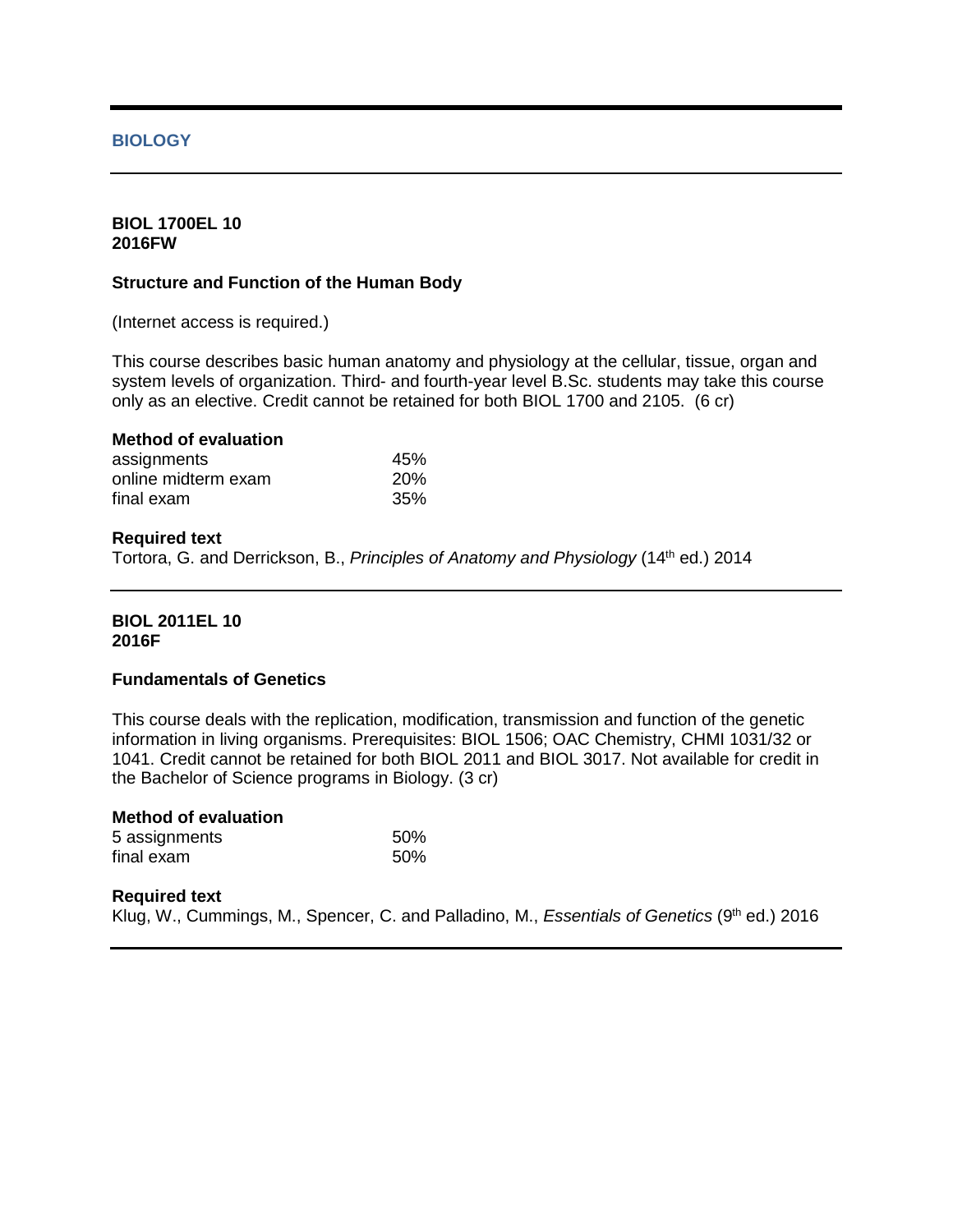## **BIOLOGY**

## **BIOL 1700EL 10 2016FW**

#### **Structure and Function of the Human Body**

(Internet access is required.)

This course describes basic human anatomy and physiology at the cellular, tissue, organ and system levels of organization. Third- and fourth-year level B.Sc. students may take this course only as an elective. Credit cannot be retained for both BIOL 1700 and 2105. (6 cr)

| <b>Method of evaluation</b> |            |
|-----------------------------|------------|
| assignments                 | 45%        |
| online midterm exam         | <b>20%</b> |
| final exam                  | 35%        |

#### **Required text**

Tortora, G. and Derrickson, B., *Principles of Anatomy and Physiology* (14th ed.) 2014

## **BIOL 2011EL 10 2016F**

## **Fundamentals of Genetics**

This course deals with the replication, modification, transmission and function of the genetic information in living organisms. Prerequisites: BIOL 1506; OAC Chemistry, CHMI 1031/32 or 1041. Credit cannot be retained for both BIOL 2011 and BIOL 3017. Not available for credit in the Bachelor of Science programs in Biology. (3 cr)

| <b>Method of evaluation</b> |     |
|-----------------------------|-----|
| 5 assignments               | 50% |
| final exam                  | 50% |

#### **Required text**

Klug, W., Cummings, M., Spencer, C. and Palladino, M., *Essentials of Genetics* (9<sup>th</sup> ed.) 2016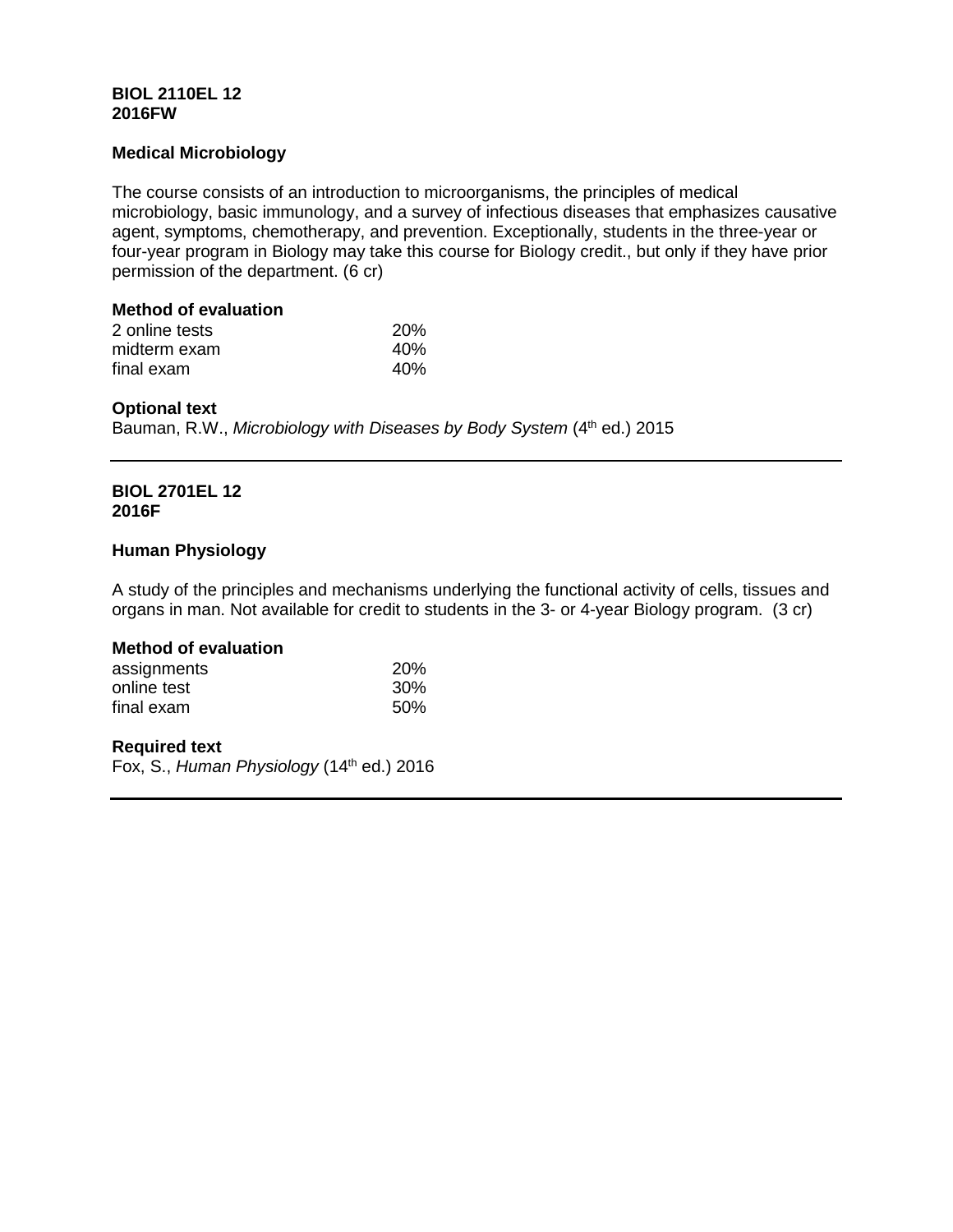# **BIOL 2110EL 12 2016FW**

# **Medical Microbiology**

The course consists of an introduction to microorganisms, the principles of medical microbiology, basic immunology, and a survey of infectious diseases that emphasizes causative agent, symptoms, chemotherapy, and prevention. Exceptionally, students in the three-year or four-year program in Biology may take this course for Biology credit., but only if they have prior permission of the department. (6 cr)

# **Method of evaluation**

| 2 online tests | <b>20%</b> |
|----------------|------------|
| midterm exam   | 40%        |
| final exam     | 40%        |

# **Optional text**

Bauman, R.W., *Microbiology with Diseases by Body System* (4<sup>th</sup> ed.) 2015

#### **BIOL 2701EL 12 2016F**

# **Human Physiology**

A study of the principles and mechanisms underlying the functional activity of cells, tissues and organs in man. Not available for credit to students in the 3- or 4-year Biology program. (3 cr)

# **Method of evaluation**

| assignments | <b>20%</b> |
|-------------|------------|
| online test | 30%        |
| final exam  | 50%        |

## **Required text**

Fox, S., *Human Physiology* (14th ed.) 2016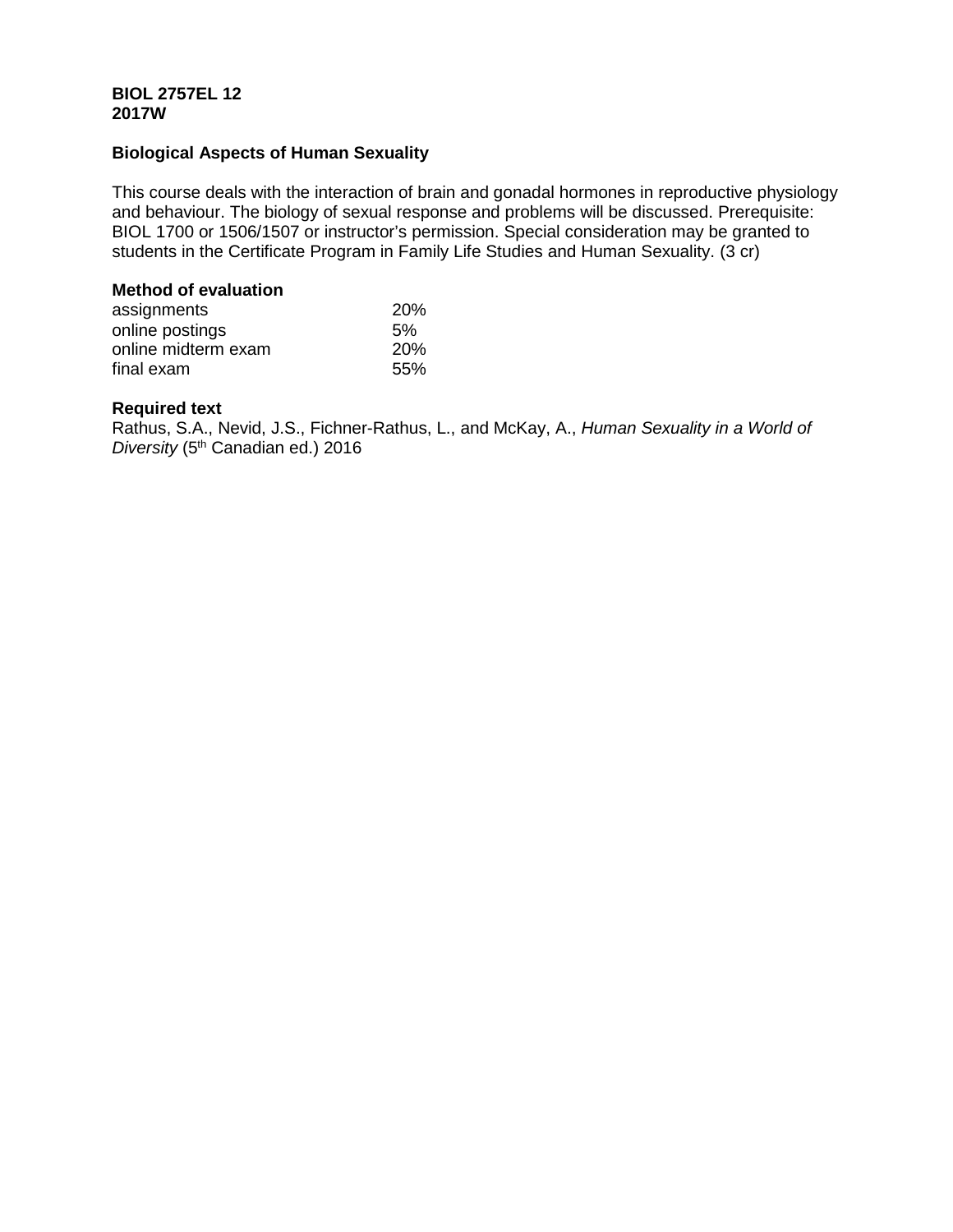# **BIOL 2757EL 12 2017W**

# **Biological Aspects of Human Sexuality**

This course deals with the interaction of brain and gonadal hormones in reproductive physiology and behaviour. The biology of sexual response and problems will be discussed. Prerequisite: BIOL 1700 or 1506/1507 or instructor's permission. Special consideration may be granted to students in the Certificate Program in Family Life Studies and Human Sexuality. (3 cr)

## **Method of evaluation**

| assignments         | <b>20%</b> |
|---------------------|------------|
| online postings     | 5%         |
| online midterm exam | <b>20%</b> |
| final exam          | .55%       |

# **Required text**

Rathus, S.A., Nevid, J.S., Fichner-Rathus, L., and McKay, A., *Human Sexuality in a World of Diversity* (5th Canadian ed.) 2016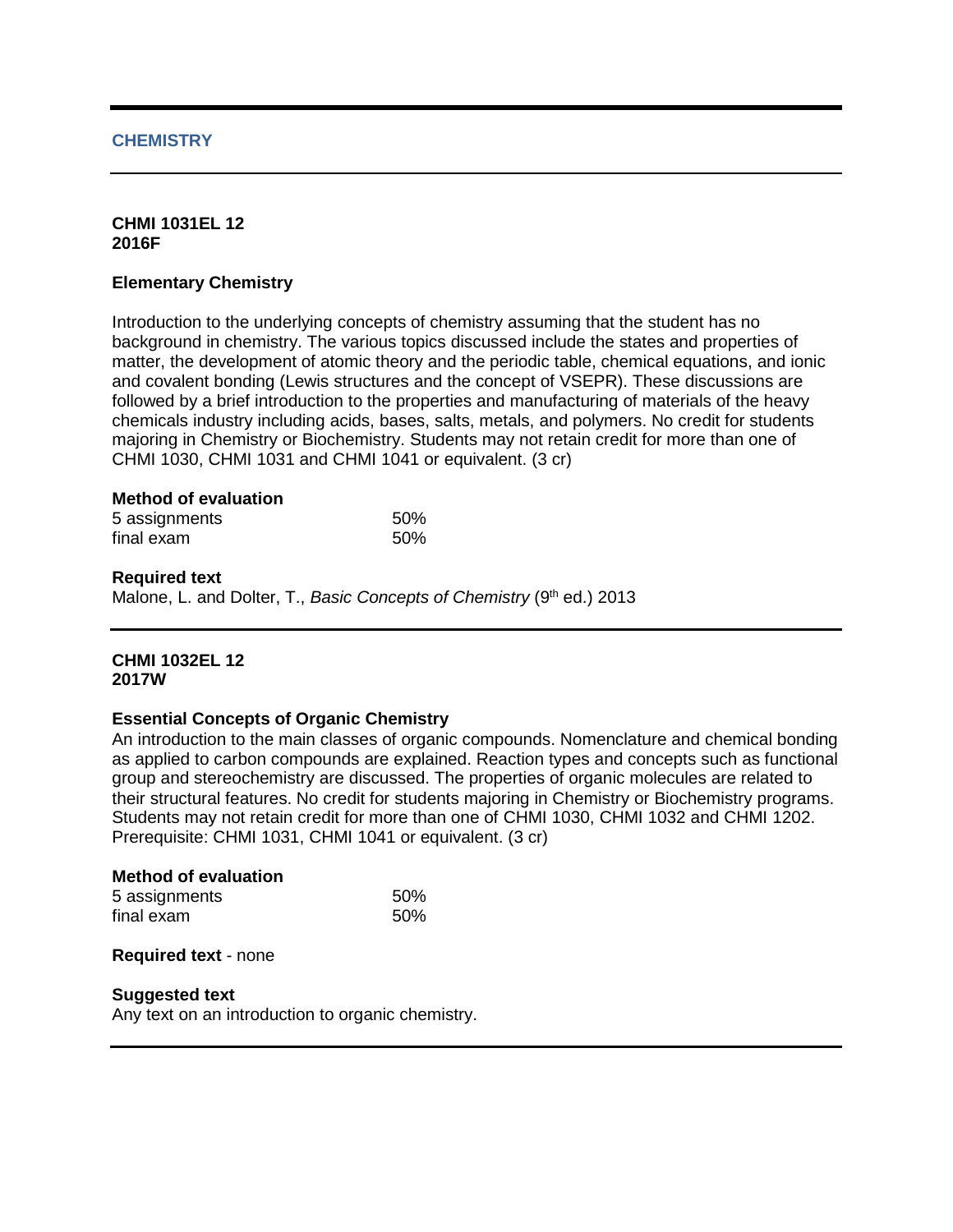## **CHEMISTRY**

#### **CHMI 1031EL 12 2016F**

#### **Elementary Chemistry**

Introduction to the underlying concepts of chemistry assuming that the student has no background in chemistry. The various topics discussed include the states and properties of matter, the development of atomic theory and the periodic table, chemical equations, and ionic and covalent bonding (Lewis structures and the concept of VSEPR). These discussions are followed by a brief introduction to the properties and manufacturing of materials of the heavy chemicals industry including acids, bases, salts, metals, and polymers. No credit for students majoring in Chemistry or Biochemistry. Students may not retain credit for more than one of CHMI 1030, CHMI 1031 and CHMI 1041 or equivalent. (3 cr)

#### **Method of evaluation**

| 5 assignments | 50% |
|---------------|-----|
| final exam    | 50% |

#### **Required text**

Malone, L. and Dolter, T., *Basic Concepts of Chemistry* (9<sup>th</sup> ed.) 2013

## **CHMI 1032EL 12 2017W**

#### **Essential Concepts of Organic Chemistry**

An introduction to the main classes of organic compounds. Nomenclature and chemical bonding as applied to carbon compounds are explained. Reaction types and concepts such as functional group and stereochemistry are discussed. The properties of organic molecules are related to their structural features. No credit for students majoring in Chemistry or Biochemistry programs. Students may not retain credit for more than one of CHMI 1030, CHMI 1032 and CHMI 1202. Prerequisite: CHMI 1031, CHMI 1041 or equivalent. (3 cr)

#### **Method of evaluation** 5 assignments 50%<br>
final exam 50%  $final$ exam

#### **Required text** - none

#### **Suggested text**

Any text on an introduction to organic chemistry.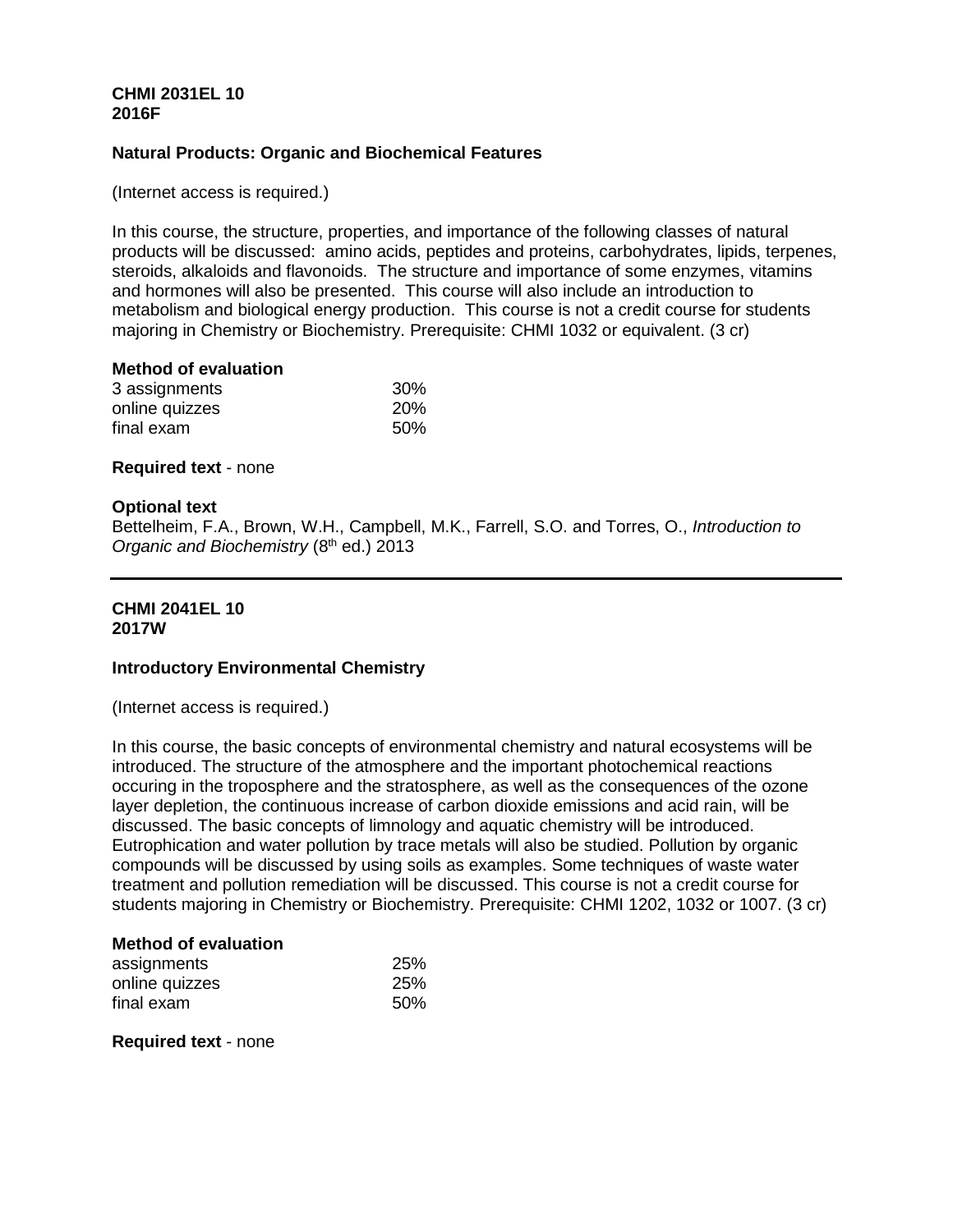# **CHMI 2031EL 10 2016F**

## **Natural Products: Organic and Biochemical Features**

(Internet access is required.)

In this course, the structure, properties, and importance of the following classes of natural products will be discussed: amino acids, peptides and proteins, carbohydrates, lipids, terpenes, steroids, alkaloids and flavonoids. The structure and importance of some enzymes, vitamins and hormones will also be presented. This course will also include an introduction to metabolism and biological energy production. This course is not a credit course for students majoring in Chemistry or Biochemistry. Prerequisite: CHMI 1032 or equivalent. (3 cr)

## **Method of evaluation**

| 3 assignments  | 30%        |
|----------------|------------|
| online quizzes | <b>20%</b> |
| final exam     | 50%        |

#### **Required text** - none

#### **Optional text**

Bettelheim, F.A., Brown, W.H., Campbell, M.K., Farrell, S.O. and Torres, O., *Introduction to Organic and Biochemistry (8th ed.) 2013* 

#### **CHMI 2041EL 10 2017W**

#### **Introductory Environmental Chemistry**

(Internet access is required.)

In this course, the basic concepts of environmental chemistry and natural ecosystems will be introduced. The structure of the atmosphere and the important photochemical reactions occuring in the troposphere and the stratosphere, as well as the consequences of the ozone layer depletion, the continuous increase of carbon dioxide emissions and acid rain, will be discussed. The basic concepts of limnology and aquatic chemistry will be introduced. Eutrophication and water pollution by trace metals will also be studied. Pollution by organic compounds will be discussed by using soils as examples. Some techniques of waste water treatment and pollution remediation will be discussed. This course is not a credit course for students majoring in Chemistry or Biochemistry. Prerequisite: CHMI 1202, 1032 or 1007. (3 cr)

#### **Method of evaluation**

| assignments    | 25% |
|----------------|-----|
| online quizzes | 25% |
| final exam     | 50% |

**Required text** - none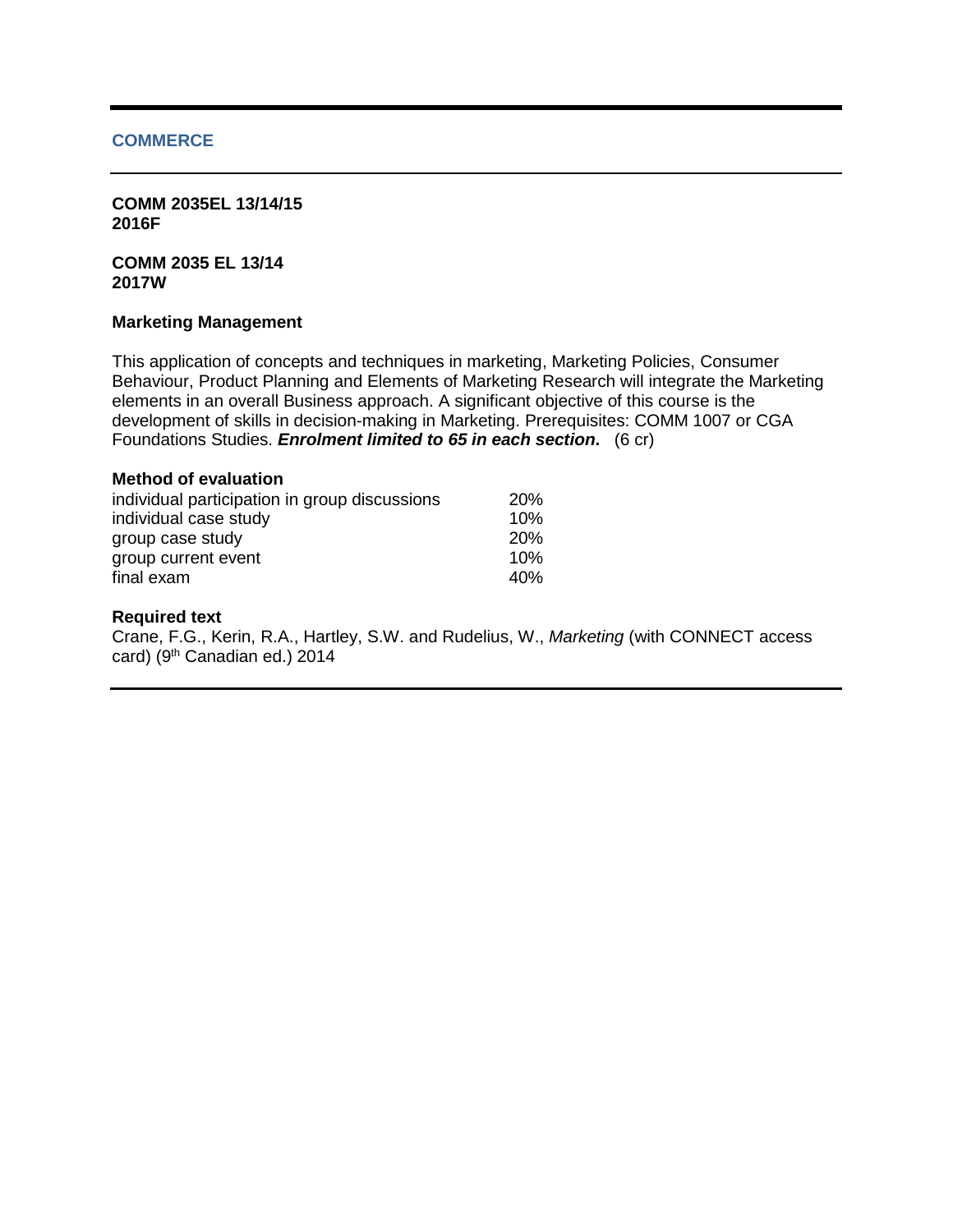#### **COMMERCE**

**COMM 2035EL 13/14/15 2016F**

**COMM 2035 EL 13/14 2017W**

#### **Marketing Management**

This application of concepts and techniques in marketing, Marketing Policies, Consumer Behaviour, Product Planning and Elements of Marketing Research will integrate the Marketing elements in an overall Business approach. A significant objective of this course is the development of skills in decision-making in Marketing. Prerequisites: COMM 1007 or CGA Foundations Studies. *Enrolment limited to 65 in each section***.** (6 cr)

| individual participation in group discussions | <b>20%</b> |
|-----------------------------------------------|------------|
| individual case study                         | 10%        |
| group case study                              | <b>20%</b> |
| group current event                           | 10%        |
| final exam                                    | 40%        |

#### **Required text**

Crane, F.G., Kerin, R.A., Hartley, S.W. and Rudelius, W., *Marketing* (with CONNECT access card) (9<sup>th</sup> Canadian ed.) 2014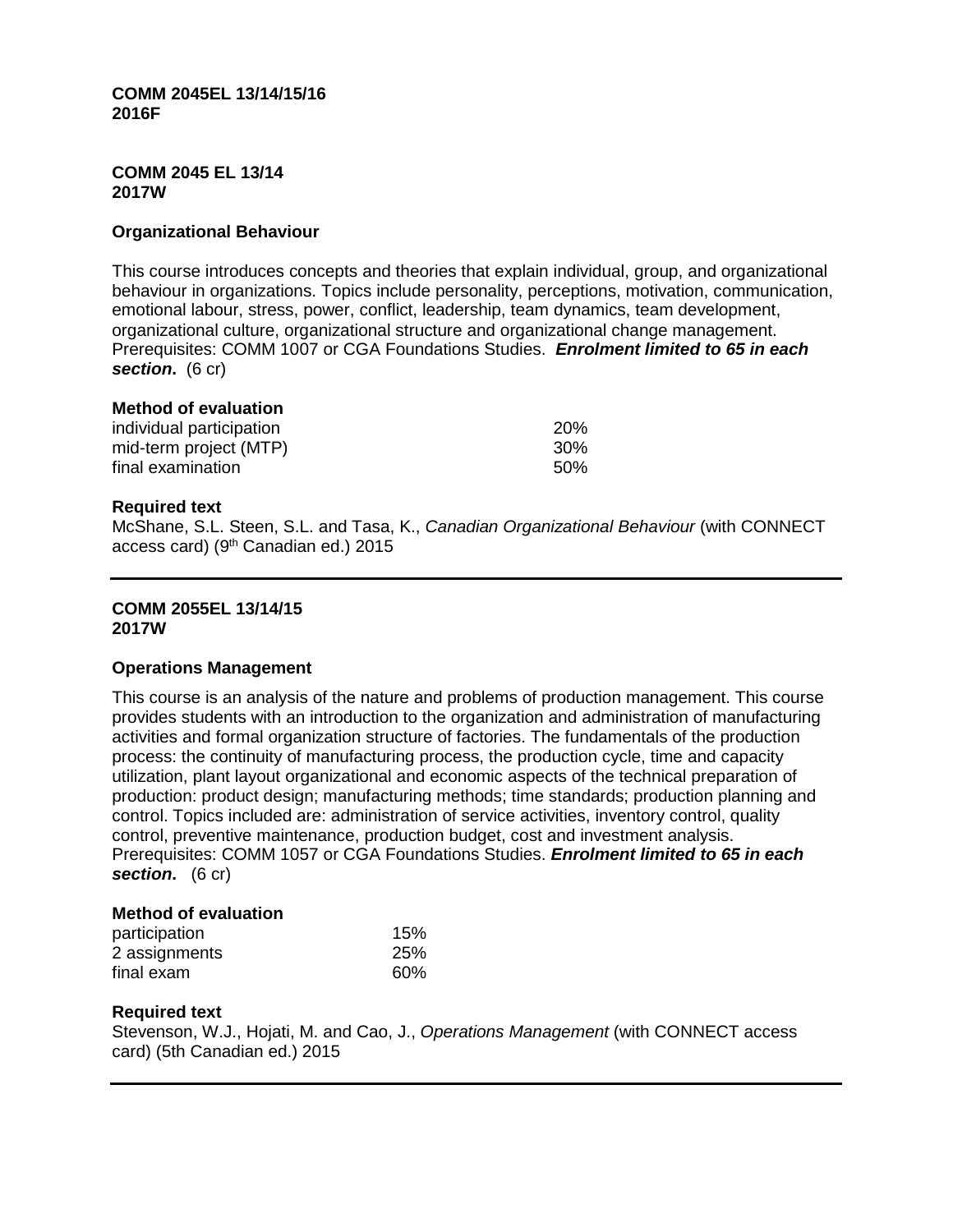**COMM 2045EL 13/14/15/16 2016F**

#### **COMM 2045 EL 13/14 2017W**

## **Organizational Behaviour**

This course introduces concepts and theories that explain individual, group, and organizational behaviour in organizations. Topics include personality, perceptions, motivation, communication, emotional labour, stress, power, conflict, leadership, team dynamics, team development, organizational culture, organizational structure and organizational change management. Prerequisites: COMM 1007 or CGA Foundations Studies. *Enrolment limited to 65 in each section***.** (6 cr)

#### **Method of evaluation**

| individual participation | <b>20%</b> |
|--------------------------|------------|
| mid-term project (MTP)   | 30%        |
| final examination        | 50%        |

#### **Required text**

McShane, S.L. Steen, S.L. and Tasa, K., *Canadian Organizational Behaviour* (with CONNECT access card) ( $9<sup>th</sup>$  Canadian ed.) 2015

#### **COMM 2055EL 13/14/15 2017W**

#### **Operations Management**

This course is an analysis of the nature and problems of production management. This course provides students with an introduction to the organization and administration of manufacturing activities and formal organization structure of factories. The fundamentals of the production process: the continuity of manufacturing process, the production cycle, time and capacity utilization, plant layout organizational and economic aspects of the technical preparation of production: product design; manufacturing methods; time standards; production planning and control. Topics included are: administration of service activities, inventory control, quality control, preventive maintenance, production budget, cost and investment analysis. Prerequisites: COMM 1057 or CGA Foundations Studies. *Enrolment limited to 65 in each section***.** (6 cr)

#### **Method of evaluation**

| participation | 15% |
|---------------|-----|
| 2 assignments | 25% |
| final exam    | 60% |

## **Required text**

Stevenson, W.J., Hojati, M. and Cao, J., *Operations Management* (with CONNECT access card) (5th Canadian ed.) 2015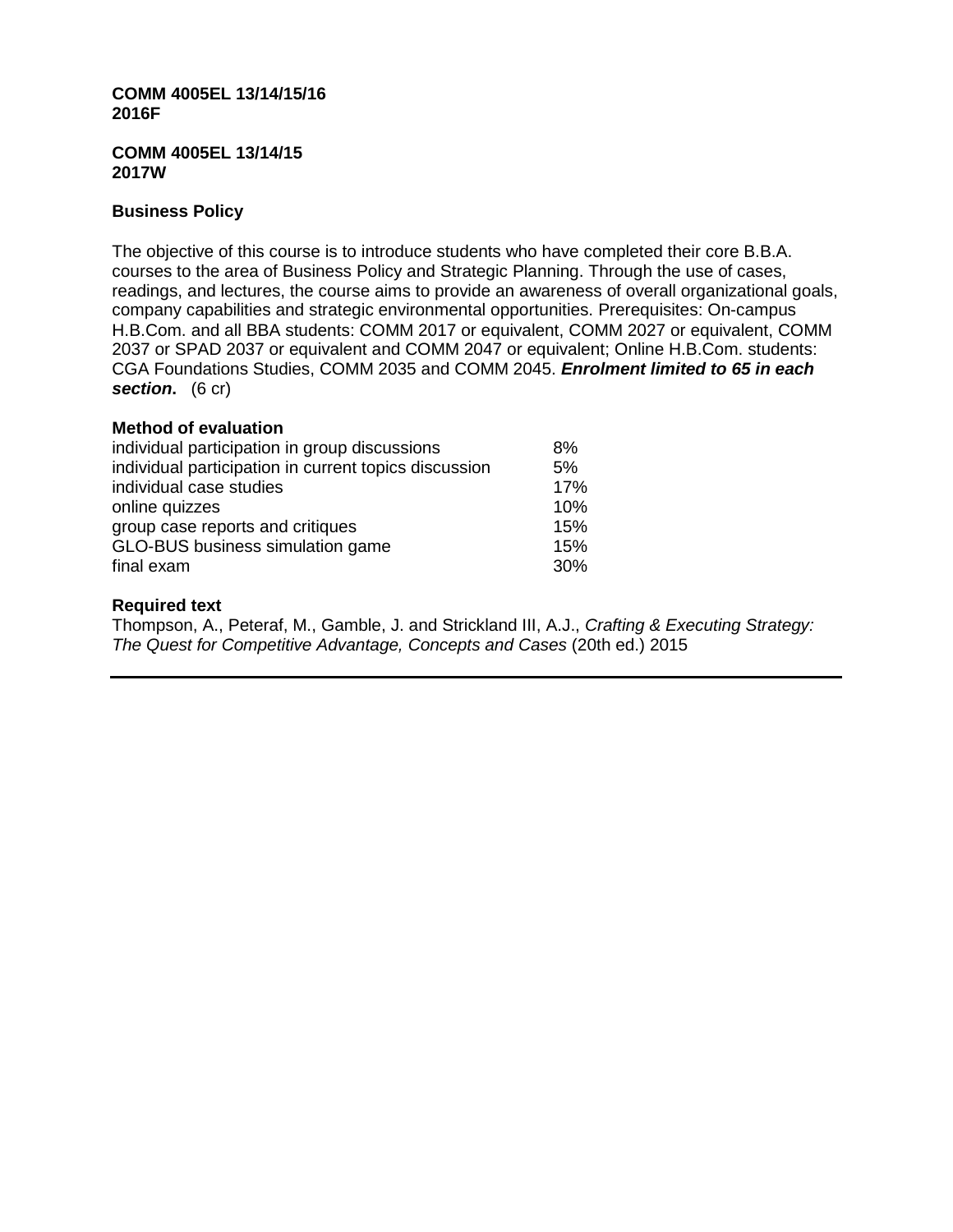#### **COMM 4005EL 13/14/15/16 2016F**

#### **COMM 4005EL 13/14/15 2017W**

# **Business Policy**

The objective of this course is to introduce students who have completed their core B.B.A. courses to the area of Business Policy and Strategic Planning. Through the use of cases, readings, and lectures, the course aims to provide an awareness of overall organizational goals, company capabilities and strategic environmental opportunities. Prerequisites: On-campus H.B.Com. and all BBA students: COMM 2017 or equivalent, COMM 2027 or equivalent, COMM 2037 or SPAD 2037 or equivalent and COMM 2047 or equivalent; Online H.B.Com. students: CGA Foundations Studies, COMM 2035 and COMM 2045. *Enrolment limited to 65 in each section***.** (6 cr)

# **Method of evaluation**

| individual participation in group discussions         | 8%  |
|-------------------------------------------------------|-----|
| individual participation in current topics discussion | 5%  |
| individual case studies                               | 17% |
| online quizzes                                        | 10% |
| group case reports and critiques                      | 15% |
| GLO-BUS business simulation game                      | 15% |
| final exam                                            | 30% |

# **Required text**

Thompson, A., Peteraf, M., Gamble, J. and Strickland III, A.J., *Crafting & Executing Strategy: The Quest for Competitive Advantage, Concepts and Cases* (20th ed.) 2015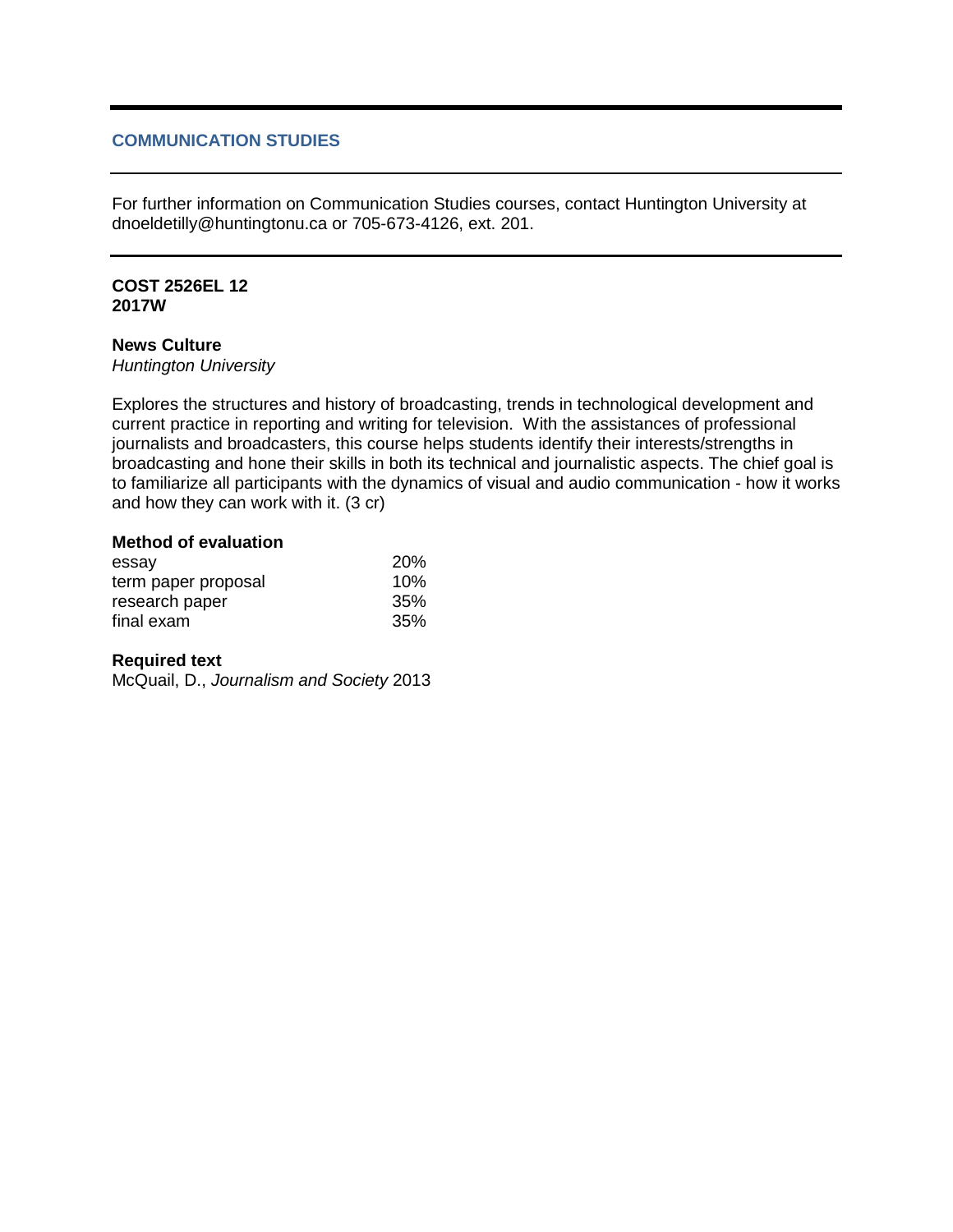# **COMMUNICATION STUDIES**

For further information on Communication Studies courses, contact Huntington University at dnoeldetilly@huntingtonu.ca or 705-673-4126, ext. 201.

#### **COST 2526EL 12 2017W**

# **News Culture**

*Huntington University*

Explores the structures and history of broadcasting, trends in technological development and current practice in reporting and writing for television. With the assistances of professional journalists and broadcasters, this course helps students identify their interests/strengths in broadcasting and hone their skills in both its technical and journalistic aspects. The chief goal is to familiarize all participants with the dynamics of visual and audio communication - how it works and how they can work with it. (3 cr)

# **Method of evaluation**

| essay               | <b>20%</b> |
|---------------------|------------|
| term paper proposal | 10%        |
| research paper      | 35%        |
| final exam          | 35%        |

## **Required text**

McQuail, D., *Journalism and Society* 2013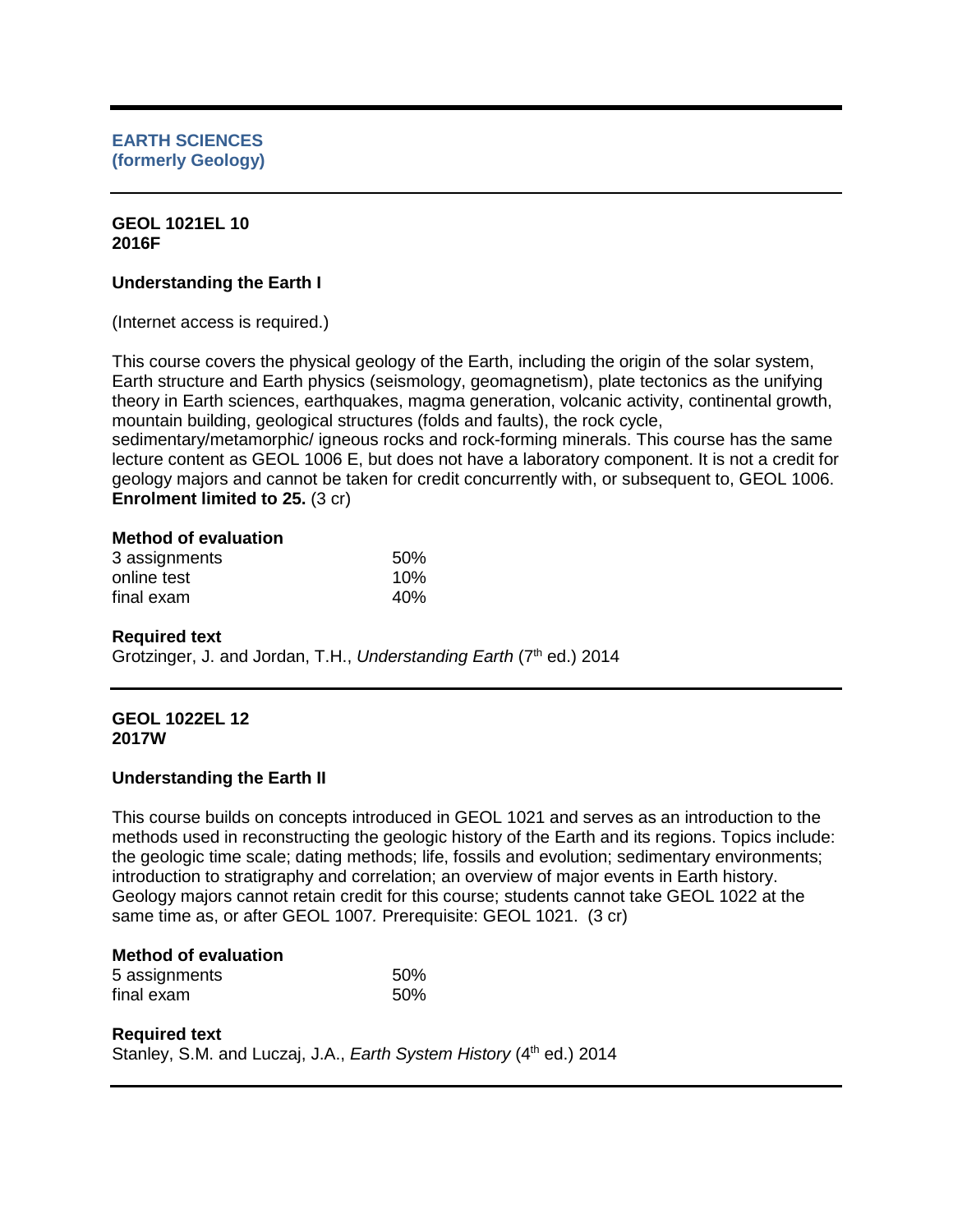#### **GEOL 1021EL 10 2016F**

# **Understanding the Earth I**

(Internet access is required.)

This course covers the physical geology of the Earth, including the origin of the solar system, Earth structure and Earth physics (seismology, geomagnetism), plate tectonics as the unifying theory in Earth sciences, earthquakes, magma generation, volcanic activity, continental growth, mountain building, geological structures (folds and faults), the rock cycle,

sedimentary/metamorphic/ igneous rocks and rock-forming minerals. This course has the same lecture content as GEOL 1006 E, but does not have a laboratory component. It is not a credit for geology majors and cannot be taken for credit concurrently with, or subsequent to, GEOL 1006. **Enrolment limited to 25. (3 cr)** 

# **Method of evaluation**

| 3 assignments | 50% |
|---------------|-----|
| online test   | 10% |
| final exam    | 40% |

## **Required text**

Grotzinger, J. and Jordan, T.H., *Understanding Earth* (7<sup>th</sup> ed.) 2014

#### **GEOL 1022EL 12 2017W**

## **Understanding the Earth II**

This course builds on concepts introduced in GEOL 1021 and serves as an introduction to the methods used in reconstructing the geologic history of the Earth and its regions. Topics include: the geologic time scale; dating methods; life, fossils and evolution; sedimentary environments; introduction to stratigraphy and correlation; an overview of major events in Earth history. Geology majors cannot retain credit for this course; students cannot take GEOL 1022 at the same time as, or after GEOL 1007*.* Prerequisite: GEOL 1021. (3 cr)

## **Method of evaluation**

| 5 assignments | 50% |
|---------------|-----|
| final exam    | 50% |

## **Required text**

Stanley, S.M. and Luczaj, J.A., *Earth System History* (4<sup>th</sup> ed.) 2014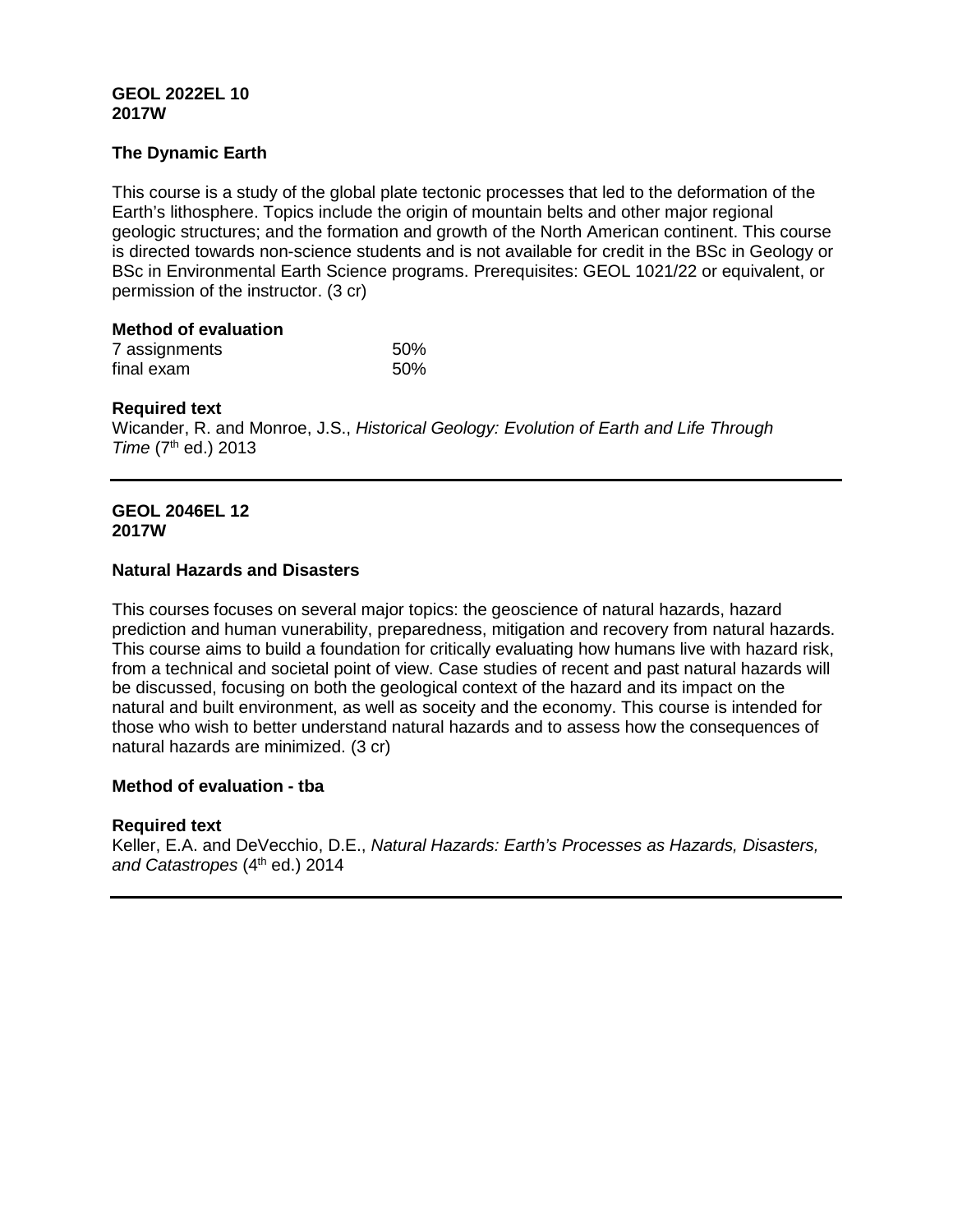# **GEOL 2022EL 10 2017W**

# **The Dynamic Earth**

This course is a study of the global plate tectonic processes that led to the deformation of the Earth's lithosphere. Topics include the origin of mountain belts and other major regional geologic structures; and the formation and growth of the North American continent. This course is directed towards non-science students and is not available for credit in the BSc in Geology or BSc in Environmental Earth Science programs. Prerequisites: GEOL 1021/22 or equivalent, or permission of the instructor. (3 cr)

# **Method of evaluation**

| 7 assignments | 50% |
|---------------|-----|
| final exam    | 50% |

# **Required text**

Wicander, R. and Monroe, J.S., *Historical Geology: Evolution of Earth and Life Through Time* (7<sup>th</sup> ed.) 2013

#### **GEOL 2046EL 12 2017W**

## **Natural Hazards and Disasters**

This courses focuses on several major topics: the geoscience of natural hazards, hazard prediction and human vunerability, preparedness, mitigation and recovery from natural hazards. This course aims to build a foundation for critically evaluating how humans live with hazard risk, from a technical and societal point of view. Case studies of recent and past natural hazards will be discussed, focusing on both the geological context of the hazard and its impact on the natural and built environment, as well as soceity and the economy. This course is intended for those who wish to better understand natural hazards and to assess how the consequences of natural hazards are minimized. (3 cr)

## **Method of evaluation - tba**

## **Required text**

Keller, E.A. and DeVecchio, D.E., *Natural Hazards: Earth's Processes as Hazards, Disasters,*  and Catastropes (4<sup>th</sup> ed.) 2014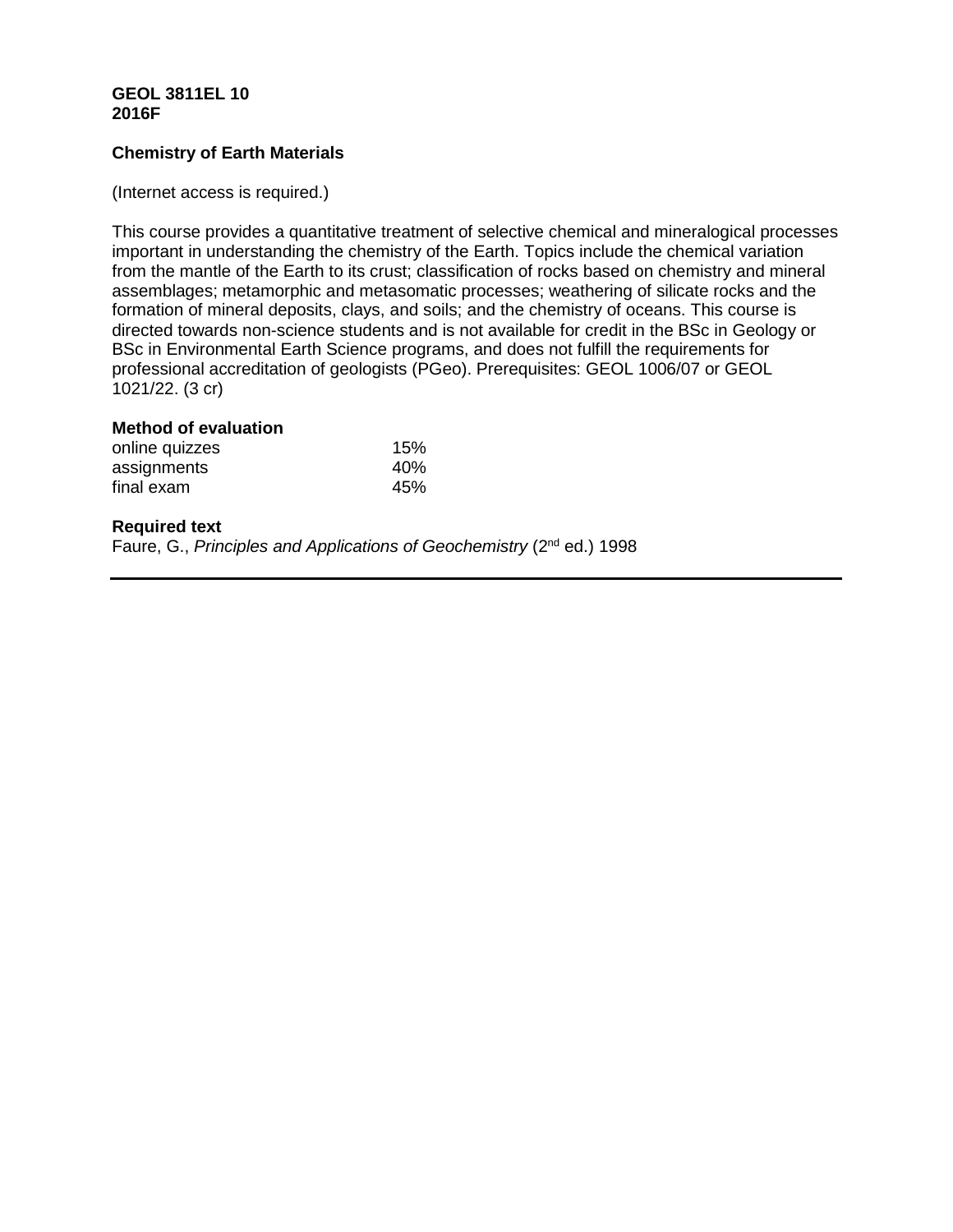# **GEOL 3811EL 10 2016F**

# **Chemistry of Earth Materials**

#### (Internet access is required.)

This course provides a quantitative treatment of selective chemical and mineralogical processes important in understanding the chemistry of the Earth. Topics include the chemical variation from the mantle of the Earth to its crust; classification of rocks based on chemistry and mineral assemblages; metamorphic and metasomatic processes; weathering of silicate rocks and the formation of mineral deposits, clays, and soils; and the chemistry of oceans. This course is directed towards non-science students and is not available for credit in the BSc in Geology or BSc in Environmental Earth Science programs, and does not fulfill the requirements for professional accreditation of geologists (PGeo). Prerequisites: GEOL 1006/07 or GEOL 1021/22. (3 cr)

#### **Method of evaluation**

| online quizzes<br>assignments | 15% |
|-------------------------------|-----|
|                               | 40% |
| final exam                    | 45% |

#### **Required text**

Faure, G., *Principles and Applications of Geochemistry* (2nd ed.) 1998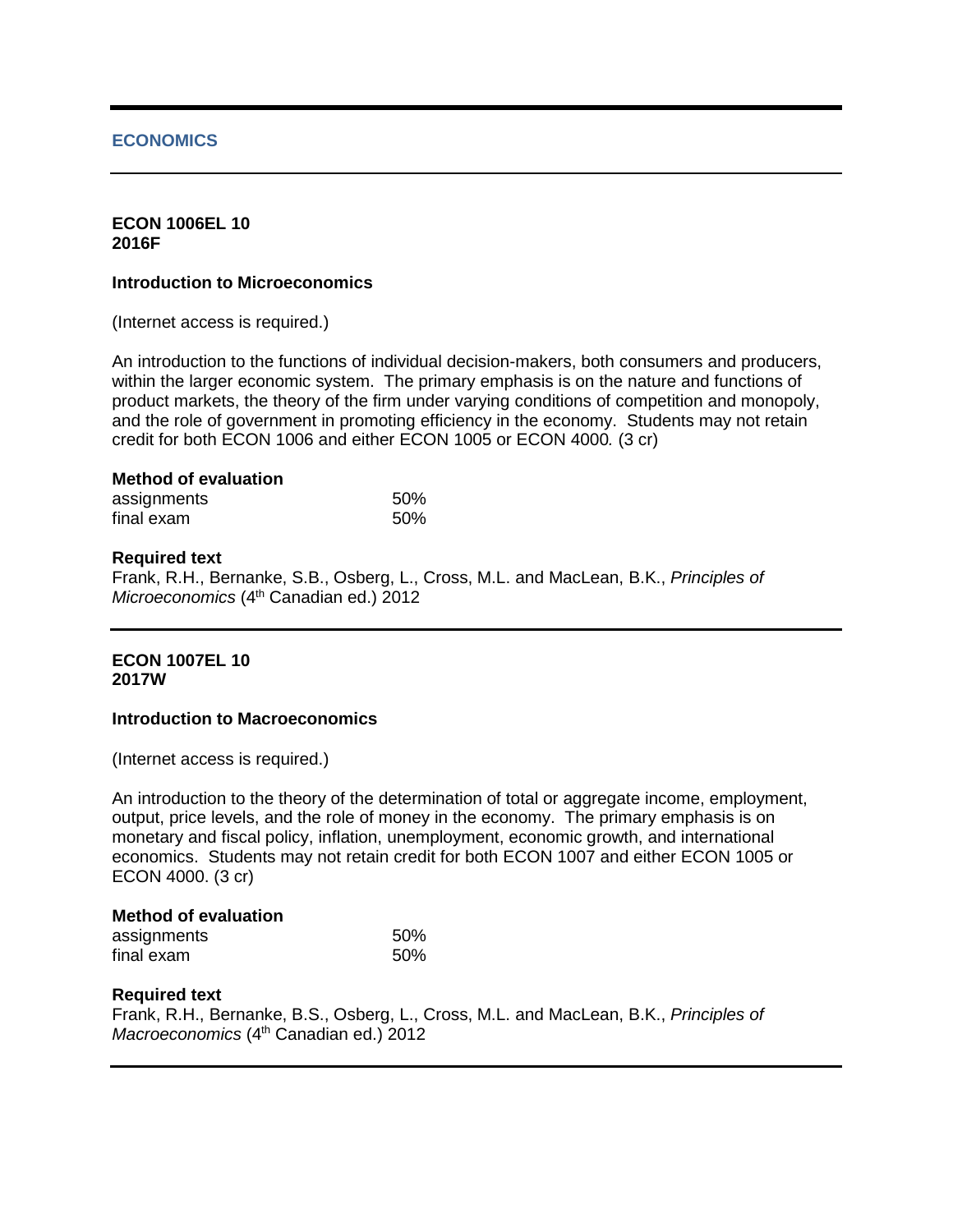# **ECONOMICS**

#### **ECON 1006EL 10 2016F**

#### **Introduction to Microeconomics**

(Internet access is required.)

An introduction to the functions of individual decision-makers, both consumers and producers, within the larger economic system. The primary emphasis is on the nature and functions of product markets, the theory of the firm under varying conditions of competition and monopoly, and the role of government in promoting efficiency in the economy. Students may not retain credit for both ECON 1006 and either ECON 1005 or ECON 4000*.* (3 cr)

#### **Method of evaluation**

| assignments | 50% |
|-------------|-----|
| final exam  | 50% |

## **Required text**

Frank, R.H., Bernanke, S.B., Osberg, L., Cross, M.L. and MacLean, B.K., *Principles of Microeconomics* (4<sup>th</sup> Canadian ed.) 2012

# **ECON 1007EL 10 2017W**

## **Introduction to Macroeconomics**

(Internet access is required.)

An introduction to the theory of the determination of total or aggregate income, employment, output, price levels, and the role of money in the economy. The primary emphasis is on monetary and fiscal policy, inflation, unemployment, economic growth, and international economics. Students may not retain credit for both ECON 1007 and either ECON 1005 or ECON 4000. (3 cr)

#### **Method of evaluation**

| assignments | 50% |
|-------------|-----|
| final exam  | 50% |

## **Required text**

Frank, R.H., Bernanke, B.S., Osberg, L., Cross, M.L. and MacLean, B.K., *Principles of Macroeconomics* (4<sup>th</sup> Canadian ed.) 2012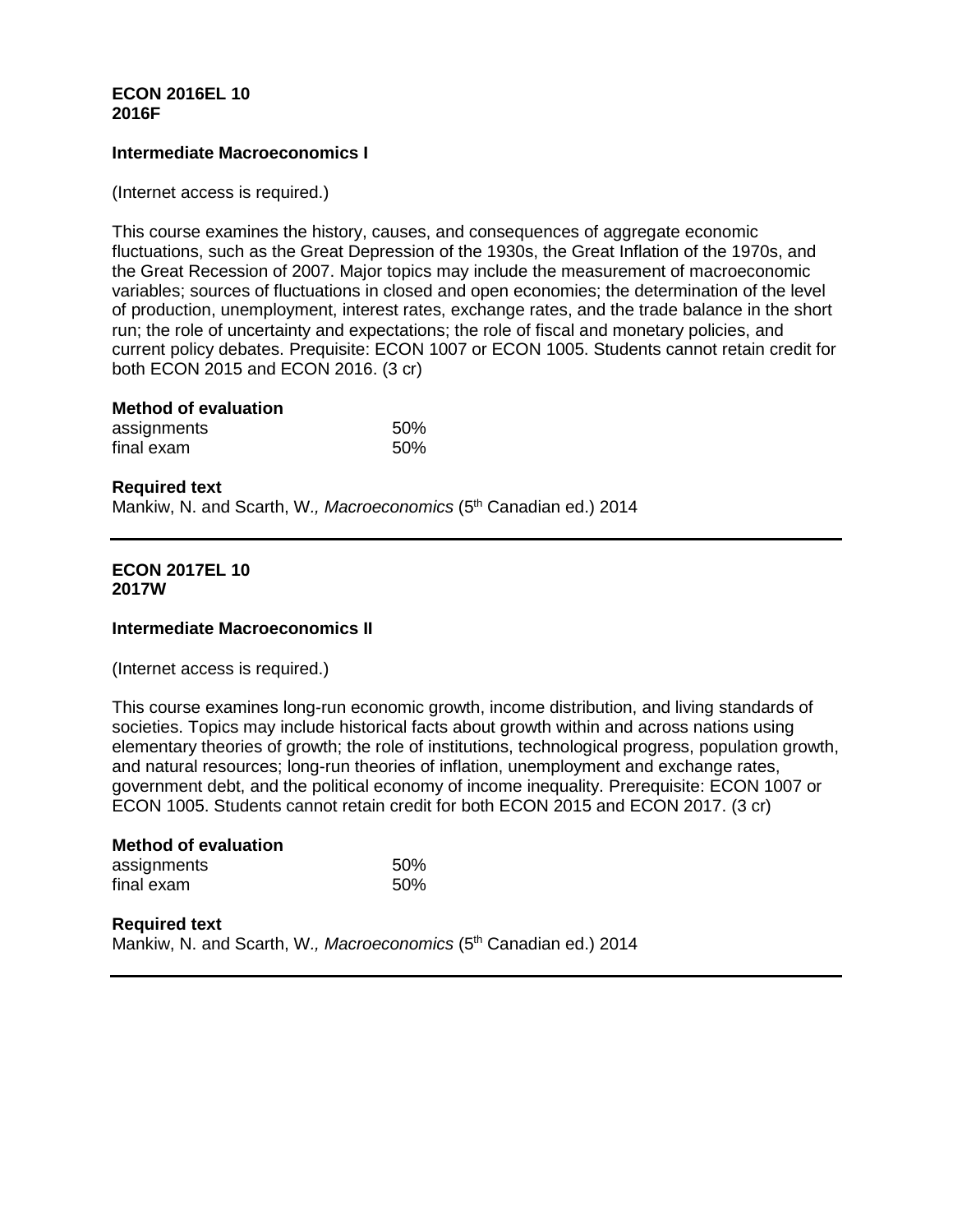## **ECON 2016EL 10 2016F**

## **Intermediate Macroeconomics I**

(Internet access is required.)

This course examines the history, causes, and consequences of aggregate economic fluctuations, such as the Great Depression of the 1930s, the Great Inflation of the 1970s, and the Great Recession of 2007. Major topics may include the measurement of macroeconomic variables; sources of fluctuations in closed and open economies; the determination of the level of production, unemployment, interest rates, exchange rates, and the trade balance in the short run; the role of uncertainty and expectations; the role of fiscal and monetary policies, and current policy debates. Prequisite: ECON 1007 or ECON 1005. Students cannot retain credit for both ECON 2015 and ECON 2016. (3 cr)

# **Method of evaluation**

| assignments | 50% |
|-------------|-----|
| final exam  | 50% |

**Required text** Mankiw, N. and Scarth, W., Macroeconomics (5<sup>th</sup> Canadian ed.) 2014

#### **ECON 2017EL 10 2017W**

## **Intermediate Macroeconomics II**

(Internet access is required.)

This course examines long-run economic growth, income distribution, and living standards of societies. Topics may include historical facts about growth within and across nations using elementary theories of growth; the role of institutions, technological progress, population growth, and natural resources; long-run theories of inflation, unemployment and exchange rates, government debt, and the political economy of income inequality. Prerequisite: ECON 1007 or ECON 1005. Students cannot retain credit for both ECON 2015 and ECON 2017. (3 cr)

| <b>Method of evaluation</b> |     |
|-----------------------------|-----|
| assignments                 | 50% |
| final exam                  | 50% |

**Required text** Mankiw, N. and Scarth, W., Macroeconomics (5<sup>th</sup> Canadian ed.) 2014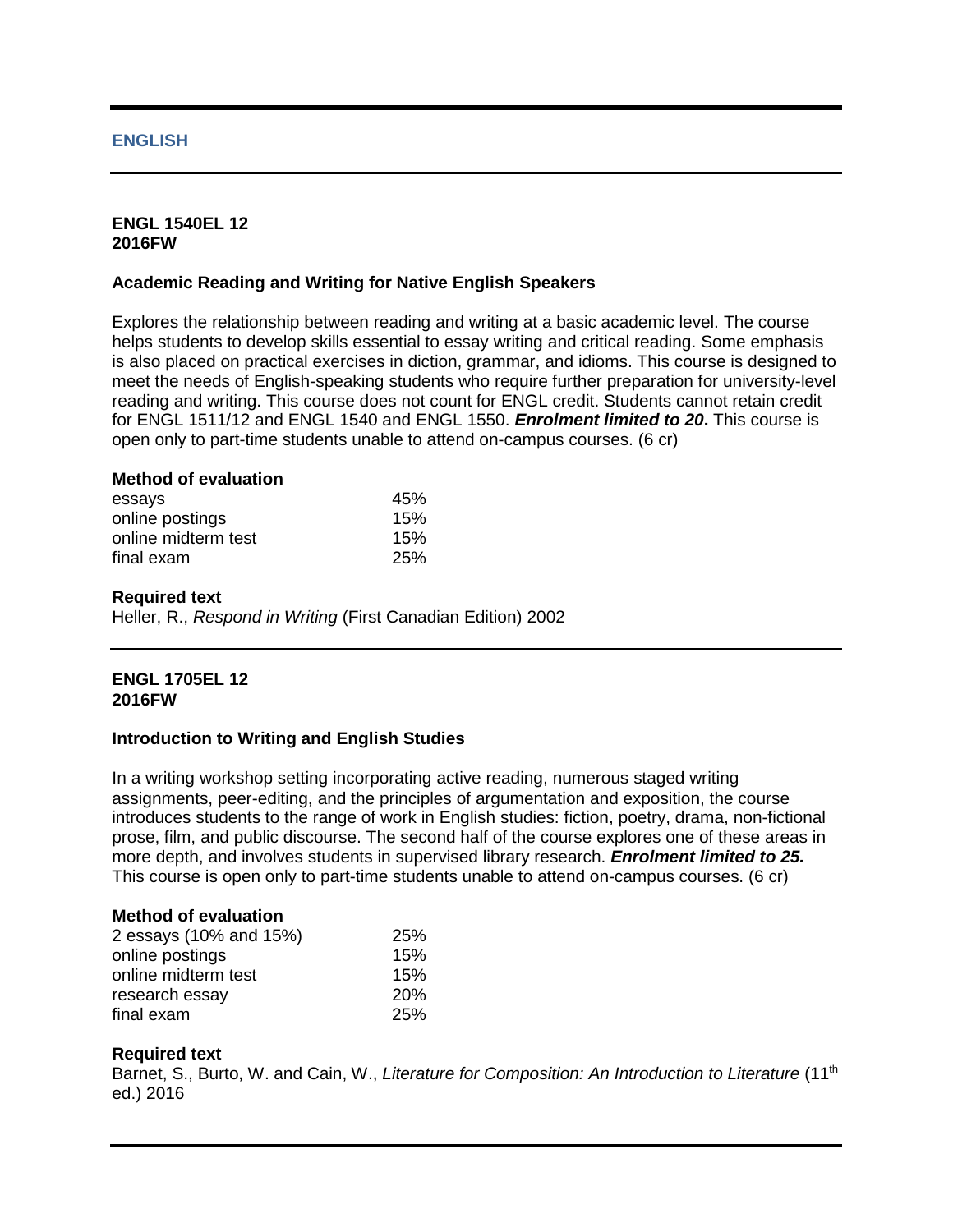## **ENGLISH**

#### **ENGL 1540EL 12 2016FW**

# **Academic Reading and Writing for Native English Speakers**

Explores the relationship between reading and writing at a basic academic level. The course helps students to develop skills essential to essay writing and critical reading. Some emphasis is also placed on practical exercises in diction, grammar, and idioms. This course is designed to meet the needs of English-speaking students who require further preparation for university-level reading and writing. This course does not count for ENGL credit. Students cannot retain credit for ENGL 1511/12 and ENGL 1540 and ENGL 1550. *Enrolment limited to 20***.** This course is open only to part-time students unable to attend on-campus courses. (6 cr)

## **Method of evaluation**

| essays              | 45%        |
|---------------------|------------|
| online postings     | 15%        |
| online midterm test | 15%        |
| final exam          | <b>25%</b> |

#### **Required text**

Heller, R., *Respond in Writing* (First Canadian Edition) 2002

#### **ENGL 1705EL 12 2016FW**

## **Introduction to Writing and English Studies**

In a writing workshop setting incorporating active reading, numerous staged writing assignments, peer-editing, and the principles of argumentation and exposition, the course introduces students to the range of work in English studies: fiction, poetry, drama, non-fictional prose, film, and public discourse. The second half of the course explores one of these areas in more depth, and involves students in supervised library research. *Enrolment limited to 25.*  This course is open only to part-time students unable to attend on-campus courses. (6 cr)

## **Method of evaluation**

| 2 essays (10% and 15%) | 25%        |
|------------------------|------------|
| online postings        | 15%        |
| online midterm test    | 15%        |
| research essay         | <b>20%</b> |
| final exam             | 25%        |

## **Required text**

Barnet, S., Burto, W. and Cain, W., *Literature for Composition: An Introduction to Literature* (11<sup>th</sup> ed.) 2016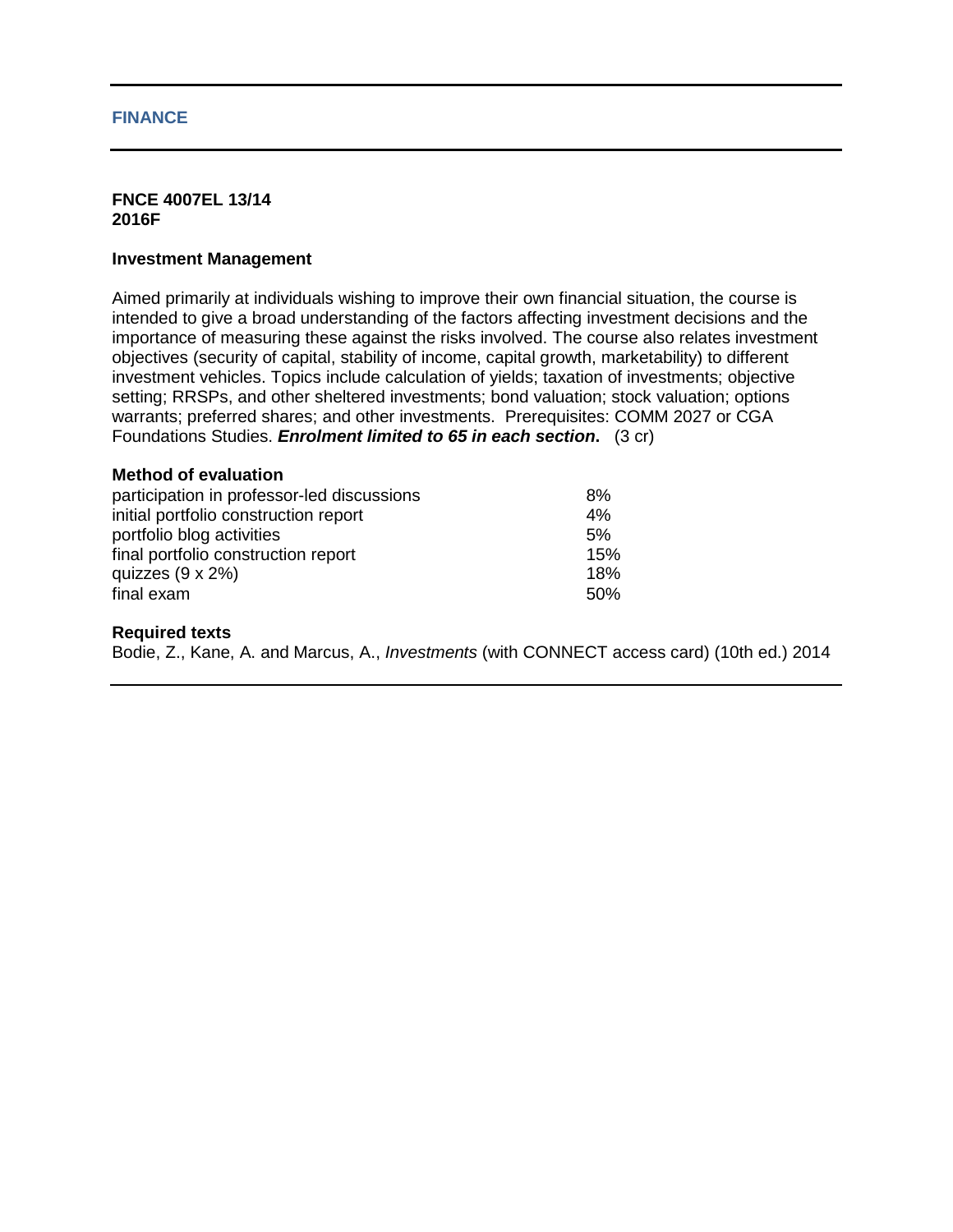#### **FINANCE**

#### **FNCE 4007EL 13/14 2016F**

#### **Investment Management**

Aimed primarily at individuals wishing to improve their own financial situation, the course is intended to give a broad understanding of the factors affecting investment decisions and the importance of measuring these against the risks involved. The course also relates investment objectives (security of capital, stability of income, capital growth, marketability) to different investment vehicles. Topics include calculation of yields; taxation of investments; objective setting; RRSPs, and other sheltered investments; bond valuation; stock valuation; options warrants; preferred shares; and other investments. Prerequisites: COMM 2027 or CGA Foundations Studies. *Enrolment limited to 65 in each section***.** (3 cr)

# **Method of evaluation**

| participation in professor-led discussions | 8%   |
|--------------------------------------------|------|
| initial portfolio construction report      | 4%   |
| portfolio blog activities                  | 5%   |
| final portfolio construction report        | 15%  |
| quizzes $(9 \times 2\%)$                   | 18%  |
| final exam                                 | .50% |

#### **Required texts**

Bodie, Z., Kane, A. and Marcus, A., *Investments* (with CONNECT access card) (10th ed.) 2014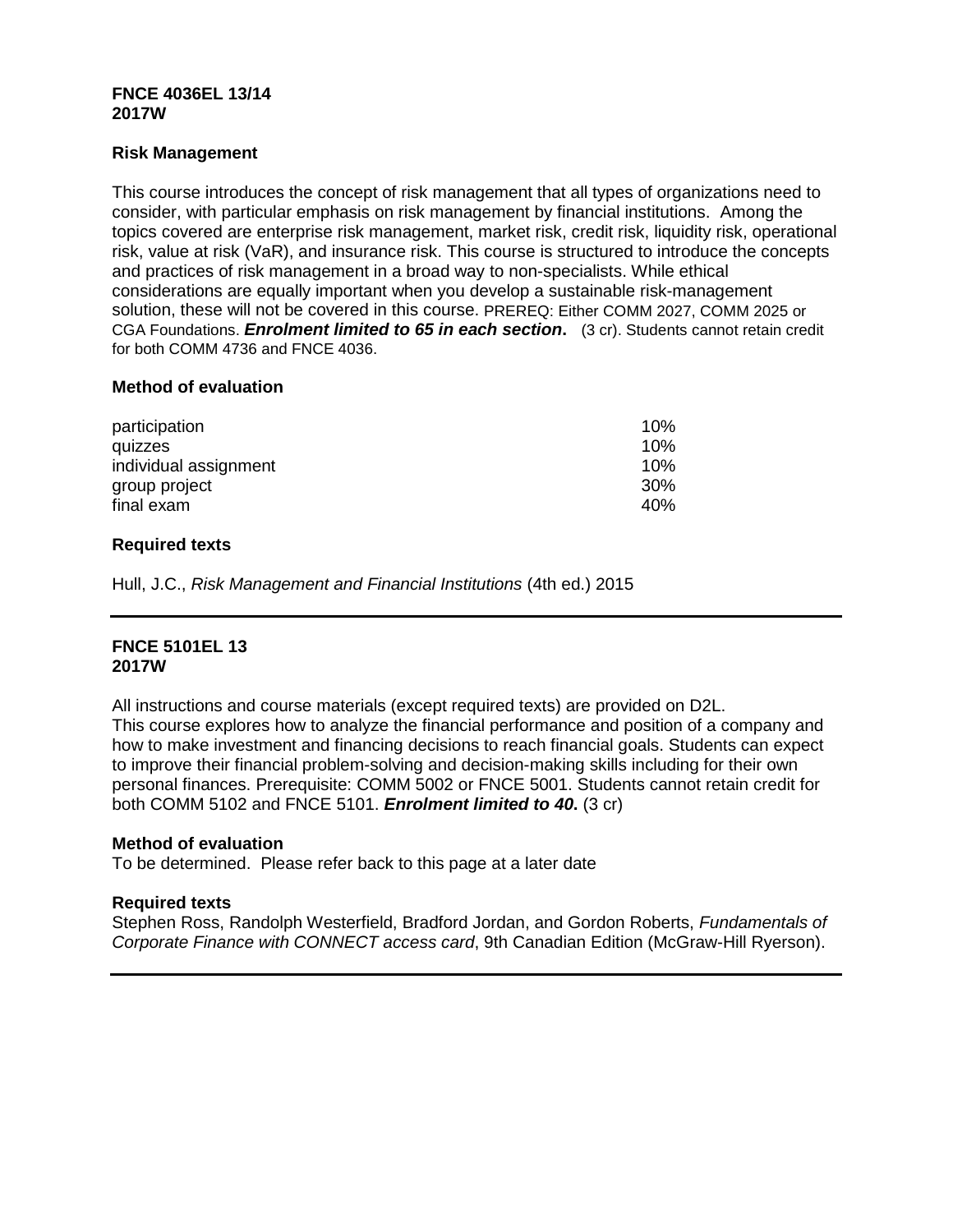## **FNCE 4036EL 13/14 2017W**

# **Risk Management**

This course introduces the concept of risk management that all types of organizations need to consider, with particular emphasis on risk management by financial institutions. Among the topics covered are enterprise risk management, market risk, credit risk, liquidity risk, operational risk, value at risk (VaR), and insurance risk. This course is structured to introduce the concepts and practices of risk management in a broad way to non-specialists. While ethical considerations are equally important when you develop a sustainable risk-management solution, these will not be covered in this course. PREREQ: Either COMM 2027, COMM 2025 or CGA Foundations. *Enrolment limited to 65 in each section***.** (3 cr). Students cannot retain credit for both COMM 4736 and FNCE 4036.

## **Method of evaluation**

| participation         | 10% |
|-----------------------|-----|
| quizzes               | 10% |
| individual assignment | 10% |
| group project         | 30% |
| final exam            | 40% |

# **Required texts**

Hull, J.C., *Risk Management and Financial Institutions* (4th ed.) 2015

## **FNCE 5101EL 13 2017W**

All instructions and course materials (except required texts) are provided on D2L. This course explores how to analyze the financial performance and position of a company and how to make investment and financing decisions to reach financial goals. Students can expect to improve their financial problem-solving and decision-making skills including for their own personal finances. Prerequisite: COMM 5002 or FNCE 5001. Students cannot retain credit for both COMM 5102 and FNCE 5101. *Enrolment limited to 40***.** (3 cr)

## **Method of evaluation**

To be determined. Please refer back to this page at a later date

## **Required texts**

Stephen Ross, Randolph Westerfield, Bradford Jordan, and Gordon Roberts, *Fundamentals of Corporate Finance with CONNECT access card*, 9th Canadian Edition (McGraw-Hill Ryerson).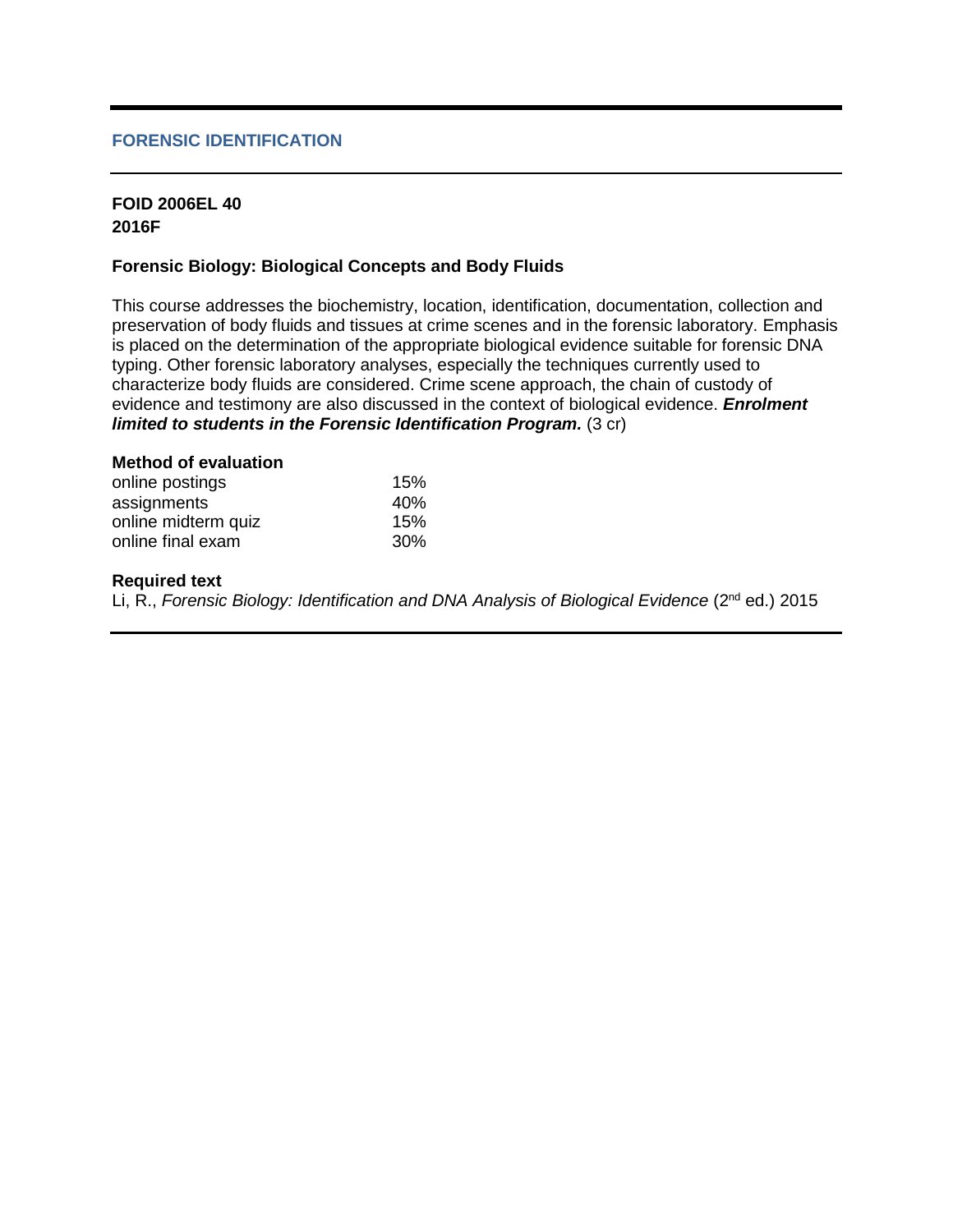# **FORENSIC IDENTIFICATION**

# **FOID 2006EL 40 2016F**

# **Forensic Biology: Biological Concepts and Body Fluids**

This course addresses the biochemistry, location, identification, documentation, collection and preservation of body fluids and tissues at crime scenes and in the forensic laboratory. Emphasis is placed on the determination of the appropriate biological evidence suitable for forensic DNA typing. Other forensic laboratory analyses, especially the techniques currently used to characterize body fluids are considered. Crime scene approach, the chain of custody of evidence and testimony are also discussed in the context of biological evidence. *Enrolment limited to students in the Forensic Identification Program.* (3 cr)

| 15% |
|-----|
| 40% |
| 15% |
| 30% |
|     |

#### **Required text**

Li, R., *Forensic Biology: Identification and DNA Analysis of Biological Evidence* (2<sup>nd</sup> ed.) 2015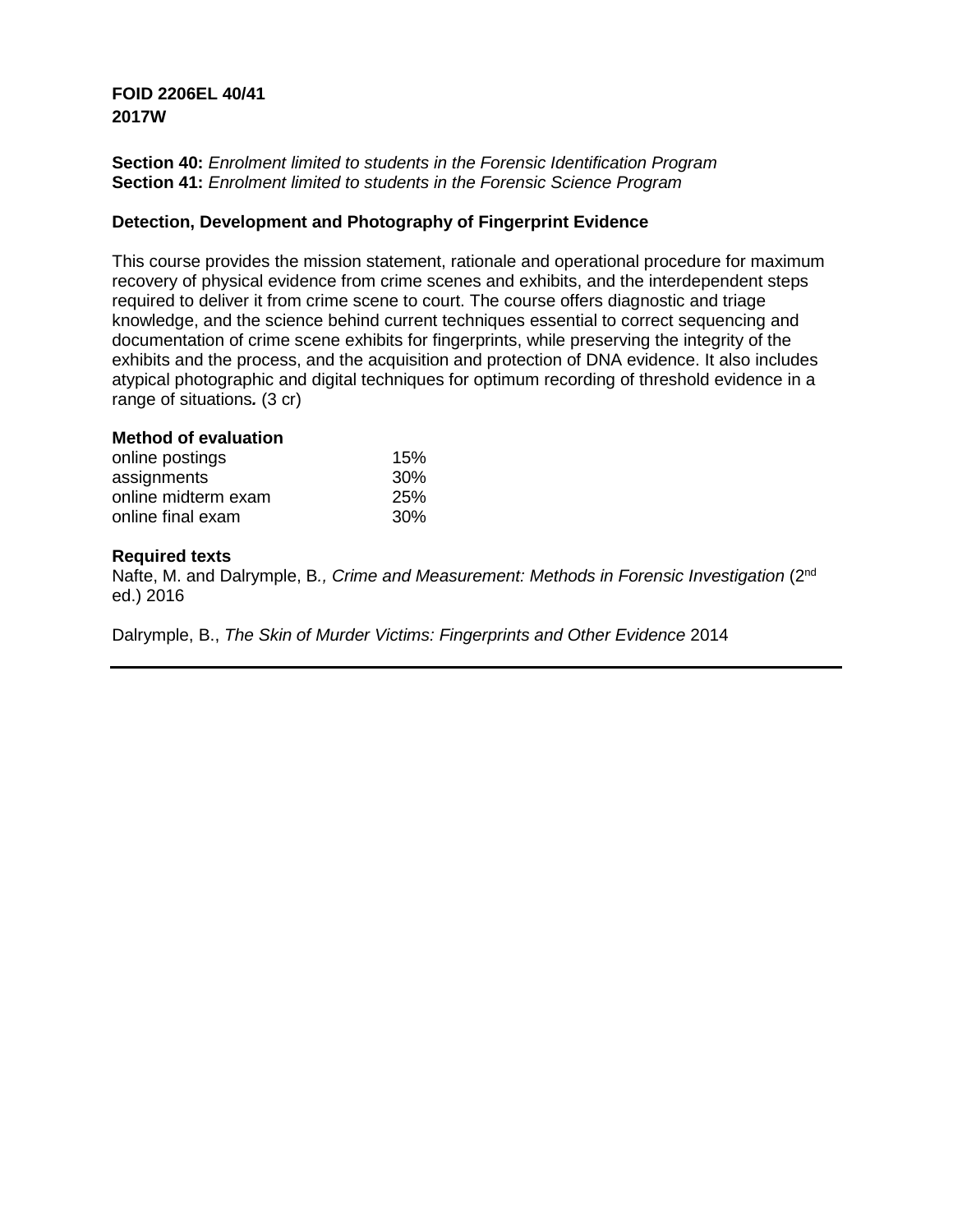# **FOID 2206EL 40/41 2017W**

**Section 40:** *Enrolment limited to students in the Forensic Identification Program* **Section 41:** *Enrolment limited to students in the Forensic Science Program*

# **Detection, Development and Photography of Fingerprint Evidence**

This course provides the mission statement, rationale and operational procedure for maximum recovery of physical evidence from crime scenes and exhibits, and the interdependent steps required to deliver it from crime scene to court. The course offers diagnostic and triage knowledge, and the science behind current techniques essential to correct sequencing and documentation of crime scene exhibits for fingerprints, while preserving the integrity of the exhibits and the process, and the acquisition and protection of DNA evidence. It also includes atypical photographic and digital techniques for optimum recording of threshold evidence in a range of situations*.* (3 cr)

# **Method of evaluation**

| online postings     | 15% |
|---------------------|-----|
| assignments         | 30% |
| online midterm exam | 25% |
| online final exam   | 30% |

## **Required texts**

Nafte, M. and Dalrymple, B*., Crime and Measurement: Methods in Forensic Investigation* (2nd ed.) 2016

Dalrymple, B., *The Skin of Murder Victims: Fingerprints and Other Evidence* 2014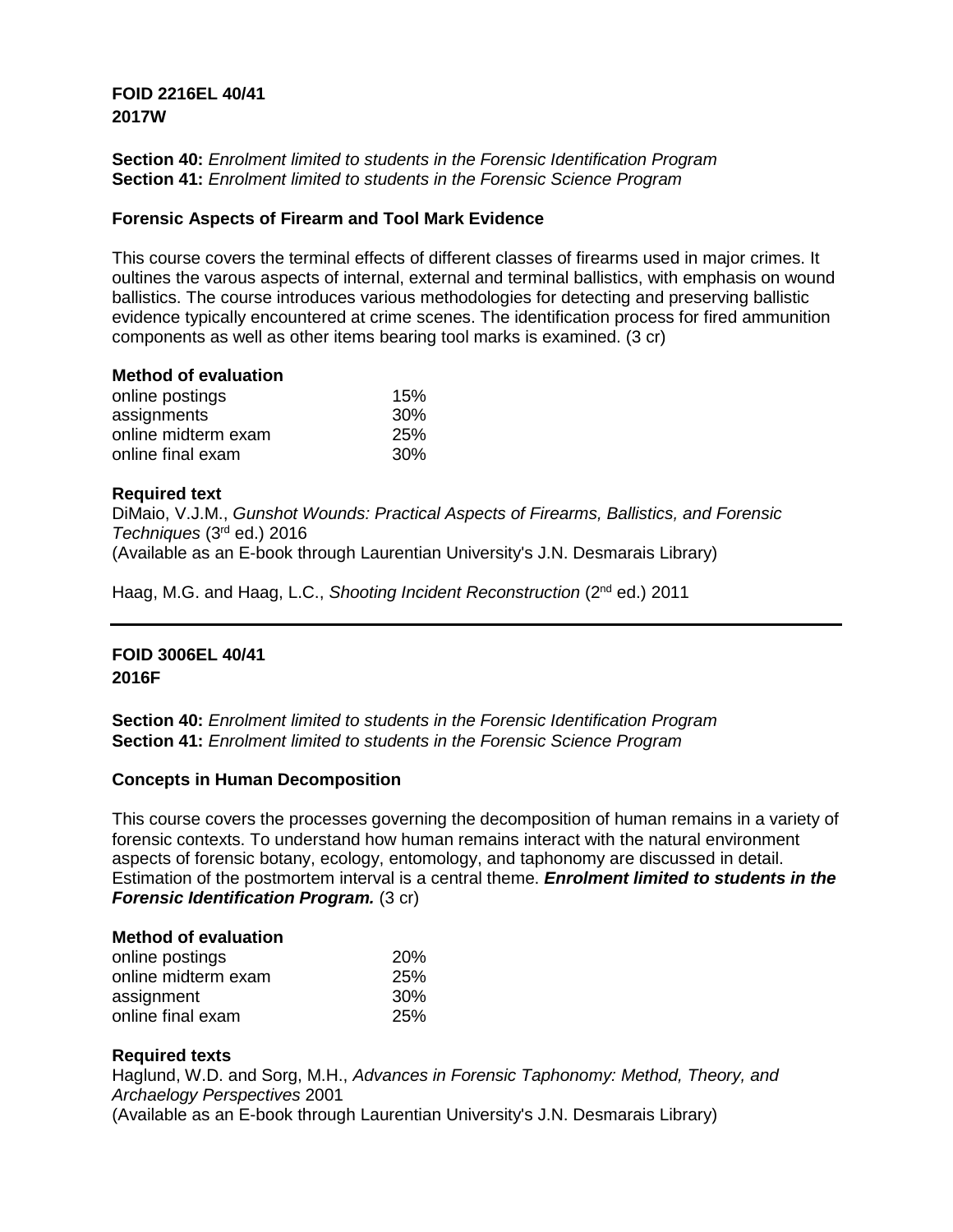# **FOID 2216EL 40/41 2017W**

**Section 40:** *Enrolment limited to students in the Forensic Identification Program* **Section 41:** *Enrolment limited to students in the Forensic Science Program*

# **Forensic Aspects of Firearm and Tool Mark Evidence**

This course covers the terminal effects of different classes of firearms used in major crimes. It oultines the varous aspects of internal, external and terminal ballistics, with emphasis on wound ballistics. The course introduces various methodologies for detecting and preserving ballistic evidence typically encountered at crime scenes. The identification process for fired ammunition components as well as other items bearing tool marks is examined. (3 cr)

## **Method of evaluation**

| online postings     | 15% |
|---------------------|-----|
| assignments         | 30% |
| online midterm exam | 25% |
| online final exam   | 30% |

# **Required text**

DiMaio, V.J.M., *Gunshot Wounds: Practical Aspects of Firearms, Ballistics, and Forensic Techniques* (3rd ed.) 2016 (Available as an E-book through Laurentian University's J.N. Desmarais Library)

Haag, M.G. and Haag, L.C., *Shooting Incident Reconstruction* (2nd ed.) 2011

# **FOID 3006EL 40/41 2016F**

**Section 40:** *Enrolment limited to students in the Forensic Identification Program* **Section 41:** *Enrolment limited to students in the Forensic Science Program*

## **Concepts in Human Decomposition**

This course covers the processes governing the decomposition of human remains in a variety of forensic contexts. To understand how human remains interact with the natural environment aspects of forensic botany, ecology, entomology, and taphonomy are discussed in detail. Estimation of the postmortem interval is a central theme. *Enrolment limited to students in the Forensic Identification Program.* (3 cr)

## **Method of evaluation**

| online postings     | <b>20%</b> |
|---------------------|------------|
| online midterm exam | <b>25%</b> |
| assignment          | <b>30%</b> |
| online final exam   | 25%        |

## **Required texts**

Haglund, W.D. and Sorg, M.H., *Advances in Forensic Taphonomy: Method, Theory, and Archaelogy Perspectives* 2001 (Available as an E-book through Laurentian University's J.N. Desmarais Library)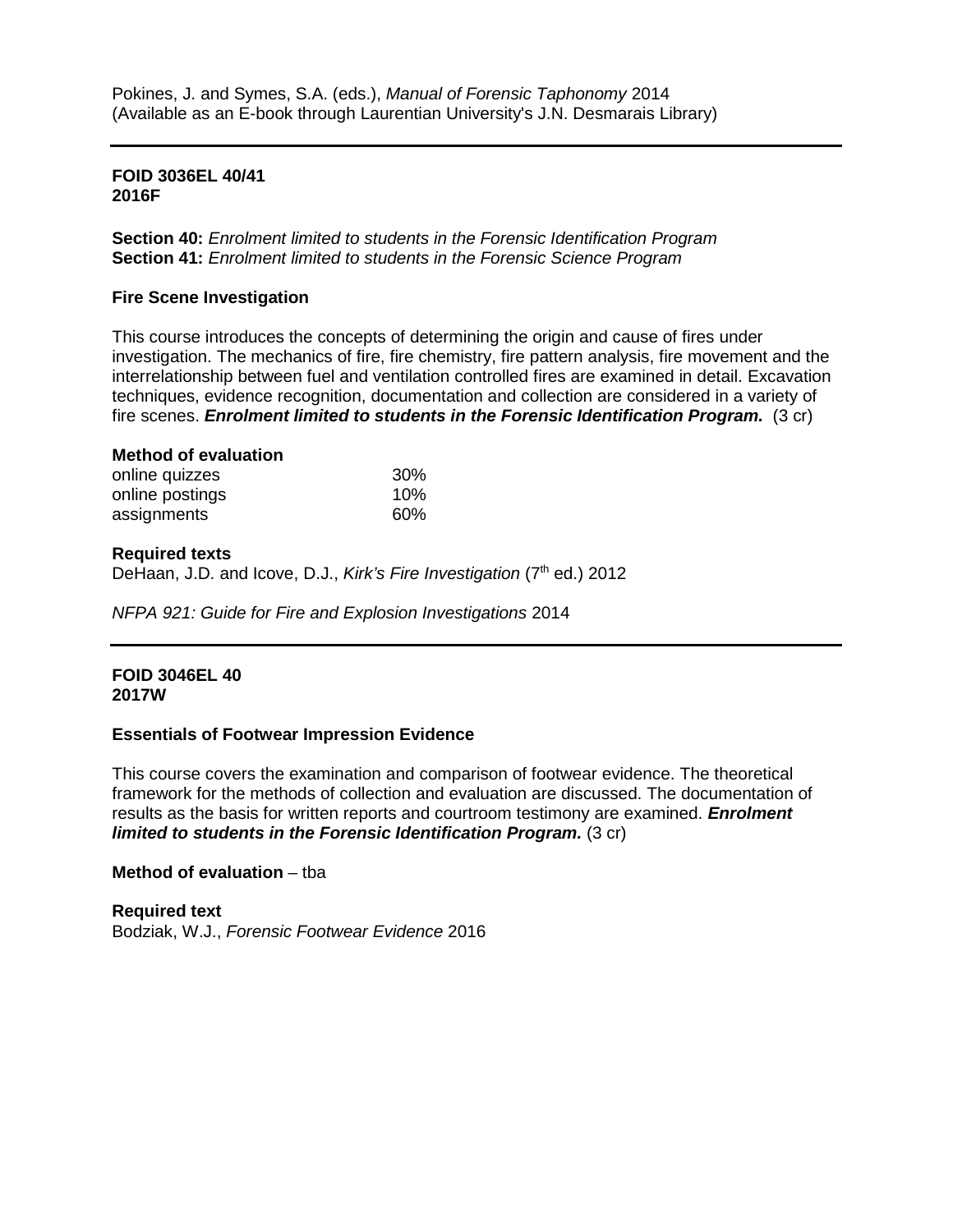# **FOID 3036EL 40/41 2016F**

**Section 40:** *Enrolment limited to students in the Forensic Identification Program* **Section 41:** *Enrolment limited to students in the Forensic Science Program*

# **Fire Scene Investigation**

This course introduces the concepts of determining the origin and cause of fires under investigation. The mechanics of fire, fire chemistry, fire pattern analysis, fire movement and the interrelationship between fuel and ventilation controlled fires are examined in detail. Excavation techniques, evidence recognition, documentation and collection are considered in a variety of fire scenes. *Enrolment limited to students in the Forensic Identification Program.* (3 cr)

## **Method of evaluation** online quizzes 30% online postings and the 10% assignments 60%

# **Required texts**

DeHaan, J.D. and Icove, D.J., *Kirk's Fire Investigation* (7<sup>th</sup> ed.) 2012

*NFPA 921: Guide for Fire and Explosion Investigations* 2014

## **FOID 3046EL 40 2017W**

## **Essentials of Footwear Impression Evidence**

This course covers the examination and comparison of footwear evidence. The theoretical framework for the methods of collection and evaluation are discussed. The documentation of results as the basis for written reports and courtroom testimony are examined. *Enrolment limited to students in the Forensic Identification Program.* (3 cr)

# **Method of evaluation** – tba

**Required text** Bodziak, W.J., *Forensic Footwear Evidence* 2016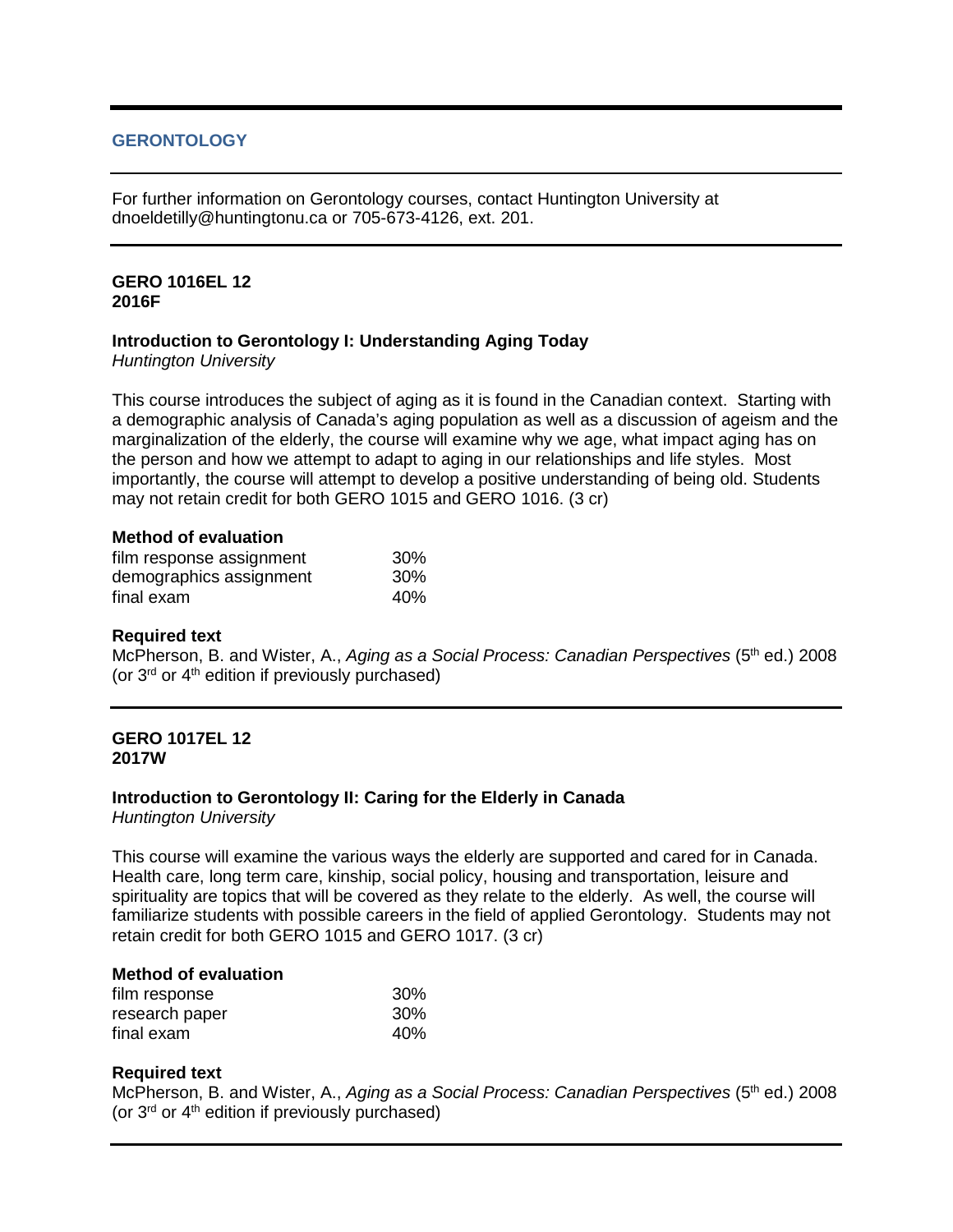# **GERONTOLOGY**

For further information on Gerontology courses, contact Huntington University at dnoeldetilly@huntingtonu.ca or 705-673-4126, ext. 201.

#### **GERO 1016EL 12 2016F**

## **Introduction to Gerontology I: Understanding Aging Today**

*Huntington University*

This course introduces the subject of aging as it is found in the Canadian context. Starting with a demographic analysis of Canada's aging population as well as a discussion of ageism and the marginalization of the elderly, the course will examine why we age, what impact aging has on the person and how we attempt to adapt to aging in our relationships and life styles. Most importantly, the course will attempt to develop a positive understanding of being old. Students may not retain credit for both GERO 1015 and GERO 1016. (3 cr)

#### **Method of evaluation**

| film response assignment | 30% |
|--------------------------|-----|
| demographics assignment  | 30% |
| final exam               | 40% |

## **Required text**

McPherson, B. and Wister, A., *Aging as a Social Process: Canadian Perspectives* (5th ed.) 2008 (or  $3<sup>rd</sup>$  or  $4<sup>th</sup>$  edition if previously purchased)

#### **GERO 1017EL 12 2017W**

## **Introduction to Gerontology II: Caring for the Elderly in Canada**

*Huntington University*

This course will examine the various ways the elderly are supported and cared for in Canada. Health care, long term care, kinship, social policy, housing and transportation, leisure and spirituality are topics that will be covered as they relate to the elderly. As well, the course will familiarize students with possible careers in the field of applied Gerontology. Students may not retain credit for both GERO 1015 and GERO 1017. (3 cr)

# **Method of evaluation**

| film response  | 30% |
|----------------|-----|
| research paper | 30% |
| final exam     | 40% |

## **Required text**

McPherson, B. and Wister, A., *Aging as a Social Process: Canadian Perspectives* (5<sup>th</sup> ed.) 2008 (or  $3<sup>rd</sup>$  or  $4<sup>th</sup>$  edition if previously purchased)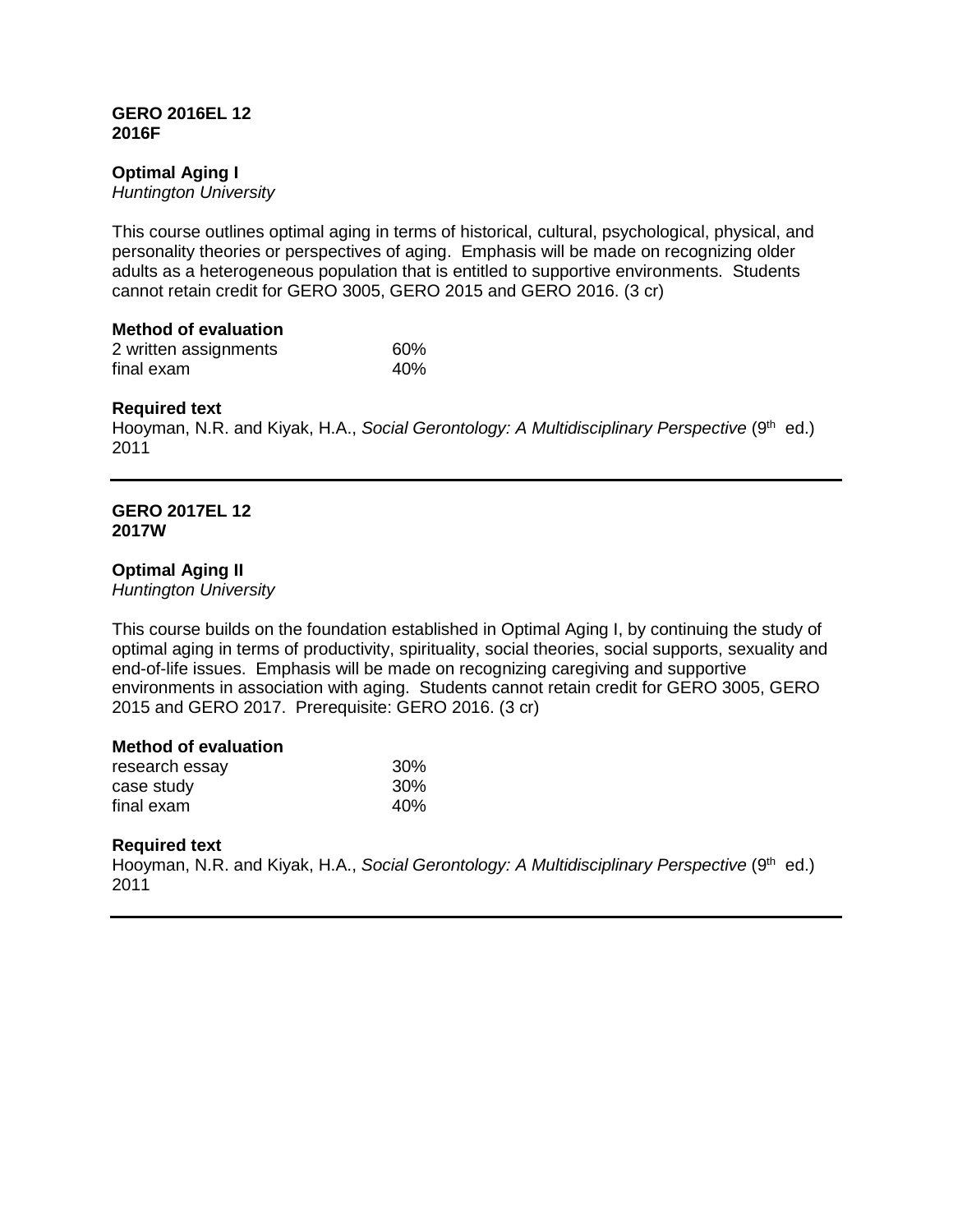## **GERO 2016EL 12 2016F**

# **Optimal Aging I**

*Huntington University*

This course outlines optimal aging in terms of historical, cultural, psychological, physical, and personality theories or perspectives of aging. Emphasis will be made on recognizing older adults as a heterogeneous population that is entitled to supportive environments. Students cannot retain credit for GERO 3005, GERO 2015 and GERO 2016. (3 cr)

## **Method of evaluation**

| 2 written assignments | 60% |
|-----------------------|-----|
| final exam            | 40% |

## **Required text**

Hooyman, N.R. and Kiyak, H.A., *Social Gerontology: A Multidisciplinary Perspective* (9<sup>th</sup> ed.) 2011

#### **GERO 2017EL 12 2017W**

## **Optimal Aging II**

*Huntington University*

This course builds on the foundation established in Optimal Aging I, by continuing the study of optimal aging in terms of productivity, spirituality, social theories, social supports, sexuality and end-of-life issues. Emphasis will be made on recognizing caregiving and supportive environments in association with aging. Students cannot retain credit for GERO 3005, GERO 2015 and GERO 2017. Prerequisite: GERO 2016. (3 cr)

## **Method of evaluation**

| research essay | 30 <sup>%</sup> |
|----------------|-----------------|
| case study     | 30 <sup>%</sup> |
| final exam     | 40%             |

## **Required text**

Hooyman, N.R. and Kiyak, H.A., *Social Gerontology: A Multidisciplinary Perspective* (9<sup>th</sup> ed.) 2011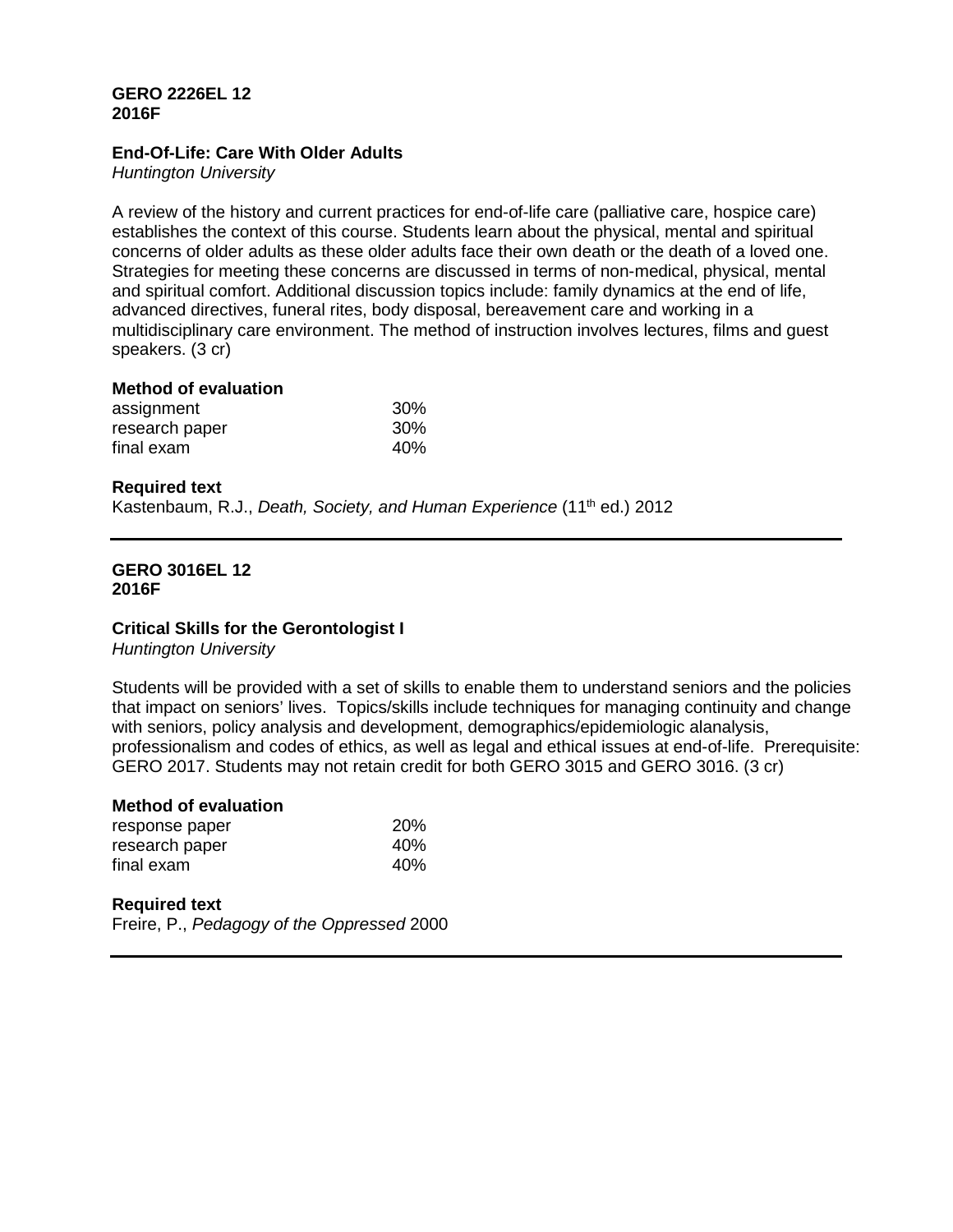# **GERO 2226EL 12 2016F**

## **End-Of-Life: Care With Older Adults**

*Huntington University*

A review of the history and current practices for end-of-life care (palliative care, hospice care) establishes the context of this course. Students learn about the physical, mental and spiritual concerns of older adults as these older adults face their own death or the death of a loved one. Strategies for meeting these concerns are discussed in terms of non-medical, physical, mental and spiritual comfort. Additional discussion topics include: family dynamics at the end of life, advanced directives, funeral rites, body disposal, bereavement care and working in a multidisciplinary care environment. The method of instruction involves lectures, films and guest speakers. (3 cr)

# **Method of evaluation**

| assignment     | 30% |
|----------------|-----|
| research paper | 30% |
| final exam     | 40% |

# **Required text**

Kastenbaum, R.J., *Death, Society, and Human Experience* (11<sup>th</sup> ed.) 2012

#### **GERO 3016EL 12 2016F**

## **Critical Skills for the Gerontologist I**

*Huntington University*

Students will be provided with a set of skills to enable them to understand seniors and the policies that impact on seniors' lives. Topics/skills include techniques for managing continuity and change with seniors, policy analysis and development, demographics/epidemiologic alanalysis, professionalism and codes of ethics, as well as legal and ethical issues at end-of-life. Prerequisite: GERO 2017. Students may not retain credit for both GERO 3015 and GERO 3016. (3 cr)

#### **Method of evaluation**

| response paper | <b>20%</b> |
|----------------|------------|
| research paper | 40%        |
| final exam     | 40%        |

#### **Required text**

Freire, P., *Pedagogy of the Oppressed* 2000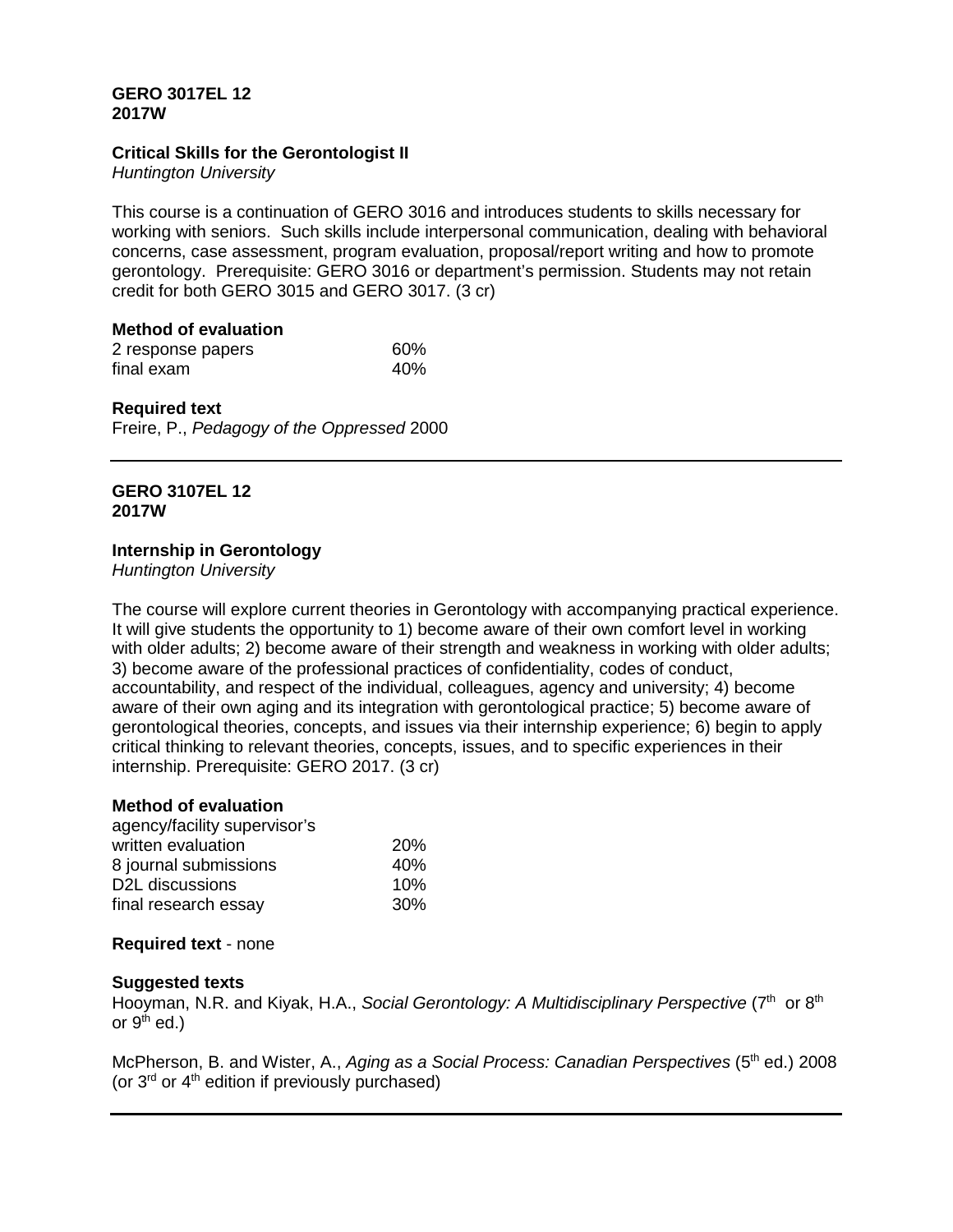# **GERO 3017EL 12 2017W**

# **Critical Skills for the Gerontologist II**

*Huntington University*

This course is a continuation of GERO 3016 and introduces students to skills necessary for working with seniors. Such skills include interpersonal communication, dealing with behavioral concerns, case assessment, program evaluation, proposal/report writing and how to promote gerontology. Prerequisite: GERO 3016 or department's permission. Students may not retain credit for both GERO 3015 and GERO 3017. (3 cr)

## **Method of evaluation**

| 2 response papers | 60% |
|-------------------|-----|
| final exam        | 40% |

## **Required text**

Freire, P., *Pedagogy of the Oppressed* 2000

## **GERO 3107EL 12 2017W**

# **Internship in Gerontology**

*Huntington University*

The course will explore current theories in Gerontology with accompanying practical experience. It will give students the opportunity to 1) become aware of their own comfort level in working with older adults; 2) become aware of their strength and weakness in working with older adults; 3) become aware of the professional practices of confidentiality, codes of conduct, accountability, and respect of the individual, colleagues, agency and university; 4) become aware of their own aging and its integration with gerontological practice; 5) become aware of gerontological theories, concepts, and issues via their internship experience; 6) begin to apply critical thinking to relevant theories, concepts, issues, and to specific experiences in their internship. Prerequisite: GERO 2017. (3 cr)

## **Method of evaluation**

| agency/facility supervisor's |     |
|------------------------------|-----|
| written evaluation           | 20% |
| 8 journal submissions        | 40% |
| D2L discussions              | 10% |
| final research essay         | 30% |

## **Required text** - none

## **Suggested texts**

Hooyman, N.R. and Kiyak, H.A., *Social Gerontology: A Multidisciplinary Perspective* (7<sup>th</sup> or 8<sup>th</sup>) or  $9<sup>th</sup>$  ed.)

McPherson, B. and Wister, A., *Aging as a Social Process: Canadian Perspectives* (5<sup>th</sup> ed.) 2008 (or  $3<sup>rd</sup>$  or  $4<sup>th</sup>$  edition if previously purchased)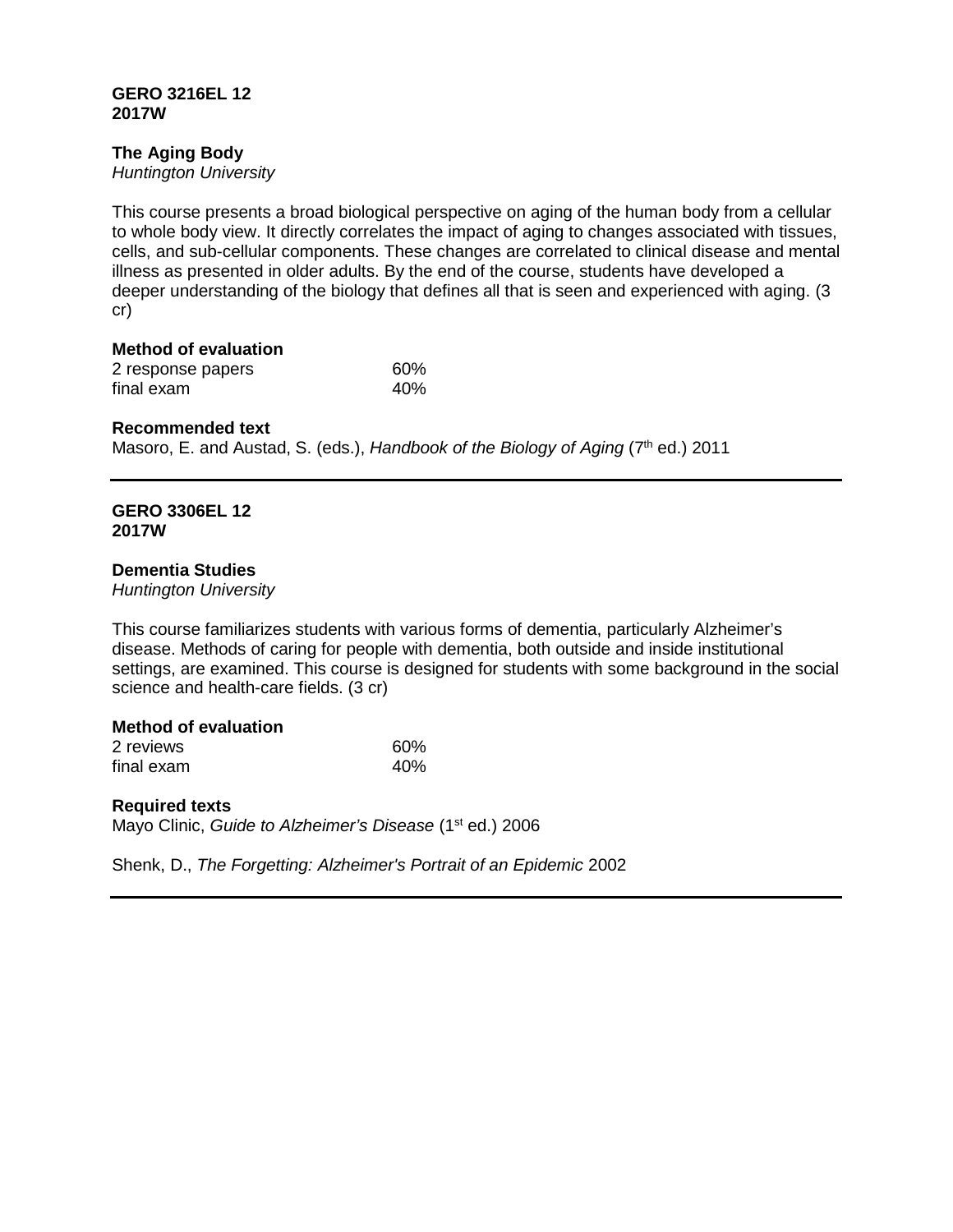## **GERO 3216EL 12 2017W**

# **The Aging Body**

*Huntington University*

This course presents a broad biological perspective on aging of the human body from a cellular to whole body view. It directly correlates the impact of aging to changes associated with tissues, cells, and sub-cellular components. These changes are correlated to clinical disease and mental illness as presented in older adults. By the end of the course, students have developed a deeper understanding of the biology that defines all that is seen and experienced with aging. (3 cr)

**Method of evaluation** 2 response papers 60% final exam 40%

#### **Recommended text**

Masoro, E. and Austad, S. (eds.), *Handbook of the Biology of Aging* (7<sup>th</sup> ed.) 2011

#### **GERO 3306EL 12 2017W**

#### **Dementia Studies**

*Huntington University*

This course familiarizes students with various forms of dementia, particularly Alzheimer's disease. Methods of caring for people with dementia, both outside and inside institutional settings, are examined. This course is designed for students with some background in the social science and health-care fields. (3 cr)

# **Method of evaluation**

| 2 reviews  | 60% |
|------------|-----|
| final exam | 40% |

# **Required texts**

Mayo Clinic, *Guide to Alzheimer's Disease* (1<sup>st</sup> ed.) 2006

Shenk, D., *The Forgetting: Alzheimer's Portrait of an Epidemic* 2002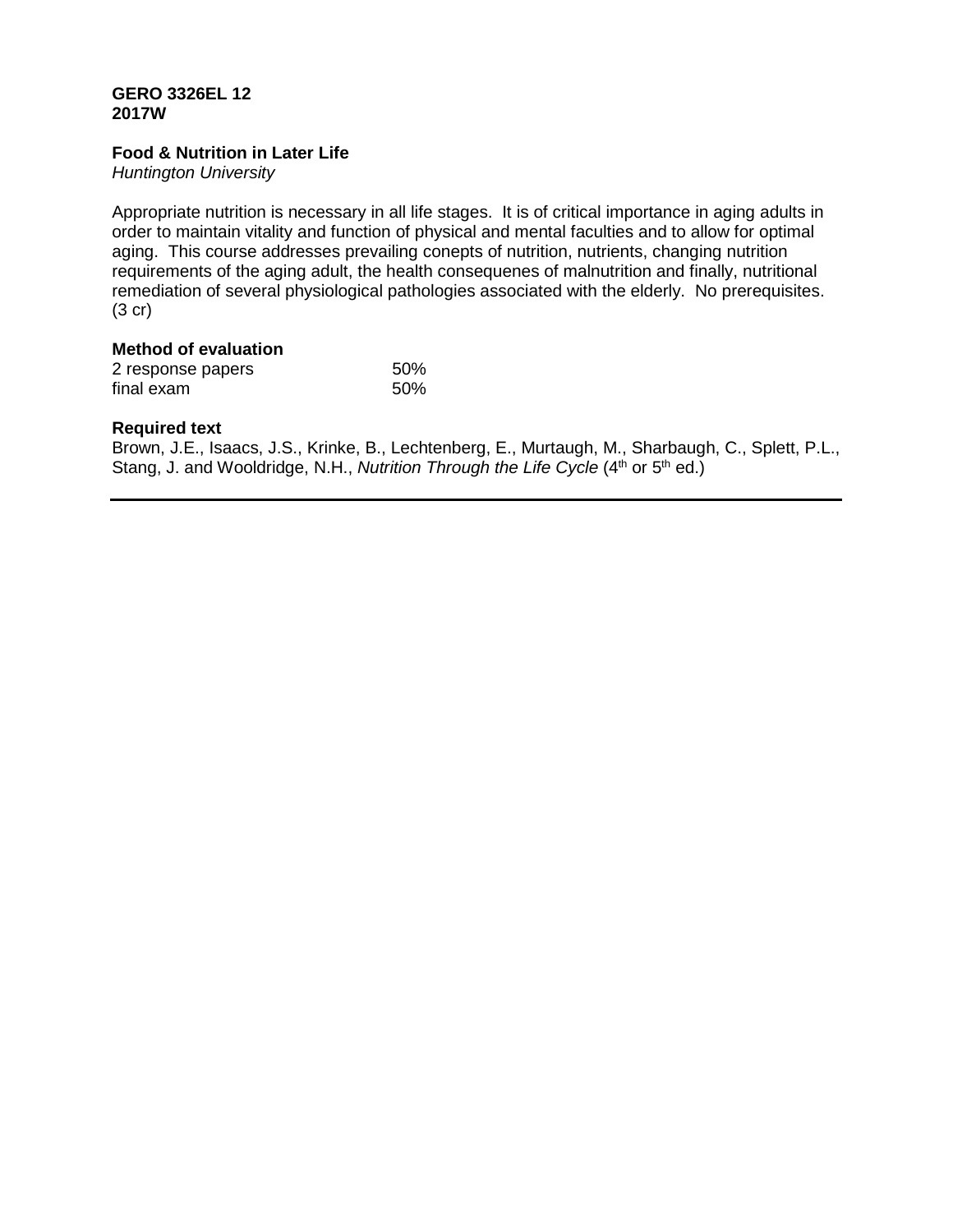# **GERO 3326EL 12 2017W**

# **Food & Nutrition in Later Life**

*Huntington University*

Appropriate nutrition is necessary in all life stages. It is of critical importance in aging adults in order to maintain vitality and function of physical and mental faculties and to allow for optimal aging. This course addresses prevailing conepts of nutrition, nutrients, changing nutrition requirements of the aging adult, the health consequenes of malnutrition and finally, nutritional remediation of several physiological pathologies associated with the elderly. No prerequisites. (3 cr)

# **Method of evaluation**

| 2 response papers | 50% |
|-------------------|-----|
| final exam        | 50% |

## **Required text**

Brown, J.E., Isaacs, J.S., Krinke, B., Lechtenberg, E., Murtaugh, M., Sharbaugh, C., Splett, P.L., Stang, J. and Wooldridge, N.H., *Nutrition Through the Life Cycle* (4<sup>th</sup> or 5<sup>th</sup> ed.)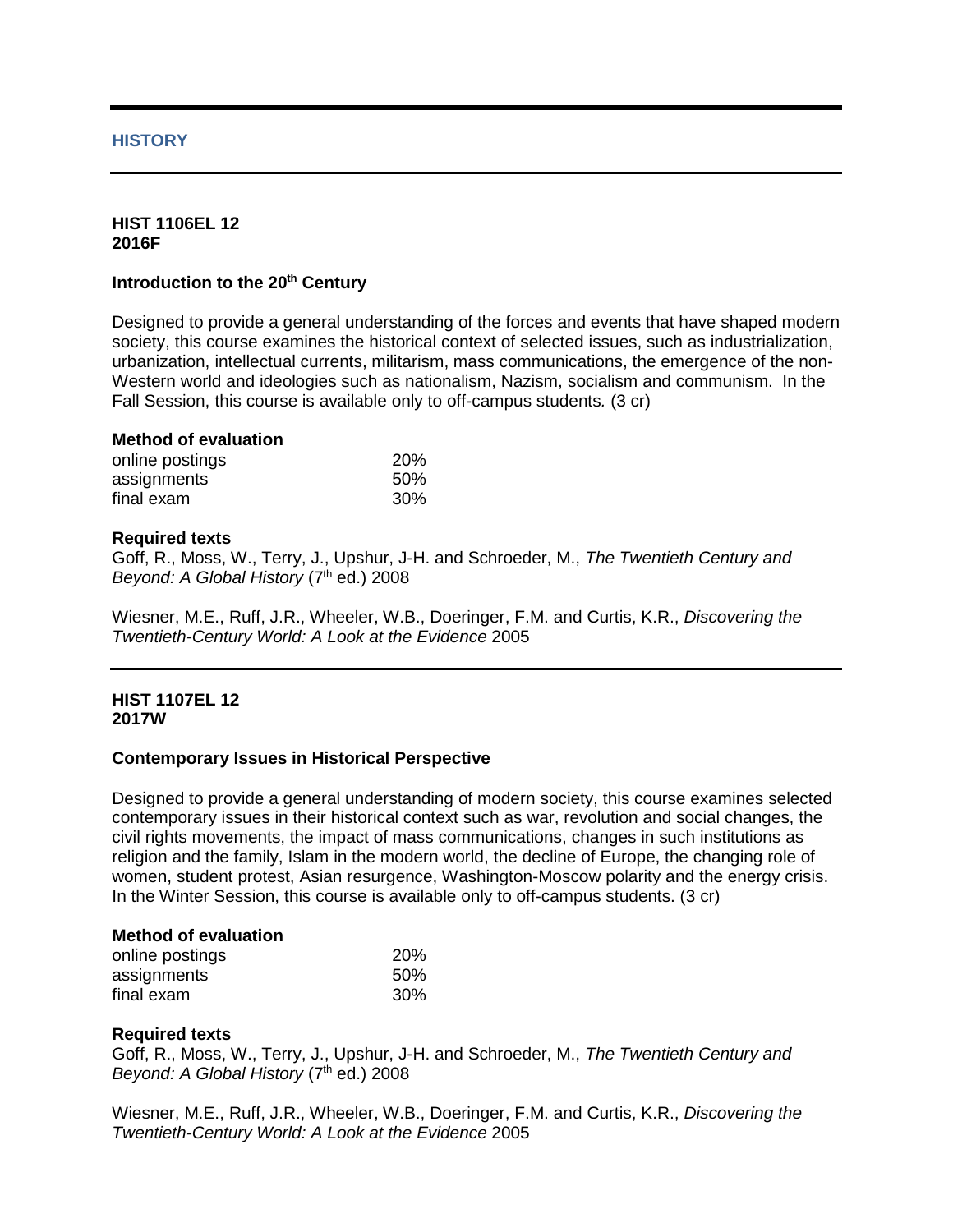# **HISTORY**

#### **HIST 1106EL 12 2016F**

# **Introduction to the 20<sup>th</sup> Century**

Designed to provide a general understanding of the forces and events that have shaped modern society, this course examines the historical context of selected issues, such as industrialization, urbanization, intellectual currents, militarism, mass communications, the emergence of the non-Western world and ideologies such as nationalism, Nazism, socialism and communism. In the Fall Session, this course is available only to off-campus students*.* (3 cr)

#### **Method of evaluation**

| online postings | <b>20%</b> |
|-----------------|------------|
| assignments     | 50%        |
| final exam      | 30%        |

#### **Required texts**

Goff, R., Moss, W., Terry, J., Upshur, J-H. and Schroeder, M., *The Twentieth Century and Beyond: A Global History* (7<sup>th</sup> ed.) 2008

Wiesner, M.E., Ruff, J.R., Wheeler, W.B., Doeringer, F.M. and Curtis, K.R., *Discovering the Twentieth-Century World: A Look at the Evidence* 2005

#### **HIST 1107EL 12 2017W**

## **Contemporary Issues in Historical Perspective**

Designed to provide a general understanding of modern society, this course examines selected contemporary issues in their historical context such as war, revolution and social changes, the civil rights movements, the impact of mass communications, changes in such institutions as religion and the family, Islam in the modern world, the decline of Europe, the changing role of women, student protest, Asian resurgence, Washington-Moscow polarity and the energy crisis. In the Winter Session, this course is available only to off-campus students. (3 cr)

#### **Method of evaluation**

| online postings | <b>20%</b> |
|-----------------|------------|
| assignments     | 50%        |
| final exam      | 30%        |

## **Required texts**

Goff, R., Moss, W., Terry, J., Upshur, J-H. and Schroeder, M., *The Twentieth Century and Beyond: A Global History* (7<sup>th</sup> ed.) 2008

Wiesner, M.E., Ruff, J.R., Wheeler, W.B., Doeringer, F.M. and Curtis, K.R., *Discovering the Twentieth-Century World: A Look at the Evidence* 2005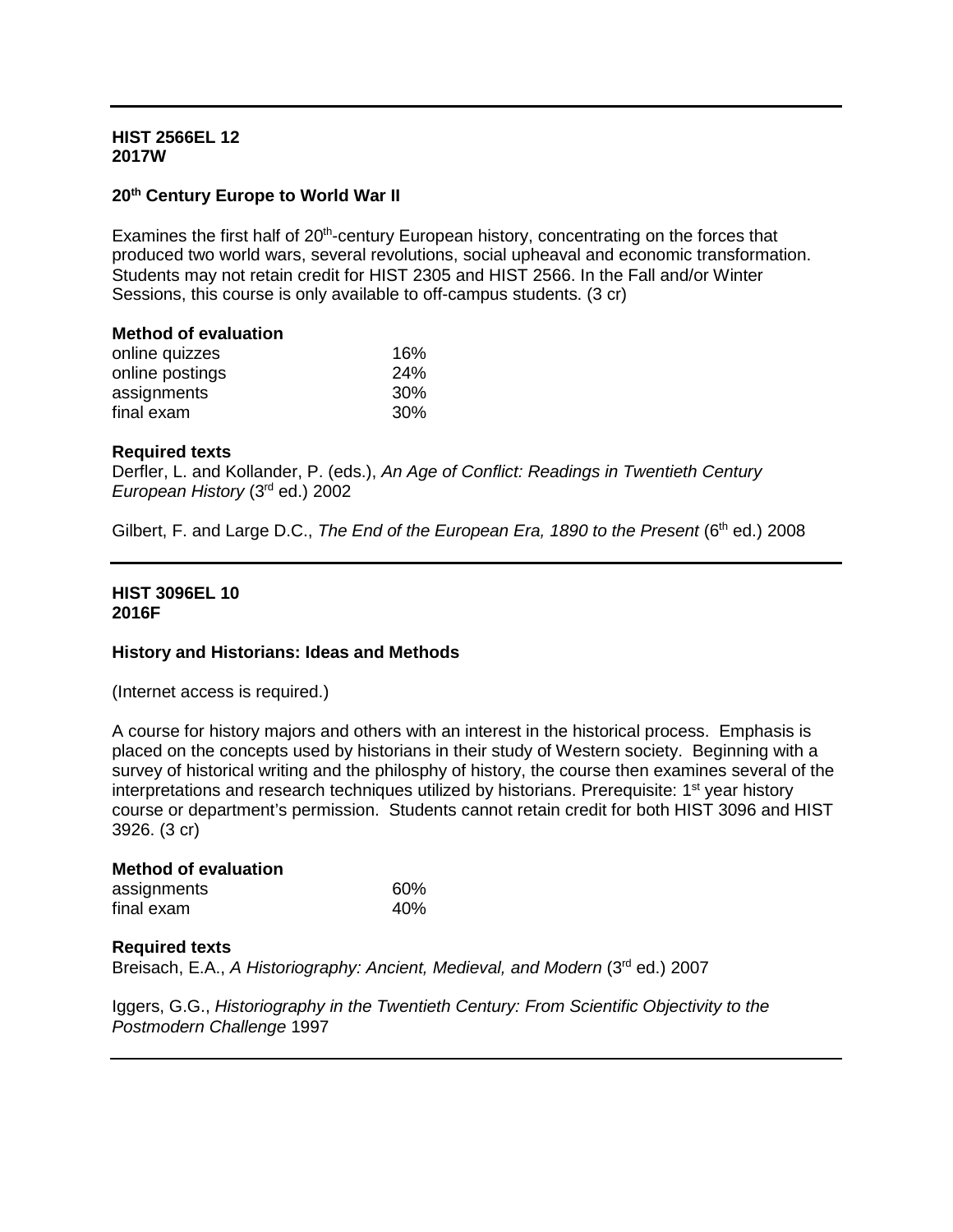## **HIST 2566EL 12 2017W**

# **20th Century Europe to World War II**

Examines the first half of 20<sup>th</sup>-century European history, concentrating on the forces that produced two world wars, several revolutions, social upheaval and economic transformation. Students may not retain credit for HIST 2305 and HIST 2566. In the Fall and/or Winter Sessions, this course is only available to off-campus students. (3 cr)

| <b>Method of evaluation</b> |  |
|-----------------------------|--|
| 16%                         |  |
| 24%                         |  |
| 30%                         |  |
| 30%                         |  |
|                             |  |

## **Required texts**

Derfler, L. and Kollander, P. (eds.), *An Age of Conflict: Readings in Twentieth Century European History* (3rd ed.) 2002

Gilbert, F. and Large D.C., *The End of the European Era, 1890 to the Present* (6<sup>th</sup> ed.) 2008

#### **HIST 3096EL 10 2016F**

## **History and Historians: Ideas and Methods**

(Internet access is required.)

A course for history majors and others with an interest in the historical process. Emphasis is placed on the concepts used by historians in their study of Western society. Beginning with a survey of historical writing and the philosphy of history, the course then examines several of the interpretations and research techniques utilized by historians. Prerequisite: 1<sup>st</sup> year history course or department's permission. Students cannot retain credit for both HIST 3096 and HIST 3926. (3 cr)

| <b>Method of evaluation</b> |     |  |
|-----------------------------|-----|--|
| assignments                 | 60% |  |
| final exam                  | 40% |  |

## **Required texts**

Breisach, E.A., *A Historiography: Ancient, Medieval, and Modern* (3rd ed.) 2007

Iggers, G.G., *Historiography in the Twentieth Century: From Scientific Objectivity to the Postmodern Challenge* 1997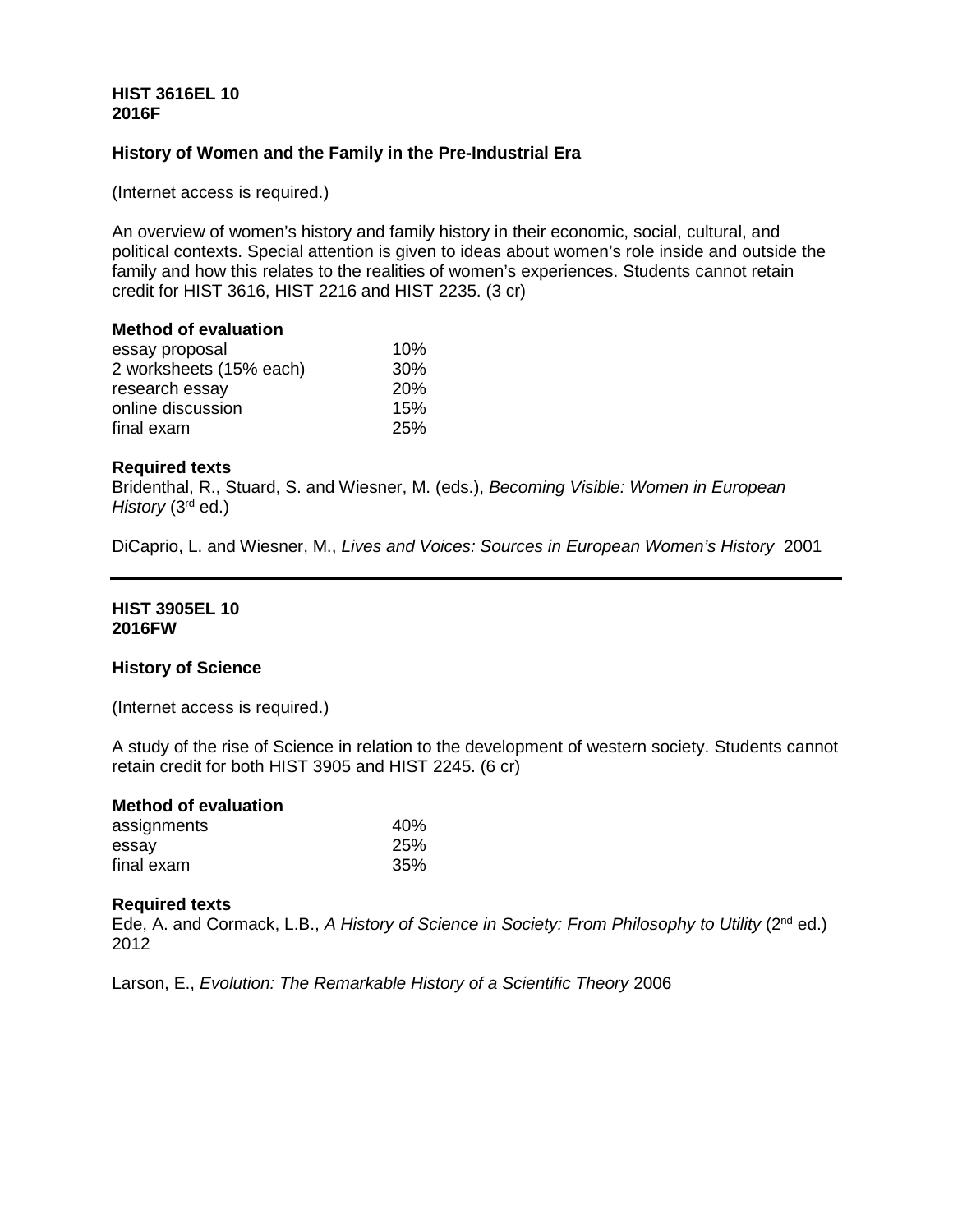# **HIST 3616EL 10 2016F**

# **History of Women and the Family in the Pre-Industrial Era**

(Internet access is required.)

An overview of women's history and family history in their economic, social, cultural, and political contexts. Special attention is given to ideas about women's role inside and outside the family and how this relates to the realities of women's experiences. Students cannot retain credit for HIST 3616, HIST 2216 and HIST 2235. (3 cr)

#### **Method of evaluation**

| essay proposal          | 10%        |
|-------------------------|------------|
| 2 worksheets (15% each) | 30%        |
| research essay          | <b>20%</b> |
| online discussion       | 15%        |
| final exam              | <b>25%</b> |

#### **Required texts**

Bridenthal, R., Stuard, S. and Wiesner, M. (eds.), *Becoming Visible: Women in European History* (3rd ed.)

DiCaprio, L. and Wiesner, M., *Lives and Voices: Sources in European Women's History* 2001

## **HIST 3905EL 10 2016FW**

## **History of Science**

(Internet access is required.)

A study of the rise of Science in relation to the development of western society. Students cannot retain credit for both HIST 3905 and HIST 2245. (6 cr)

| <b>Method of evaluation</b> |                 |
|-----------------------------|-----------------|
| assignments                 | 40 <sub>%</sub> |
| essav                       | <b>25%</b>      |
| final exam                  | 35%             |

#### **Required texts**

Ede, A. and Cormack, L.B., *A History of Science in Society: From Philosophy to Utility* (2nd ed.) 2012

Larson, E., *Evolution: The Remarkable History of a Scientific Theory* 2006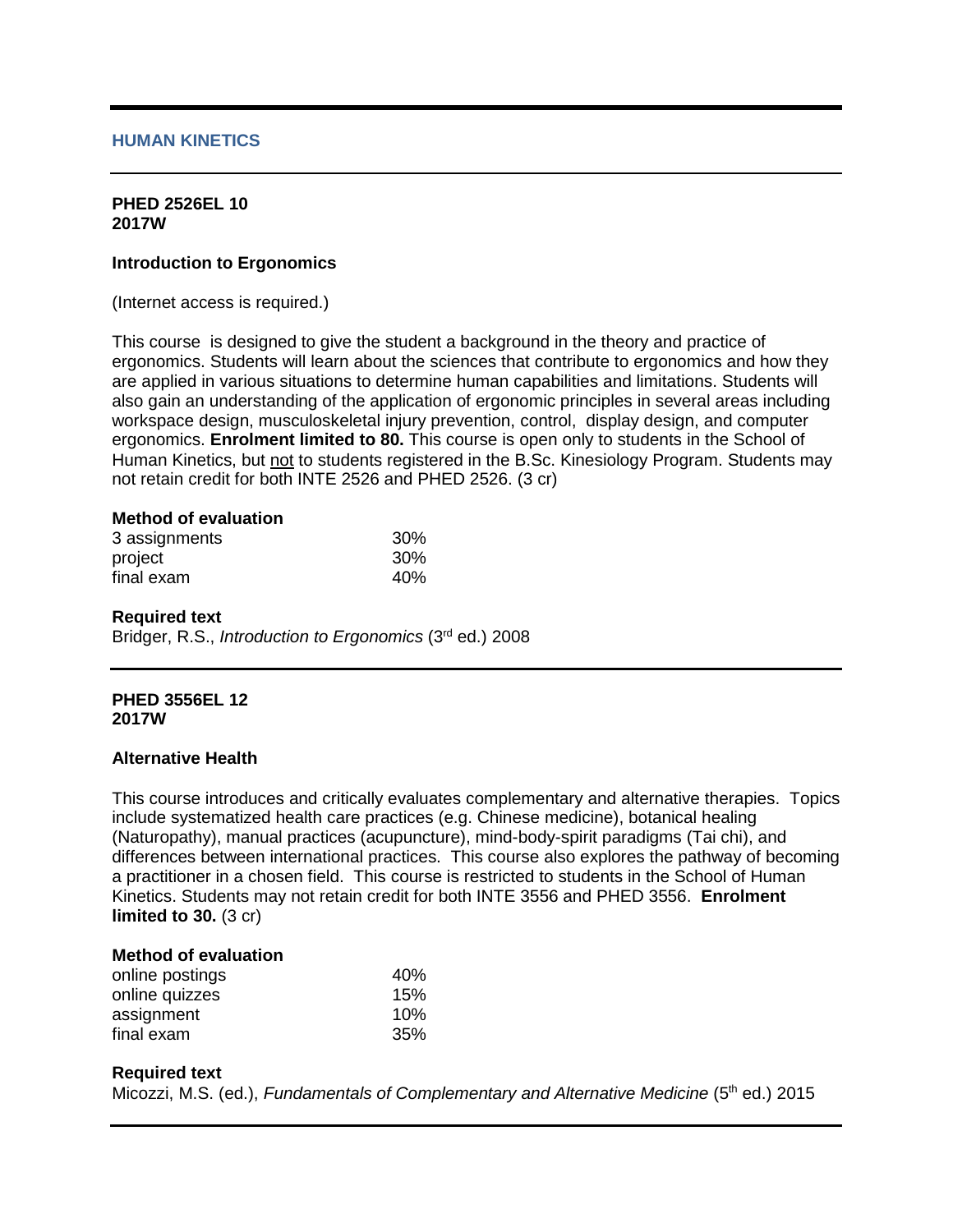#### **HUMAN KINETICS**

#### **PHED 2526EL 10 2017W**

#### **Introduction to Ergonomics**

(Internet access is required.)

This course is designed to give the student a background in the theory and practice of ergonomics. Students will learn about the sciences that contribute to ergonomics and how they are applied in various situations to determine human capabilities and limitations. Students will also gain an understanding of the application of ergonomic principles in several areas including workspace design, musculoskeletal injury prevention, control, display design, and computer ergonomics. **Enrolment limited to 80.** This course is open only to students in the School of Human Kinetics, but not to students registered in the B.Sc. Kinesiology Program. Students may not retain credit for both INTE 2526 and PHED 2526. (3 cr)

# **Method of evaluation**

| 3 assignments | 30% |
|---------------|-----|
| project       | 30% |
| final exam    | 40% |

#### **Required text**

Bridger, R.S., *Introduction to Ergonomics* (3rd ed.) 2008

#### **PHED 3556EL 12 2017W**

#### **Alternative Health**

This course introduces and critically evaluates complementary and alternative therapies. Topics include systematized health care practices (e.g. Chinese medicine), botanical healing (Naturopathy), manual practices (acupuncture), mind-body-spirit paradigms (Tai chi), and differences between international practices. This course also explores the pathway of becoming a practitioner in a chosen field. This course is restricted to students in the School of Human Kinetics. Students may not retain credit for both INTE 3556 and PHED 3556. **Enrolment limited to 30.** (3 cr)

#### **Method of evaluation**

| online postings | 40% |
|-----------------|-----|
| online quizzes  | 15% |
| assignment      | 10% |
| final exam      | 35% |

#### **Required text**

Micozzi, M.S. (ed.), *Fundamentals of Complementary and Alternative Medicine* (5<sup>th</sup> ed.) 2015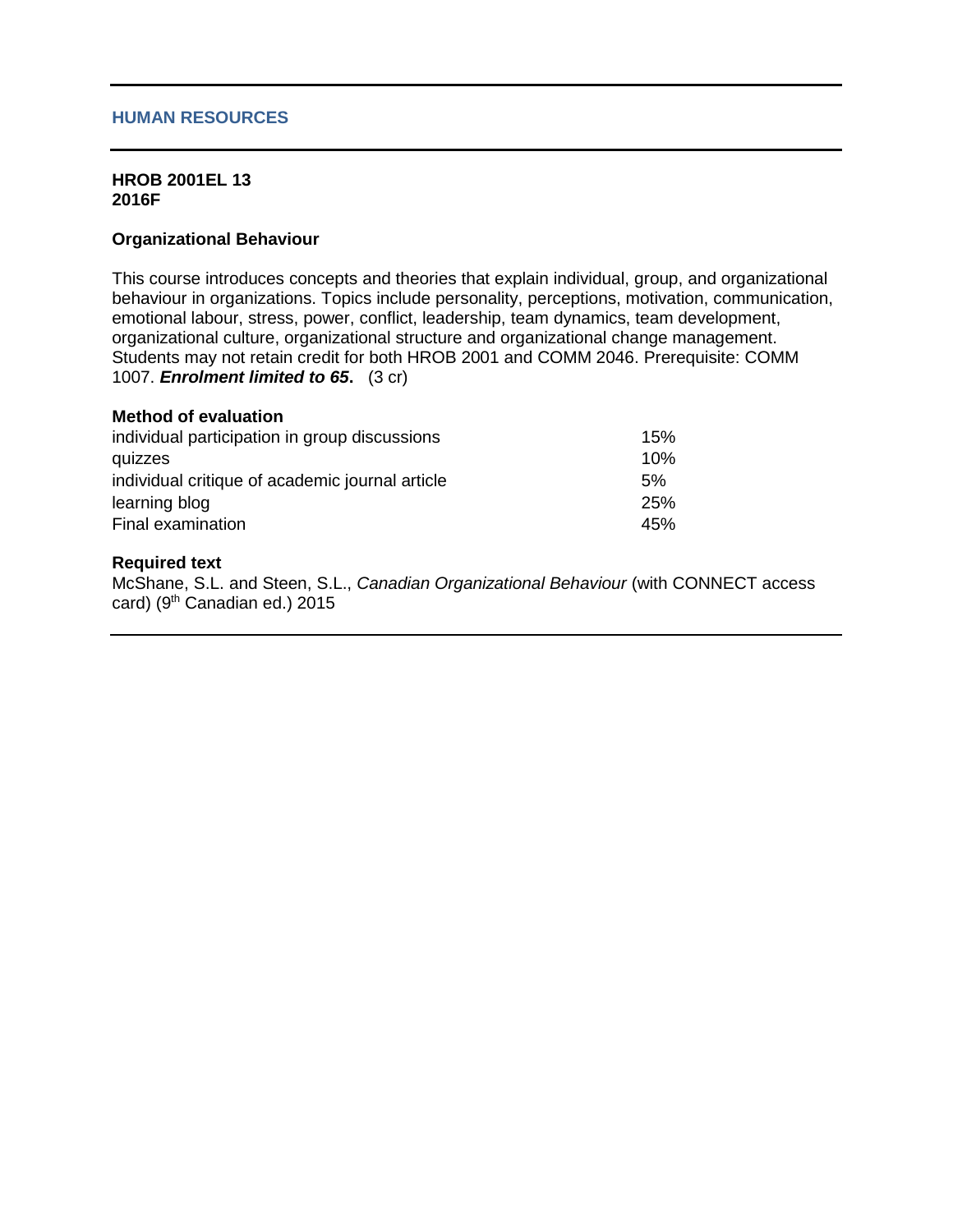#### **HUMAN RESOURCES**

#### **HROB 2001EL 13 2016F**

#### **Organizational Behaviour**

This course introduces concepts and theories that explain individual, group, and organizational behaviour in organizations. Topics include personality, perceptions, motivation, communication, emotional labour, stress, power, conflict, leadership, team dynamics, team development, organizational culture, organizational structure and organizational change management. Students may not retain credit for both HROB 2001 and COMM 2046. Prerequisite: COMM 1007. *Enrolment limited to 65***.** (3 cr)

#### **Method of evaluation**

| individual participation in group discussions   | 15% |
|-------------------------------------------------|-----|
| quizzes                                         | 10% |
| individual critique of academic journal article | 5%  |
| learning blog                                   | 25% |
| Final examination                               | 45% |

# **Required text**

McShane, S.L. and Steen, S.L., *Canadian Organizational Behaviour* (with CONNECT access card) (9<sup>th</sup> Canadian ed.) 2015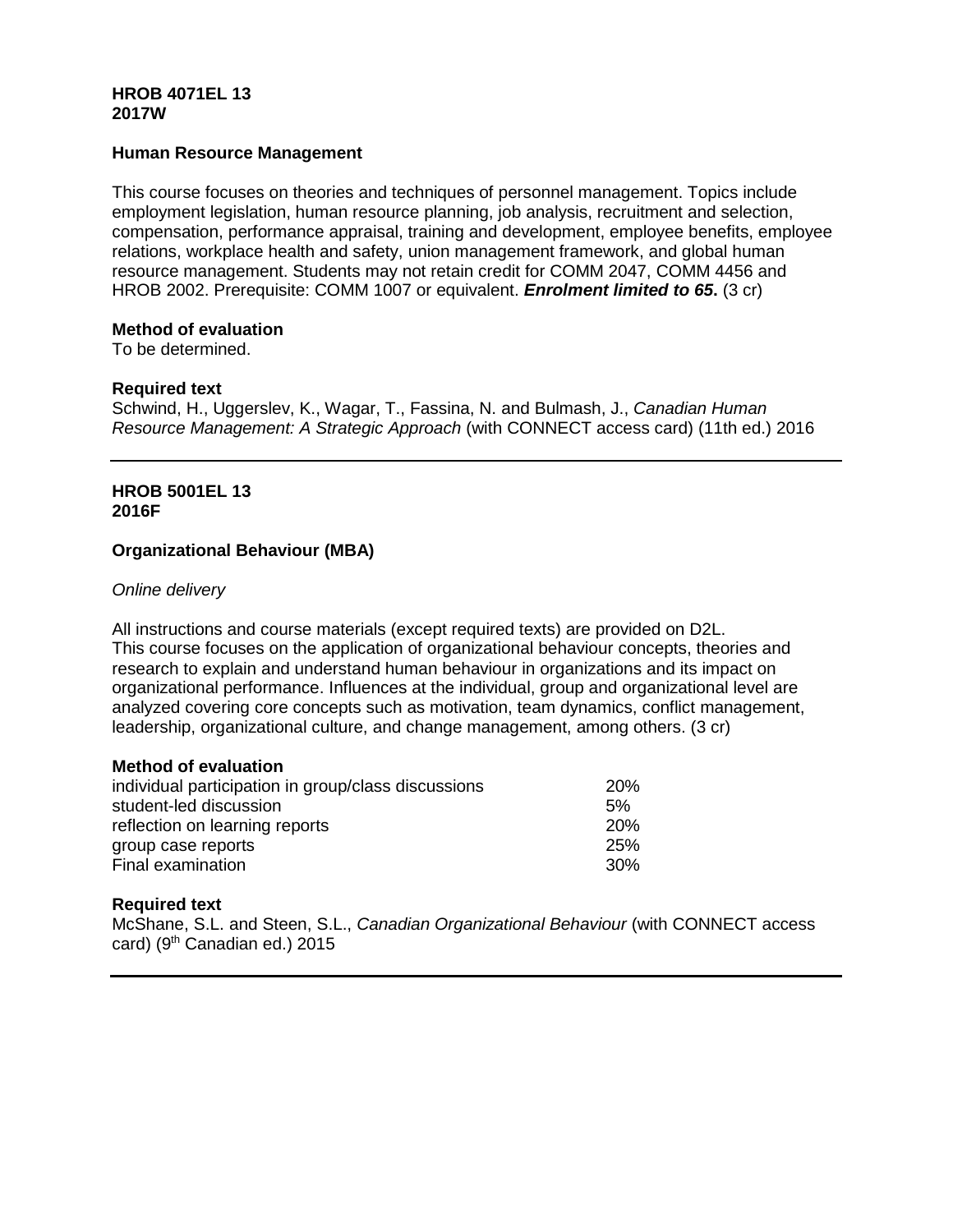# **HROB 4071EL 13 2017W**

# **Human Resource Management**

This course focuses on theories and techniques of personnel management. Topics include employment legislation, human resource planning, job analysis, recruitment and selection, compensation, performance appraisal, training and development, employee benefits, employee relations, workplace health and safety, union management framework, and global human resource management. Students may not retain credit for COMM 2047, COMM 4456 and HROB 2002. Prerequisite: COMM 1007 or equivalent. *Enrolment limited to 65***.** (3 cr)

#### **Method of evaluation**

To be determined.

#### **Required text**

Schwind, H., Uggerslev, K., Wagar, T., Fassina, N. and Bulmash, J., *Canadian Human Resource Management: A Strategic Approach* (with CONNECT access card) (11th ed.) 2016

# **HROB 5001EL 13 2016F**

## **Organizational Behaviour (MBA)**

#### *Online delivery*

All instructions and course materials (except required texts) are provided on D2L. This course focuses on the application of organizational behaviour concepts, theories and research to explain and understand human behaviour in organizations and its impact on organizational performance. Influences at the individual, group and organizational level are analyzed covering core concepts such as motivation, team dynamics, conflict management, leadership, organizational culture, and change management, among others. (3 cr)

# **Method of evaluation**

| individual participation in group/class discussions | <b>20%</b>       |
|-----------------------------------------------------|------------------|
| student-led discussion                              | 5%               |
| reflection on learning reports                      | 20%              |
| group case reports                                  | 25%              |
| Final examination                                   | .30 <sup>%</sup> |

## **Required text**

McShane, S.L. and Steen, S.L., *Canadian Organizational Behaviour* (with CONNECT access card) (9<sup>th</sup> Canadian ed.) 2015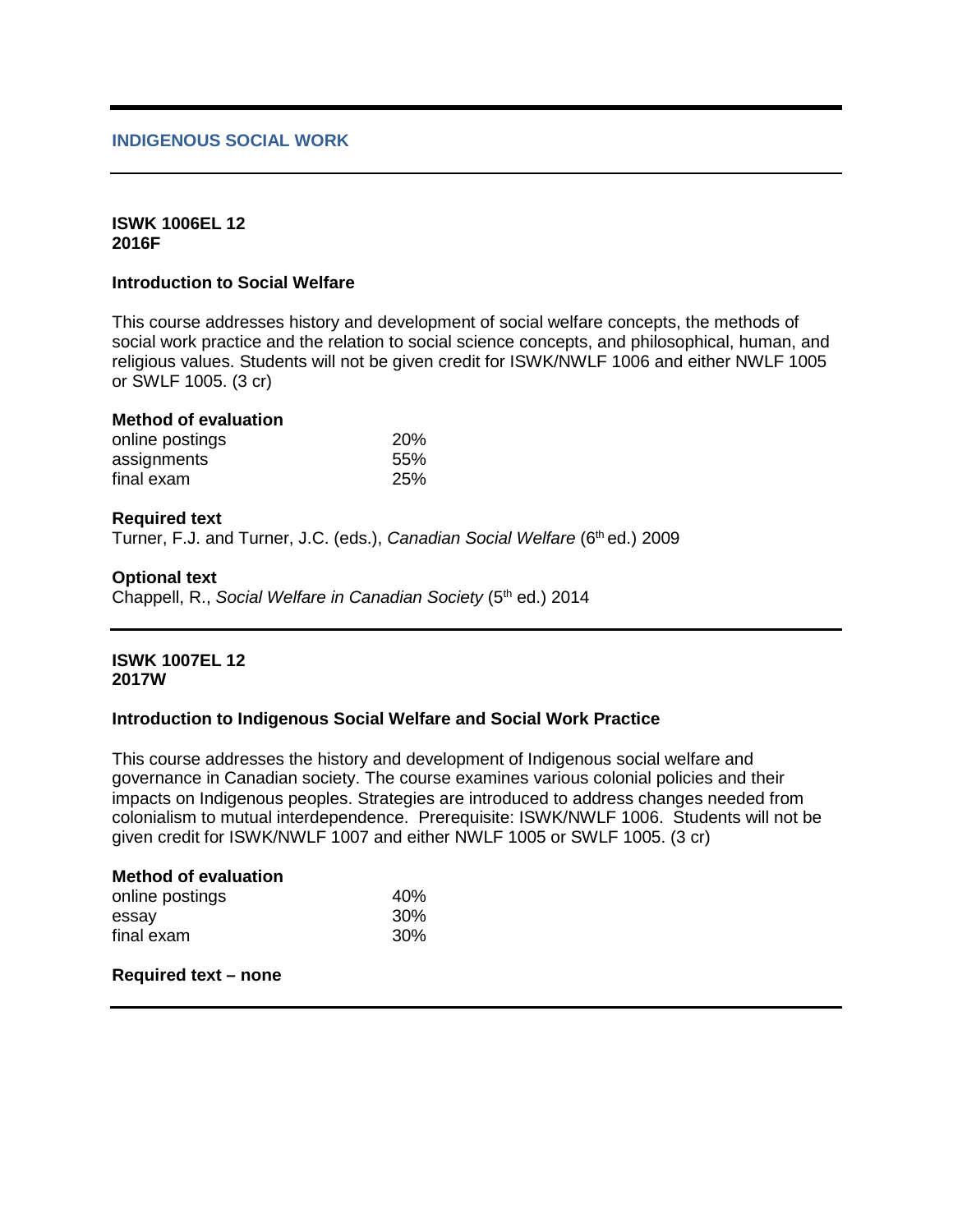## **INDIGENOUS SOCIAL WORK**

#### **ISWK 1006EL 12 2016F**

## **Introduction to Social Welfare**

This course addresses history and development of social welfare concepts, the methods of social work practice and the relation to social science concepts, and philosophical, human, and religious values. Students will not be given credit for ISWK/NWLF 1006 and either NWLF 1005 or SWLF 1005. (3 cr)

# **Method of evaluation**

| online postings | <b>20%</b> |
|-----------------|------------|
| assignments     | 55%        |
| final exam      | 25%        |

#### **Required text**

Turner, F.J. and Turner, J.C. (eds.), *Canadian Social Welfare* (6<sup>th</sup> ed.) 2009

#### **Optional text**

Chappell, R., *Social Welfare in Canadian Society* (5<sup>th</sup> ed.) 2014

#### **ISWK 1007EL 12 2017W**

## **Introduction to Indigenous Social Welfare and Social Work Practice**

This course addresses the history and development of Indigenous social welfare and governance in Canadian society. The course examines various colonial policies and their impacts on Indigenous peoples. Strategies are introduced to address changes needed from colonialism to mutual interdependence. Prerequisite: ISWK/NWLF 1006. Students will not be given credit for ISWK/NWLF 1007 and either NWLF 1005 or SWLF 1005. (3 cr)

| 40%             |
|-----------------|
| 30 <sup>%</sup> |
| 30 <sup>%</sup> |
|                 |

# **Required text – none**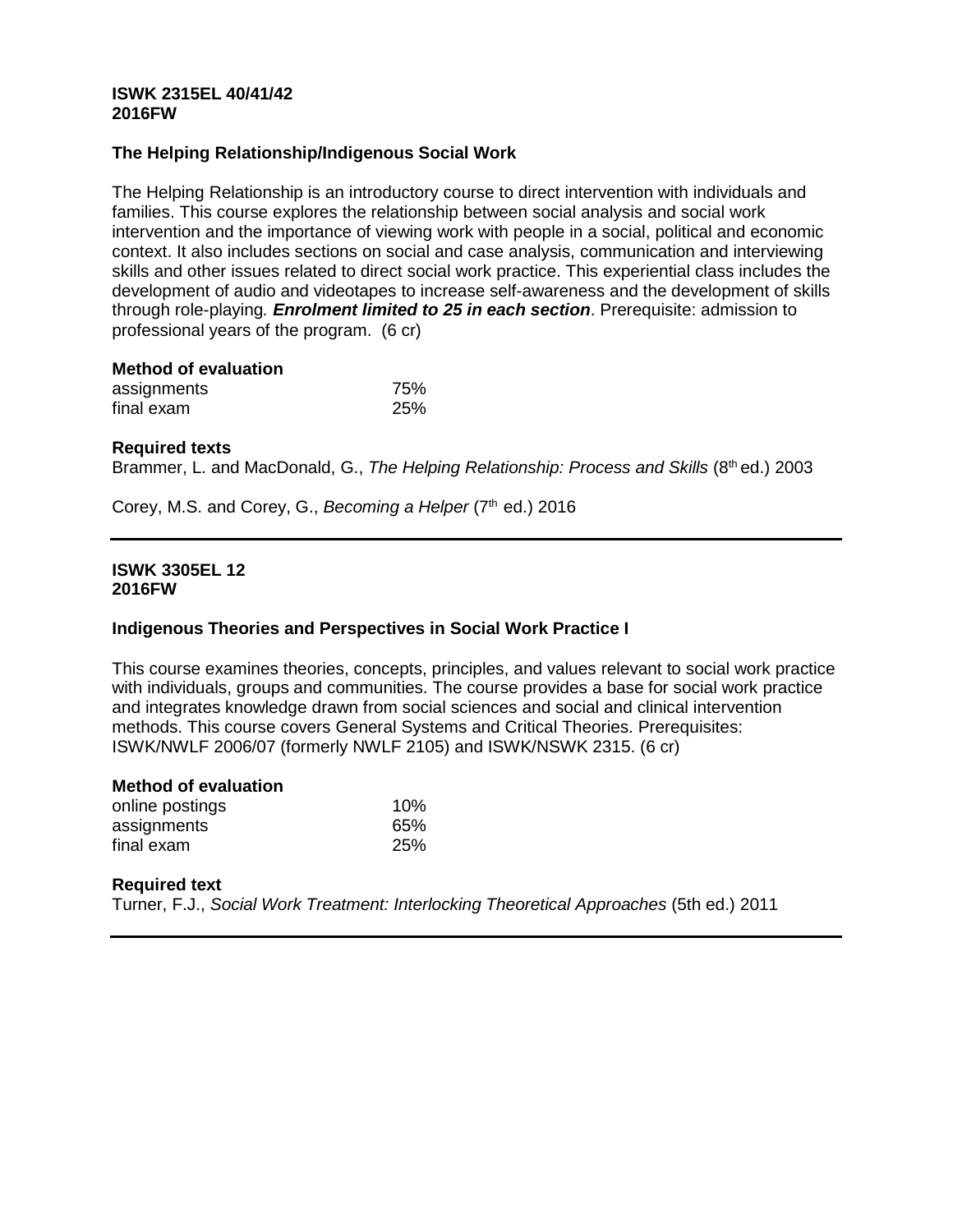## **ISWK 2315EL 40/41/42 2016FW**

# **The Helping Relationship/Indigenous Social Work**

The Helping Relationship is an introductory course to direct intervention with individuals and families. This course explores the relationship between social analysis and social work intervention and the importance of viewing work with people in a social, political and economic context. It also includes sections on social and case analysis, communication and interviewing skills and other issues related to direct social work practice. This experiential class includes the development of audio and videotapes to increase self-awareness and the development of skills through role-playing*. Enrolment limited to 25 in each section*. Prerequisite: admission to professional years of the program.(6 cr)

| <b>Method of evaluation</b> |            |
|-----------------------------|------------|
| assignments                 | 75%        |
| final exam                  | <b>25%</b> |

## **Required texts**

Brammer, L. and MacDonald, G., *The Helping Relationship: Process and Skills* (8<sup>th</sup> ed.) 2003

Corey, M.S. and Corey, G., *Becoming a Helper* (7<sup>th</sup> ed.) 2016

#### **ISWK 3305EL 12 2016FW**

## **Indigenous Theories and Perspectives in Social Work Practice I**

This course examines theories, concepts, principles, and values relevant to social work practice with individuals, groups and communities. The course provides a base for social work practice and integrates knowledge drawn from social sciences and social and clinical intervention methods. This course covers General Systems and Critical Theories. Prerequisites: ISWK/NWLF 2006/07 (formerly NWLF 2105) and ISWK/NSWK 2315. (6 cr)

#### **Method of evaluation**

| online postings | 10% |
|-----------------|-----|
| assignments     | 65% |
| final exam      | 25% |

## **Required text**

Turner, F.J., *Social Work Treatment: Interlocking Theoretical Approaches* (5th ed.) 2011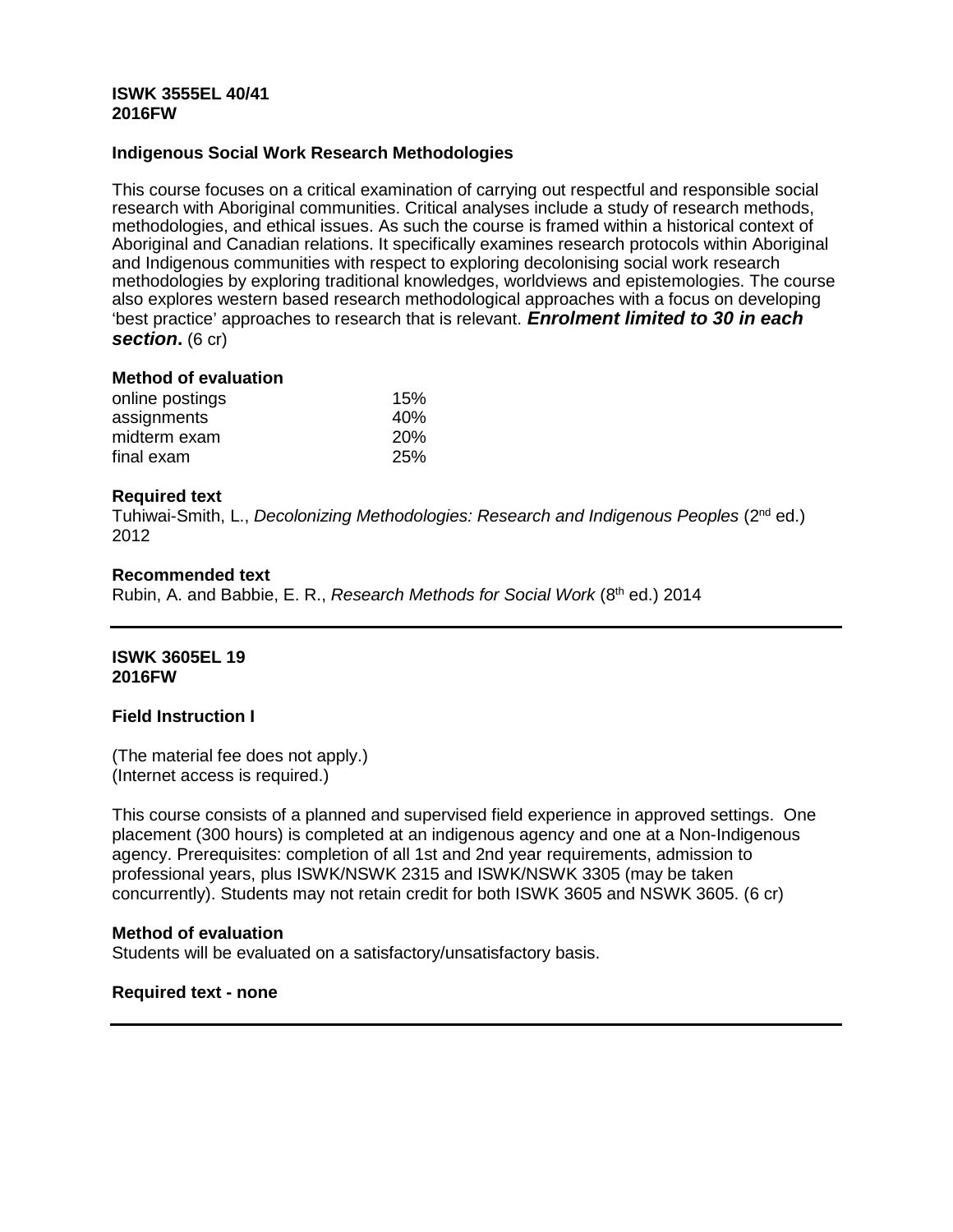## **ISWK 3555EL 40/41 2016FW**

#### **Indigenous Social Work Research Methodologies**

This course focuses on a critical examination of carrying out respectful and responsible social research with Aboriginal communities. Critical analyses include a study of research methods, methodologies, and ethical issues. As such the course is framed within a historical context of Aboriginal and Canadian relations. It specifically examines research protocols within Aboriginal and Indigenous communities with respect to exploring decolonising social work research methodologies by exploring traditional knowledges, worldviews and epistemologies. The course also explores western based research methodological approaches with a focus on developing 'best practice' approaches to research that is relevant. *Enrolment limited to 30 in each section.* (6 cr)

#### **Method of evaluation**

| online postings | 15%        |
|-----------------|------------|
| assignments     | 40%        |
| midterm exam    | <b>20%</b> |
| final exam      | <b>25%</b> |

#### **Required text**

Tuhiwai-Smith, L., *Decolonizing Methodologies: Research and Indigenous Peoples* (2nd ed.) 2012

#### **Recommended text**

Rubin, A. and Babbie, E. R., *Research Methods for Social Work* (8th ed.) 2014

## **ISWK 3605EL 19 2016FW**

#### **Field Instruction I**

(The material fee does not apply.) (Internet access is required.)

This course consists of a planned and supervised field experience in approved settings. One placement (300 hours) is completed at an indigenous agency and one at a Non-Indigenous agency. Prerequisites: completion of all 1st and 2nd year requirements, admission to professional years, plus ISWK/NSWK 2315 and ISWK/NSWK 3305 (may be taken concurrently). Students may not retain credit for both ISWK 3605 and NSWK 3605. (6 cr)

#### **Method of evaluation**

Students will be evaluated on a satisfactory/unsatisfactory basis.

## **Required text - none**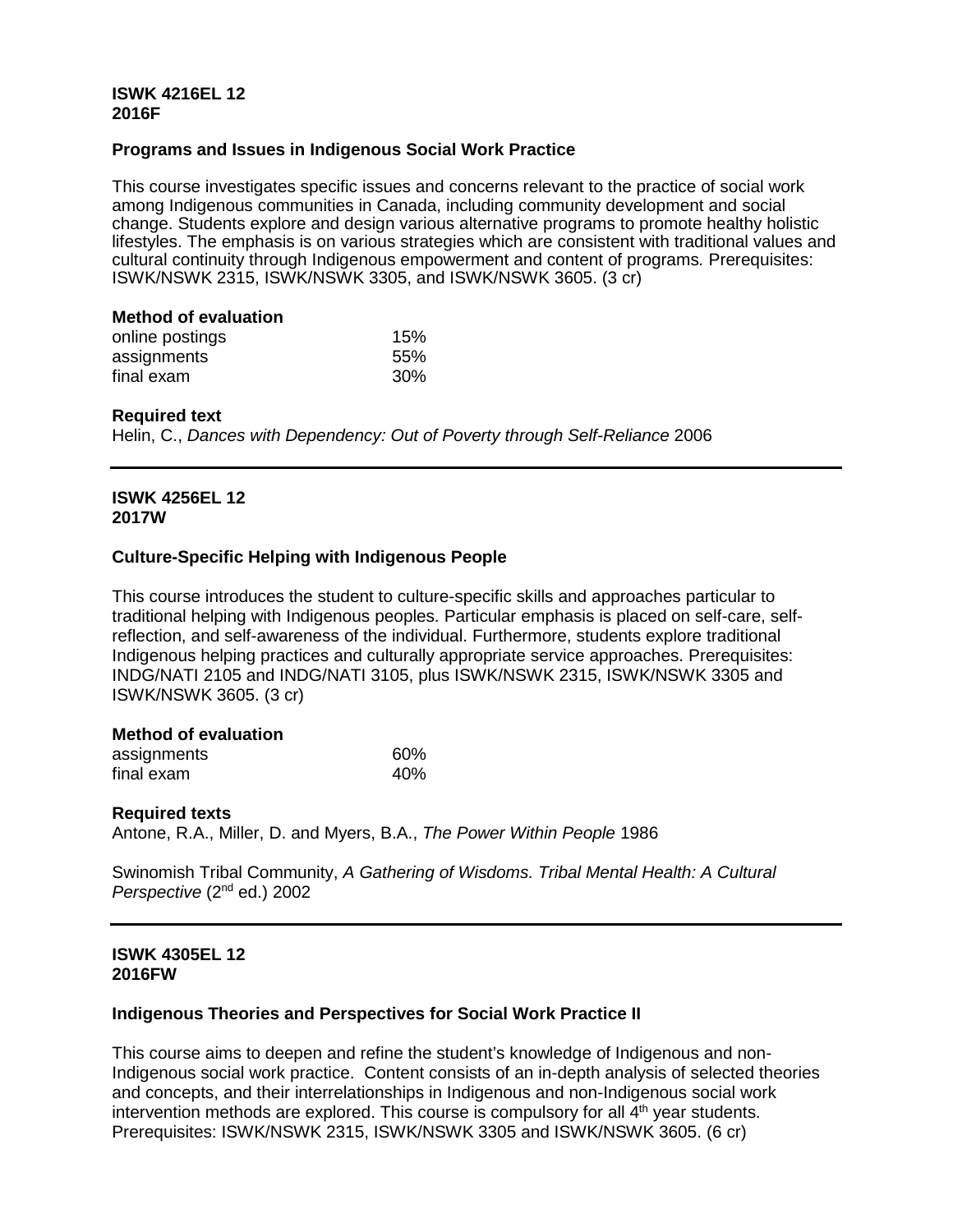# **ISWK 4216EL 12 2016F**

# **Programs and Issues in Indigenous Social Work Practice**

This course investigates specific issues and concerns relevant to the practice of social work among Indigenous communities in Canada, including community development and social change. Students explore and design various alternative programs to promote healthy holistic lifestyles. The emphasis is on various strategies which are consistent with traditional values and cultural continuity through Indigenous empowerment and content of programs*.* Prerequisites: ISWK/NSWK 2315, ISWK/NSWK 3305, and ISWK/NSWK 3605. (3 cr)

## **Method of evaluation**

| online postings | 15% |
|-----------------|-----|
| assignments     | 55% |
| final exam      | 30% |

## **Required text**

Helin, C., *Dances with Dependency: Out of Poverty through Self-Reliance* 2006

#### **ISWK 4256EL 12 2017W**

## **Culture-Specific Helping with Indigenous People**

This course introduces the student to culture-specific skills and approaches particular to traditional helping with Indigenous peoples. Particular emphasis is placed on self-care, selfreflection, and self-awareness of the individual. Furthermore, students explore traditional Indigenous helping practices and culturally appropriate service approaches. Prerequisites: INDG/NATI 2105 and INDG/NATI 3105, plus ISWK/NSWK 2315, ISWK/NSWK 3305 and ISWK/NSWK 3605. (3 cr)

## **Method of evaluation**

| assignments | 60% |
|-------------|-----|
| final exam  | 40% |

## **Required texts**

Antone, R.A., Miller, D. and Myers, B.A., *The Power Within People* 1986

Swinomish Tribal Community, *A Gathering of Wisdoms. Tribal Mental Health: A Cultural Perspective* (2nd ed.) 2002

# **ISWK 4305EL 12 2016FW**

## **Indigenous Theories and Perspectives for Social Work Practice II**

This course aims to deepen and refine the student's knowledge of Indigenous and non-Indigenous social work practice. Content consists of an in-depth analysis of selected theories and concepts, and their interrelationships in Indigenous and non-Indigenous social work intervention methods are explored. This course is compulsory for all  $4<sup>th</sup>$  year students. Prerequisites: ISWK/NSWK 2315, ISWK/NSWK 3305 and ISWK/NSWK 3605. (6 cr)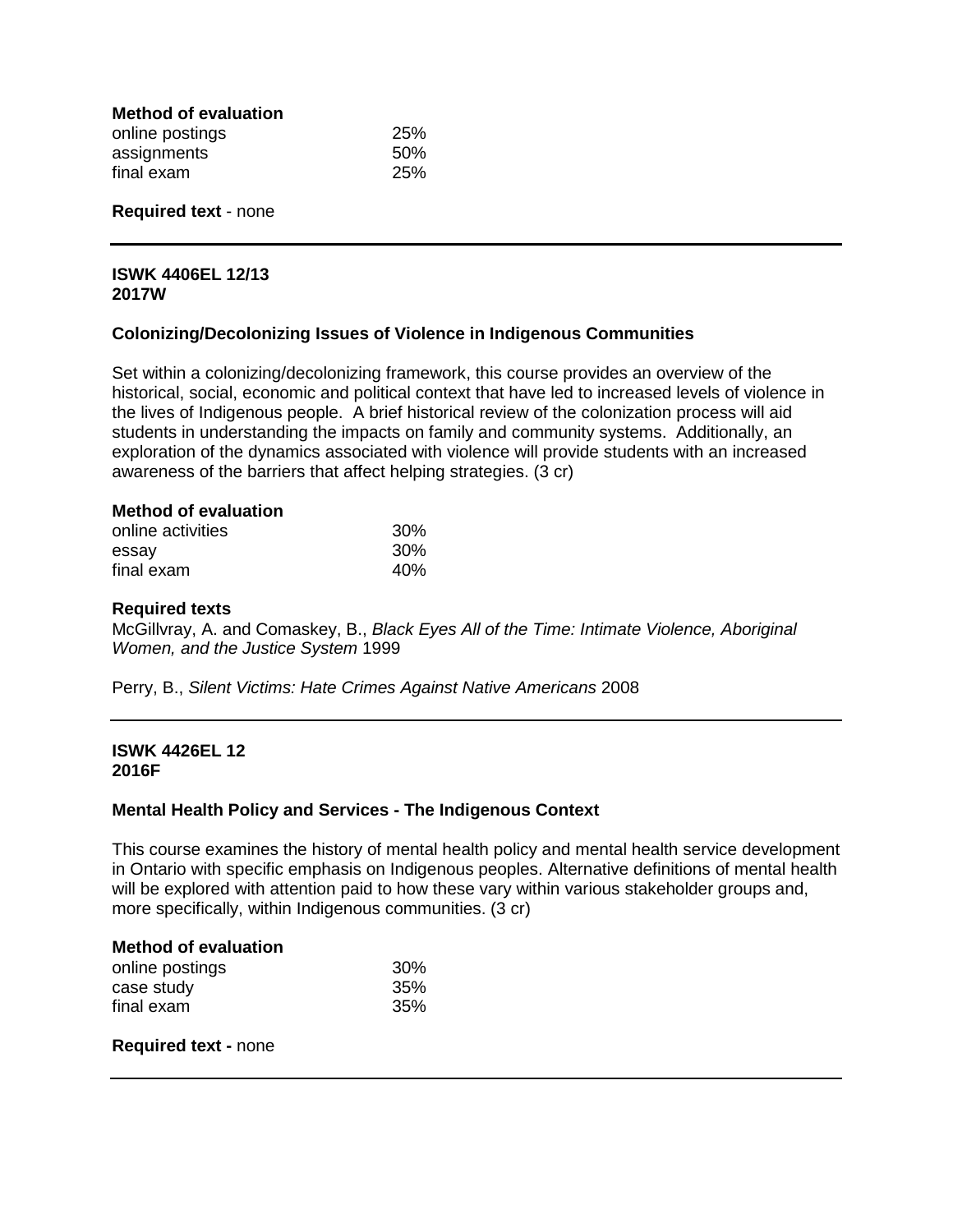| <b>Method of evaluation</b> |      |
|-----------------------------|------|
| online postings             | 25%  |
| assignments                 | .50% |
| final exam                  | 25%  |

#### **Required text** - none

#### **ISWK 4406EL 12/13 2017W**

## **Colonizing/Decolonizing Issues of Violence in Indigenous Communities**

Set within a colonizing/decolonizing framework, this course provides an overview of the historical, social, economic and political context that have led to increased levels of violence in the lives of Indigenous people. A brief historical review of the colonization process will aid students in understanding the impacts on family and community systems. Additionally, an exploration of the dynamics associated with violence will provide students with an increased awareness of the barriers that affect helping strategies. (3 cr)

#### **Method of evaluation**

| online activities | 30% |
|-------------------|-----|
| essay             | 30% |
| final exam        | 40% |

#### **Required texts**

McGillvray, A. and Comaskey, B., *Black Eyes All of the Time: Intimate Violence, Aboriginal Women, and the Justice System* 1999

Perry, B., *Silent Victims: Hate Crimes Against Native Americans* 2008

## **ISWK 4426EL 12 2016F**

## **Mental Health Policy and Services - The Indigenous Context**

This course examines the history of mental health policy and mental health service development in Ontario with specific emphasis on Indigenous peoples. Alternative definitions of mental health will be explored with attention paid to how these vary within various stakeholder groups and, more specifically, within Indigenous communities. (3 cr)

## **Method of evaluation**

| online postings | 30% |
|-----------------|-----|
| case study      | 35% |
| final exam      | 35% |

#### **Required text -** none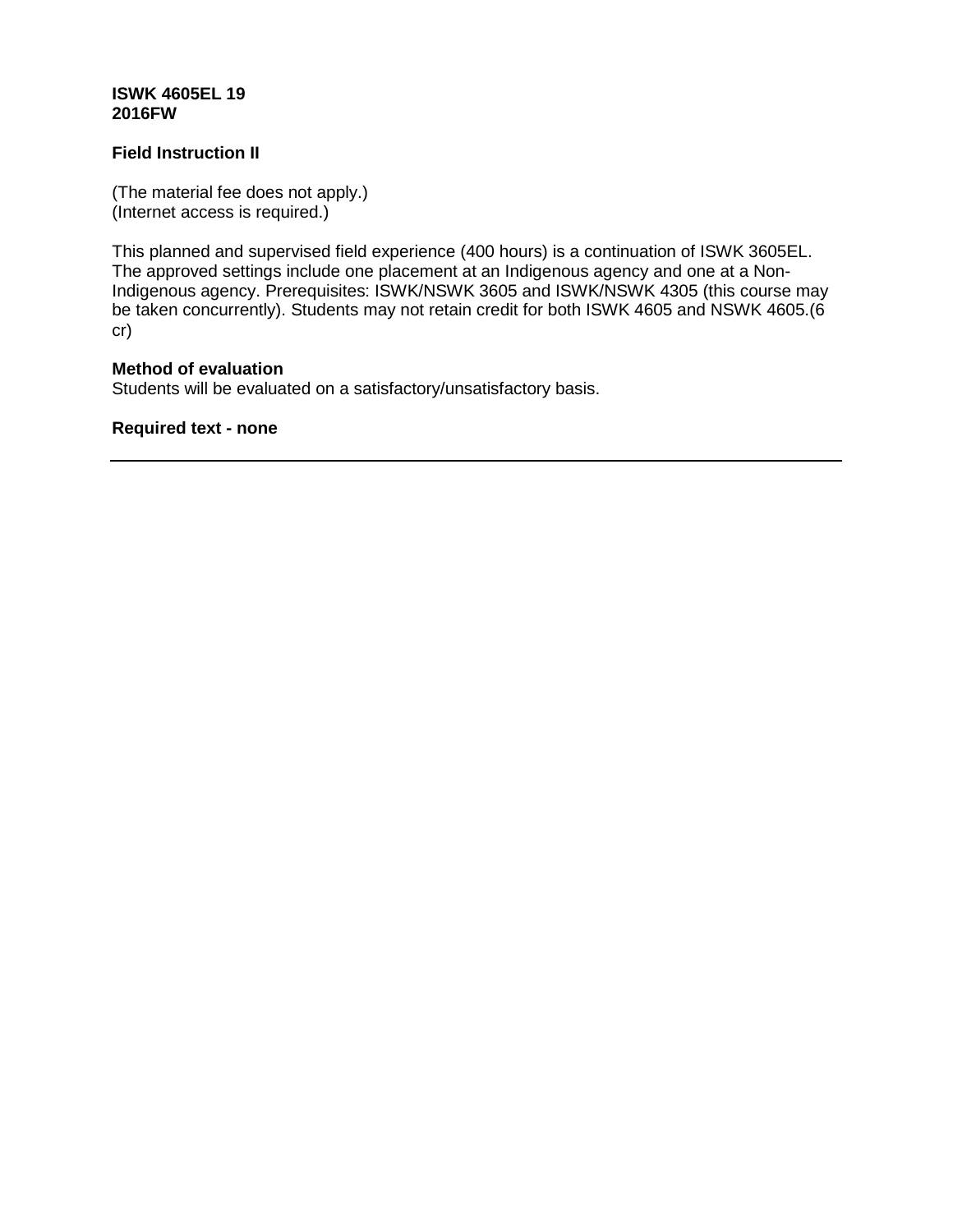# **ISWK 4605EL 19 2016FW**

# **Field Instruction II**

(The material fee does not apply.) (Internet access is required.)

This planned and supervised field experience (400 hours) is a continuation of ISWK 3605EL. The approved settings include one placement at an Indigenous agency and one at a Non-Indigenous agency. Prerequisites: ISWK/NSWK 3605 and ISWK/NSWK 4305 (this course may be taken concurrently). Students may not retain credit for both ISWK 4605 and NSWK 4605.(6 cr)

# **Method of evaluation**

Students will be evaluated on a satisfactory/unsatisfactory basis.

**Required text - none**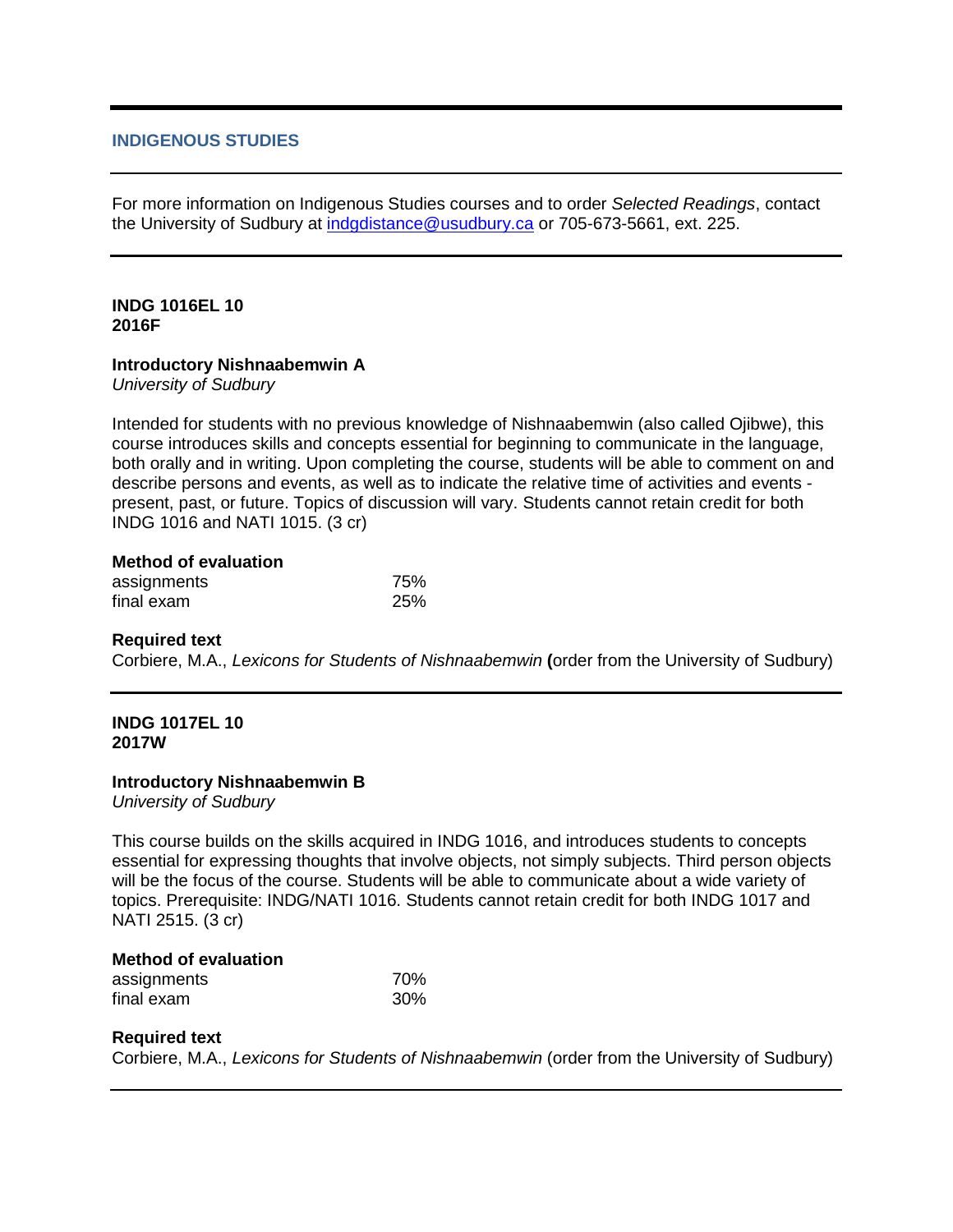# **INDIGENOUS STUDIES**

For more information on Indigenous Studies courses and to order *Selected Readings*, contact the University of Sudbury at [indgdistance@usudbury.ca](mailto:indgdistance@usudbury.ca) or 705-673-5661, ext. 225.

# **INDG 1016EL 10 2016F**

## **Introductory Nishnaabemwin A**

*University of Sudbury*

Intended for students with no previous knowledge of Nishnaabemwin (also called Ojibwe), this course introduces skills and concepts essential for beginning to communicate in the language, both orally and in writing. Upon completing the course, students will be able to comment on and describe persons and events, as well as to indicate the relative time of activities and events present, past, or future. Topics of discussion will vary. Students cannot retain credit for both INDG 1016 and NATI 1015. (3 cr)

| <b>Method of evaluation</b> |            |
|-----------------------------|------------|
| assignments                 | 75%        |
| final exam                  | <b>25%</b> |

## **Required text**

Corbiere, M.A., *Lexicons for Students of Nishnaabemwin* **(**order from the University of Sudbury)

#### **INDG 1017EL 10 2017W**

## **Introductory Nishnaabemwin B**

*University of Sudbury*

This course builds on the skills acquired in INDG 1016, and introduces students to concepts essential for expressing thoughts that involve objects, not simply subjects. Third person objects will be the focus of the course. Students will be able to communicate about a wide variety of topics. Prerequisite: INDG/NATI 1016. Students cannot retain credit for both INDG 1017 and NATI 2515. (3 cr)

#### **Method of evaluation**

| assignments | 70% |
|-------------|-----|
| final exam  | 30% |

## **Required text**

Corbiere, M.A., *Lexicons for Students of Nishnaabemwin* (order from the University of Sudbury)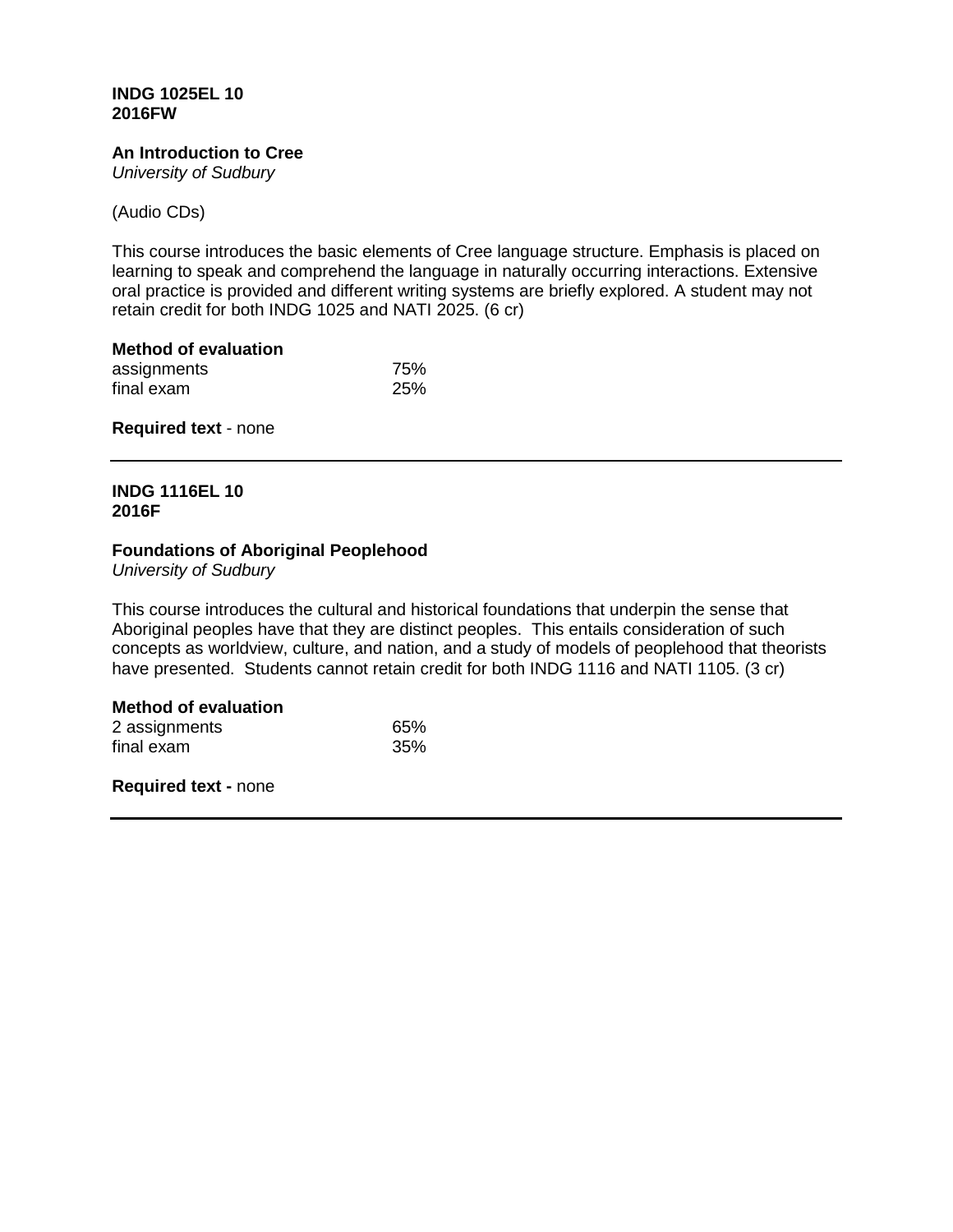## **INDG 1025EL 10 2016FW**

# **An Introduction to Cree**

*University of Sudbury*

(Audio CDs)

This course introduces the basic elements of Cree language structure. Emphasis is placed on learning to speak and comprehend the language in naturally occurring interactions. Extensive oral practice is provided and different writing systems are briefly explored. A student may not retain credit for both INDG 1025 and NATI 2025. (6 cr)

| <b>Method of evaluation</b> |            |
|-----------------------------|------------|
| assignments                 | 75%        |
| final exam                  | <b>25%</b> |

**Required text** - none

# **INDG 1116EL 10 2016F**

## **Foundations of Aboriginal Peoplehood**

*University of Sudbury*

This course introduces the cultural and historical foundations that underpin the sense that Aboriginal peoples have that they are distinct peoples. This entails consideration of such concepts as worldview, culture, and nation, and a study of models of peoplehood that theorists have presented. Students cannot retain credit for both INDG 1116 and NATI 1105. (3 cr)

## **Method of evaluation**

| 2 assignments | 65% |
|---------------|-----|
| final exam    | 35% |

**Required text -** none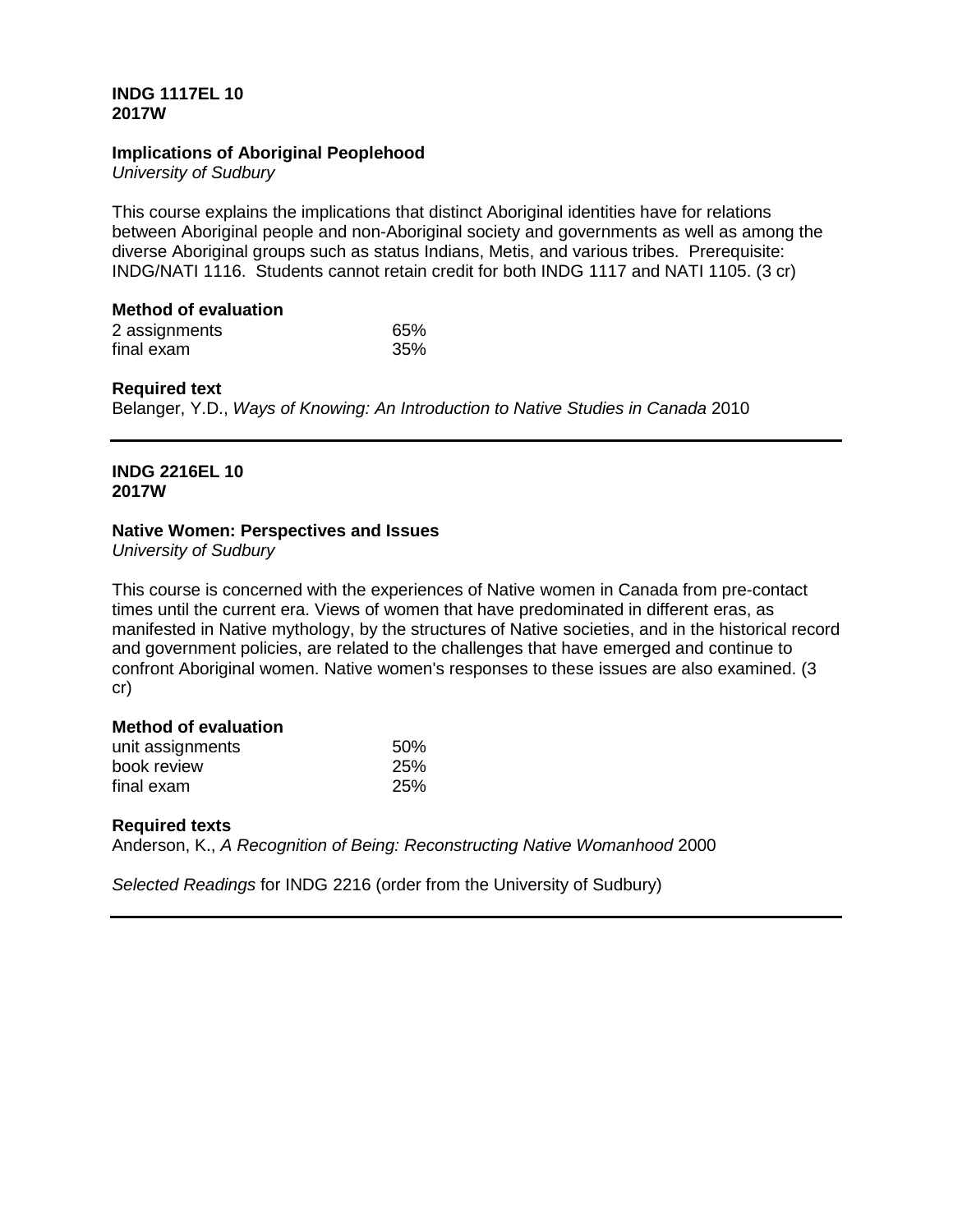## **INDG 1117EL 10 2017W**

#### **Implications of Aboriginal Peoplehood**

*University of Sudbury*

This course explains the implications that distinct Aboriginal identities have for relations between Aboriginal people and non-Aboriginal society and governments as well as among the diverse Aboriginal groups such as status Indians, Metis, and various tribes. Prerequisite: INDG/NATI 1116. Students cannot retain credit for both INDG 1117 and NATI 1105. (3 cr)

# **Method of evaluation**

| 2 assignments | 65% |
|---------------|-----|
| final exam    | 35% |

#### **Required text**

Belanger, Y.D., *Ways of Knowing: An Introduction to Native Studies in Canada* 2010

# **INDG 2216EL 10 2017W**

#### **Native Women: Perspectives and Issues**

*University of Sudbury*

This course is concerned with the experiences of Native women in Canada from pre-contact times until the current era. Views of women that have predominated in different eras, as manifested in Native mythology, by the structures of Native societies, and in the historical record and government policies, are related to the challenges that have emerged and continue to confront Aboriginal women. Native women's responses to these issues are also examined. (3 cr)

# **Method of evaluation**

| unit assignments | 50% |
|------------------|-----|
| book review      | 25% |
| final exam       | 25% |

## **Required texts**

Anderson, K., *A Recognition of Being: Reconstructing Native Womanhood* 2000

*Selected Readings* for INDG 2216 (order from the University of Sudbury)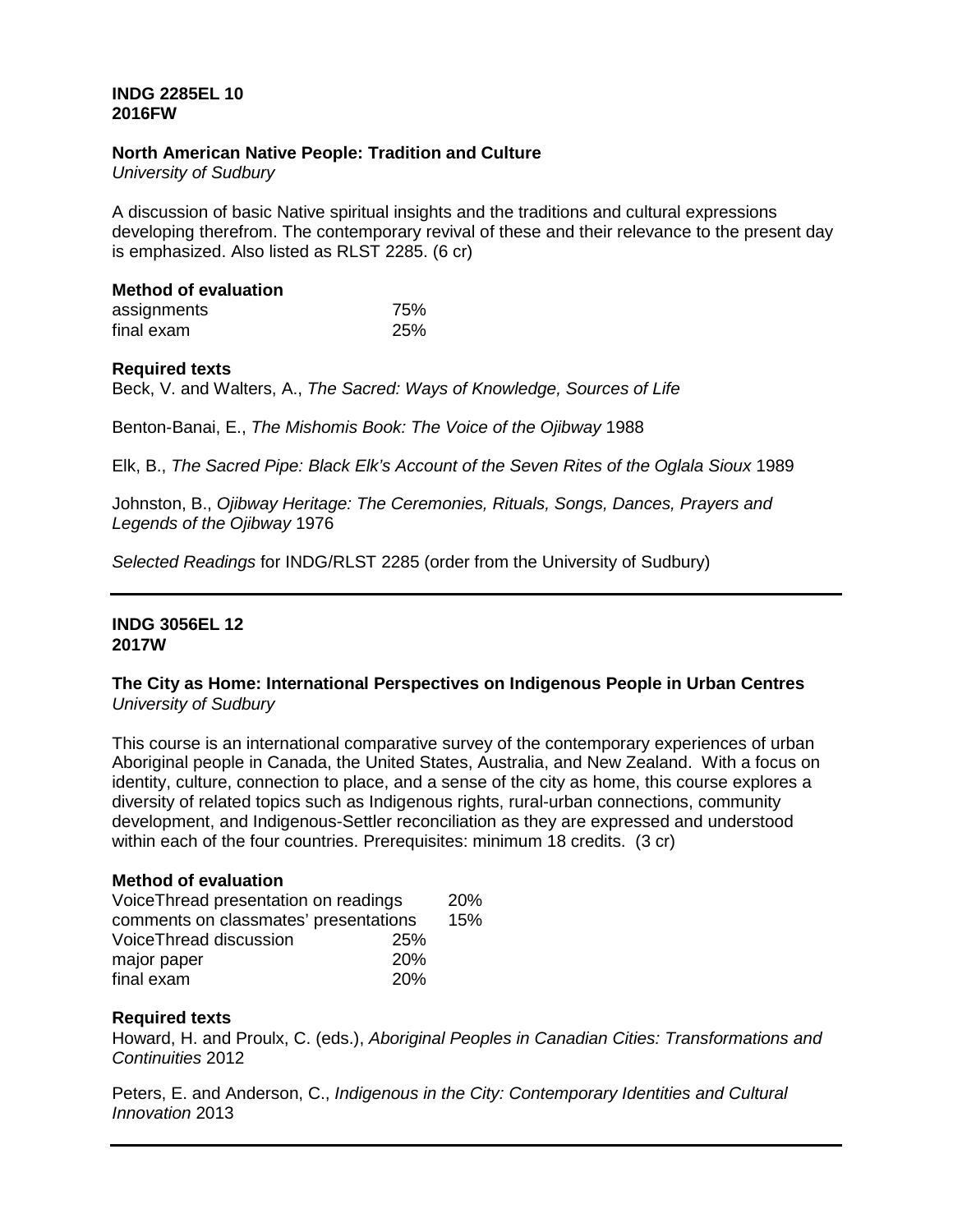# **INDG 2285EL 10 2016FW**

## **North American Native People: Tradition and Culture**

*University of Sudbury*

A discussion of basic Native spiritual insights and the traditions and cultural expressions developing therefrom. The contemporary revival of these and their relevance to the present day is emphasized. Also listed as RLST 2285. (6 cr)

# **Method of evaluation**

| assignments | 75% |
|-------------|-----|
| final exam  | 25% |

## **Required texts**

Beck, V. and Walters, A., *The Sacred: Ways of Knowledge, Sources of Life*

Benton-Banai, E., *The Mishomis Book: The Voice of the Ojibway* 1988

Elk, B., *The Sacred Pipe: Black Elk's Account of the Seven Rites of the Oglala Sioux* 1989

Johnston, B., *Ojibway Heritage: The Ceremonies, Rituals, Songs, Dances, Prayers and Legends of the Ojibway* 1976

*Selected Readings* for INDG/RLST 2285 (order from the University of Sudbury)

#### **INDG 3056EL 12 2017W**

## **The City as Home: International Perspectives on Indigenous People in Urban Centres** *University of Sudbury*

This course is an international comparative survey of the contemporary experiences of urban Aboriginal people in Canada, the United States, Australia, and New Zealand. With a focus on identity, culture, connection to place, and a sense of the city as home, this course explores a diversity of related topics such as Indigenous rights, rural-urban connections, community development, and Indigenous-Settler reconciliation as they are expressed and understood within each of the four countries. Prerequisites: minimum 18 credits. (3 cr)

# **Method of evaluation**

| Voice Thread presentation on readings |            | <b>20%</b> |
|---------------------------------------|------------|------------|
| comments on classmates' presentations |            | 15%        |
| VoiceThread discussion                | 25%        |            |
| major paper                           | <b>20%</b> |            |
| final exam                            | 20%        |            |

## **Required texts**

Howard, H. and Proulx, C. (eds.), *Aboriginal Peoples in Canadian Cities: Transformations and Continuities* 2012

Peters, E. and Anderson, C., *Indigenous in the City: Contemporary Identities and Cultural Innovation* 2013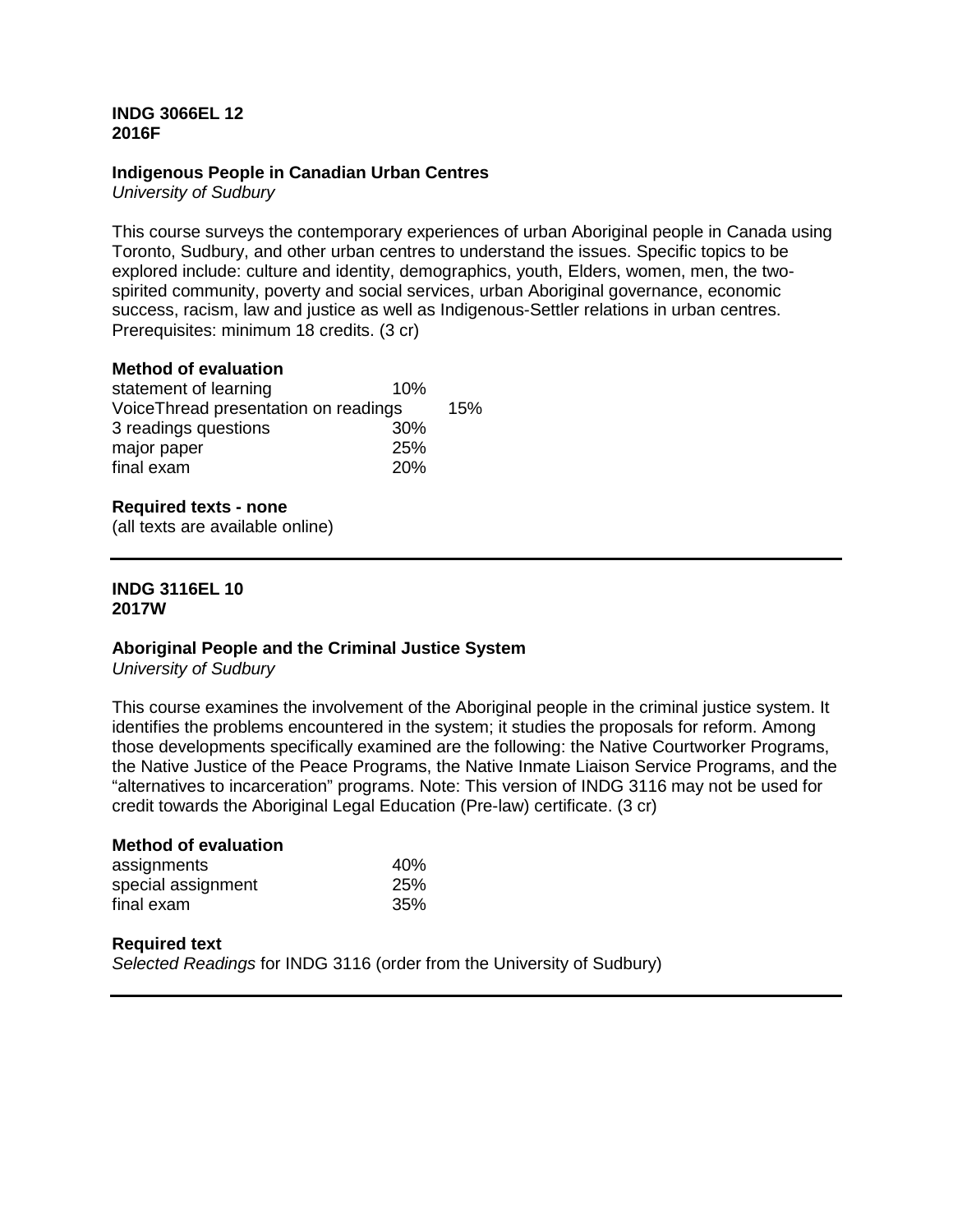## **INDG 3066EL 12 2016F**

# **Indigenous People in Canadian Urban Centres**

*University of Sudbury*

This course surveys the contemporary experiences of urban Aboriginal people in Canada using Toronto, Sudbury, and other urban centres to understand the issues. Specific topics to be explored include: culture and identity, demographics, youth, Elders, women, men, the twospirited community, poverty and social services, urban Aboriginal governance, economic success, racism, law and justice as well as Indigenous-Settler relations in urban centres. Prerequisites: minimum 18 credits. (3 cr)

# **Method of evaluation**

| statement of learning                 | 10% |     |
|---------------------------------------|-----|-----|
| Voice Thread presentation on readings |     | 15% |
| 3 readings questions                  | 30% |     |
| major paper                           | 25% |     |
| final exam                            | 20% |     |

# **Required texts - none**

(all texts are available online)

# **INDG 3116EL 10 2017W**

## **Aboriginal People and the Criminal Justice System**

*University of Sudbury*

This course examines the involvement of the Aboriginal people in the criminal justice system. It identifies the problems encountered in the system; it studies the proposals for reform. Among those developments specifically examined are the following: the Native Courtworker Programs, the Native Justice of the Peace Programs, the Native Inmate Liaison Service Programs, and the "alternatives to incarceration" programs. Note: This version of INDG 3116 may not be used for credit towards the Aboriginal Legal Education (Pre-law) certificate. (3 cr)

| <b>Method of evaluation</b> |            |
|-----------------------------|------------|
| assignments                 | 40%        |
| special assignment          | <b>25%</b> |
| final exam                  | 35%        |

#### **Required text**

*Selected Readings* for INDG 3116 (order from the University of Sudbury)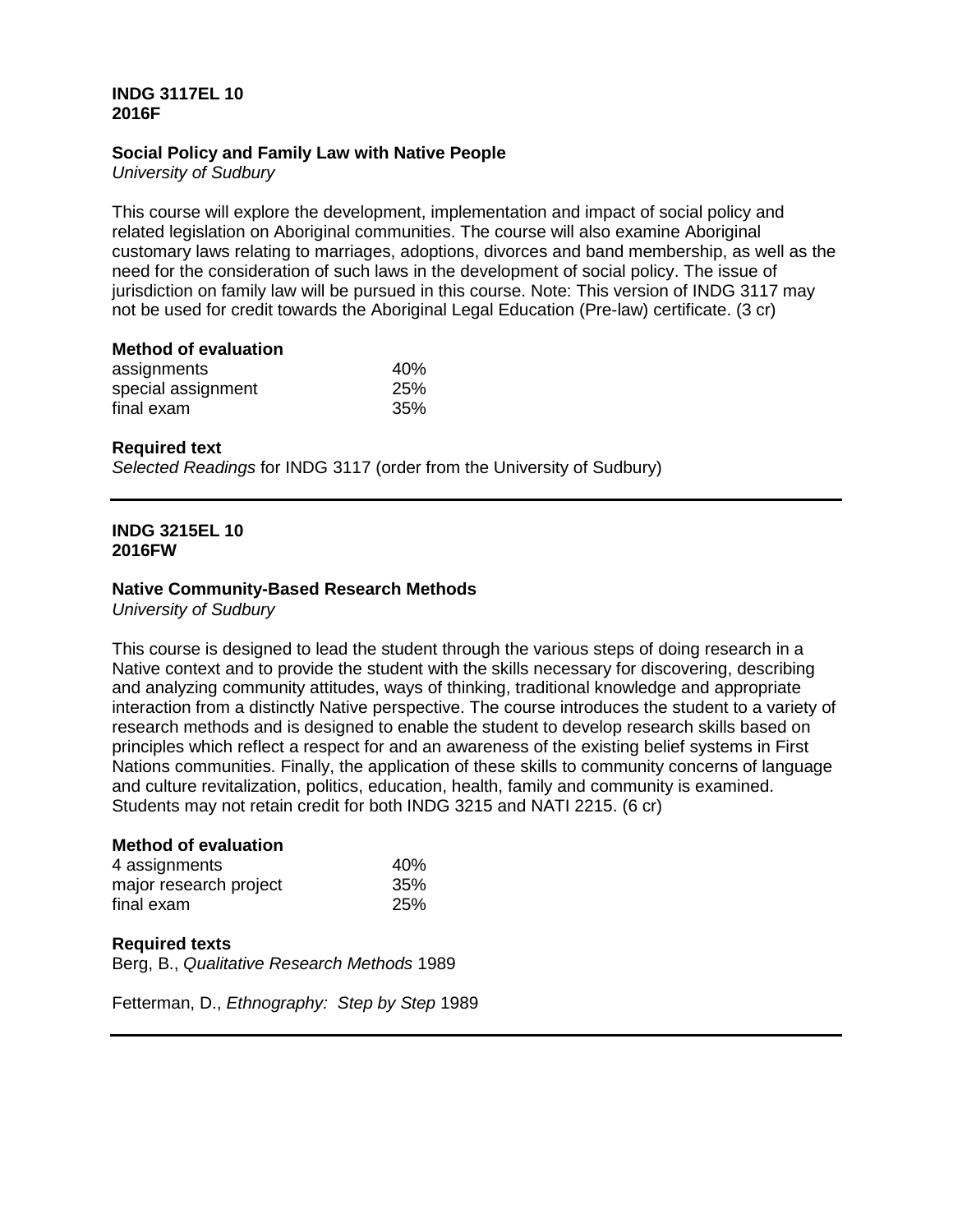# **INDG 3117EL 10 2016F**

# **Social Policy and Family Law with Native People**

*University of Sudbury*

This course will explore the development, implementation and impact of social policy and related legislation on Aboriginal communities. The course will also examine Aboriginal customary laws relating to marriages, adoptions, divorces and band membership, as well as the need for the consideration of such laws in the development of social policy. The issue of jurisdiction on family law will be pursued in this course. Note: This version of INDG 3117 may not be used for credit towards the Aboriginal Legal Education (Pre-law) certificate. (3 cr)

#### **Method of evaluation**

| assignments        | 40% |
|--------------------|-----|
| special assignment | 25% |
| final exam         | 35% |

## **Required text**

*Selected Readings* for INDG 3117 (order from the University of Sudbury)

## **INDG 3215EL 10 2016FW**

## **Native Community-Based Research Methods**

*University of Sudbury*

This course is designed to lead the student through the various steps of doing research in a Native context and to provide the student with the skills necessary for discovering, describing and analyzing community attitudes, ways of thinking, traditional knowledge and appropriate interaction from a distinctly Native perspective. The course introduces the student to a variety of research methods and is designed to enable the student to develop research skills based on principles which reflect a respect for and an awareness of the existing belief systems in First Nations communities. Finally, the application of these skills to community concerns of language and culture revitalization, politics, education, health, family and community is examined. Students may not retain credit for both INDG 3215 and NATI 2215. (6 cr)

# **Method of evaluation**

| 4 assignments          | 40% |
|------------------------|-----|
| major research project | 35% |
| final exam             | 25% |

## **Required texts**

Berg, B., *Qualitative Research Methods* 1989

Fetterman, D., *Ethnography: Step by Step* 1989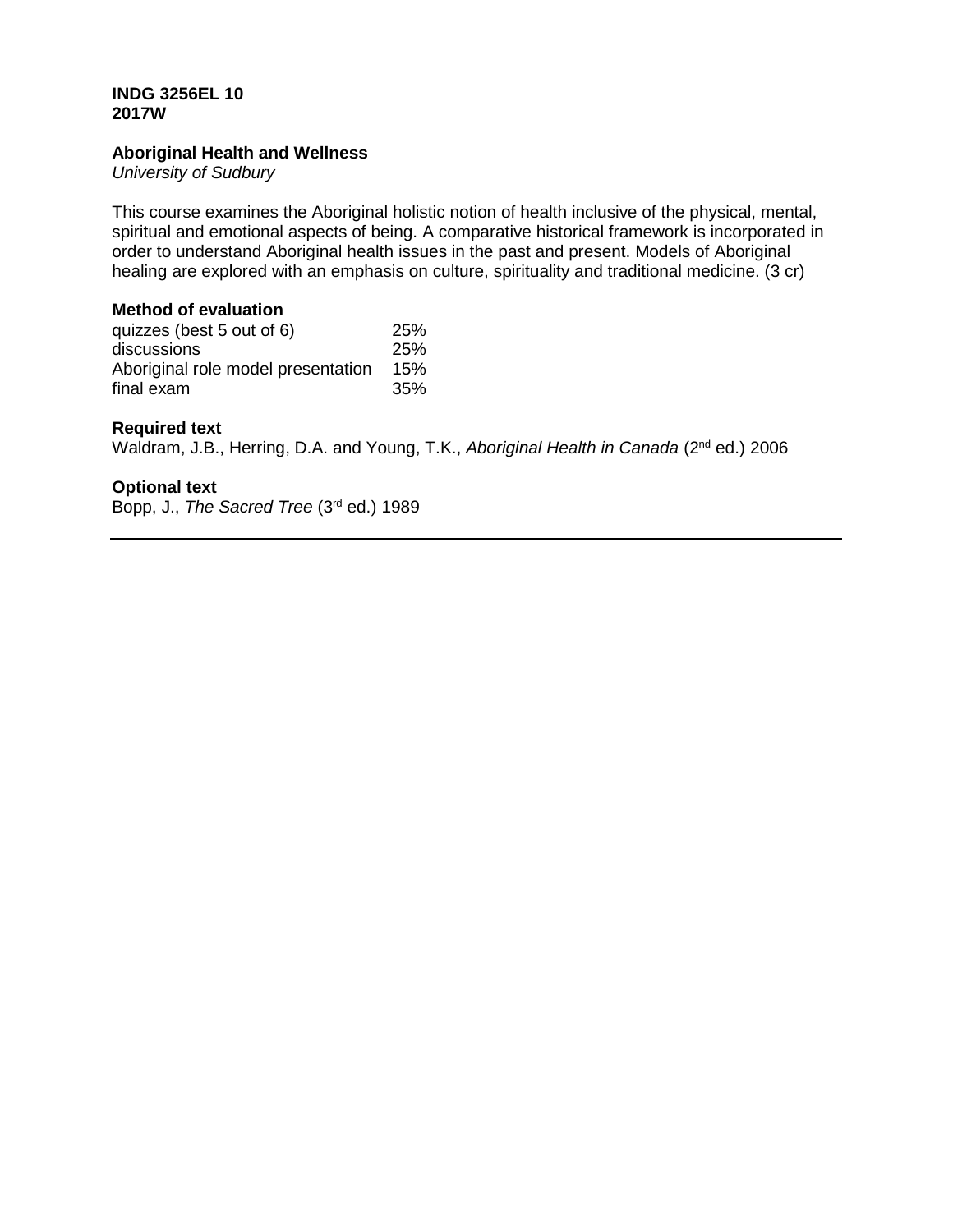# **INDG 3256EL 10 2017W**

# **Aboriginal Health and Wellness**

*University of Sudbury*

This course examines the Aboriginal holistic notion of health inclusive of the physical, mental, spiritual and emotional aspects of being. A comparative historical framework is incorporated in order to understand Aboriginal health issues in the past and present. Models of Aboriginal healing are explored with an emphasis on culture, spirituality and traditional medicine. (3 cr)

# **Method of evaluation**

| quizzes (best 5 out of 6)          | 25% |
|------------------------------------|-----|
| discussions                        | 25% |
| Aboriginal role model presentation | 15% |
| final exam                         | 35% |

# **Required text**

Waldram, J.B., Herring, D.A. and Young, T.K., *Aboriginal Health in Canada* (2<sup>nd</sup> ed.) 2006

# **Optional text**

Bopp, J., *The Sacred Tree* (3rd ed.) 1989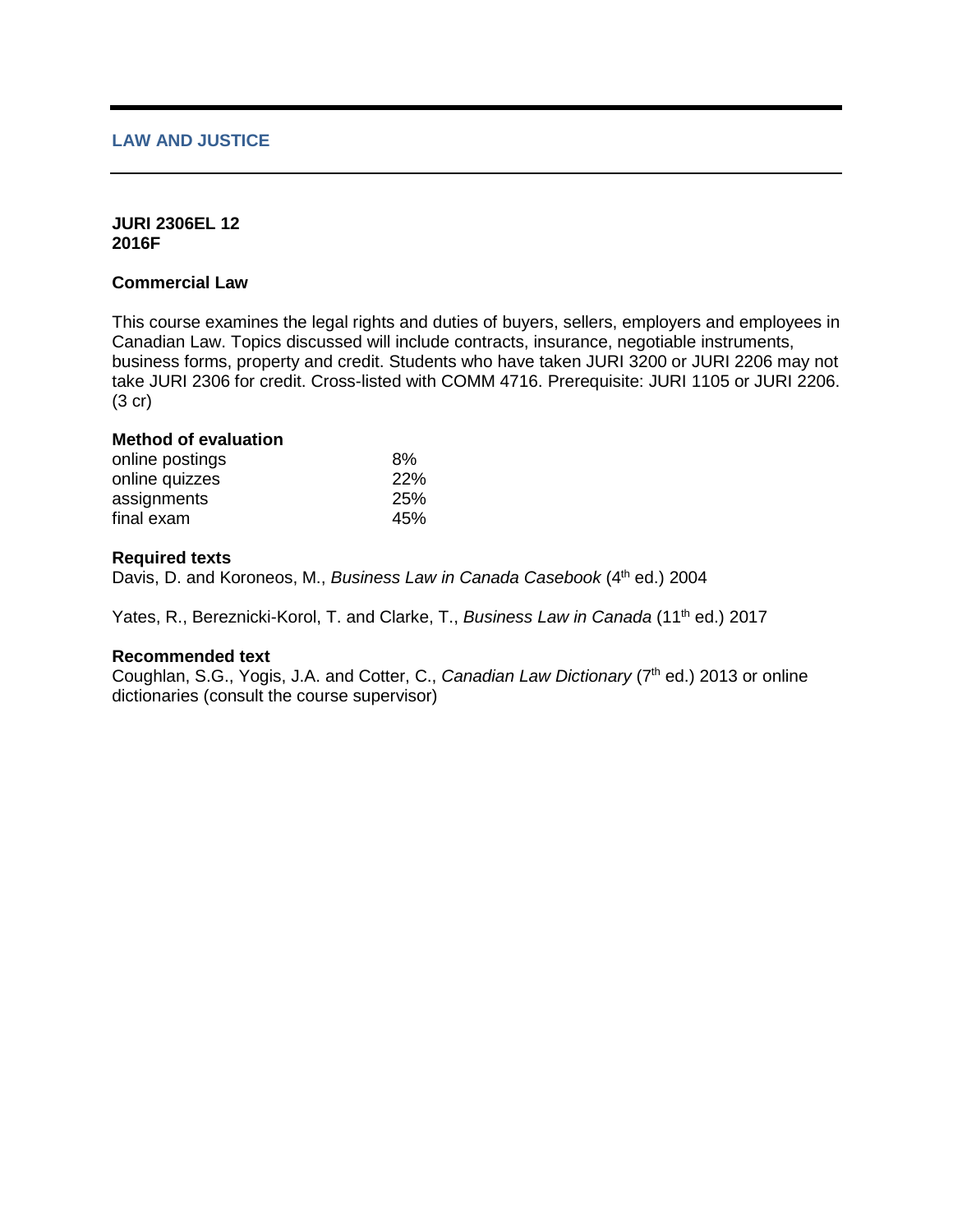# **LAW AND JUSTICE**

#### **JURI 2306EL 12 2016F**

# **Commercial Law**

This course examines the legal rights and duties of buyers, sellers, employers and employees in Canadian Law. Topics discussed will include contracts, insurance, negotiable instruments, business forms, property and credit. Students who have taken JURI 3200 or JURI 2206 may not take JURI 2306 for credit. Cross-listed with COMM 4716. Prerequisite: JURI 1105 or JURI 2206. (3 cr)

#### **Method of evaluation**

| online postings | 8%  |
|-----------------|-----|
| online quizzes  | 22% |
| assignments     | 25% |
| final exam      | 45% |

#### **Required texts**

Davis, D. and Koroneos, M., *Business Law in Canada Casebook* (4<sup>th</sup> ed.) 2004

Yates, R., Bereznicki-Korol, T. and Clarke, T., *Business Law in Canada* (11<sup>th</sup> ed.) 2017

#### **Recommended text**

Coughlan, S.G., Yogis, J.A. and Cotter, C., *Canadian Law Dictionary* (7<sup>th</sup> ed.) 2013 or online dictionaries (consult the course supervisor)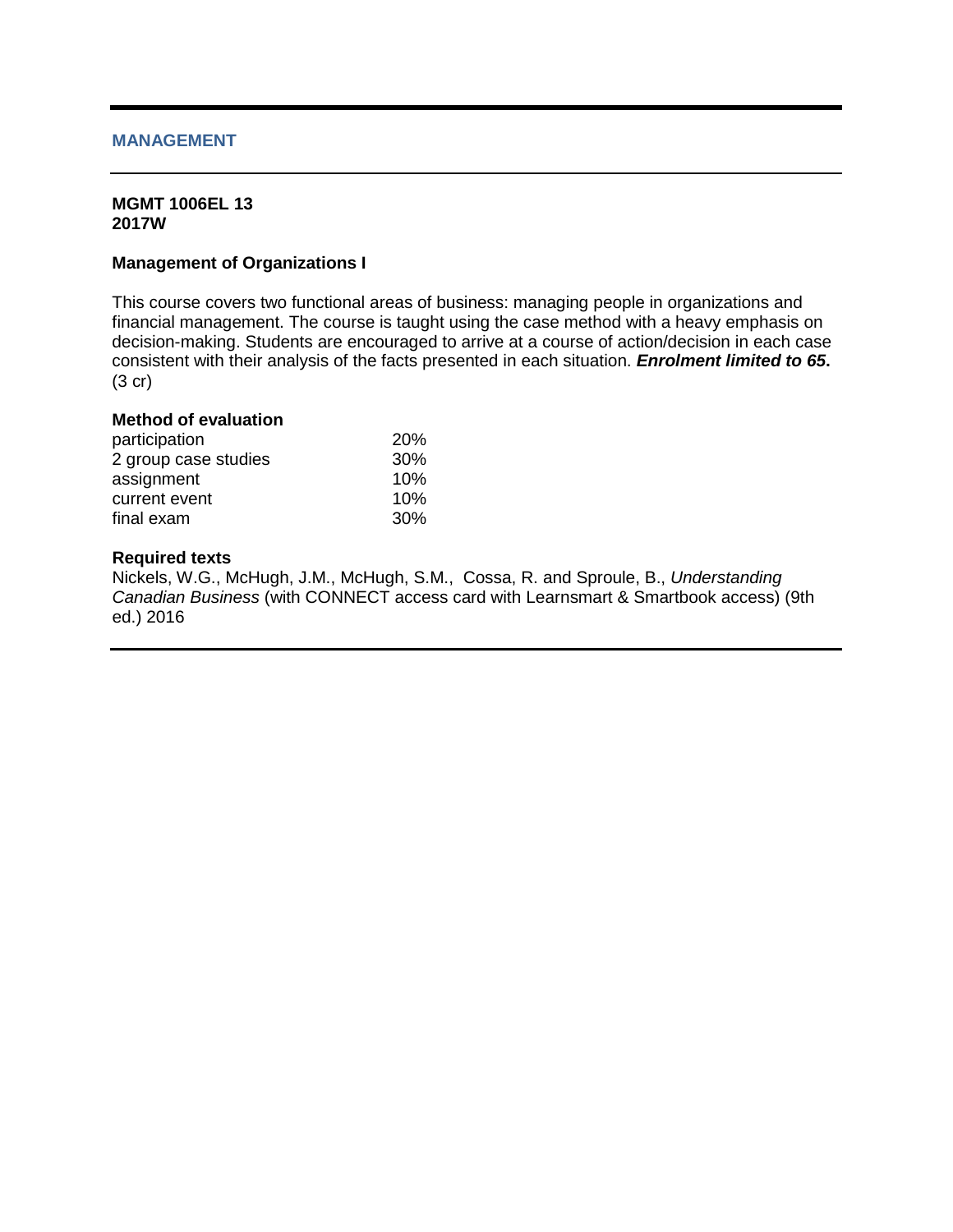## **MANAGEMENT**

#### **MGMT 1006EL 13 2017W**

## **Management of Organizations I**

This course covers two functional areas of business: managing people in organizations and financial management. The course is taught using the case method with a heavy emphasis on decision-making. Students are encouraged to arrive at a course of action/decision in each case consistent with their analysis of the facts presented in each situation. *Enrolment limited to 65***.** (3 cr)

# **Method of evaluation**

| participation        | <b>20%</b> |
|----------------------|------------|
| 2 group case studies | 30%        |
| assignment           | 10%        |
| current event        | 10%        |
| final exam           | 30%        |

## **Required texts**

Nickels, W.G., McHugh, J.M., McHugh, S.M., Cossa, R. and Sproule, B., *Understanding Canadian Business* (with CONNECT access card with Learnsmart & Smartbook access) (9th ed.) 2016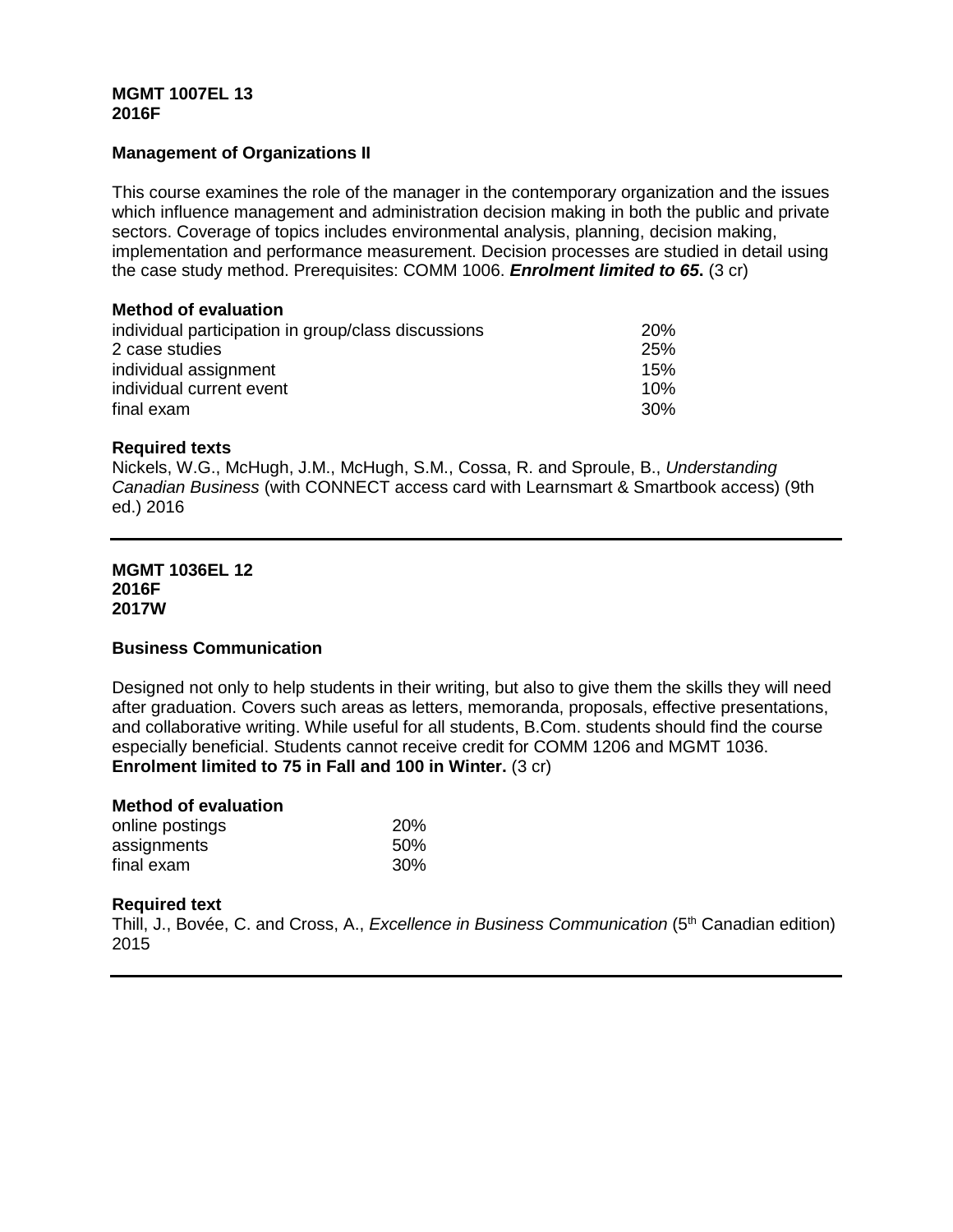## **MGMT 1007EL 13 2016F**

# **Management of Organizations II**

This course examines the role of the manager in the contemporary organization and the issues which influence management and administration decision making in both the public and private sectors. Coverage of topics includes environmental analysis, planning, decision making, implementation and performance measurement. Decision processes are studied in detail using the case study method. Prerequisites: COMM 1006. *Enrolment limited to 65***.** (3 cr)

#### **Method of evaluation**

| individual participation in group/class discussions | <b>20%</b> |
|-----------------------------------------------------|------------|
| 2 case studies                                      | 25%        |
| individual assignment                               | 15%        |
| individual current event                            | 10%        |
| final exam                                          | .30%       |

## **Required texts**

Nickels, W.G., McHugh, J.M., McHugh, S.M., Cossa, R. and Sproule, B., *Understanding Canadian Business* (with CONNECT access card with Learnsmart & Smartbook access) (9th ed.) 2016

#### **MGMT 1036EL 12 2016F 2017W**

## **Business Communication**

Designed not only to help students in their writing, but also to give them the skills they will need after graduation. Covers such areas as letters, memoranda, proposals, effective presentations, and collaborative writing. While useful for all students, B.Com. students should find the course especially beneficial. Students cannot receive credit for COMM 1206 and MGMT 1036. **Enrolment limited to 75 in Fall and 100 in Winter.** (3 cr)

#### **Method of evaluation**

| online postings | <b>20%</b> |
|-----------------|------------|
| assignments     | 50%        |
| final exam      | 30%        |

## **Required text**

Thill, J., Bovée, C. and Cross, A., *Excellence in Business Communication* (5th Canadian edition) 2015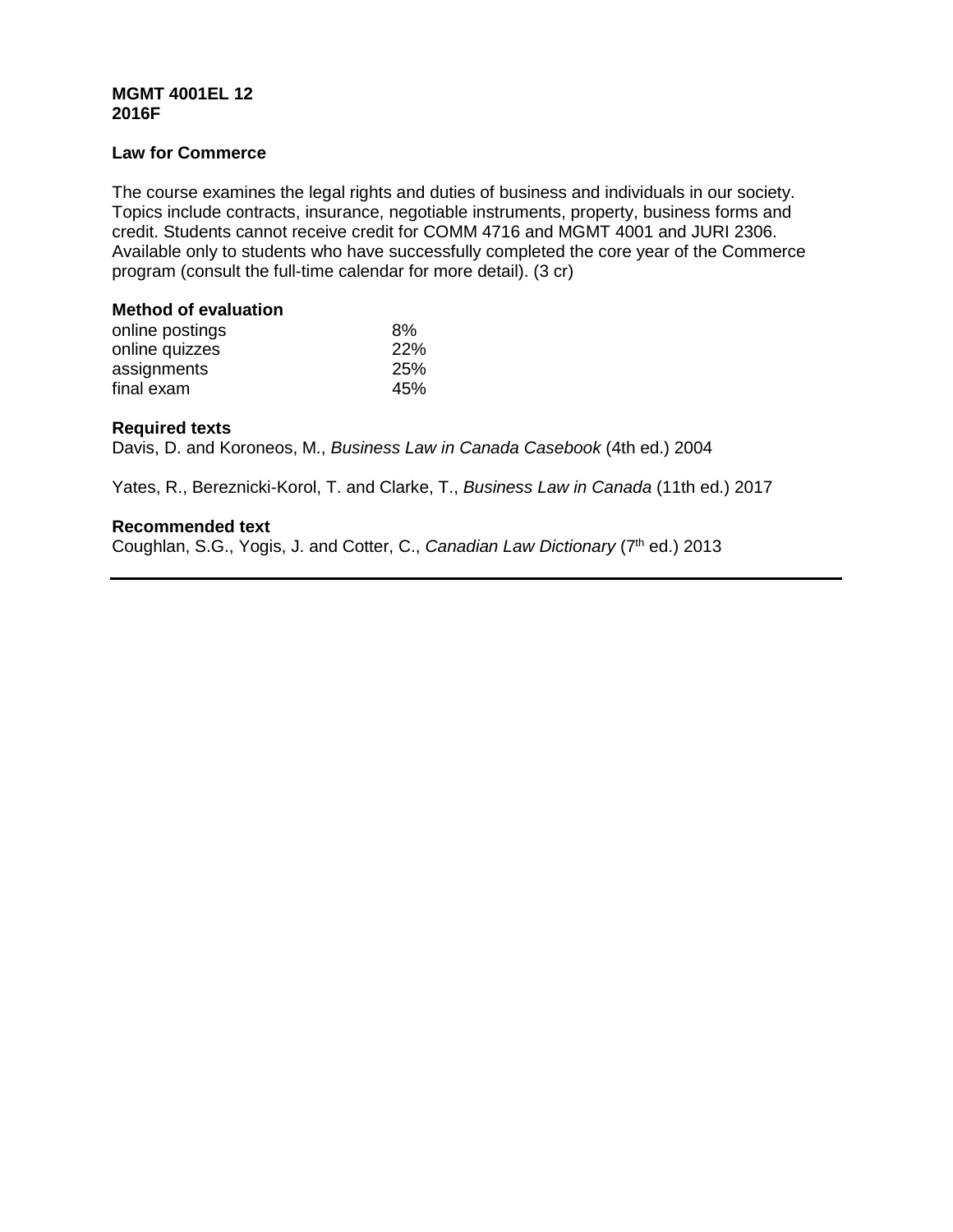# **MGMT 4001EL 12 2016F**

## **Law for Commerce**

The course examines the legal rights and duties of business and individuals in our society. Topics include contracts, insurance, negotiable instruments, property, business forms and credit. Students cannot receive credit for COMM 4716 and MGMT 4001 and JURI 2306. Available only to students who have successfully completed the core year of the Commerce program (consult the full-time calendar for more detail). (3 cr)

# **Method of evaluation**

| online postings | 8%         |
|-----------------|------------|
| online quizzes  | <b>22%</b> |
| assignments     | <b>25%</b> |
| final exam      | 45%        |

# **Required texts**

Davis, D. and Koroneos, M., *Business Law in Canada Casebook* (4th ed.) 2004

Yates, R., Bereznicki-Korol, T. and Clarke, T., *Business Law in Canada* (11th ed.) 2017

# **Recommended text**

Coughlan, S.G., Yogis, J. and Cotter, C., *Canadian Law Dictionary* (7<sup>th</sup> ed.) 2013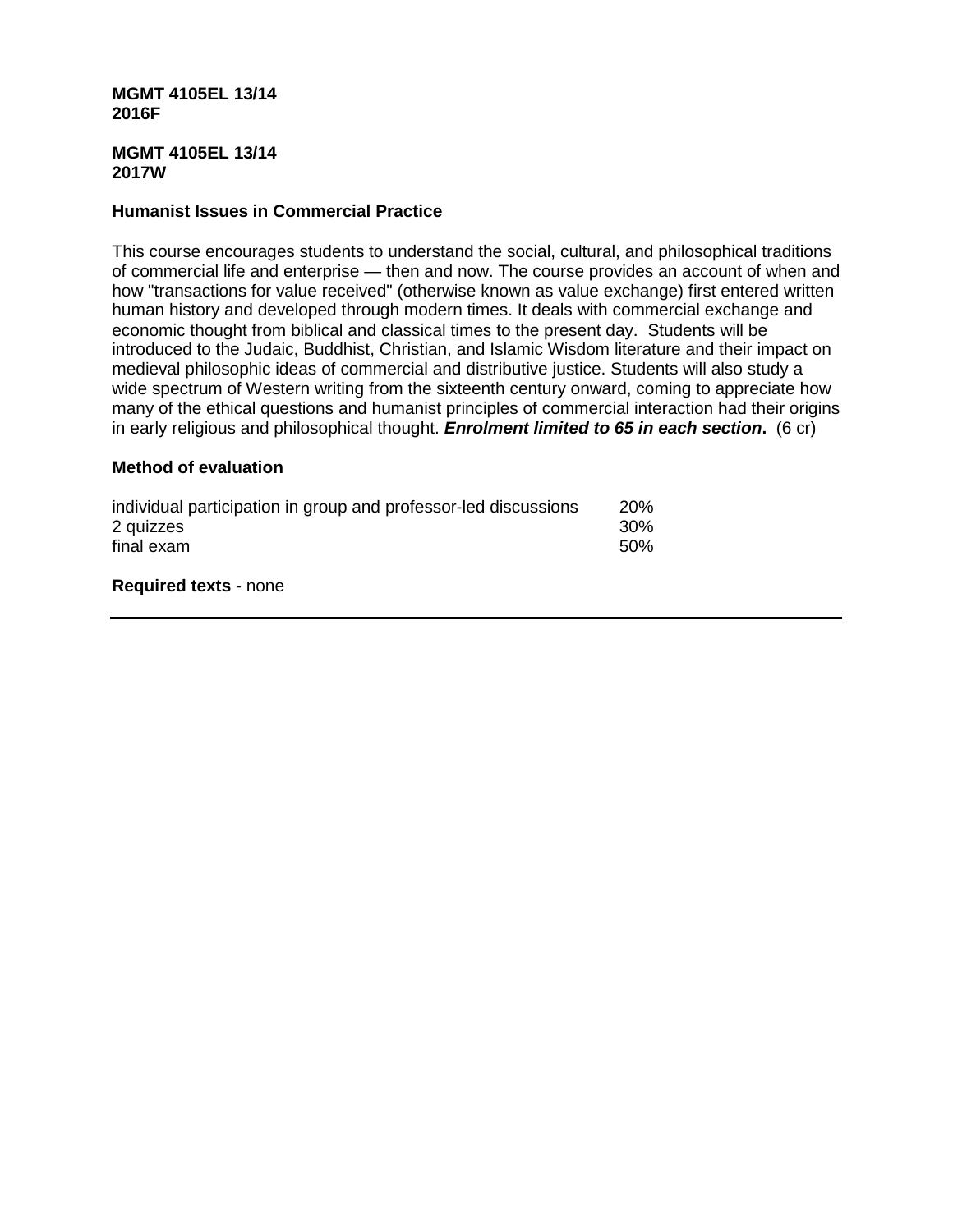#### **MGMT 4105EL 13/14 2016F**

#### **MGMT 4105EL 13/14 2017W**

# **Humanist Issues in Commercial Practice**

This course encourages students to understand the social, cultural, and philosophical traditions of commercial life and enterprise — then and now. The course provides an account of when and how "transactions for value received" (otherwise known as value exchange) first entered written human history and developed through modern times. It deals with commercial exchange and economic thought from biblical and classical times to the present day. Students will be introduced to the Judaic, Buddhist, Christian, and Islamic Wisdom literature and their impact on medieval philosophic ideas of commercial and distributive justice. Students will also study a wide spectrum of Western writing from the sixteenth century onward, coming to appreciate how many of the ethical questions and humanist principles of commercial interaction had their origins in early religious and philosophical thought. *Enrolment limited to 65 in each section***.** (6 cr)

## **Method of evaluation**

| individual participation in group and professor-led discussions | <b>20%</b> |
|-----------------------------------------------------------------|------------|
| 2 quizzes                                                       | 30%        |
| final exam                                                      | .50%       |

**Required texts** - none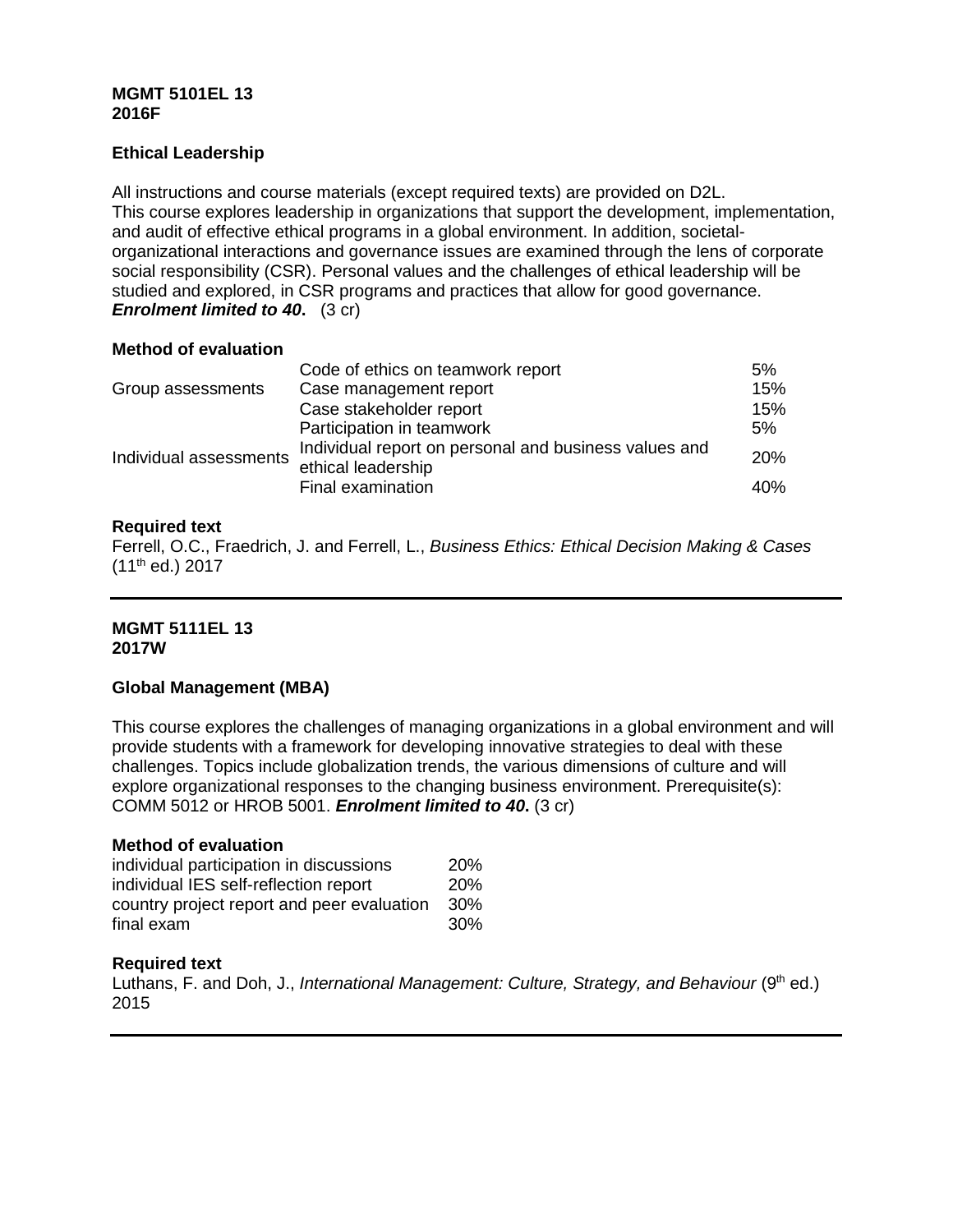# **MGMT 5101EL 13 2016F**

# **Ethical Leadership**

All instructions and course materials (except required texts) are provided on D2L. This course explores leadership in organizations that support the development, implementation, and audit of effective ethical programs in a global environment. In addition, societalorganizational interactions and governance issues are examined through the lens of corporate social responsibility (CSR). Personal values and the challenges of ethical leadership will be studied and explored, in CSR programs and practices that allow for good governance. *Enrolment limited to 40.* (3 cr)

## **Method of evaluation**

|                        | Code of ethics on teamwork report                                           | 5%  |
|------------------------|-----------------------------------------------------------------------------|-----|
| Group assessments      | Case management report                                                      | 15% |
|                        | Case stakeholder report                                                     | 15% |
| Individual assessments | Participation in teamwork                                                   | 5%  |
|                        | Individual report on personal and business values and<br>ethical leadership | 20% |
|                        | Final examination                                                           | 40% |

# **Required text**

Ferrell, O.C., Fraedrich, J. and Ferrell, L., *Business Ethics: Ethical Decision Making & Cases* (11th ed.) 2017

## **MGMT 5111EL 13 2017W**

# **Global Management (MBA)**

This course explores the challenges of managing organizations in a global environment and will provide students with a framework for developing innovative strategies to deal with these challenges. Topics include globalization trends, the various dimensions of culture and will explore organizational responses to the changing business environment. Prerequisite(s): COMM 5012 or HROB 5001. *Enrolment limited to 40***.** (3 cr)

## **Method of evaluation**

| individual participation in discussions    | 20%        |
|--------------------------------------------|------------|
| individual IES self-reflection report      | <b>20%</b> |
| country project report and peer evaluation | 30%        |
| final exam                                 | 30%        |

## **Required text**

Luthans, F. and Doh, J., *International Management: Culture, Strategy, and Behaviour* (9<sup>th</sup> ed.) 2015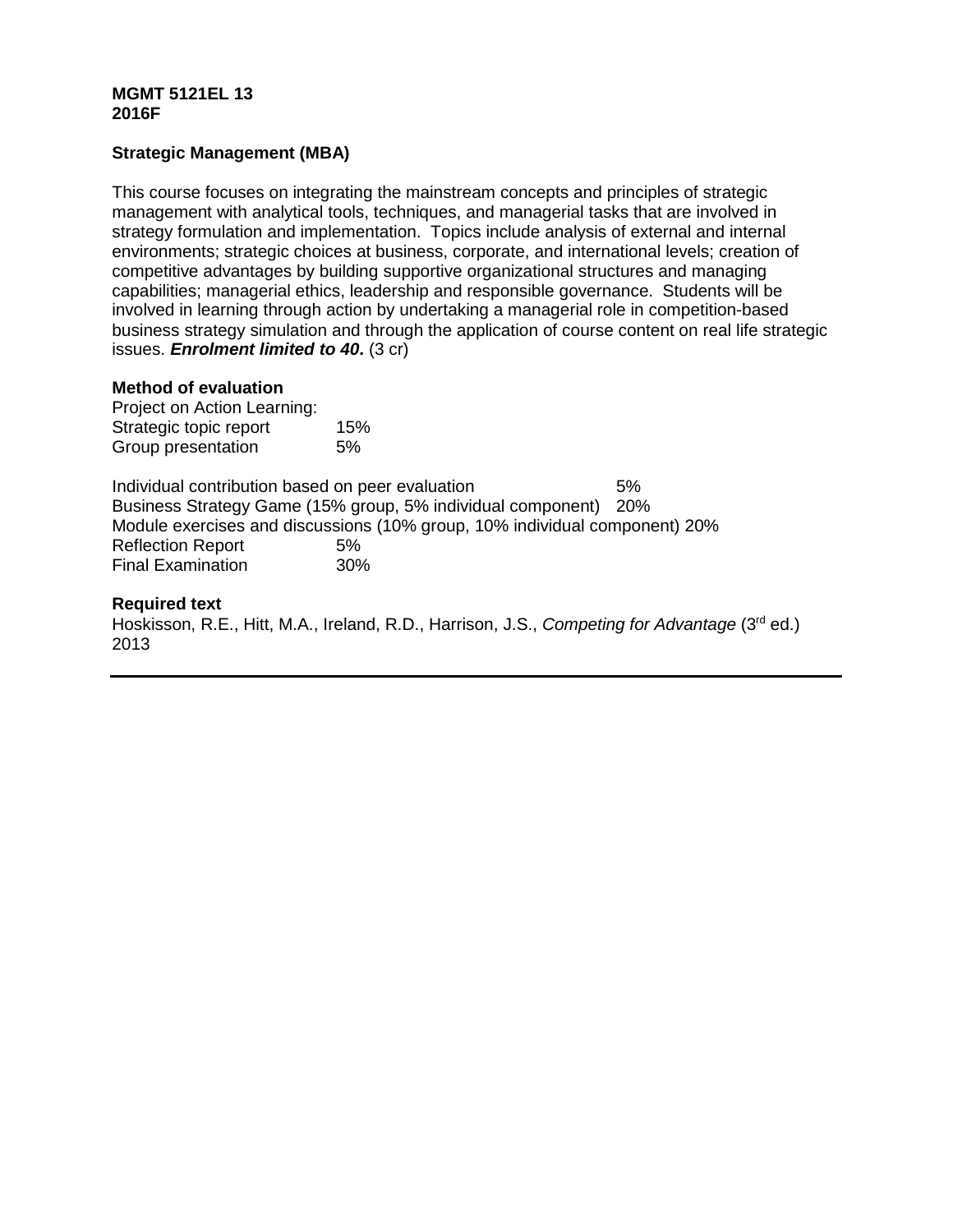# **MGMT 5121EL 13 2016F**

# **Strategic Management (MBA)**

This course focuses on integrating the mainstream concepts and principles of strategic management with analytical tools, techniques, and managerial tasks that are involved in strategy formulation and implementation. Topics include analysis of external and internal environments; strategic choices at business, corporate, and international levels; creation of competitive advantages by building supportive organizational structures and managing capabilities; managerial ethics, leadership and responsible governance. Students will be involved in learning through action by undertaking a managerial role in competition-based business strategy simulation and through the application of course content on real life strategic issues. *Enrolment limited to 40***.** (3 cr)

#### **Method of evaluation**

Project on Action Learning: Strategic topic report 15% Group presentation 5%

Individual contribution based on peer evaluation 5% Business Strategy Game (15% group, 5% individual component) 20% Module exercises and discussions (10% group, 10% individual component) 20% Reflection Report 6%<br>Final Examination 60% Final Examination

## **Required text**

Hoskisson, R.E., Hitt, M.A., Ireland, R.D., Harrison, J.S., *Competing for Advantage* (3rd ed.) 2013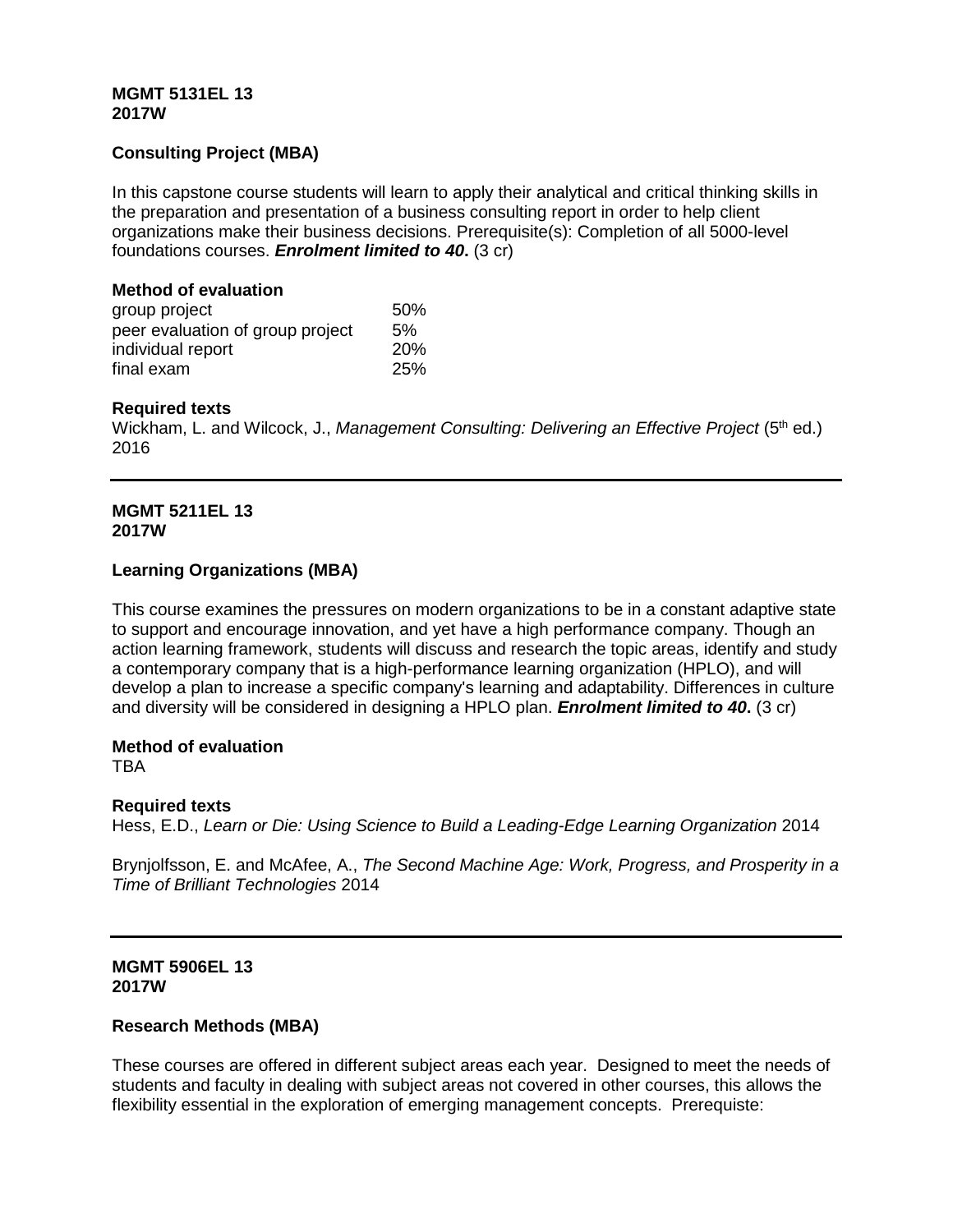## **MGMT 5131EL 13 2017W**

# **Consulting Project (MBA)**

In this capstone course students will learn to apply their analytical and critical thinking skills in the preparation and presentation of a business consulting report in order to help client organizations make their business decisions. Prerequisite(s): Completion of all 5000-level foundations courses. *Enrolment limited to 40***.** (3 cr)

#### **Method of evaluation**

| group project                    | 50%        |
|----------------------------------|------------|
| peer evaluation of group project | 5%         |
| individual report                | <b>20%</b> |
| final exam                       | 25%        |

## **Required texts**

Wickham, L. and Wilcock, J., *Management Consulting: Delivering an Effective Project* (5<sup>th</sup> ed.) 2016

#### **MGMT 5211EL 13 2017W**

## **Learning Organizations (MBA)**

This course examines the pressures on modern organizations to be in a constant adaptive state to support and encourage innovation, and yet have a high performance company. Though an action learning framework, students will discuss and research the topic areas, identify and study a contemporary company that is a high-performance learning organization (HPLO), and will develop a plan to increase a specific company's learning and adaptability. Differences in culture and diversity will be considered in designing a HPLO plan. *Enrolment limited to 40***.** (3 cr)

## **Method of evaluation**

**TRA** 

## **Required texts**

Hess, E.D., *Learn or Die: Using Science to Build a Leading-Edge Learning Organization* 2014

Brynjolfsson, E. and McAfee, A., *The Second Machine Age: Work, Progress, and Prosperity in a Time of Brilliant Technologies* 2014

## **MGMT 5906EL 13 2017W**

## **Research Methods (MBA)**

These courses are offered in different subject areas each year. Designed to meet the needs of students and faculty in dealing with subject areas not covered in other courses, this allows the flexibility essential in the exploration of emerging management concepts. Prerequiste: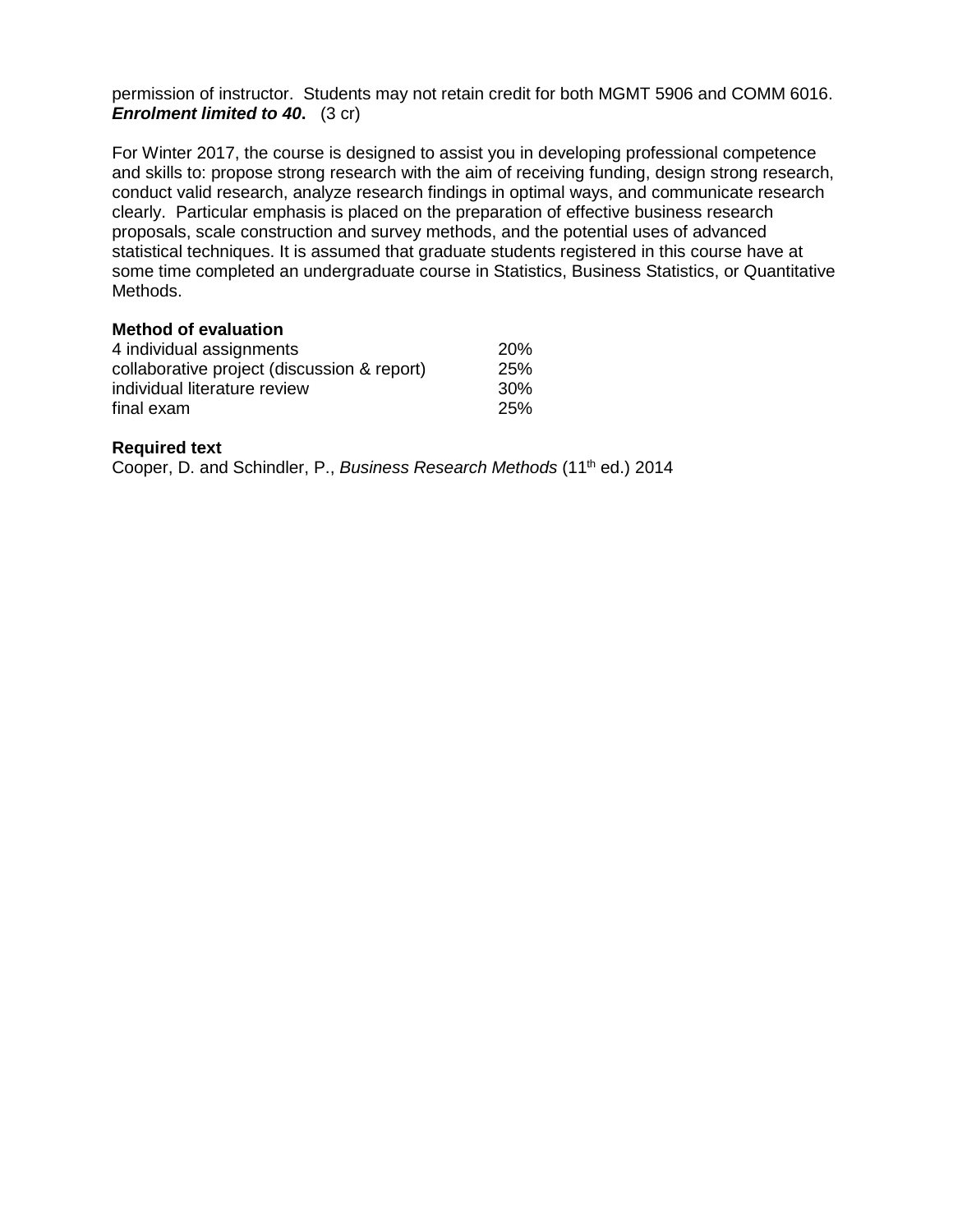permission of instructor. Students may not retain credit for both MGMT 5906 and COMM 6016. *Enrolment limited to 40.* (3 cr)

For Winter 2017, the course is designed to assist you in developing professional competence and skills to: propose strong research with the aim of receiving funding, design strong research, conduct valid research, analyze research findings in optimal ways, and communicate research clearly. Particular emphasis is placed on the preparation of effective business research proposals, scale construction and survey methods, and the potential uses of advanced statistical techniques. It is assumed that graduate students registered in this course have at some time completed an undergraduate course in Statistics, Business Statistics, or Quantitative Methods.

#### **Method of evaluation**

| 4 individual assignments                    | <b>20%</b> |
|---------------------------------------------|------------|
| collaborative project (discussion & report) | 25%        |
| individual literature review                | 30%        |
| final exam                                  | 25%        |

## **Required text**

Cooper, D. and Schindler, P., *Business Research Methods* (11<sup>th</sup> ed.) 2014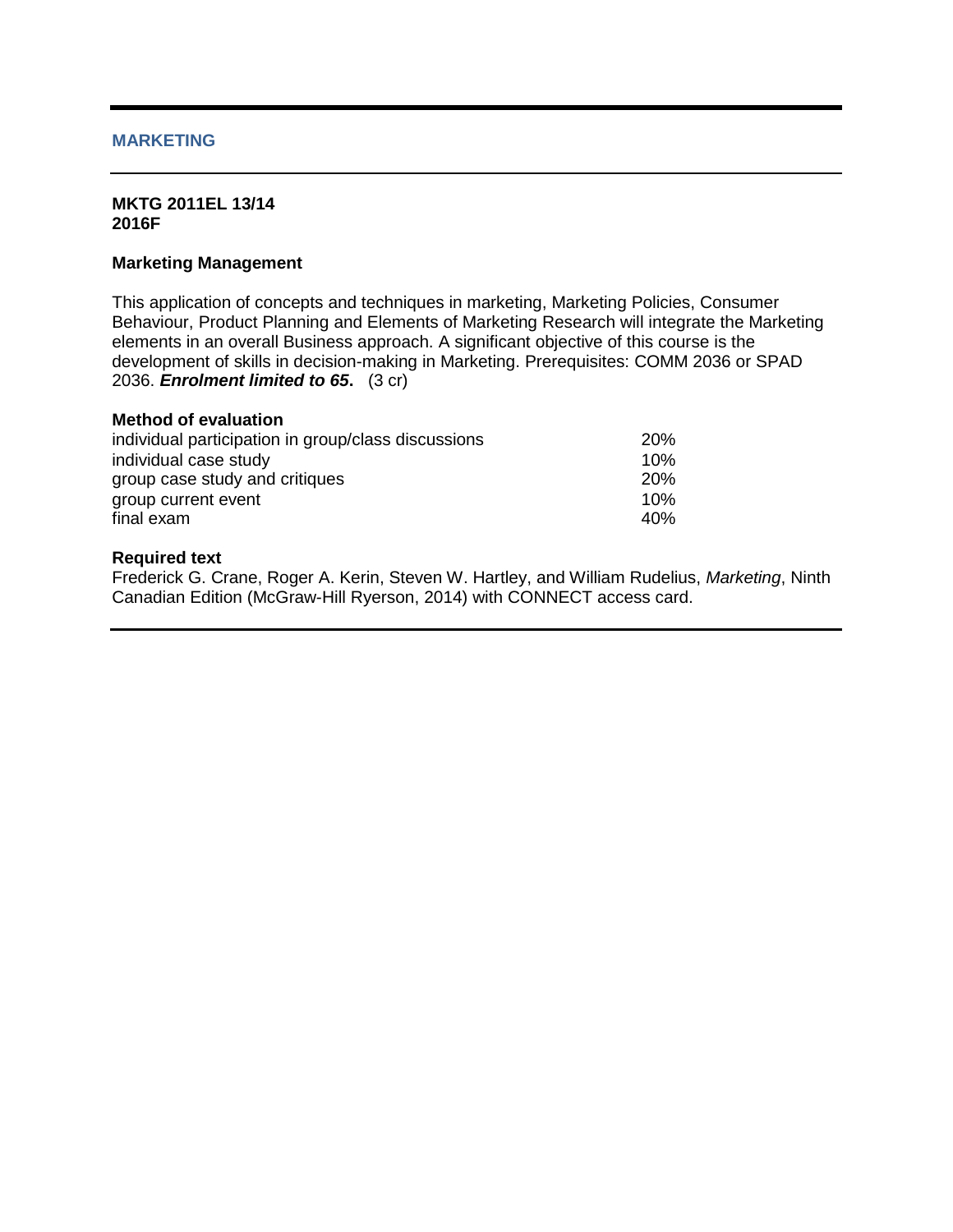## **MARKETING**

#### **MKTG 2011EL 13/14 2016F**

#### **Marketing Management**

This application of concepts and techniques in marketing, Marketing Policies, Consumer Behaviour, Product Planning and Elements of Marketing Research will integrate the Marketing elements in an overall Business approach. A significant objective of this course is the development of skills in decision-making in Marketing. Prerequisites: COMM 2036 or SPAD 2036. *Enrolment limited to 65***.** (3 cr)

# **Method of evaluation**

| individual participation in group/class discussions | 20% |
|-----------------------------------------------------|-----|
| individual case study                               | 10% |
| group case study and critiques                      | 20% |
| group current event                                 | 10% |
| final exam                                          | 40% |

#### **Required text**

Frederick G. Crane, Roger A. Kerin, Steven W. Hartley, and William Rudelius, *Marketing*, Ninth Canadian Edition (McGraw-Hill Ryerson, 2014) with CONNECT access card.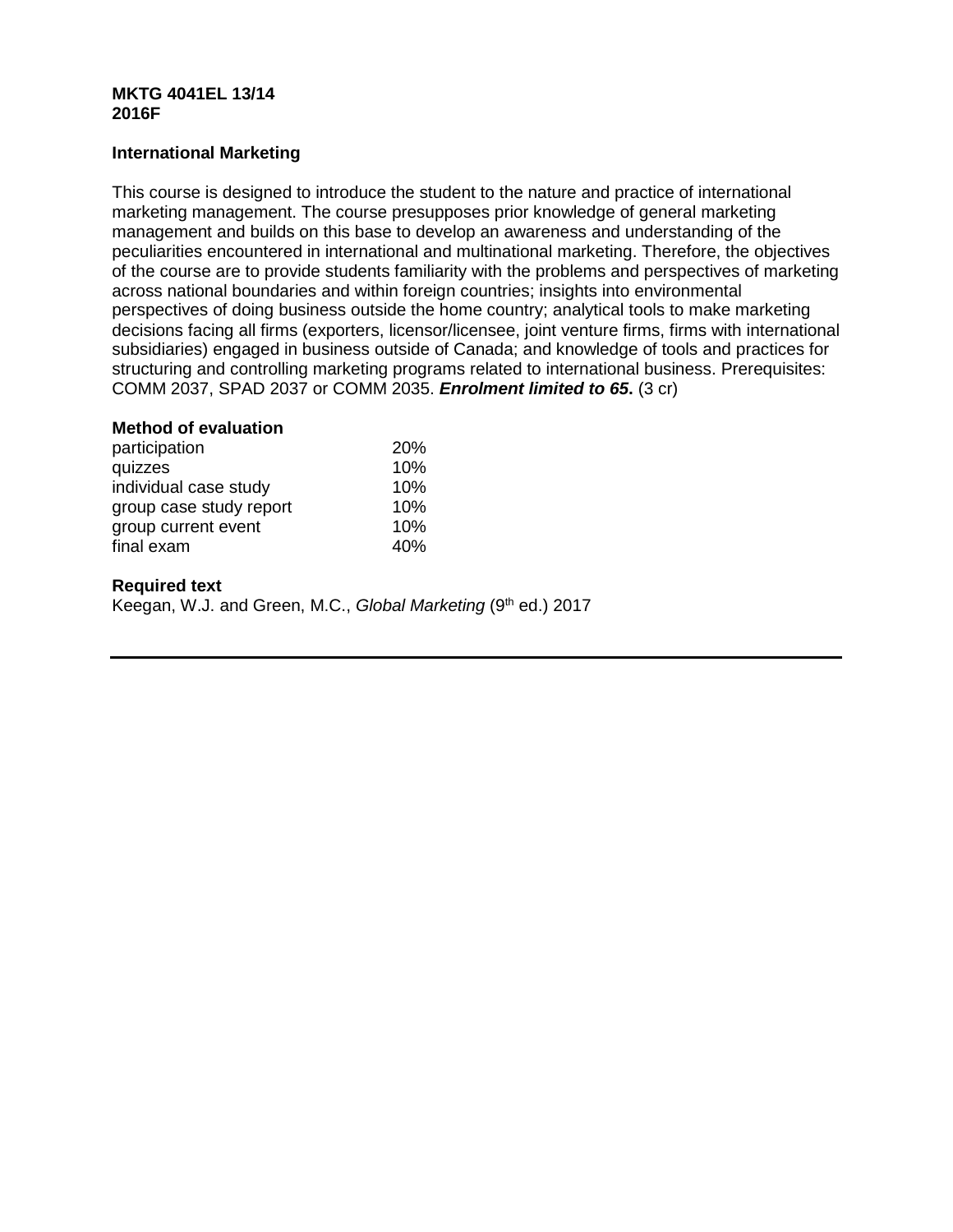#### **MKTG 4041EL 13/14 2016F**

# **International Marketing**

This course is designed to introduce the student to the nature and practice of international marketing management. The course presupposes prior knowledge of general marketing management and builds on this base to develop an awareness and understanding of the peculiarities encountered in international and multinational marketing. Therefore, the objectives of the course are to provide students familiarity with the problems and perspectives of marketing across national boundaries and within foreign countries; insights into environmental perspectives of doing business outside the home country; analytical tools to make marketing decisions facing all firms (exporters, licensor/licensee, joint venture firms, firms with international subsidiaries) engaged in business outside of Canada; and knowledge of tools and practices for structuring and controlling marketing programs related to international business. Prerequisites: COMM 2037, SPAD 2037 or COMM 2035. *Enrolment limited to 65***.** (3 cr)

## **Method of evaluation**

| participation           | <b>20%</b> |
|-------------------------|------------|
| quizzes                 | 10%        |
| individual case study   | 10%        |
| group case study report | 10%        |
| group current event     | 10%        |
| final exam              | 40%        |

# **Required text**

Keegan, W.J. and Green, M.C., *Global Marketing* (9<sup>th</sup> ed.) 2017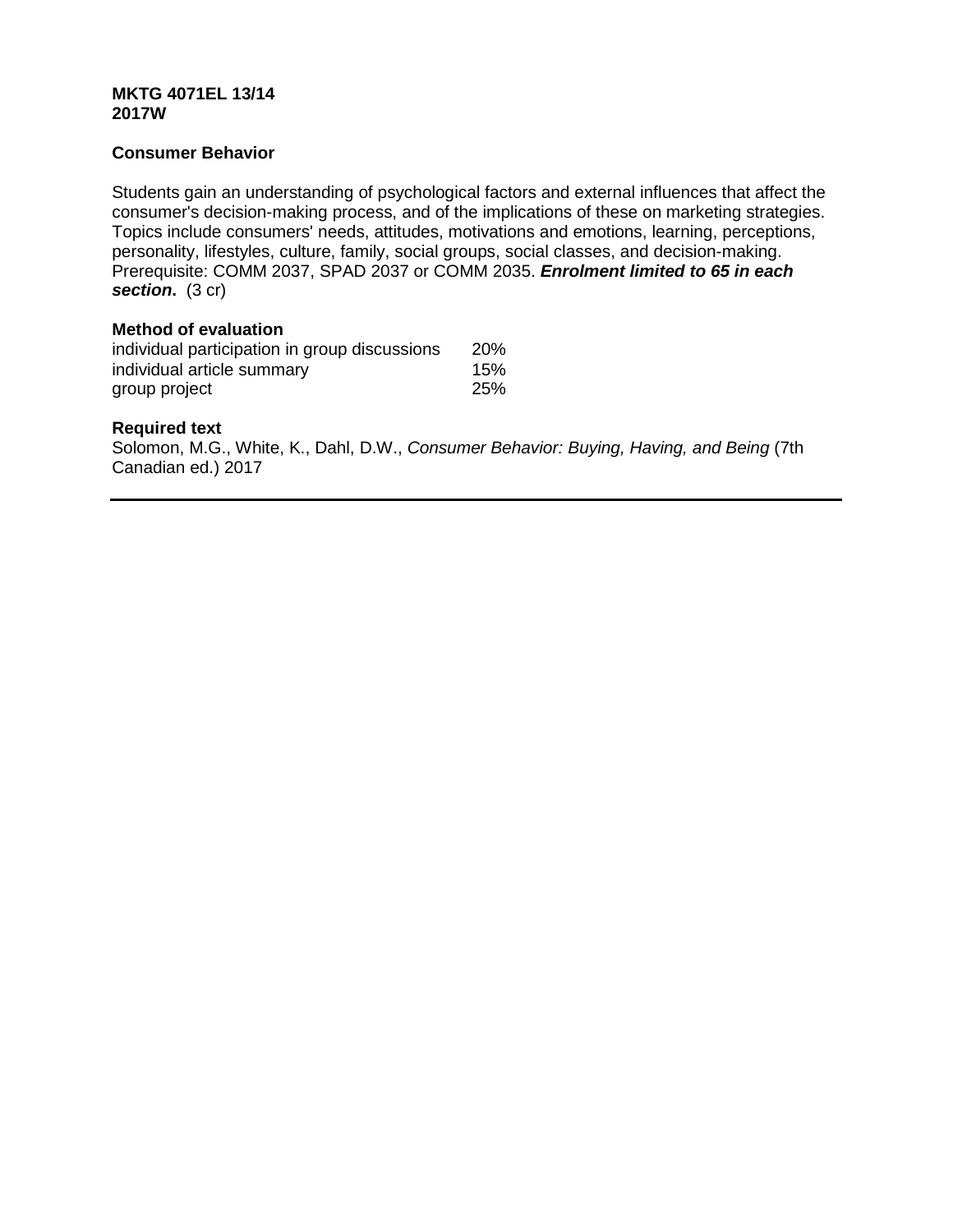## **MKTG 4071EL 13/14 2017W**

# **Consumer Behavior**

Students gain an understanding of psychological factors and external influences that affect the consumer's decision-making process, and of the implications of these on marketing strategies. Topics include consumers' needs, attitudes, motivations and emotions, learning, perceptions, personality, lifestyles, culture, family, social groups, social classes, and decision-making. Prerequisite: COMM 2037, SPAD 2037 or COMM 2035. *Enrolment limited to 65 in each section***.** (3 cr)

# **Method of evaluation**

| individual participation in group discussions | <b>20%</b> |
|-----------------------------------------------|------------|
| individual article summary                    | 15%        |
| group project                                 | 25%        |

# **Required text**

Solomon, M.G., White, K., Dahl, D.W., *Consumer Behavior: Buying, Having, and Being* (7th Canadian ed.) 2017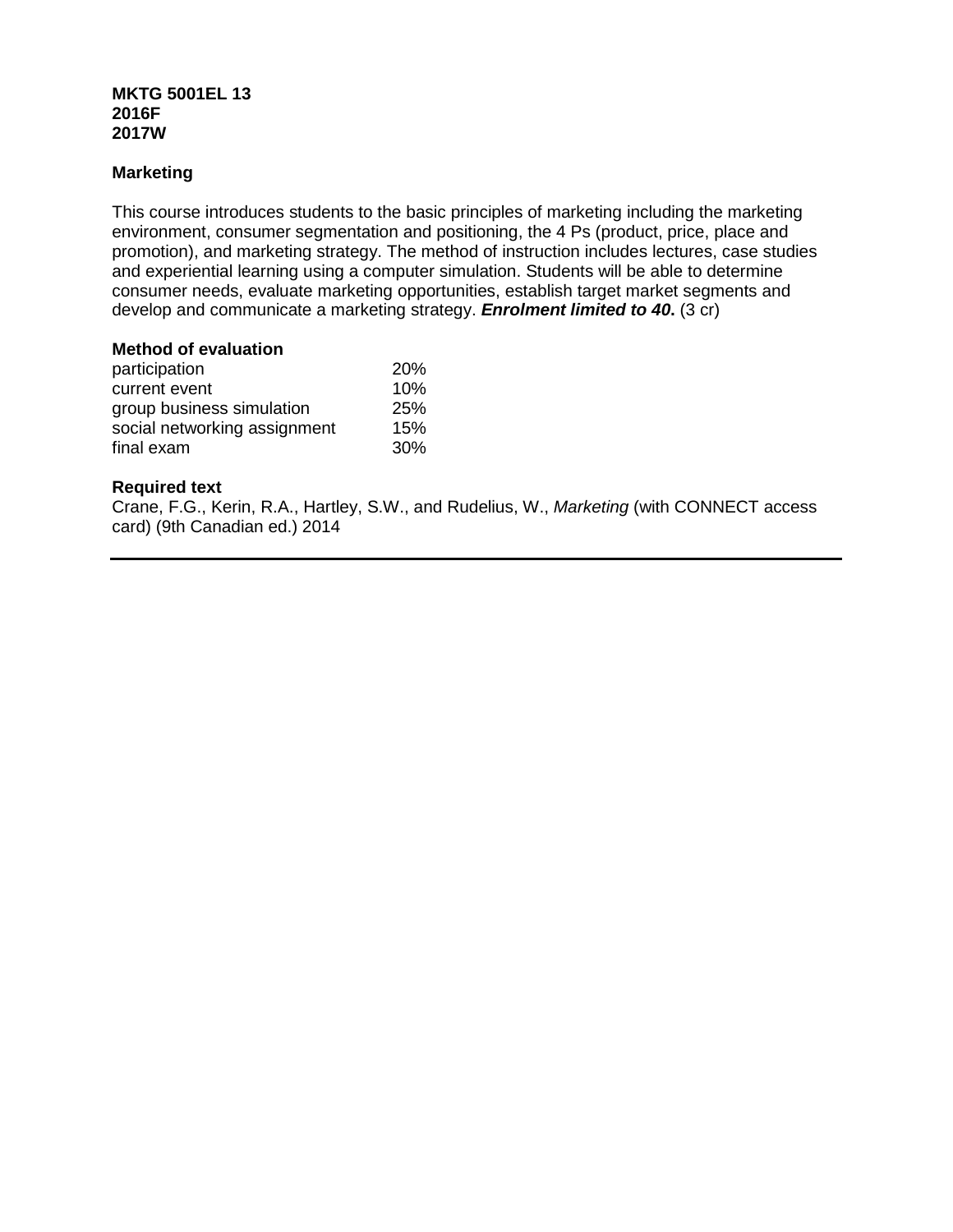# **MKTG 5001EL 13 2016F 2017W**

# **Marketing**

This course introduces students to the basic principles of marketing including the marketing environment, consumer segmentation and positioning, the 4 Ps (product, price, place and promotion), and marketing strategy. The method of instruction includes lectures, case studies and experiential learning using a computer simulation. Students will be able to determine consumer needs, evaluate marketing opportunities, establish target market segments and develop and communicate a marketing strategy. *Enrolment limited to 40***.** (3 cr)

#### **Method of evaluation**

| participation                | <b>20%</b> |
|------------------------------|------------|
| current event                | 10%        |
| group business simulation    | <b>25%</b> |
| social networking assignment | 15%        |
| final exam                   | 30%        |

# **Required text**

Crane, F.G., Kerin, R.A., Hartley, S.W., and Rudelius, W., *Marketing* (with CONNECT access card) (9th Canadian ed.) 2014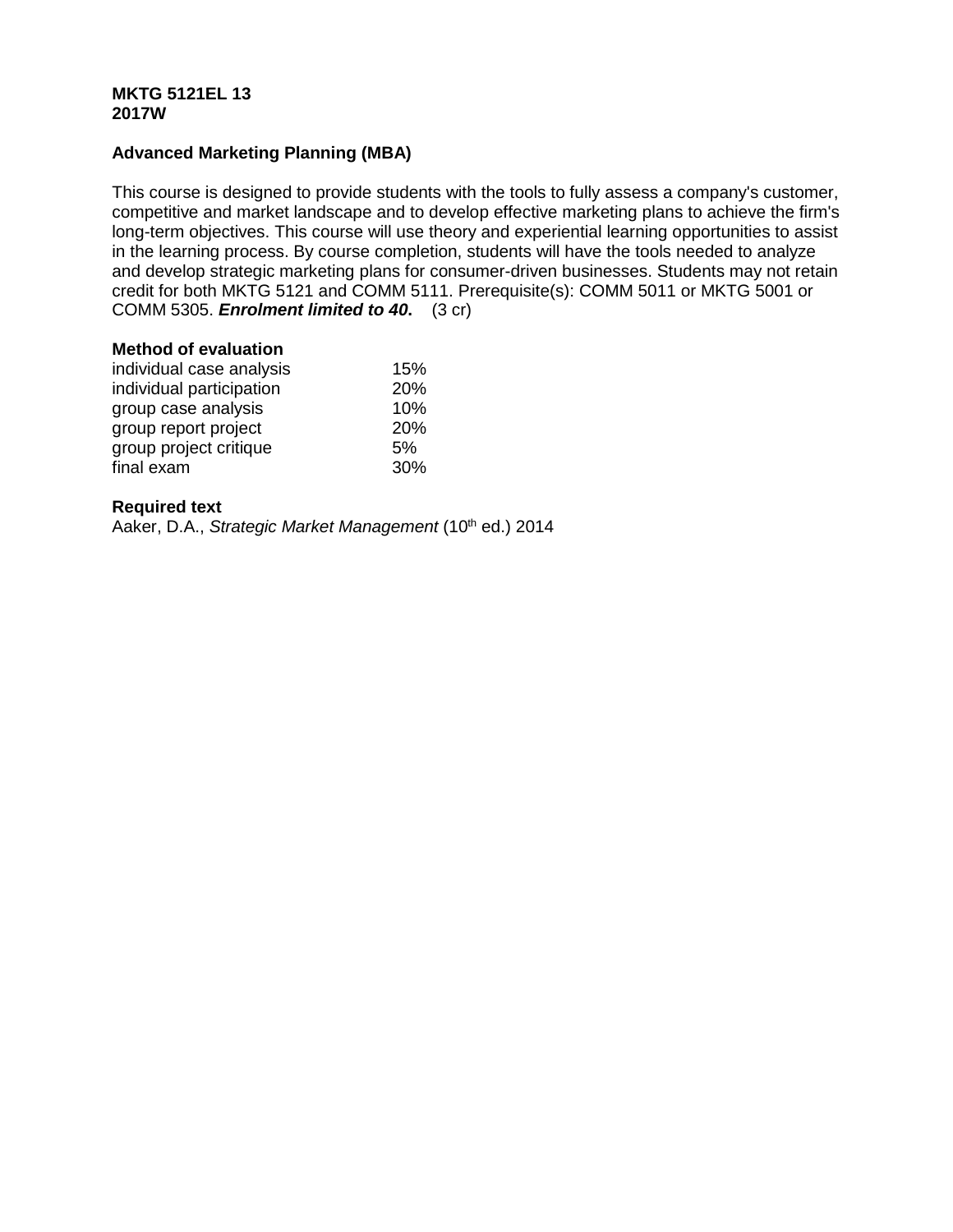# **MKTG 5121EL 13 2017W**

# **Advanced Marketing Planning (MBA)**

This course is designed to provide students with the tools to fully assess a company's customer, competitive and market landscape and to develop effective marketing plans to achieve the firm's long-term objectives. This course will use theory and experiential learning opportunities to assist in the learning process. By course completion, students will have the tools needed to analyze and develop strategic marketing plans for consumer-driven businesses. Students may not retain credit for both MKTG 5121 and COMM 5111. Prerequisite(s): COMM 5011 or MKTG 5001 or COMM 5305. *Enrolment limited to 40***.** (3 cr)

#### **Method of evaluation**

| individual case analysis | 15% |
|--------------------------|-----|
| individual participation | 20% |
| group case analysis      | 10% |
| group report project     | 20% |
| group project critique   | 5%  |
| final exam               | 30% |

# **Required text**

Aaker, D.A., *Strategic Market Management* (10<sup>th</sup> ed.) 2014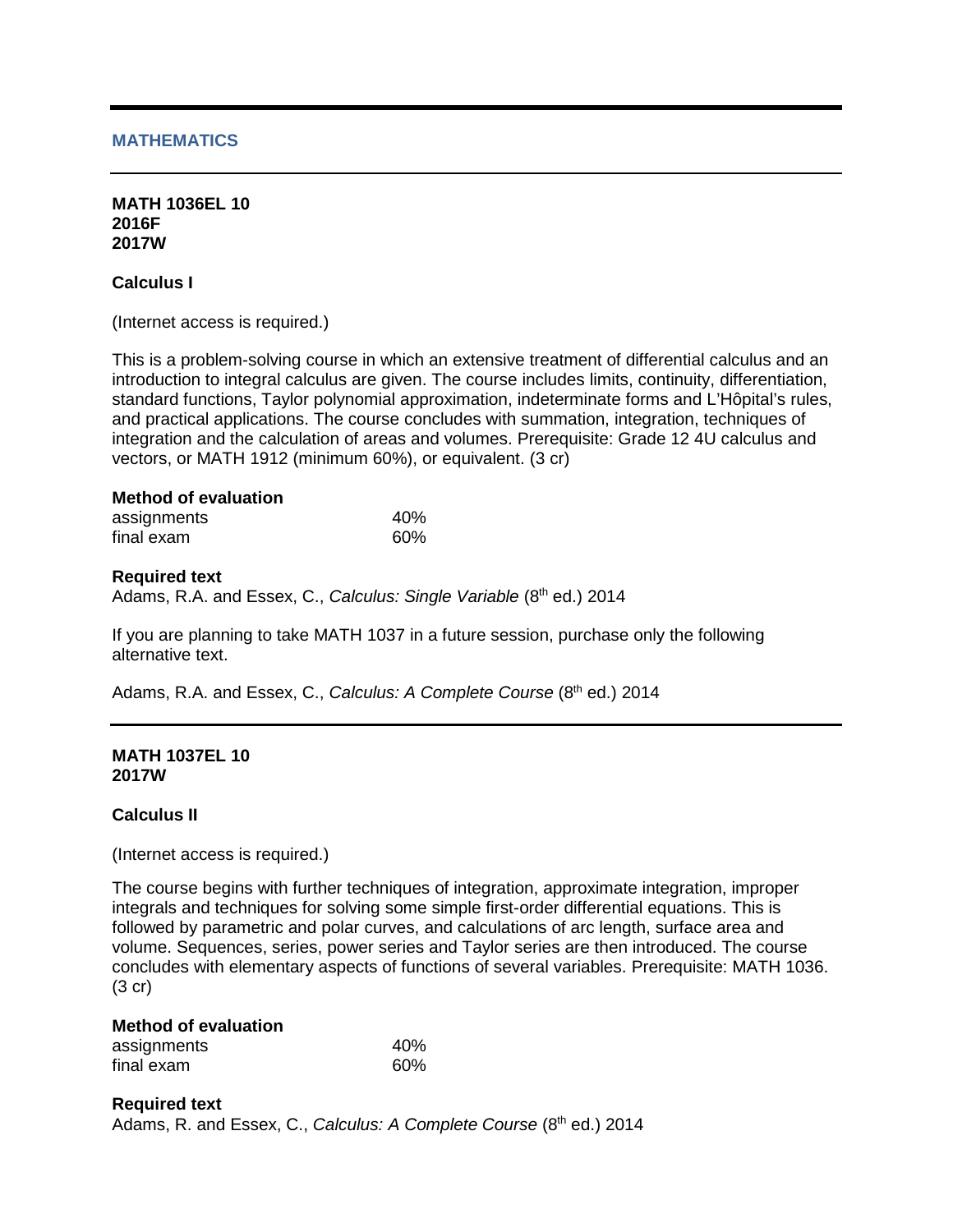## **MATHEMATICS**

#### **MATH 1036EL 10 2016F 2017W**

**Calculus I**

(Internet access is required.)

This is a problem-solving course in which an extensive treatment of differential calculus and an introduction to integral calculus are given. The course includes limits, continuity, differentiation, standard functions, Taylor polynomial approximation, indeterminate forms and L'Hôpital's rules, and practical applications. The course concludes with summation, integration, techniques of integration and the calculation of areas and volumes. Prerequisite: Grade 12 4U calculus and vectors, or MATH 1912 (minimum 60%), or equivalent. (3 cr)

#### **Method of evaluation**

| assignments | 40% |
|-------------|-----|
| final exam  | 60% |

#### **Required text**

Adams, R.A. and Essex, C., *Calculus: Single Variable* (8<sup>th</sup> ed.) 2014

If you are planning to take MATH 1037 in a future session, purchase only the following alternative text.

Adams, R.A. and Essex, C., *Calculus: A Complete Course* (8<sup>th</sup> ed.) 2014

#### **MATH 1037EL 10 2017W**

## **Calculus II**

(Internet access is required.)

The course begins with further techniques of integration, approximate integration, improper integrals and techniques for solving some simple first-order differential equations. This is followed by parametric and polar curves, and calculations of arc length, surface area and volume. Sequences, series, power series and Taylor series are then introduced. The course concludes with elementary aspects of functions of several variables. Prerequisite: MATH 1036. (3 cr)

# **Method of evaluation**

| assignments | 40% |  |
|-------------|-----|--|
| final exam  | 60% |  |

**Required text** Adams, R. and Essex, C., *Calculus: A Complete Course* (8<sup>th</sup> ed.) 2014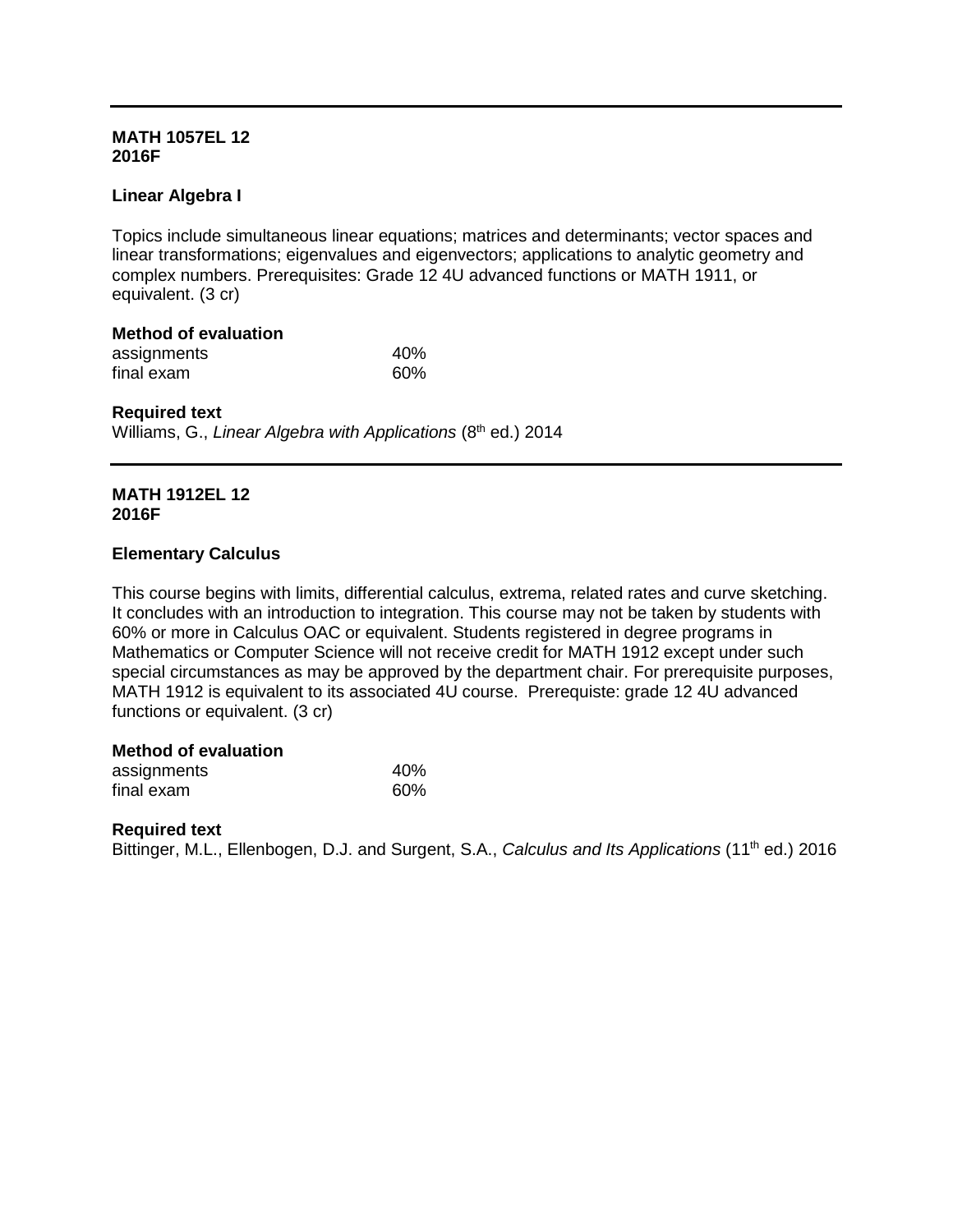## **MATH 1057EL 12 2016F**

# **Linear Algebra I**

Topics include simultaneous linear equations; matrices and determinants; vector spaces and linear transformations; eigenvalues and eigenvectors; applications to analytic geometry and complex numbers. Prerequisites: Grade 12 4U advanced functions or MATH 1911, or equivalent. (3 cr)

| <b>Method of evaluation</b> |     |
|-----------------------------|-----|
| assignments                 | 40% |
| final exam                  | 60% |

#### **Required text**

Williams, G., *Linear Algebra with Applications* (8<sup>th</sup> ed.) 2014

# **MATH 1912EL 12 2016F**

## **Elementary Calculus**

This course begins with limits, differential calculus, extrema, related rates and curve sketching. It concludes with an introduction to integration. This course may not be taken by students with 60% or more in Calculus OAC or equivalent. Students registered in degree programs in Mathematics or Computer Science will not receive credit for MATH 1912 except under such special circumstances as may be approved by the department chair. For prerequisite purposes, MATH 1912 is equivalent to its associated 4U course. Prerequiste: grade 12 4U advanced functions or equivalent. (3 cr)

#### **Method of evaluation**

| assignments | 40% |
|-------------|-----|
| final exam  | 60% |

#### **Required text**

Bittinger, M.L., Ellenbogen, D.J. and Surgent, S.A., *Calculus and Its Applications* (11<sup>th</sup> ed.) 2016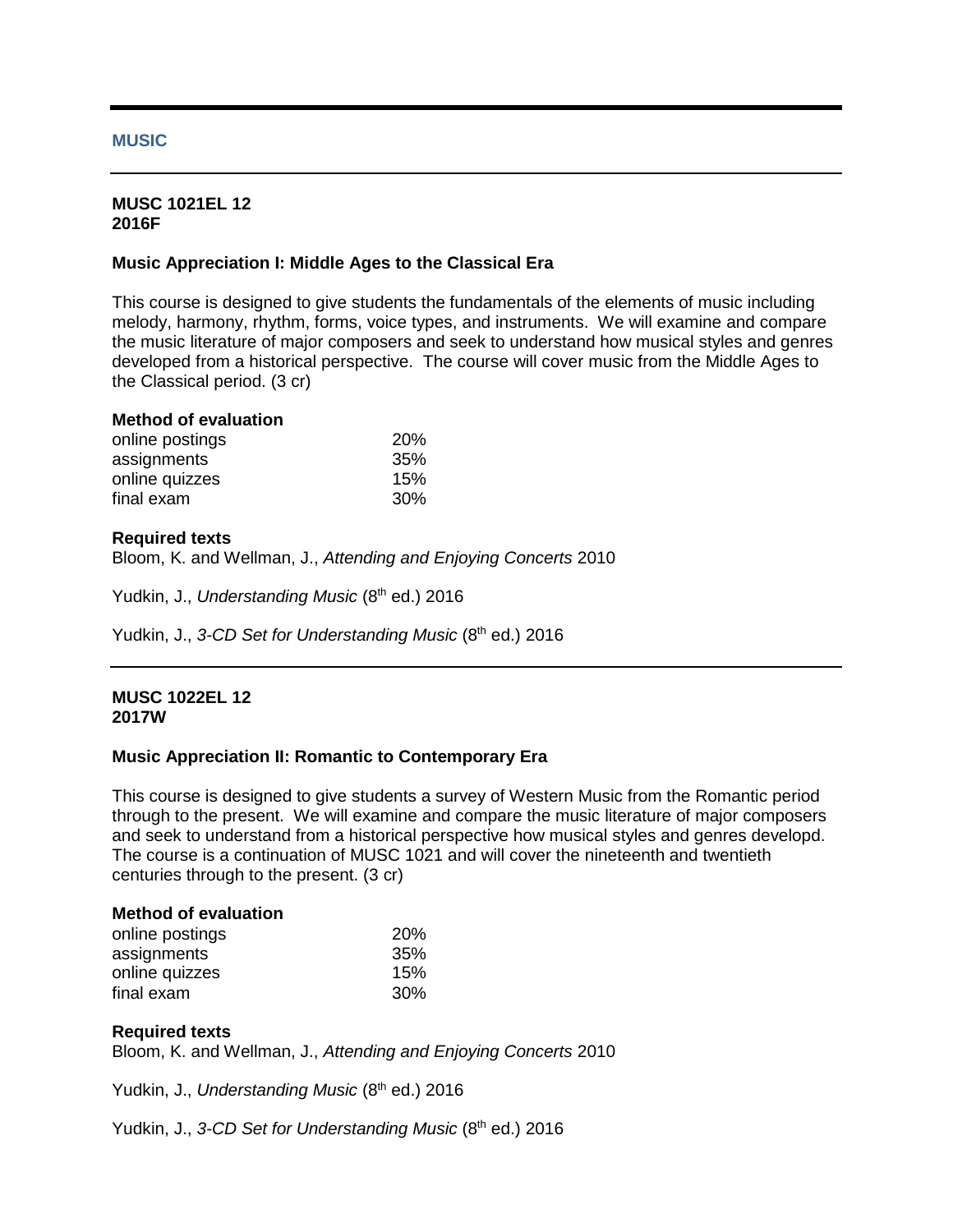#### **MUSIC**

#### **MUSC 1021EL 12 2016F**

## **Music Appreciation I: Middle Ages to the Classical Era**

This course is designed to give students the fundamentals of the elements of music including melody, harmony, rhythm, forms, voice types, and instruments. We will examine and compare the music literature of major composers and seek to understand how musical styles and genres developed from a historical perspective. The course will cover music from the Middle Ages to the Classical period. (3 cr)

| <b>Method of evaluation</b> |  |
|-----------------------------|--|
|                             |  |

| online postings | 20% |
|-----------------|-----|
| assignments     | 35% |
| online quizzes  | 15% |
| final exam      | 30% |

## **Required texts**

Bloom, K. and Wellman, J., *Attending and Enjoying Concerts* 2010

Yudkin, J., *Understanding Music* (8<sup>th</sup> ed.) 2016

Yudkin, J., 3-CD Set for Understanding Music (8<sup>th</sup> ed.) 2016

#### **MUSC 1022EL 12 2017W**

## **Music Appreciation II: Romantic to Contemporary Era**

This course is designed to give students a survey of Western Music from the Romantic period through to the present. We will examine and compare the music literature of major composers and seek to understand from a historical perspective how musical styles and genres developd. The course is a continuation of MUSC 1021 and will cover the nineteenth and twentieth centuries through to the present. (3 cr)

#### **Method of evaluation**

| online postings | <b>20%</b> |
|-----------------|------------|
| assignments     | 35%        |
| online quizzes  | 15%        |
| final exam      | <b>30%</b> |

## **Required texts**

Bloom, K. and Wellman, J., *Attending and Enjoying Concerts* 2010

Yudkin, J., *Understanding Music* (8<sup>th</sup> ed.) 2016

Yudkin, J., 3-CD Set for Understanding Music (8<sup>th</sup> ed.) 2016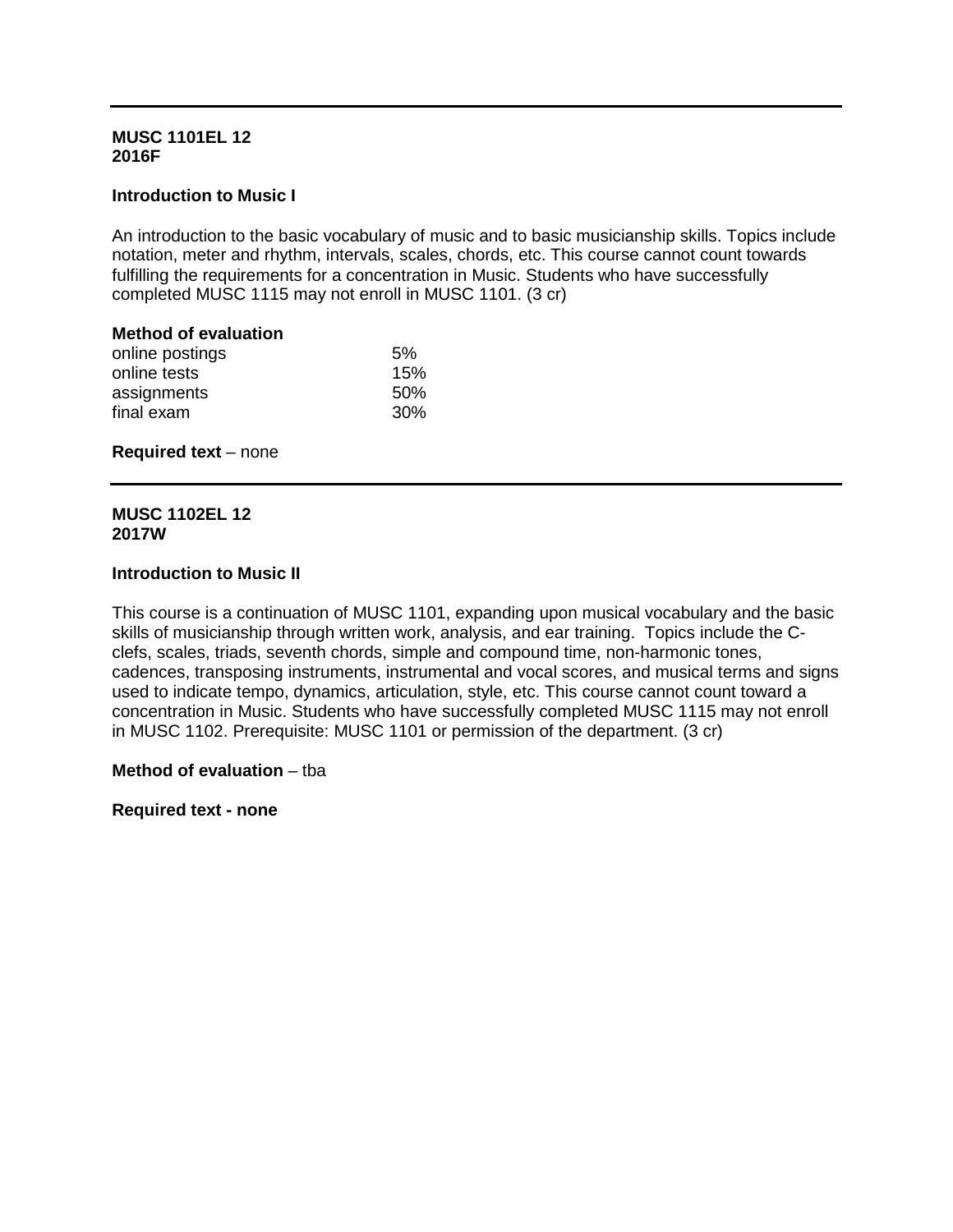## **MUSC 1101EL 12 2016F**

# **Introduction to Music I**

An introduction to the basic vocabulary of music and to basic musicianship skills. Topics include notation, meter and rhythm, intervals, scales, chords, etc. This course cannot count towards fulfilling the requirements for a concentration in Music. Students who have successfully completed MUSC 1115 may not enroll in MUSC 1101. (3 cr)

# **Method of evaluation**

| online postings | 5%              |
|-----------------|-----------------|
| online tests    | 15%             |
| assignments     | 50%             |
| final exam      | 30 <sup>%</sup> |
|                 |                 |

#### **Required text – none**

# **MUSC 1102EL 12 2017W**

## **Introduction to Music II**

This course is a continuation of MUSC 1101, expanding upon musical vocabulary and the basic skills of musicianship through written work, analysis, and ear training. Topics include the Cclefs, scales, triads, seventh chords, simple and compound time, non-harmonic tones, cadences, transposing instruments, instrumental and vocal scores, and musical terms and signs used to indicate tempo, dynamics, articulation, style, etc. This course cannot count toward a concentration in Music. Students who have successfully completed MUSC 1115 may not enroll in MUSC 1102. Prerequisite: MUSC 1101 or permission of the department. (3 cr)

## **Method of evaluation** – tba

**Required text - none**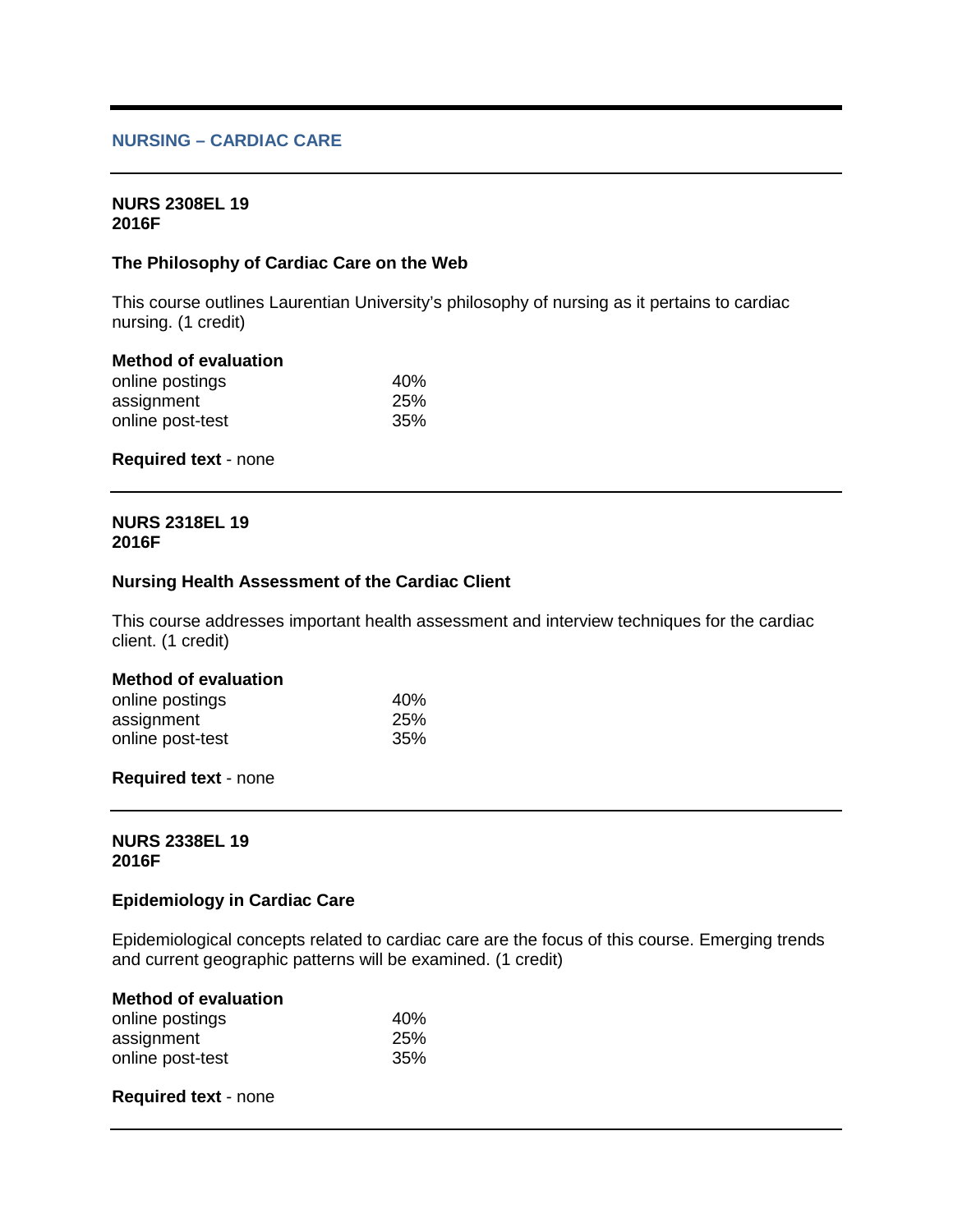# **NURSING – CARDIAC CARE**

#### **NURS 2308EL 19 2016F**

## **The Philosophy of Cardiac Care on the Web**

This course outlines Laurentian University's philosophy of nursing as it pertains to cardiac nursing. (1 credit)

## **Method of evaluation**

| online postings  | 40% |
|------------------|-----|
| assignment       | 25% |
| online post-test | 35% |

#### **Required text** - none

#### **NURS 2318EL 19 2016F**

# **Nursing Health Assessment of the Cardiac Client**

This course addresses important health assessment and interview techniques for the cardiac client. (1 credit)

## **Method of evaluation**

| online postings  | 40%        |
|------------------|------------|
| assignment       | <b>25%</b> |
| online post-test | 35%        |

#### **Required text** - none

#### **NURS 2338EL 19 2016F**

#### **Epidemiology in Cardiac Care**

Epidemiological concepts related to cardiac care are the focus of this course. Emerging trends and current geographic patterns will be examined. (1 credit)

#### **Method of evaluation**

| online postings  | 40% |
|------------------|-----|
| assignment       | 25% |
| online post-test | 35% |

#### **Required text** - none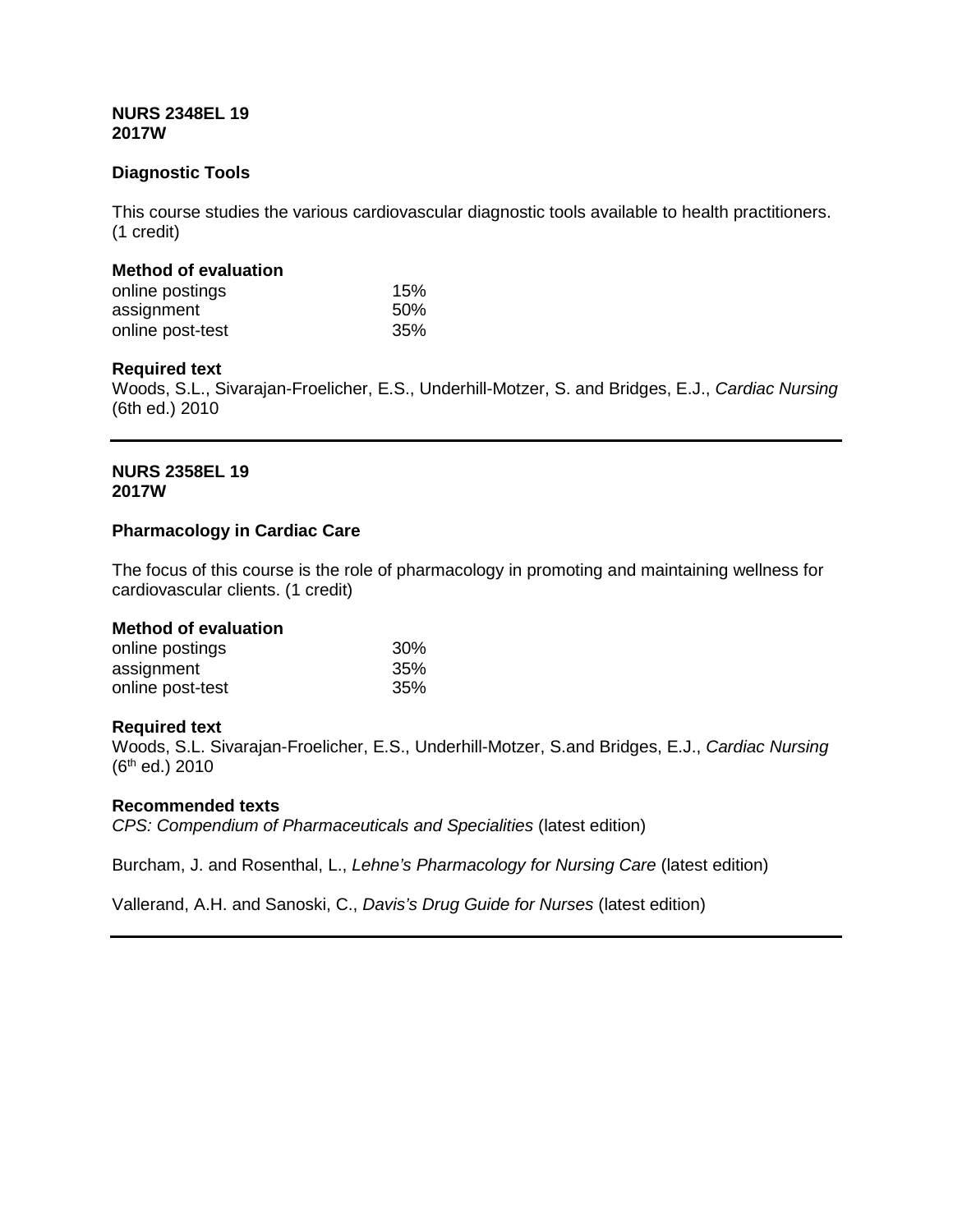## **NURS 2348EL 19 2017W**

# **Diagnostic Tools**

This course studies the various cardiovascular diagnostic tools available to health practitioners. (1 credit)

## **Method of evaluation**

| online postings  | 15% |
|------------------|-----|
| assignment       | 50% |
| online post-test | 35% |

## **Required text**

Woods, S.L., Sivarajan-Froelicher, E.S., Underhill-Motzer, S. and Bridges, E.J., *Cardiac Nursing* (6th ed.) 2010

## **NURS 2358EL 19 2017W**

## **Pharmacology in Cardiac Care**

The focus of this course is the role of pharmacology in promoting and maintaining wellness for cardiovascular clients. (1 credit)

## **Method of evaluation**

| online postings  | 30% |
|------------------|-----|
| assignment       | 35% |
| online post-test | 35% |

## **Required text**

Woods, S.L. Sivarajan-Froelicher, E.S., Underhill-Motzer, S.and Bridges, E.J., *Cardiac Nursing* (6th ed.) 2010

## **Recommended texts**

*CPS: Compendium of Pharmaceuticals and Specialities* (latest edition)

Burcham, J. and Rosenthal, L., *Lehne's Pharmacology for Nursing Care* (latest edition)

Vallerand, A.H. and Sanoski, C., *Davis's Drug Guide for Nurses* (latest edition)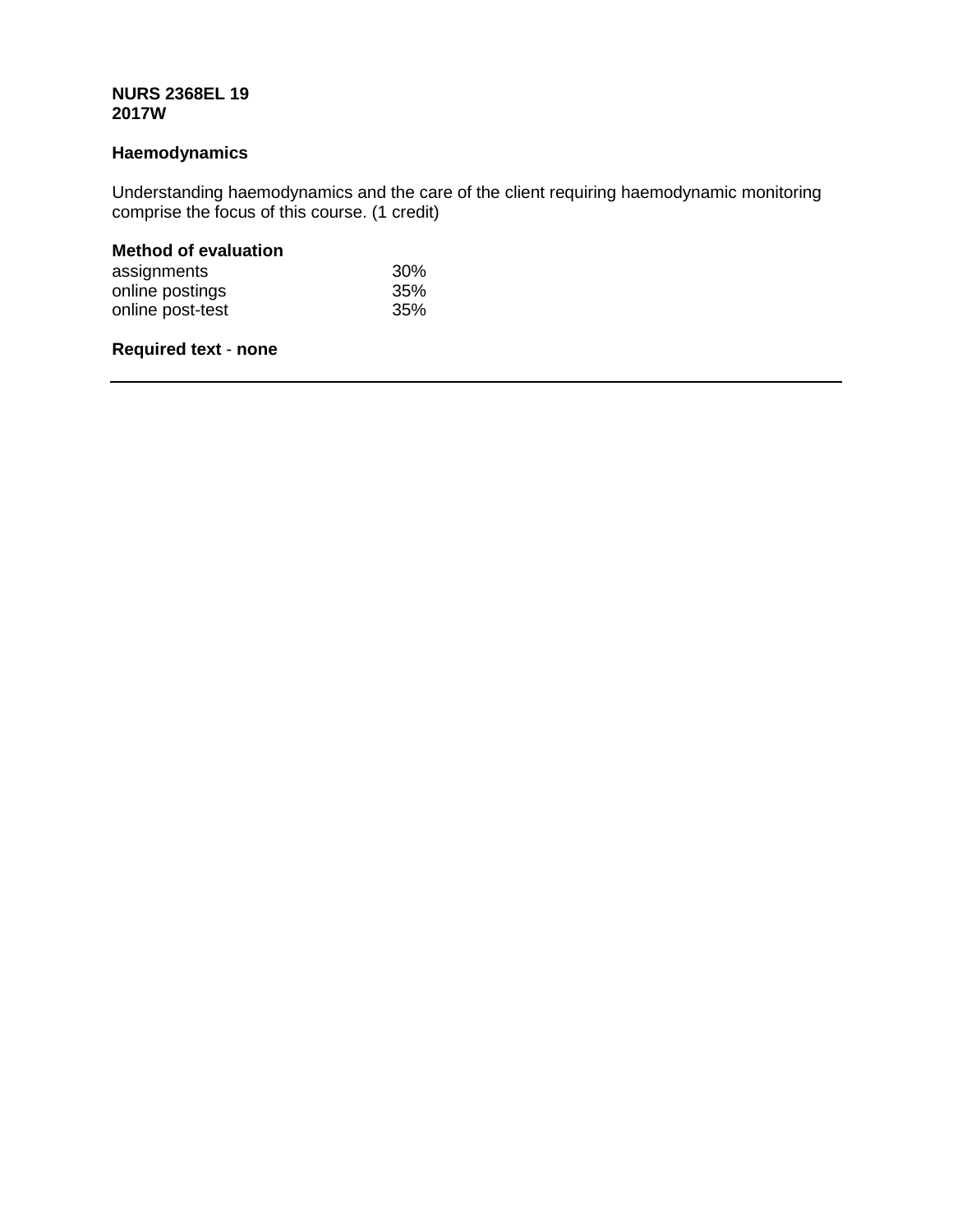## **NURS 2368EL 19 2017W**

# **Haemodynamics**

Understanding haemodynamics and the care of the client requiring haemodynamic monitoring comprise the focus of this course. (1 credit)

# **Method of evaluation**

| assignments      | 30% |
|------------------|-----|
| online postings  | 35% |
| online post-test | 35% |

# **Required text** - **none**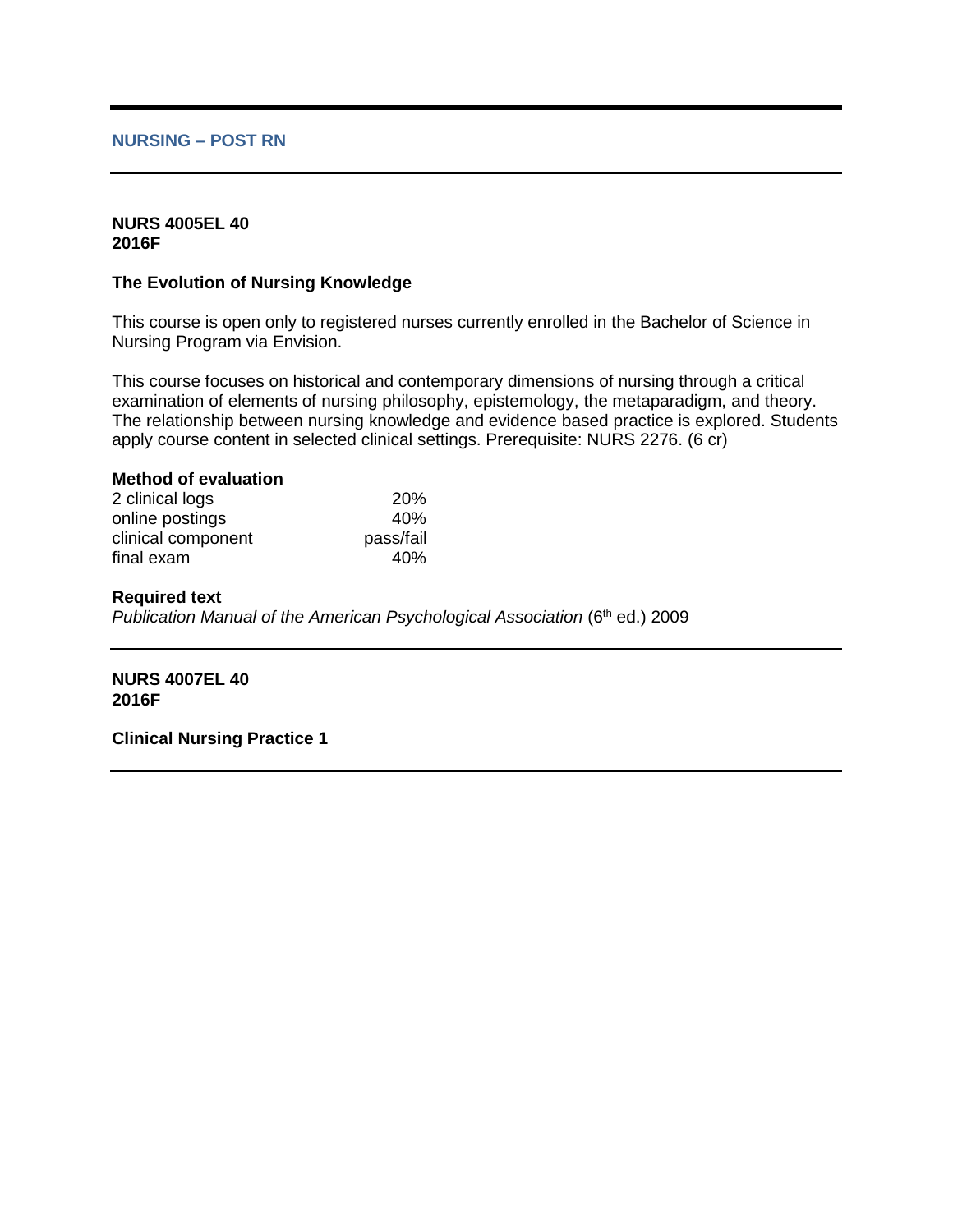### **NURSING – POST RN**

### **NURS 4005EL 40 2016F**

## **The Evolution of Nursing Knowledge**

This course is open only to registered nurses currently enrolled in the Bachelor of Science in Nursing Program via Envision.

This course focuses on historical and contemporary dimensions of nursing through a critical examination of elements of nursing philosophy, epistemology, the metaparadigm, and theory. The relationship between nursing knowledge and evidence based practice is explored. Students apply course content in selected clinical settings. Prerequisite: NURS 2276. (6 cr)

## **Method of evaluation**

| 2 clinical logs    | <b>20%</b> |
|--------------------|------------|
| online postings    | 40%        |
| clinical component | pass/fail  |
| final exam         | 40%        |

#### **Required text**

*Publication Manual of the American Psychological Association* (6<sup>th</sup> ed.) 2009

**NURS 4007EL 40 2016F**

**Clinical Nursing Practice 1**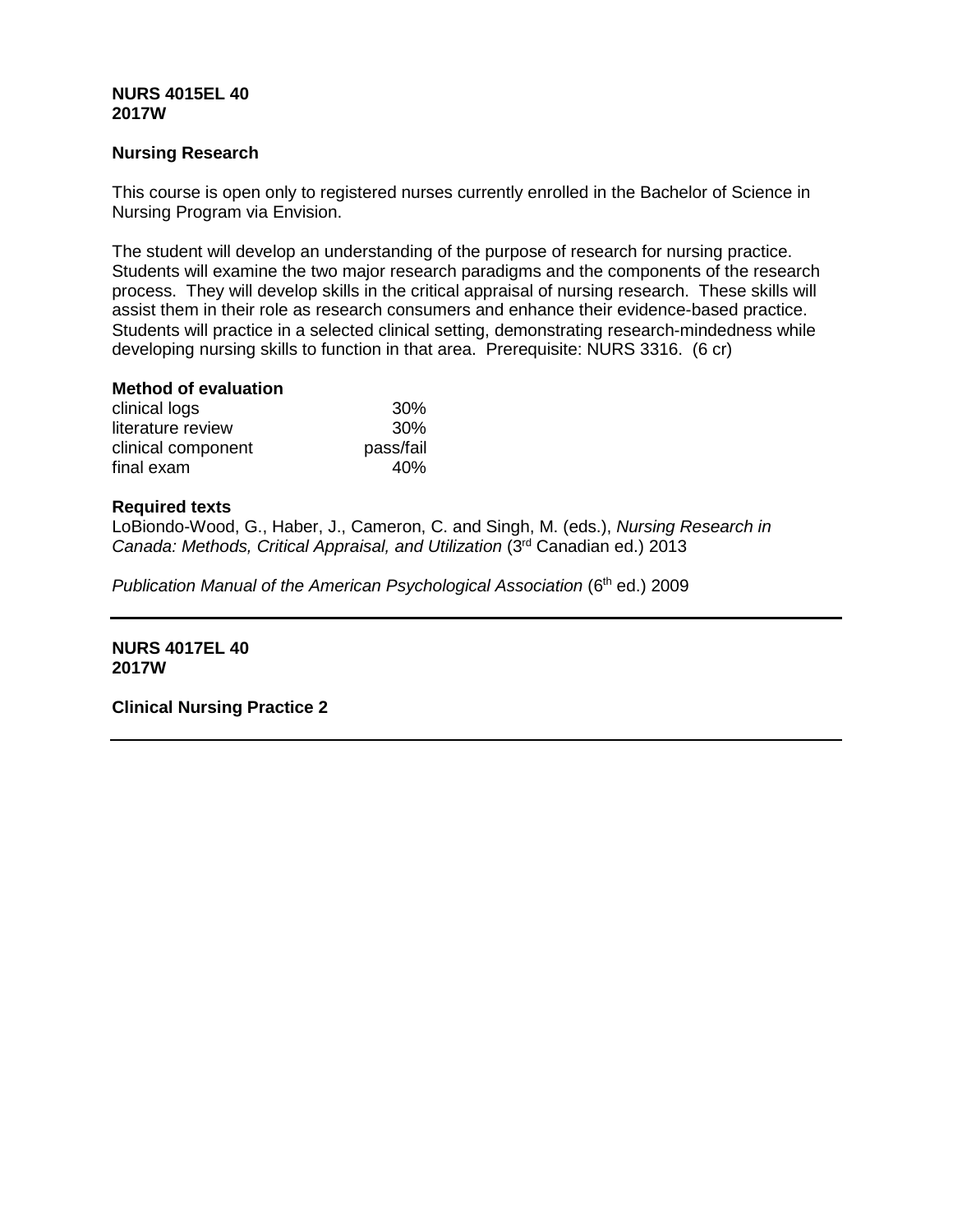## **NURS 4015EL 40 2017W**

## **Nursing Research**

This course is open only to registered nurses currently enrolled in the Bachelor of Science in Nursing Program via Envision.

The student will develop an understanding of the purpose of research for nursing practice. Students will examine the two major research paradigms and the components of the research process. They will develop skills in the critical appraisal of nursing research. These skills will assist them in their role as research consumers and enhance their evidence-based practice. Students will practice in a selected clinical setting, demonstrating research-mindedness while developing nursing skills to function in that area. Prerequisite: NURS 3316. (6 cr)

# **Method of evaluation**

| clinical logs      | 30%       |
|--------------------|-----------|
| literature review  | 30%       |
| clinical component | pass/fail |
| final exam         | 40%       |

## **Required texts**

LoBiondo-Wood, G., Haber, J., Cameron, C. and Singh, M. (eds.), *Nursing Research in Canada: Methods, Critical Appraisal, and Utilization* (3rd Canadian ed.) 2013

*Publication Manual of the American Psychological Association* (6<sup>th</sup> ed.) 2009

**NURS 4017EL 40 2017W**

**Clinical Nursing Practice 2**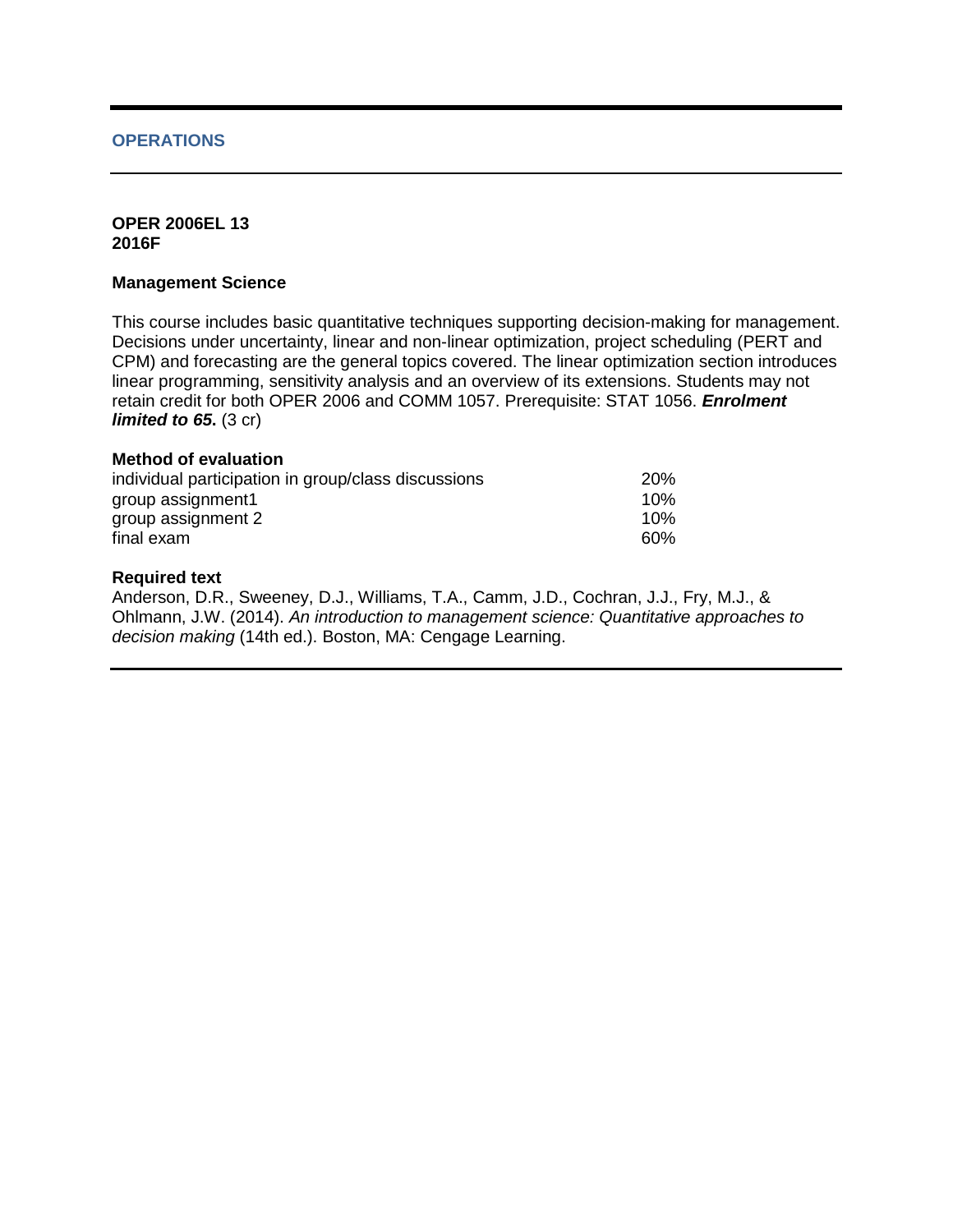## **OPERATIONS**

### **OPER 2006EL 13 2016F**

### **Management Science**

This course includes basic quantitative techniques supporting decision-making for management. Decisions under uncertainty, linear and non-linear optimization, project scheduling (PERT and CPM) and forecasting are the general topics covered. The linear optimization section introduces linear programming, sensitivity analysis and an overview of its extensions. Students may not retain credit for both OPER 2006 and COMM 1057. Prerequisite: STAT 1056. *Enrolment limited to 65.* (3 cr)

### **Method of evaluation**

| individual participation in group/class discussions | 20% |
|-----------------------------------------------------|-----|
| group assignment1                                   | 10% |
| group assignment 2                                  | 10% |
| final exam                                          | 60% |

### **Required text**

Anderson, D.R., Sweeney, D.J., Williams, T.A., Camm, J.D., Cochran, J.J., Fry, M.J., & Ohlmann, J.W. (2014). *An introduction to management science: Quantitative approaches to decision making* (14th ed.). Boston, MA: Cengage Learning.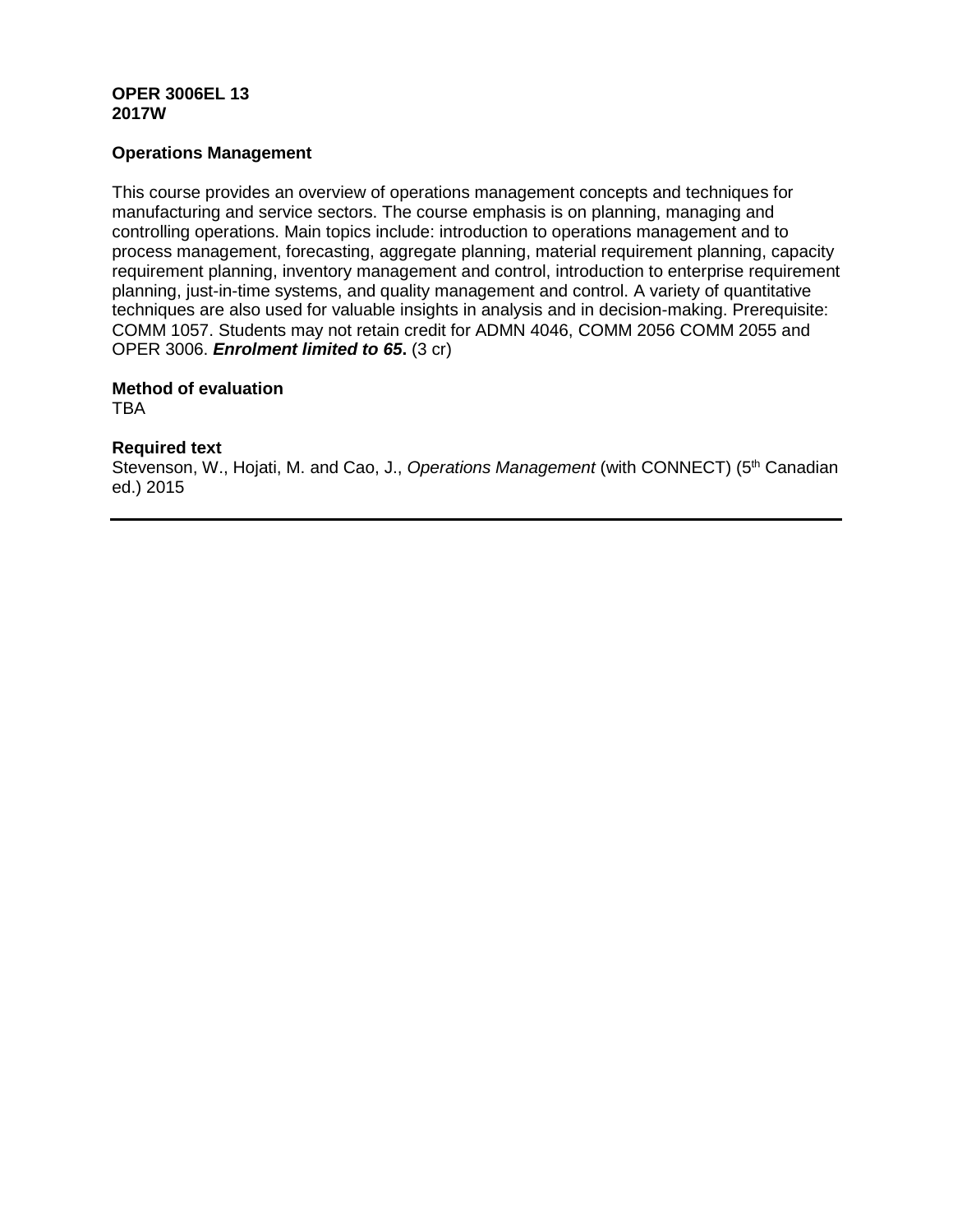## **OPER 3006EL 13 2017W**

## **Operations Management**

This course provides an overview of operations management concepts and techniques for manufacturing and service sectors. The course emphasis is on planning, managing and controlling operations. Main topics include: introduction to operations management and to process management, forecasting, aggregate planning, material requirement planning, capacity requirement planning, inventory management and control, introduction to enterprise requirement planning, just-in-time systems, and quality management and control. A variety of quantitative techniques are also used for valuable insights in analysis and in decision-making. Prerequisite: COMM 1057. Students may not retain credit for ADMN 4046, COMM 2056 COMM 2055 and OPER 3006. *Enrolment limited to 65***.** (3 cr)

# **Method of evaluation**

**TBA** 

# **Required text**

Stevenson, W., Hojati, M. and Cao, J., *Operations Management* (with CONNECT) (5<sup>th</sup> Canadian ed.) 2015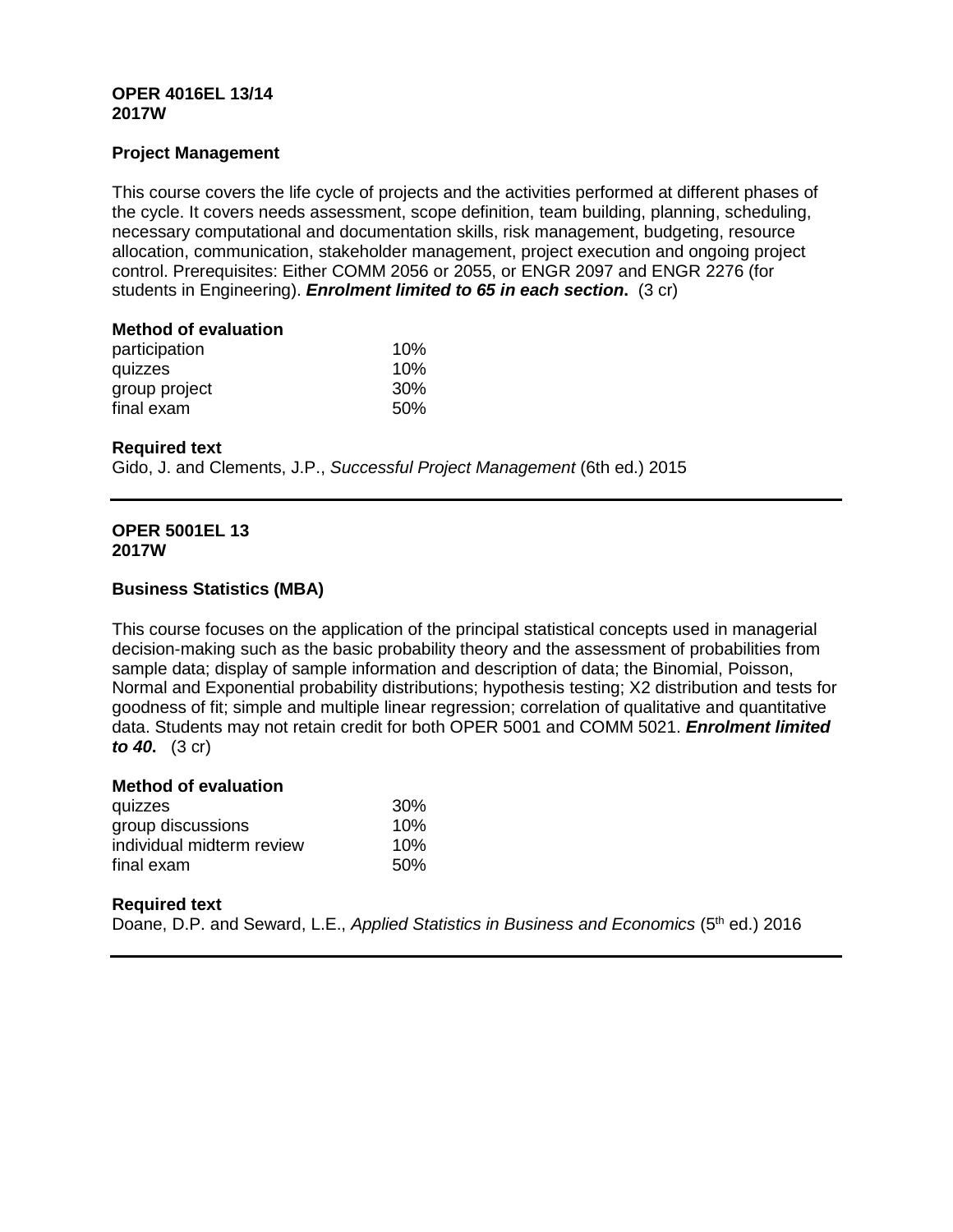## **OPER 4016EL 13/14 2017W**

## **Project Management**

This course covers the life cycle of projects and the activities performed at different phases of the cycle. It covers needs assessment, scope definition, team building, planning, scheduling, necessary computational and documentation skills, risk management, budgeting, resource allocation, communication, stakeholder management, project execution and ongoing project control. Prerequisites: Either COMM 2056 or 2055, or ENGR 2097 and ENGR 2276 (for students in Engineering). *Enrolment limited to 65 in each section***.** (3 cr)

### **Method of evaluation**

| participation | 10%        |
|---------------|------------|
| quizzes       | 10%        |
| group project | <b>30%</b> |
| final exam    | 50%        |

## **Required text**

Gido, J. and Clements, J.P., *Successful Project Management* (6th ed.) 2015

## **OPER 5001EL 13 2017W**

# **Business Statistics (MBA)**

This course focuses on the application of the principal statistical concepts used in managerial decision-making such as the basic probability theory and the assessment of probabilities from sample data; display of sample information and description of data; the Binomial, Poisson, Normal and Exponential probability distributions; hypothesis testing; X2 distribution and tests for goodness of fit; simple and multiple linear regression; correlation of qualitative and quantitative data. Students may not retain credit for both OPER 5001 and COMM 5021. *Enrolment limited to 40***.** (3 cr)

## **Method of evaluation**

| quizzes                   | 30 <sup>%</sup> |
|---------------------------|-----------------|
| group discussions         | 10%             |
| individual midterm review | 10%             |
| final exam                | 50%             |

## **Required text**

Doane, D.P. and Seward, L.E., *Applied Statistics in Business and Economics* (5<sup>th</sup> ed.) 2016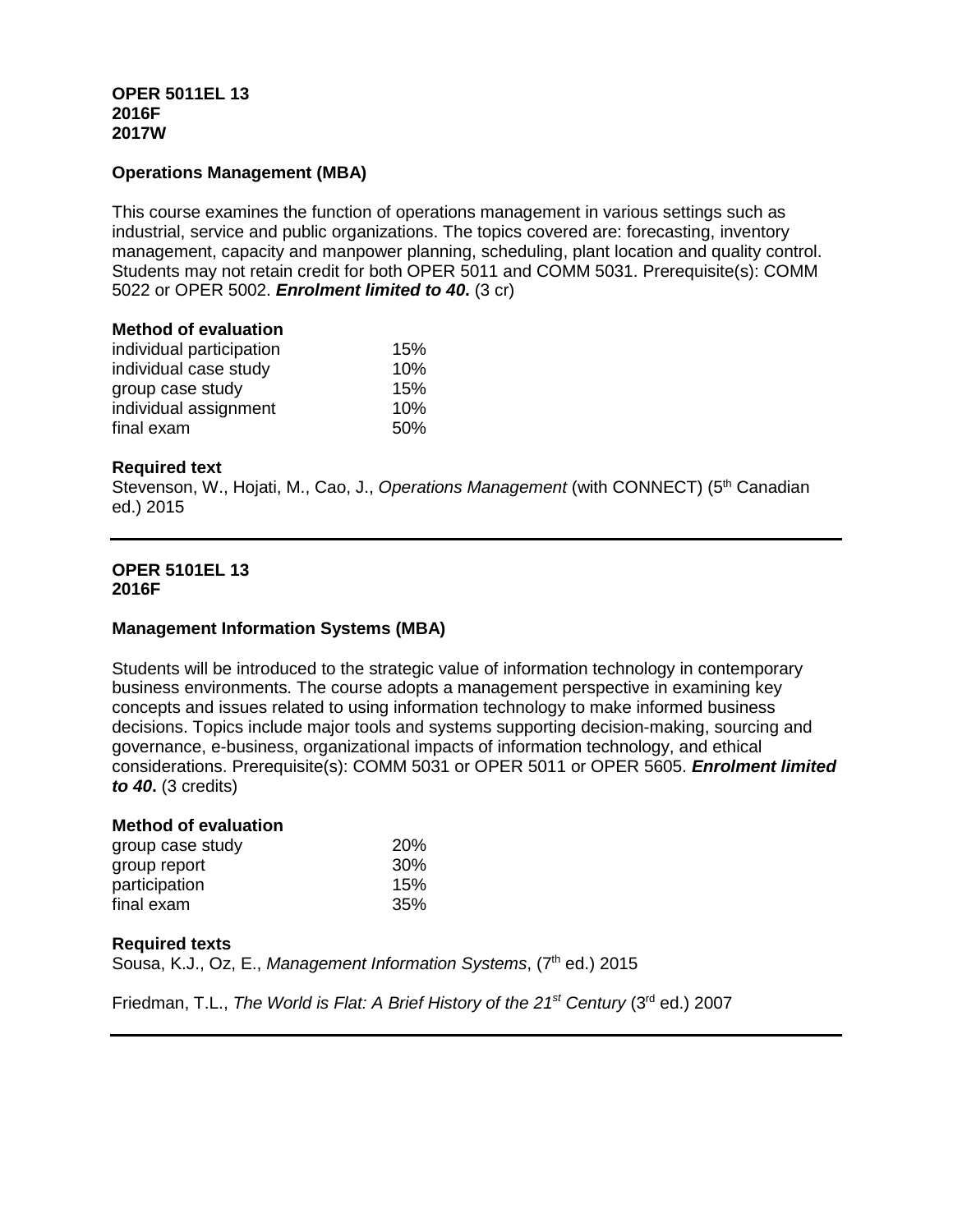# **OPER 5011EL 13 2016F 2017W**

# **Operations Management (MBA)**

This course examines the function of operations management in various settings such as industrial, service and public organizations. The topics covered are: forecasting, inventory management, capacity and manpower planning, scheduling, plant location and quality control. Students may not retain credit for both OPER 5011 and COMM 5031. Prerequisite(s): COMM 5022 or OPER 5002. *Enrolment limited to 40***.** (3 cr)

### **Method of evaluation**

| individual participation | 15%  |
|--------------------------|------|
| individual case study    | 10%  |
| group case study         | 15%  |
| individual assignment    | 10%  |
| final exam               | .50% |

## **Required text**

Stevenson, W., Hojati, M., Cao, J., *Operations Management* (with CONNECT) (5<sup>th</sup> Canadian ed.) 2015

### **OPER 5101EL 13 2016F**

## **Management Information Systems (MBA)**

Students will be introduced to the strategic value of information technology in contemporary business environments. The course adopts a management perspective in examining key concepts and issues related to using information technology to make informed business decisions. Topics include major tools and systems supporting decision-making, sourcing and governance, e-business, organizational impacts of information technology, and ethical considerations. Prerequisite(s): COMM 5031 or OPER 5011 or OPER 5605. *Enrolment limited to 40***.** (3 credits)

| <b>Method of evaluation</b> |            |
|-----------------------------|------------|
| group case study            | <b>20%</b> |
| group report                | 30%        |
| participation               | 15%        |
| final exam                  | 35%        |

### **Required texts**

Sousa, K.J., Oz, E., *Management Information Systems*, (7<sup>th</sup> ed.) 2015

Friedman, T.L., *The World is Flat: A Brief History of the 21<sup>st</sup> Century (3<sup>rd</sup> ed.) 2007*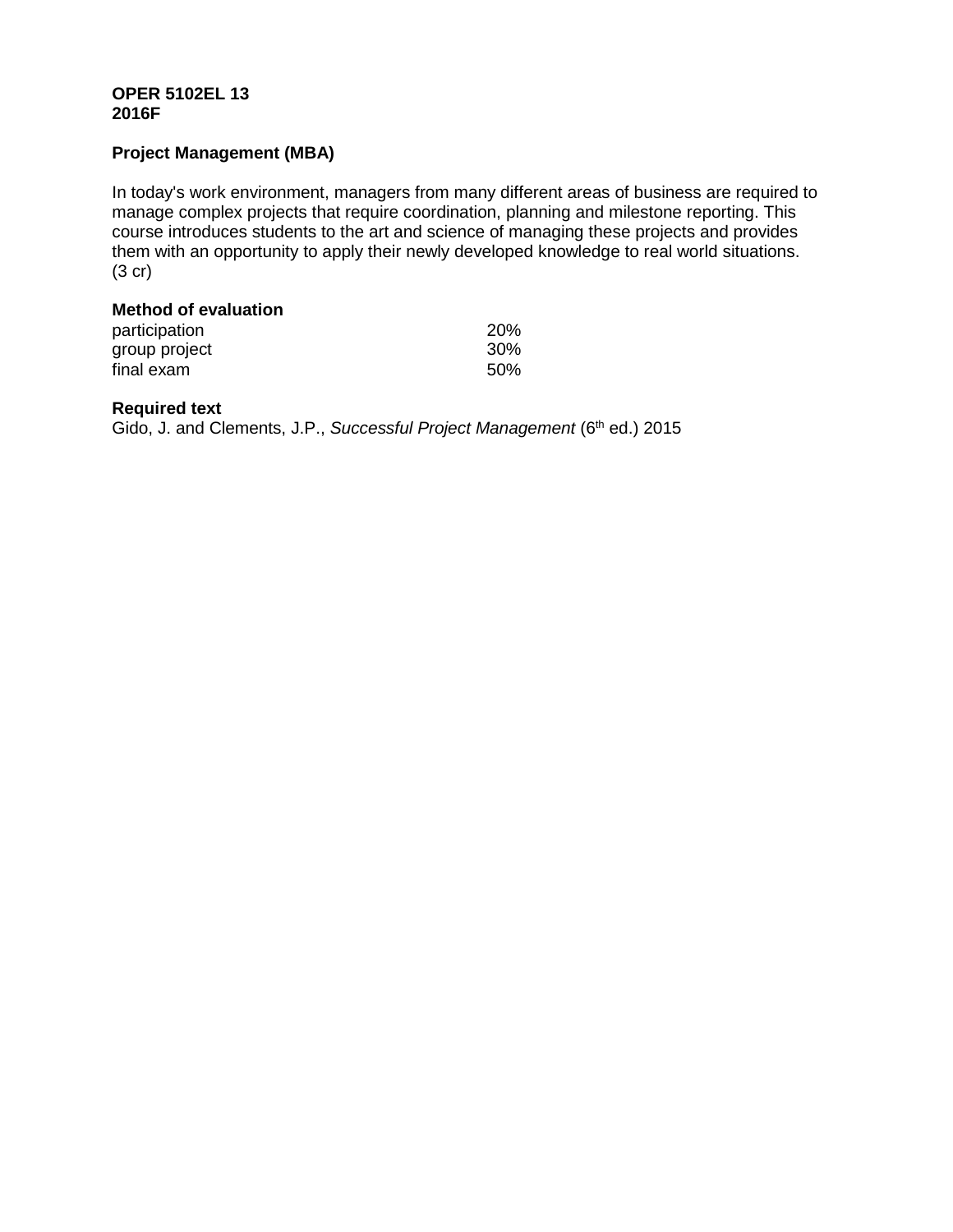## **OPER 5102EL 13 2016F**

# **Project Management (MBA)**

In today's work environment, managers from many different areas of business are required to manage complex projects that require coordination, planning and milestone reporting. This course introduces students to the art and science of managing these projects and provides them with an opportunity to apply their newly developed knowledge to real world situations. (3 cr)

## **Method of evaluation**

| participation | 20% |
|---------------|-----|
| group project | 30% |
| final exam    | 50% |

### **Required text**

Gido, J. and Clements, J.P., *Successful Project Management* (6<sup>th</sup> ed.) 2015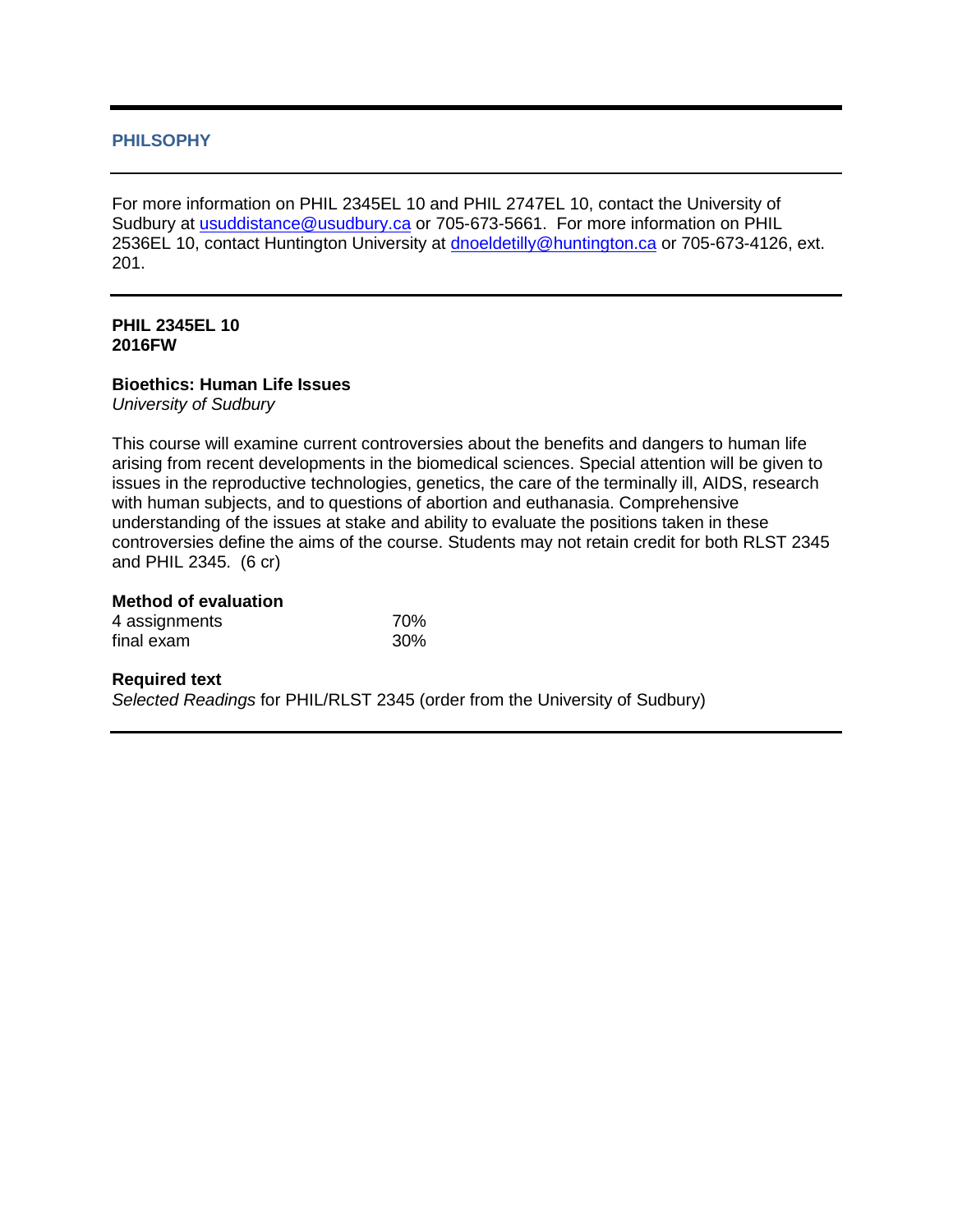## **PHILSOPHY**

For more information on PHIL 2345EL 10 and PHIL 2747EL 10, contact the University of Sudbury at [usuddistance@usudbury.ca](mailto:usuddistance@usudbury.ca) or 705-673-5661. For more information on PHIL 2536EL 10, contact Huntington University at [dnoeldetilly@huntington.ca](mailto:dnoeldetilly@huntington.ca) or 705-673-4126, ext. 201.

### **PHIL 2345EL 10 2016FW**

## **Bioethics: Human Life Issues**

*University of Sudbury*

This course will examine current controversies about the benefits and dangers to human life arising from recent developments in the biomedical sciences. Special attention will be given to issues in the reproductive technologies, genetics, the care of the terminally ill, AIDS, research with human subjects, and to questions of abortion and euthanasia. Comprehensive understanding of the issues at stake and ability to evaluate the positions taken in these controversies define the aims of the course. Students may not retain credit for both RLST 2345 and PHIL 2345. (6 cr)

### **Method of evaluation**

| 4 assignments | 70% |
|---------------|-----|
| final exam    | 30% |

## **Required text**

*Selected Readings* for PHIL/RLST 2345 (order from the University of Sudbury)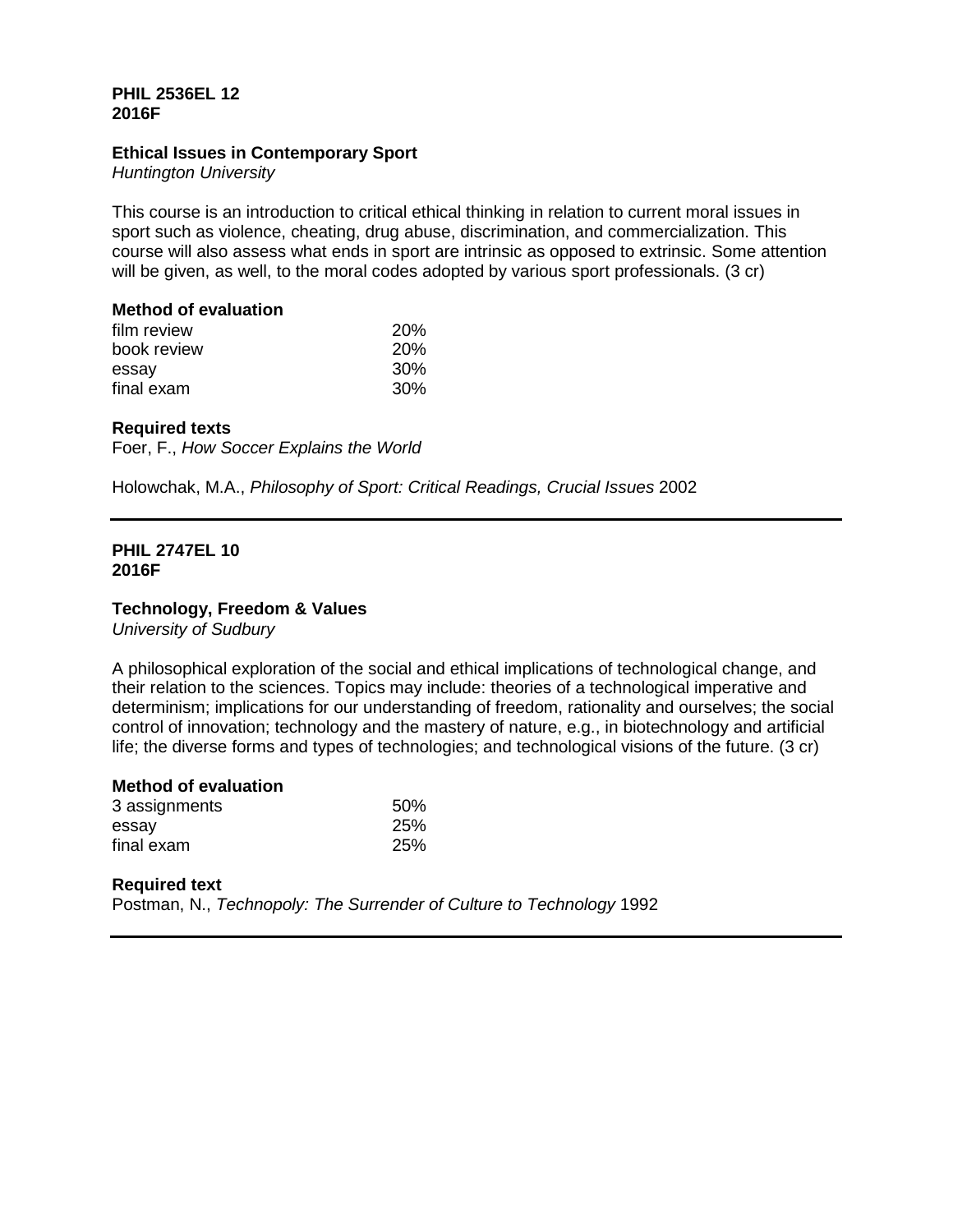## **PHIL 2536EL 12 2016F**

## **Ethical Issues in Contemporary Sport**

*Huntington University*

This course is an introduction to critical ethical thinking in relation to current moral issues in sport such as violence, cheating, drug abuse, discrimination, and commercialization. This course will also assess what ends in sport are intrinsic as opposed to extrinsic. Some attention will be given, as well, to the moral codes adopted by various sport professionals. (3 cr)

## **Method of evaluation**

| film review | <b>20%</b>      |
|-------------|-----------------|
| book review | <b>20%</b>      |
| essay       | 30 <sup>%</sup> |
| final exam  | 30 <sup>%</sup> |

# **Required texts**

Foer, F., *How Soccer Explains the World*

Holowchak, M.A., *Philosophy of Sport: Critical Readings, Crucial Issues* 2002

### **PHIL 2747EL 10 2016F**

## **Technology, Freedom & Values**

*University of Sudbury*

A philosophical exploration of the social and ethical implications of technological change, and their relation to the sciences. Topics may include: theories of a technological imperative and determinism; implications for our understanding of freedom, rationality and ourselves; the social control of innovation; technology and the mastery of nature, e.g., in biotechnology and artificial life; the diverse forms and types of technologies; and technological visions of the future. (3 cr)

## **Method of evaluation**

| 3 assignments | 50% |
|---------------|-----|
| essay         | 25% |
| final exam    | 25% |

## **Required text**

Postman, N., *Technopoly: The Surrender of Culture to Technology* 1992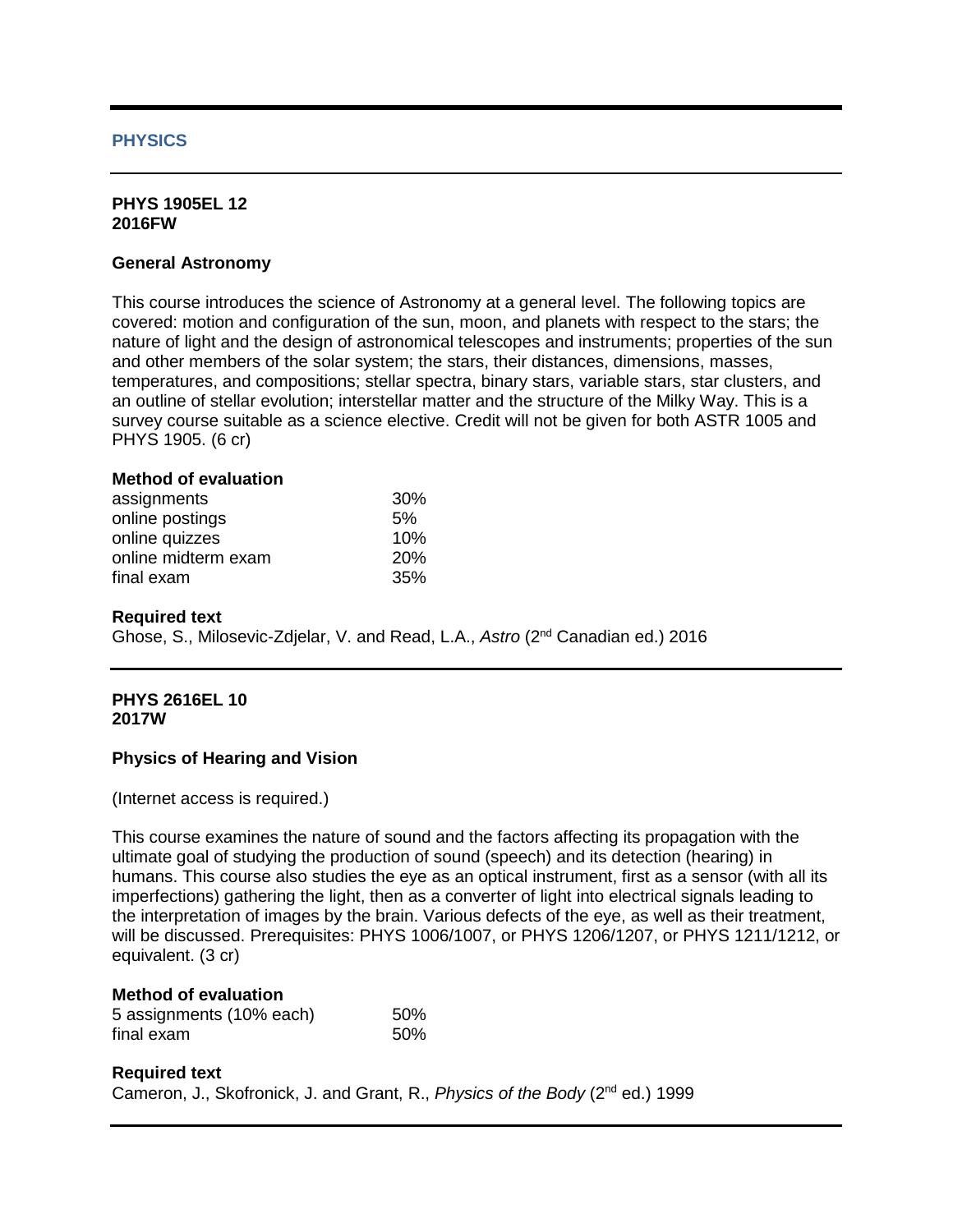## **PHYSICS**

### **PHYS 1905EL 12 2016FW**

### **General Astronomy**

This course introduces the science of Astronomy at a general level. The following topics are covered: motion and configuration of the sun, moon, and planets with respect to the stars; the nature of light and the design of astronomical telescopes and instruments; properties of the sun and other members of the solar system; the stars, their distances, dimensions, masses, temperatures, and compositions; stellar spectra, binary stars, variable stars, star clusters, and an outline of stellar evolution; interstellar matter and the structure of the Milky Way. This is a survey course suitable as a science elective. Credit will not be given for both ASTR 1005 and PHYS 1905. (6 cr)

### **Method of evaluation**

| assignments         | <b>30%</b> |
|---------------------|------------|
| online postings     | 5%         |
| online quizzes      | 10%        |
| online midterm exam | <b>20%</b> |
| final exam          | 35%        |

### **Required text**

Ghose, S., Milosevic-Zdjelar, V. and Read, L.A., *Astro* (2nd Canadian ed.) 2016

### **PHYS 2616EL 10 2017W**

### **Physics of Hearing and Vision**

(Internet access is required.)

This course examines the nature of sound and the factors affecting its propagation with the ultimate goal of studying the production of sound (speech) and its detection (hearing) in humans. This course also studies the eye as an optical instrument, first as a sensor (with all its imperfections) gathering the light, then as a converter of light into electrical signals leading to the interpretation of images by the brain. Various defects of the eye, as well as their treatment, will be discussed. Prerequisites: PHYS 1006/1007, or PHYS 1206/1207, or PHYS 1211/1212, or equivalent. (3 cr)

## **Method of evaluation**

| 5 assignments (10% each) | 50% |
|--------------------------|-----|
| final exam               | 50% |

## **Required text** Cameron, J., Skofronick, J. and Grant, R., *Physics of the Body* (2nd ed.) 1999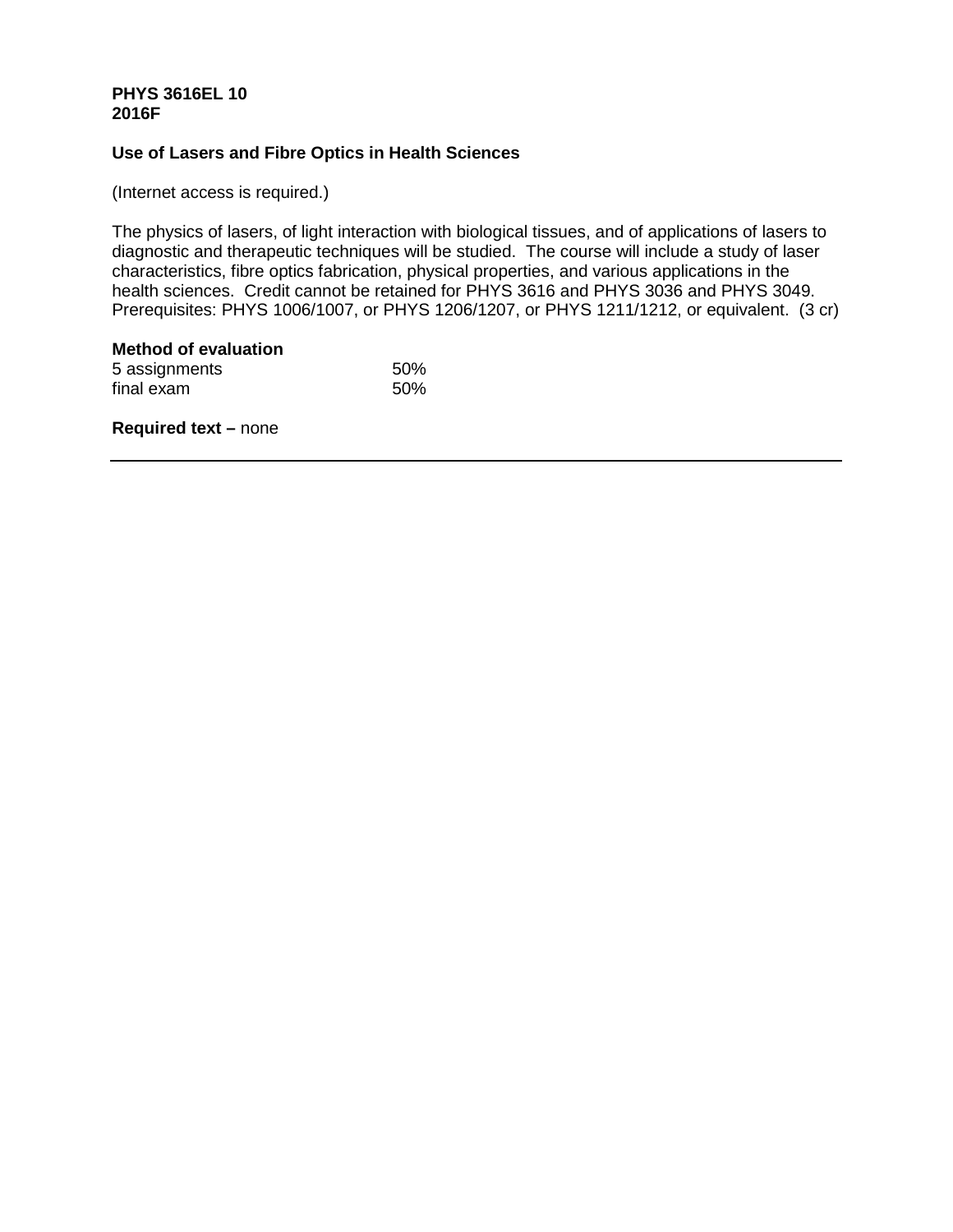## **PHYS 3616EL 10 2016F**

## **Use of Lasers and Fibre Optics in Health Sciences**

(Internet access is required.)

The physics of lasers, of light interaction with biological tissues, and of applications of lasers to diagnostic and therapeutic techniques will be studied. The course will include a study of laser characteristics, fibre optics fabrication, physical properties, and various applications in the health sciences. Credit cannot be retained for PHYS 3616 and PHYS 3036 and PHYS 3049. Prerequisites: PHYS 1006/1007, or PHYS 1206/1207, or PHYS 1211/1212, or equivalent. (3 cr)

# **Method of evaluation** 5 assignments 50%<br>
final exam 50% final exam

**Required text –** none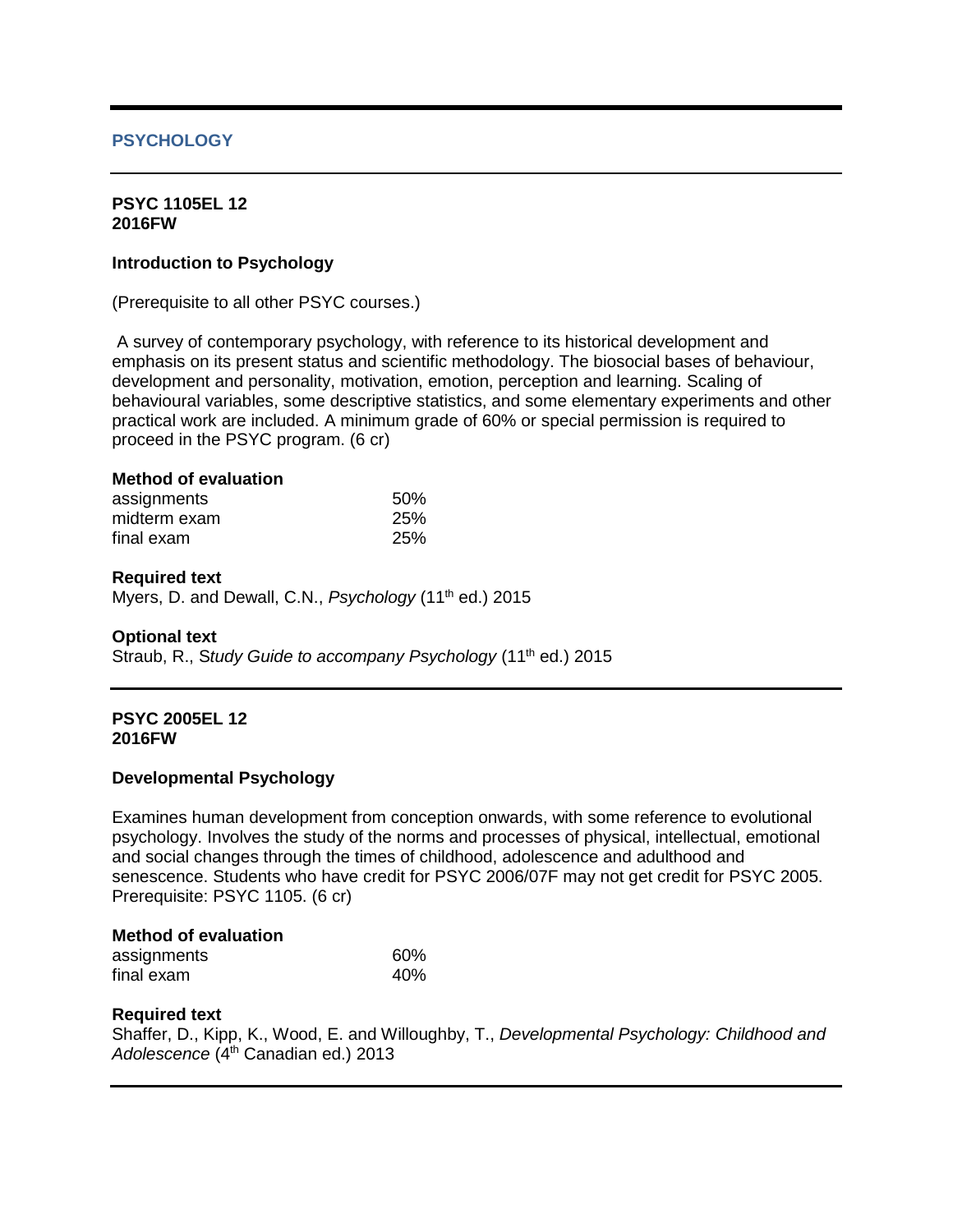# **PSYCHOLOGY**

### **PSYC 1105EL 12 2016FW**

# **Introduction to Psychology**

(Prerequisite to all other PSYC courses.)

A survey of contemporary psychology, with reference to its historical development and emphasis on its present status and scientific methodology. The biosocial bases of behaviour, development and personality, motivation, emotion, perception and learning. Scaling of behavioural variables, some descriptive statistics, and some elementary experiments and other practical work are included. A minimum grade of 60% or special permission is required to proceed in the PSYC program. (6 cr)

# **Method of evaluation**

| assignments  | 50% |
|--------------|-----|
| midterm exam | 25% |
| final exam   | 25% |

## **Required text**

Myers, D. and Dewall, C.N., *Psychology* (11th ed.) 2015

## **Optional text**

Straub, R., Study Guide to accompany Psychology (11<sup>th</sup> ed.) 2015

### **PSYC 2005EL 12 2016FW**

## **Developmental Psychology**

Examines human development from conception onwards, with some reference to evolutional psychology. Involves the study of the norms and processes of physical, intellectual, emotional and social changes through the times of childhood, adolescence and adulthood and senescence. Students who have credit for PSYC 2006/07F may not get credit for PSYC 2005. Prerequisite: PSYC 1105. (6 cr)

## **Method of evaluation**

| assignments | 60% |
|-------------|-----|
| final exam  | 40% |

## **Required text**

Shaffer, D., Kipp, K., Wood, E. and Willoughby, T., *Developmental Psychology: Childhood and Adolescence* (4th Canadian ed.) 2013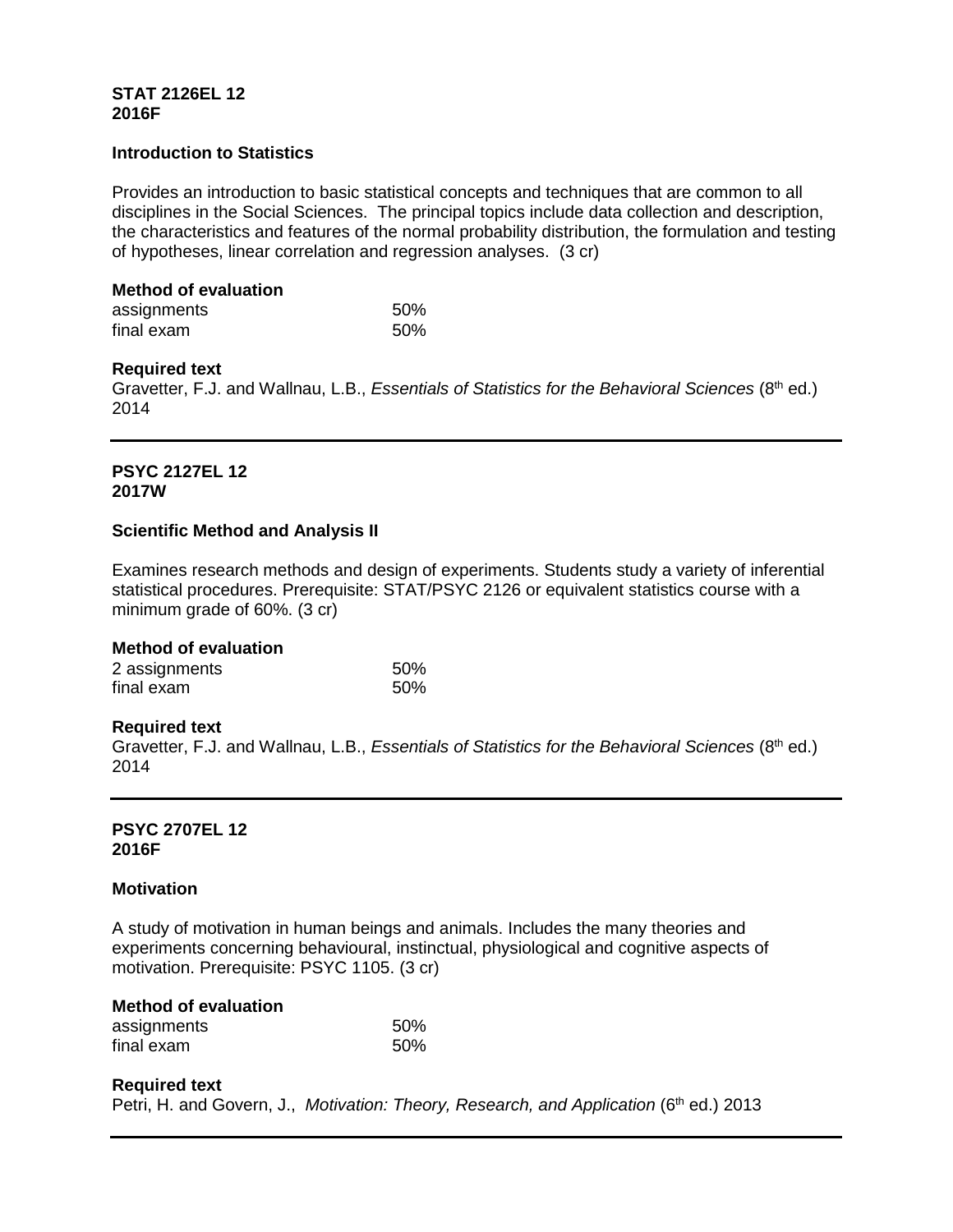### **STAT 2126EL 12 2016F**

### **Introduction to Statistics**

Provides an introduction to basic statistical concepts and techniques that are common to all disciplines in the Social Sciences. The principal topics include data collection and description, the characteristics and features of the normal probability distribution, the formulation and testing of hypotheses, linear correlation and regression analyses. (3 cr)

### **Method of evaluation**

| assignments | 50% |
|-------------|-----|
| final exam  | 50% |

### **Required text**

Gravetter, F.J. and Wallnau, L.B., *Essentials of Statistics for the Behavioral Sciences* (8<sup>th</sup> ed.) 2014

# **PSYC 2127EL 12 2017W**

## **Scientific Method and Analysis II**

Examines research methods and design of experiments. Students study a variety of inferential statistical procedures. Prerequisite: STAT/PSYC 2126 or equivalent statistics course with a minimum grade of 60%. (3 cr)

### **Method of evaluation**

| 2 assignments | .50% |
|---------------|------|
| final exam    | 50%  |

### **Required text**

Gravetter, F.J. and Wallnau, L.B., *Essentials of Statistics for the Behavioral Sciences* (8<sup>th</sup> ed.) 2014

### **PSYC 2707EL 12 2016F**

### **Motivation**

A study of motivation in human beings and animals. Includes the many theories and experiments concerning behavioural, instinctual, physiological and cognitive aspects of motivation. Prerequisite: PSYC 1105. (3 cr)

| <b>Method of evaluation</b> |     |
|-----------------------------|-----|
| assignments                 | 50% |
| final exam                  | 50% |

### **Required text**

Petri, H. and Govern, J., *Motivation: Theory, Research, and Application* (6<sup>th</sup> ed.) 2013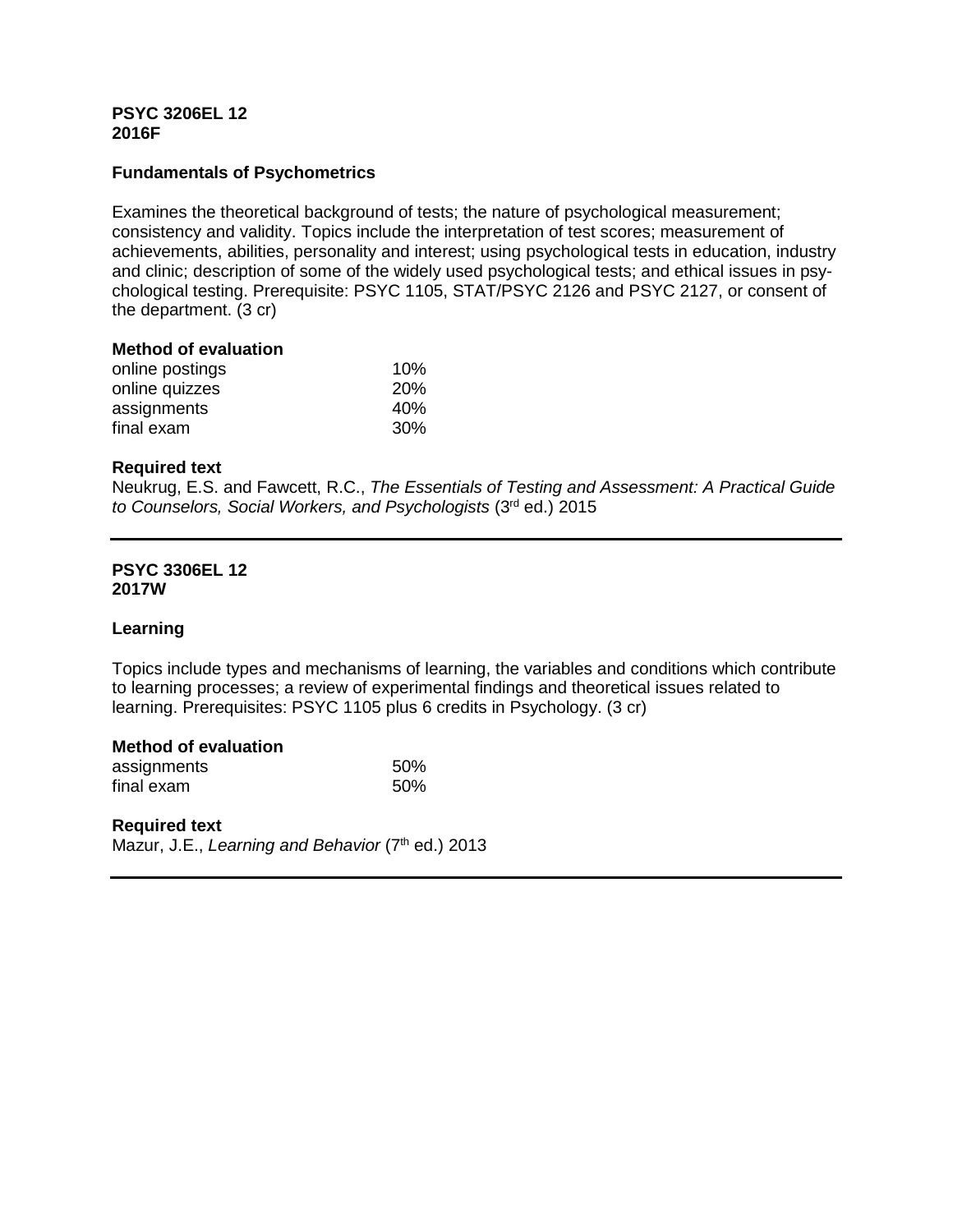## **PSYC 3206EL 12 2016F**

# **Fundamentals of Psychometrics**

Examines the theoretical background of tests; the nature of psychological measurement; consistency and validity. Topics include the interpretation of test scores; measurement of achievements, abilities, personality and interest; using psychological tests in education, industry and clinic; description of some of the widely used psychological tests; and ethical issues in psychological testing. Prerequisite: PSYC 1105, STAT/PSYC 2126 and PSYC 2127, or consent of the department. (3 cr)

### **Method of evaluation**

| online postings | 10%        |
|-----------------|------------|
| online quizzes  | <b>20%</b> |
| assignments     | 40%        |
| final exam      | 30%        |

### **Required text**

Neukrug, E.S. and Fawcett, R.C., *The Essentials of Testing and Assessment: A Practical Guide to Counselors, Social Workers, and Psychologists* (3rd ed.) 2015

### **PSYC 3306EL 12 2017W**

## **Learning**

Topics include types and mechanisms of learning, the variables and conditions which contribute to learning processes; a review of experimental findings and theoretical issues related to learning. Prerequisites: PSYC 1105 plus 6 credits in Psychology. (3 cr)

### **Method of evaluation**

| assignments | 50% |
|-------------|-----|
| final exam  | 50% |

### **Required text**

Mazur, J.E., *Learning and Behavior* (7<sup>th</sup> ed.) 2013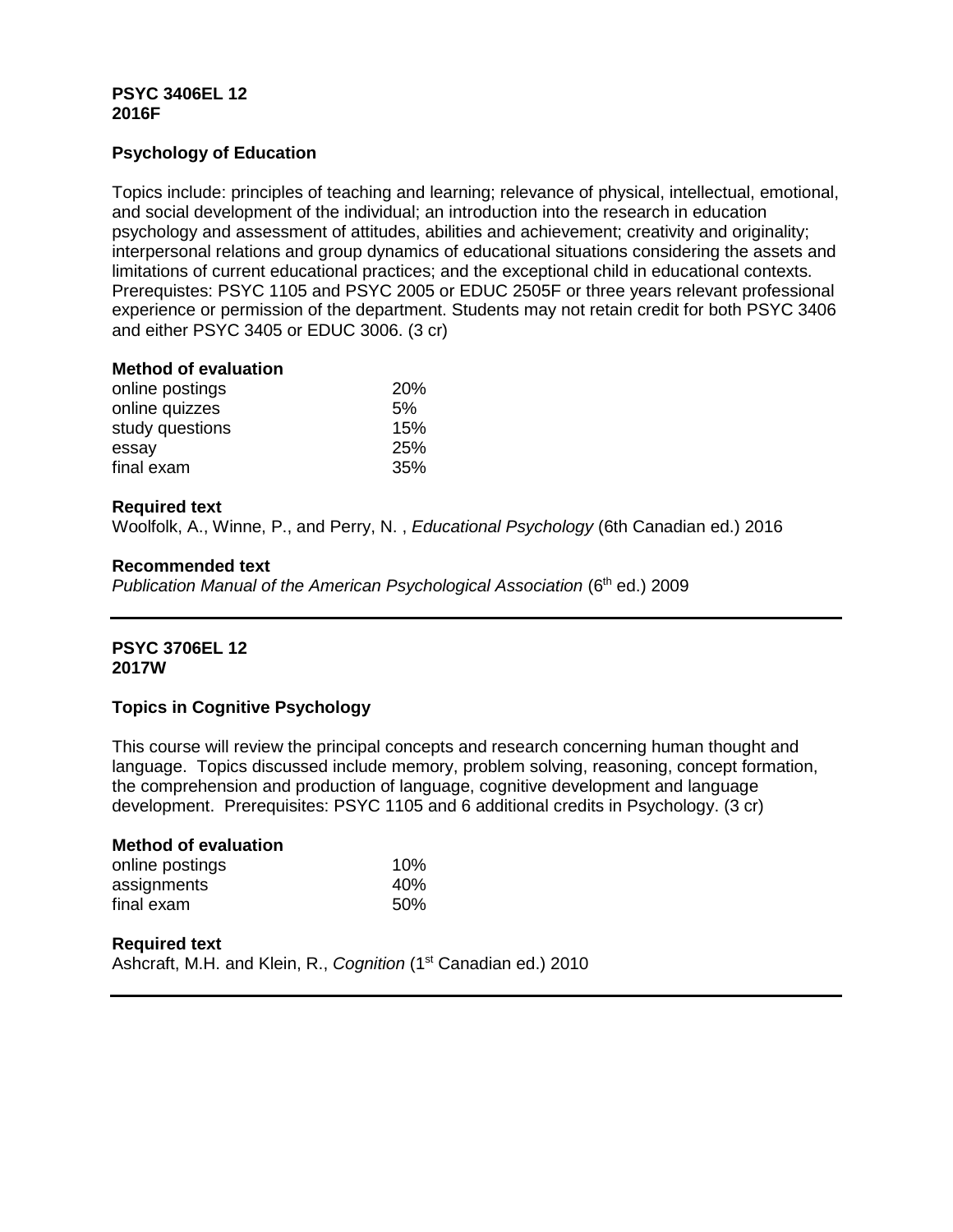## **PSYC 3406EL 12 2016F**

# **Psychology of Education**

Topics include: principles of teaching and learning; relevance of physical, intellectual, emotional, and social development of the individual; an introduction into the research in education psychology and assessment of attitudes, abilities and achievement; creativity and originality; interpersonal relations and group dynamics of educational situations considering the assets and limitations of current educational practices; and the exceptional child in educational contexts. Prerequistes: PSYC 1105 and PSYC 2005 or EDUC 2505F or three years relevant professional experience or permission of the department. Students may not retain credit for both PSYC 3406 and either PSYC 3405 or EDUC 3006. (3 cr)

### **Method of evaluation**

| <b>20%</b> |
|------------|
| 5%         |
| 15%        |
| 25%        |
| 35%        |
|            |

## **Required text**

Woolfolk, A., Winne, P., and Perry, N. , *Educational Psychology* (6th Canadian ed.) 2016

### **Recommended text**

*Publication Manual of the American Psychological Association* (6<sup>th</sup> ed.) 2009

## **PSYC 3706EL 12 2017W**

## **Topics in Cognitive Psychology**

This course will review the principal concepts and research concerning human thought and language. Topics discussed include memory, problem solving, reasoning, concept formation, the comprehension and production of language, cognitive development and language development. Prerequisites: PSYC 1105 and 6 additional credits in Psychology. (3 cr)

| <b>Method of evaluation</b> |                 |
|-----------------------------|-----------------|
| online postings             | 10%             |
| assignments                 | 40 <sub>%</sub> |
| final exam                  | .50%            |

# **Required text** Ashcraft, M.H. and Klein, R., *Cognition* (1<sup>st</sup> Canadian ed.) 2010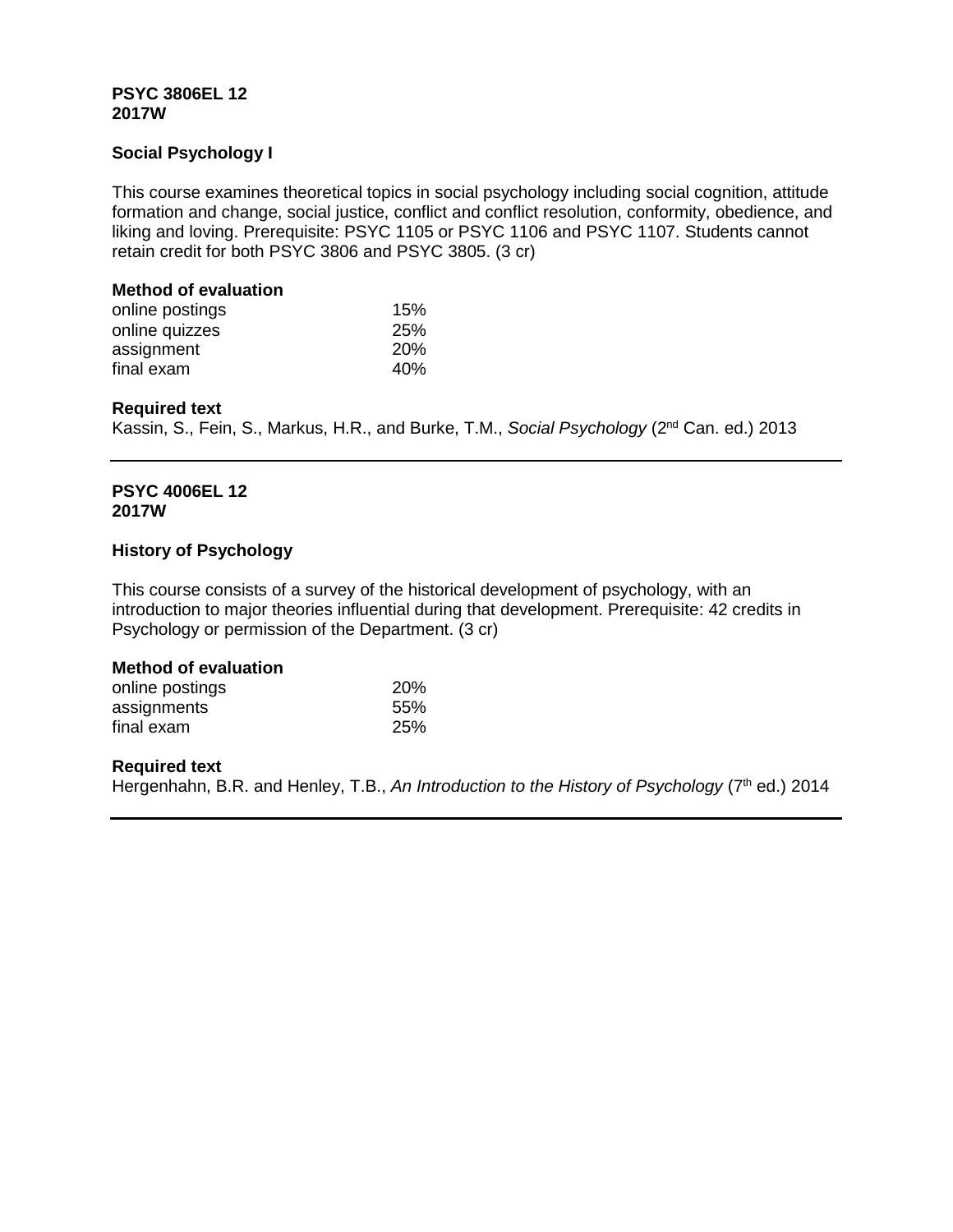## **PSYC 3806EL 12 2017W**

# **Social Psychology I**

This course examines theoretical topics in social psychology including social cognition, attitude formation and change, social justice, conflict and conflict resolution, conformity, obedience, and liking and loving. Prerequisite: PSYC 1105 or PSYC 1106 and PSYC 1107. Students cannot retain credit for both PSYC 3806 and PSYC 3805. (3 cr)

## **Method of evaluation**

| online postings | 15%        |
|-----------------|------------|
| online quizzes  | 25%        |
| assignment      | <b>20%</b> |
| final exam      | 40%        |

# **Required text**

Kassin, S., Fein, S., Markus, H.R., and Burke, T.M., *Social Psychology* (2nd Can. ed.) 2013

## **PSYC 4006EL 12 2017W**

## **History of Psychology**

This course consists of a survey of the historical development of psychology, with an introduction to major theories influential during that development. Prerequisite: 42 credits in Psychology or permission of the Department. (3 cr)

# **Method of evaluation**

| online postings | 20% |
|-----------------|-----|
| assignments     | 55% |
| final exam      | 25% |

# **Required text**

Hergenhahn, B.R. and Henley, T.B., An Introduction to the History of Psychology (7<sup>th</sup> ed.) 2014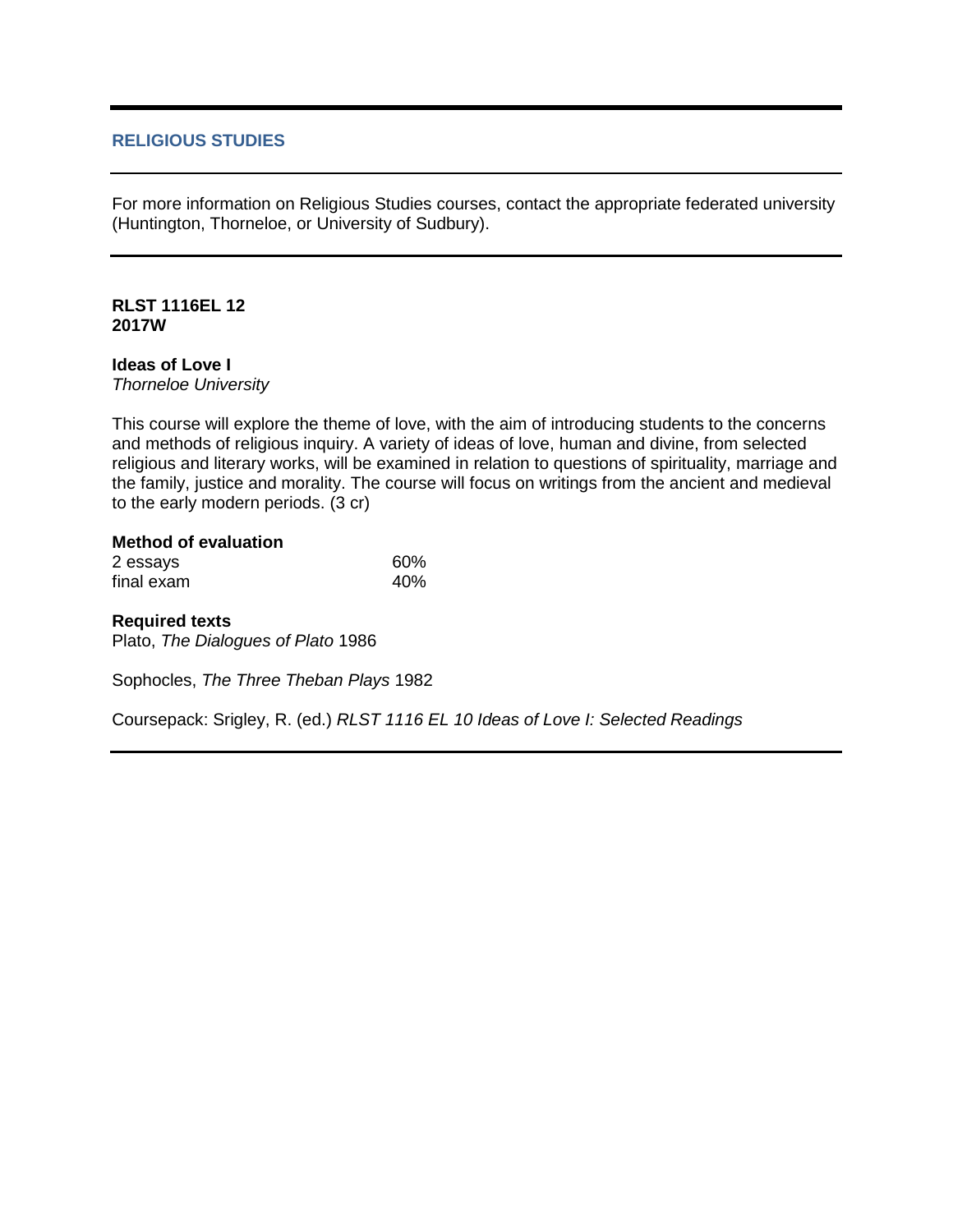## **RELIGIOUS STUDIES**

For more information on Religious Studies courses, contact the appropriate federated university (Huntington, Thorneloe, or University of Sudbury).

## **RLST 1116EL 12 2017W**

## **Ideas of Love I**

*Thorneloe University*

This course will explore the theme of love, with the aim of introducing students to the concerns and methods of religious inquiry. A variety of ideas of love, human and divine, from selected religious and literary works, will be examined in relation to questions of spirituality, marriage and the family, justice and morality. The course will focus on writings from the ancient and medieval to the early modern periods. (3 cr)

## **Method of evaluation**

| 2 essays   | 60% |
|------------|-----|
| final exam | 40% |

### **Required texts**

Plato, *The Dialogues of Plato* 1986

Sophocles, *The Three Theban Plays* 1982

Coursepack: Srigley, R. (ed.) *RLST 1116 EL 10 Ideas of Love I: Selected Readings*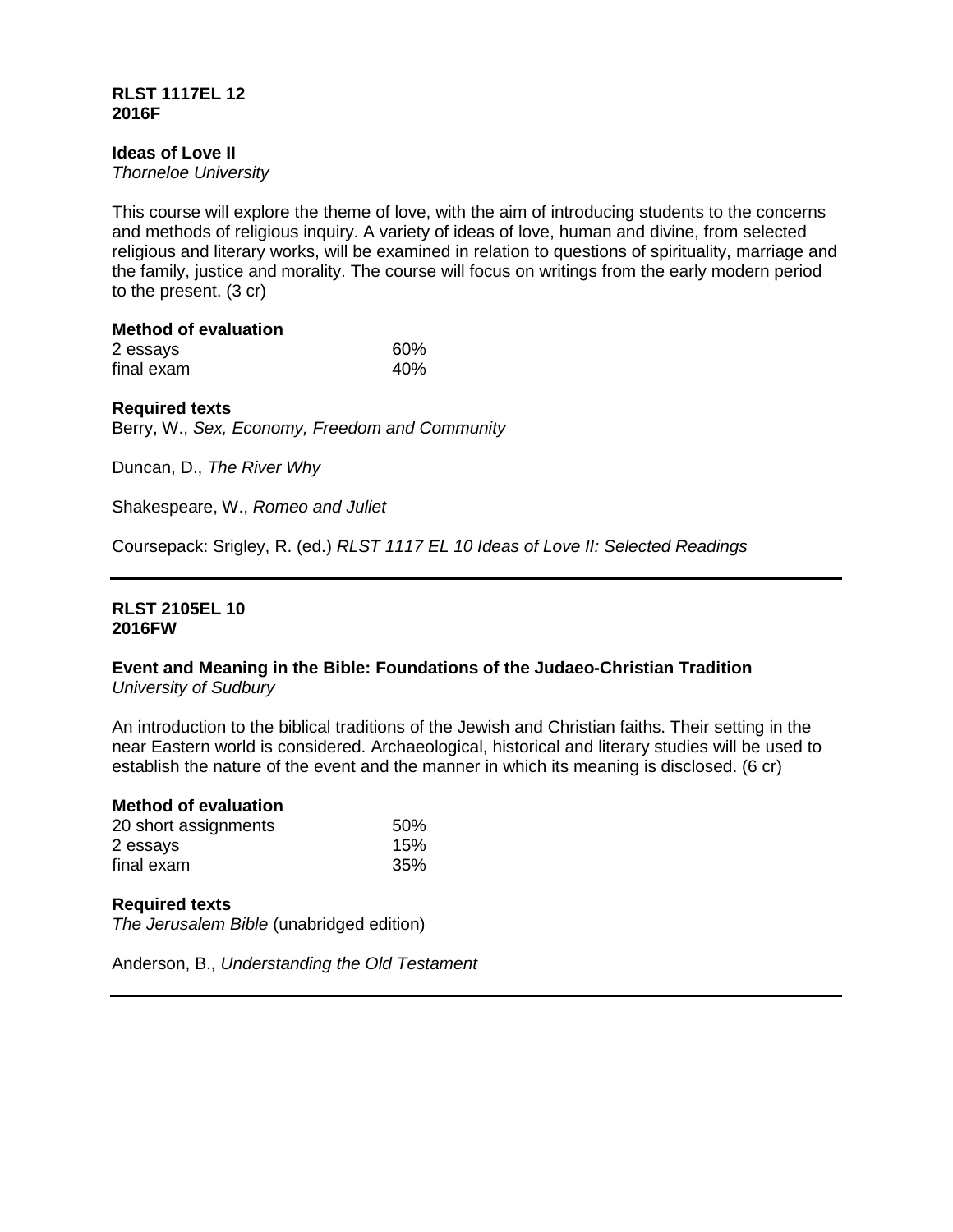## **RLST 1117EL 12 2016F**

# **Ideas of Love II**

*Thorneloe University*

This course will explore the theme of love, with the aim of introducing students to the concerns and methods of religious inquiry. A variety of ideas of love, human and divine, from selected religious and literary works, will be examined in relation to questions of spirituality, marriage and the family, justice and morality. The course will focus on writings from the early modern period to the present. (3 cr)

# **Method of evaluation**

| 2 essays   | 60% |
|------------|-----|
| final exam | 40% |

## **Required texts**

Berry, W., *Sex, Economy, Freedom and Community*

Duncan, D., *The River Why*

Shakespeare, W., *Romeo and Juliet*

Coursepack: Srigley, R. (ed.) *RLST 1117 EL 10 Ideas of Love II: Selected Readings*

### **RLST 2105EL 10 2016FW**

### **Event and Meaning in the Bible: Foundations of the Judaeo-Christian Tradition** *University of Sudbury*

An introduction to the biblical traditions of the Jewish and Christian faiths. Their setting in the near Eastern world is considered. Archaeological, historical and literary studies will be used to establish the nature of the event and the manner in which its meaning is disclosed. (6 cr)

### **Method of evaluation**

| 20 short assignments | 50% |
|----------------------|-----|
| 2 essays             | 15% |
| final exam           | 35% |

### **Required texts**

*The Jerusalem Bible* (unabridged edition)

Anderson, B., *Understanding the Old Testament*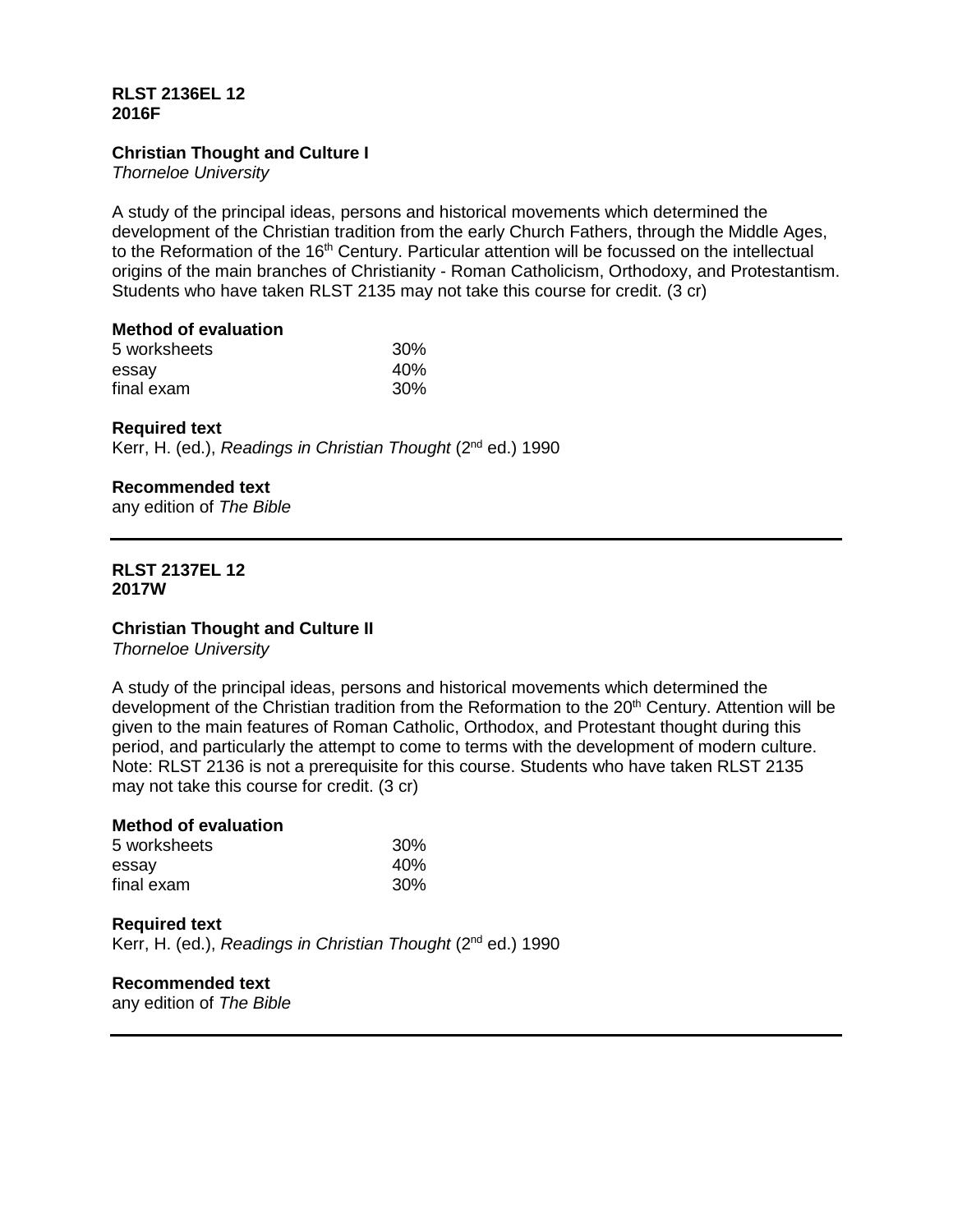## **RLST 2136EL 12 2016F**

## **Christian Thought and Culture I**

*Thorneloe University*

A study of the principal ideas, persons and historical movements which determined the development of the Christian tradition from the early Church Fathers, through the Middle Ages, to the Reformation of the 16<sup>th</sup> Century. Particular attention will be focussed on the intellectual origins of the main branches of Christianity - Roman Catholicism, Orthodoxy, and Protestantism. Students who have taken RLST 2135 may not take this course for credit. (3 cr)

# **Method of evaluation**

| 5 worksheets | 30% |
|--------------|-----|
| essay        | 40% |
| final exam   | 30% |

# **Required text**

Kerr, H. (ed.), *Readings in Christian Thought* (2nd ed.) 1990

# **Recommended text**

any edition of *The Bible*

### **RLST 2137EL 12 2017W**

## **Christian Thought and Culture II**

*Thorneloe University*

A study of the principal ideas, persons and historical movements which determined the development of the Christian tradition from the Reformation to the 20<sup>th</sup> Century. Attention will be given to the main features of Roman Catholic, Orthodox, and Protestant thought during this period, and particularly the attempt to come to terms with the development of modern culture. Note: RLST 2136 is not a prerequisite for this course. Students who have taken RLST 2135 may not take this course for credit. (3 cr)

# **Method of evaluation** 5 worksheets 30%<br>essay 40% essay 40%  $final$ exam

### **Required text** Kerr, H. (ed.), *Readings in Christian Thought* (2nd ed.) 1990

# **Recommended text**

any edition of *The Bible*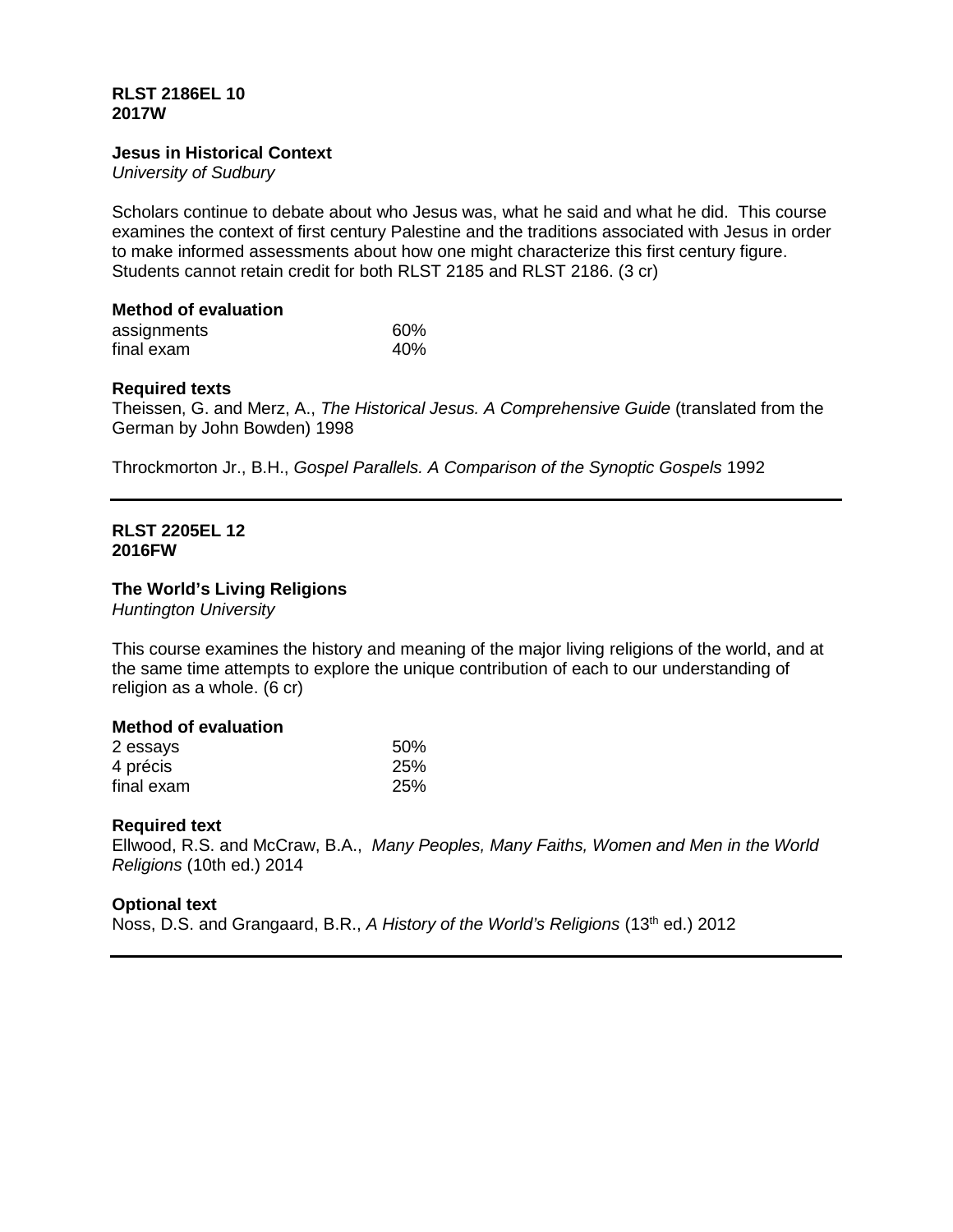### **RLST 2186EL 10 2017W**

### **Jesus in Historical Context**

*University of Sudbury*

Scholars continue to debate about who Jesus was, what he said and what he did. This course examines the context of first century Palestine and the traditions associated with Jesus in order to make informed assessments about how one might characterize this first century figure. Students cannot retain credit for both RLST 2185 and RLST 2186. (3 cr)

### **Method of evaluation**

| assignments | 60% |
|-------------|-----|
| final exam  | 40% |

### **Required texts**

Theissen, G. and Merz, A., *The Historical Jesus. A Comprehensive Guide* (translated from the German by John Bowden) 1998

Throckmorton Jr., B.H., *Gospel Parallels. A Comparison of the Synoptic Gospels* 1992

## **RLST 2205EL 12 2016FW**

### **The World's Living Religions**

*Huntington University*

This course examines the history and meaning of the major living religions of the world, and at the same time attempts to explore the unique contribution of each to our understanding of religion as a whole. (6 cr)

### **Method of evaluation**

| 2 essays   | 50%        |
|------------|------------|
| 4 précis   | 25%        |
| final exam | <b>25%</b> |

## **Required text**

Ellwood, R.S. and McCraw, B.A., *Many Peoples, Many Faiths, Women and Men in the World Religions* (10th ed.) 2014

## **Optional text**

Noss, D.S. and Grangaard, B.R., *A History of the World's Religions* (13th ed.) 2012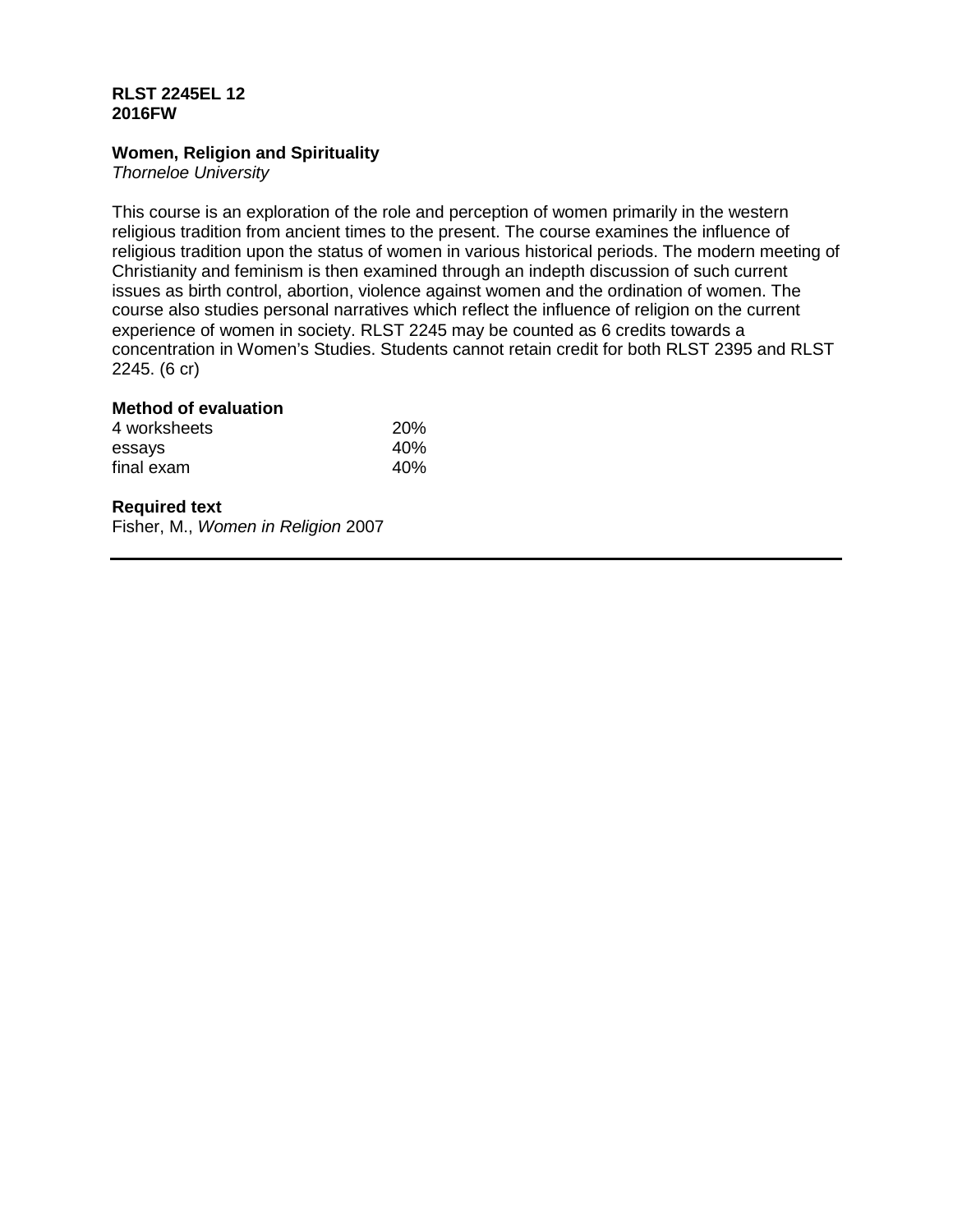## **RLST 2245EL 12 2016FW**

## **Women, Religion and Spirituality**

*Thorneloe University*

This course is an exploration of the role and perception of women primarily in the western religious tradition from ancient times to the present. The course examines the influence of religious tradition upon the status of women in various historical periods. The modern meeting of Christianity and feminism is then examined through an indepth discussion of such current issues as birth control, abortion, violence against women and the ordination of women. The course also studies personal narratives which reflect the influence of religion on the current experience of women in society. RLST 2245 may be counted as 6 credits towards a concentration in Women's Studies. Students cannot retain credit for both RLST 2395 and RLST 2245. (6 cr)

## **Method of evaluation**

| 4 worksheets | <b>20%</b> |
|--------------|------------|
| essays       | 40%        |
| final exam   | 40%        |

# **Required text**

Fisher, M., *Women in Religion* 2007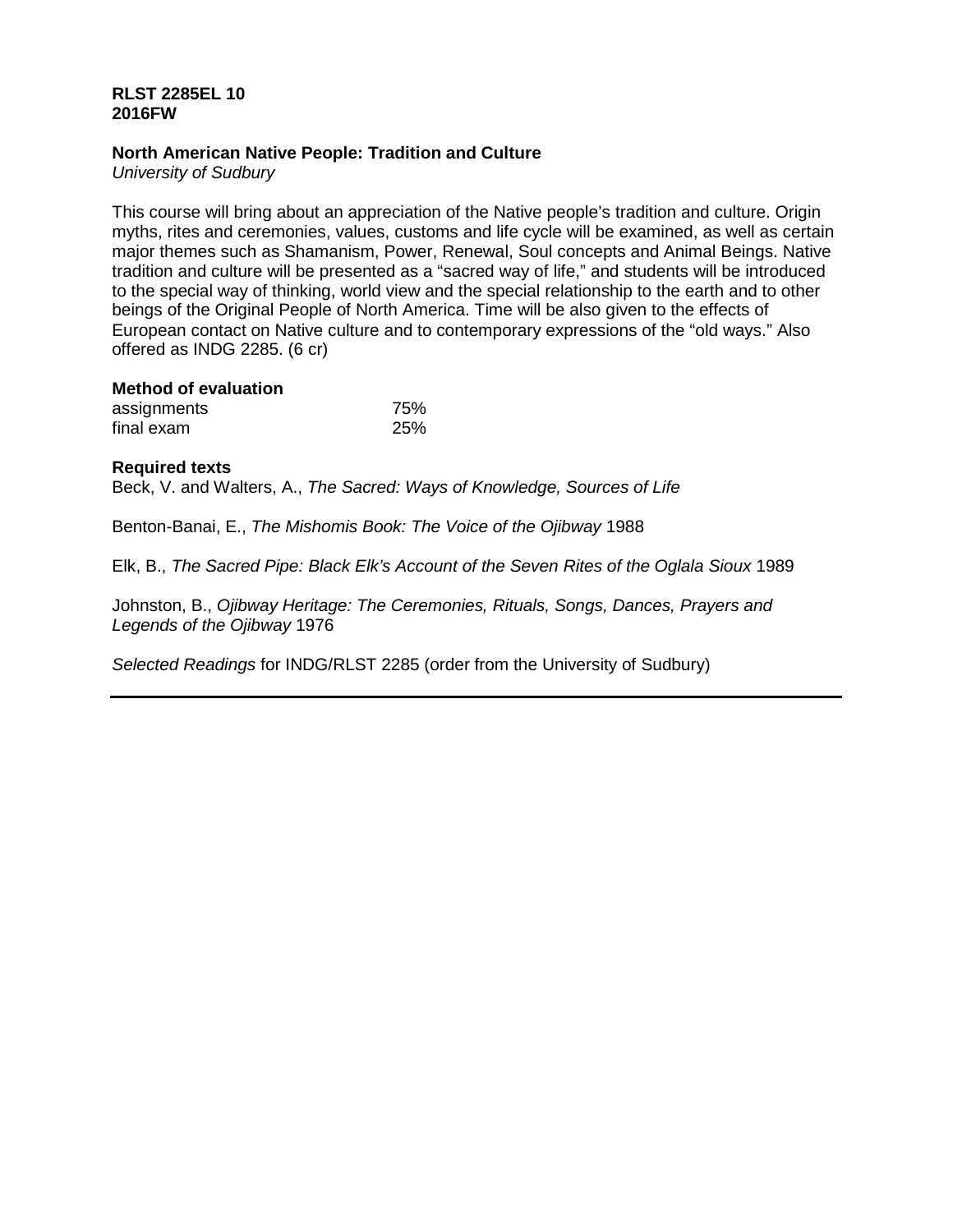## **RLST 2285EL 10 2016FW**

## **North American Native People: Tradition and Culture**

*University of Sudbury*

This course will bring about an appreciation of the Native people's tradition and culture. Origin myths, rites and ceremonies, values, customs and life cycle will be examined, as well as certain major themes such as Shamanism, Power, Renewal, Soul concepts and Animal Beings. Native tradition and culture will be presented as a "sacred way of life," and students will be introduced to the special way of thinking, world view and the special relationship to the earth and to other beings of the Original People of North America. Time will be also given to the effects of European contact on Native culture and to contemporary expressions of the "old ways." Also offered as INDG 2285. (6 cr)

| assignments | 75% |
|-------------|-----|
| final exam  | 25% |

### **Required texts**

Beck, V. and Walters, A., *The Sacred: Ways of Knowledge, Sources of Life*

Benton-Banai, E., *The Mishomis Book: The Voice of the Ojibway* 1988

Elk, B., *The Sacred Pipe: Black Elk's Account of the Seven Rites of the Oglala Sioux* 1989

Johnston, B., *Ojibway Heritage: The Ceremonies, Rituals, Songs, Dances, Prayers and Legends of the Ojibway* 1976

*Selected Readings* for INDG/RLST 2285 (order from the University of Sudbury)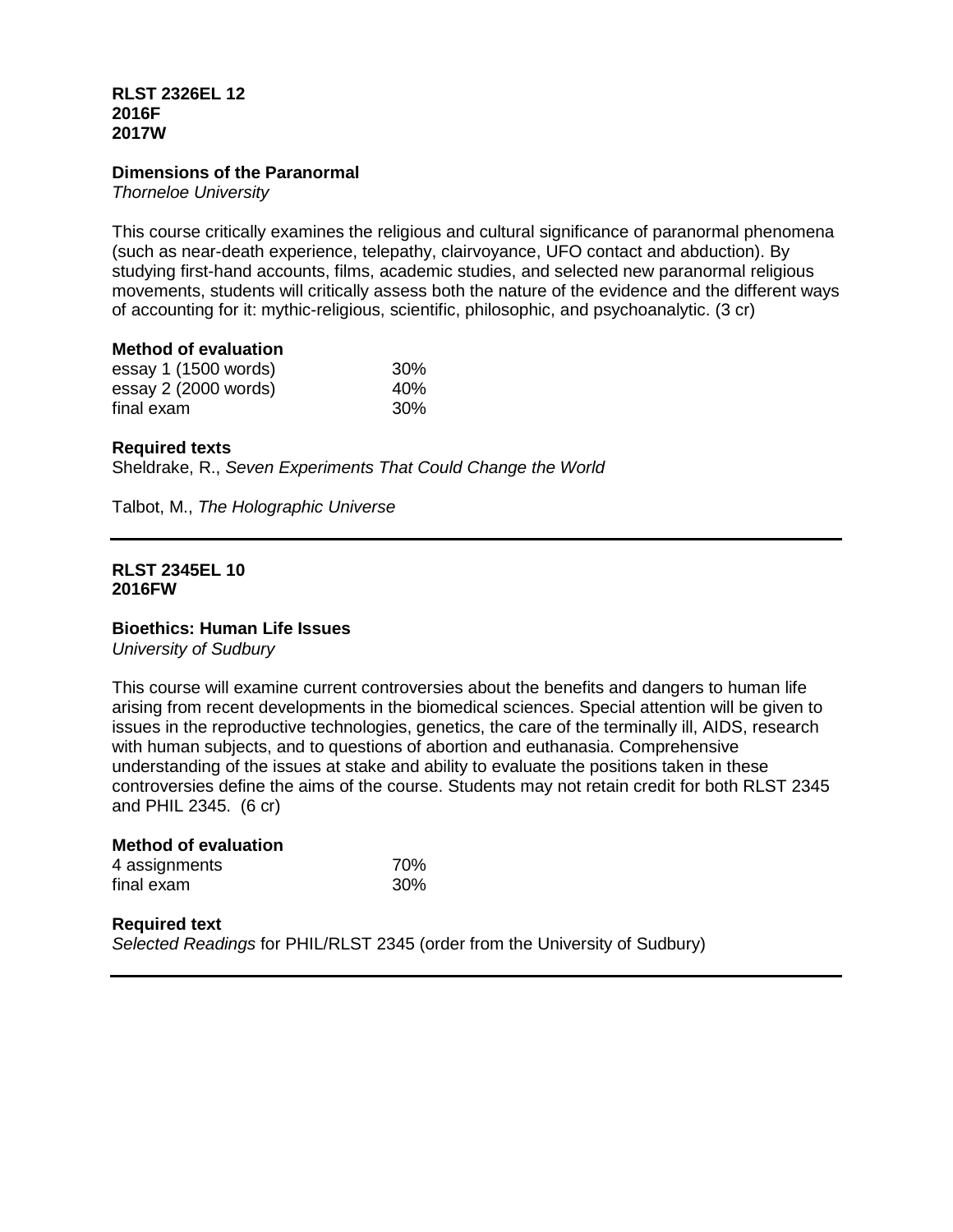## **RLST 2326EL 12 2016F 2017W**

## **Dimensions of the Paranormal**

*Thorneloe University*

This course critically examines the religious and cultural significance of paranormal phenomena (such as near-death experience, telepathy, clairvoyance, UFO contact and abduction). By studying first-hand accounts, films, academic studies, and selected new paranormal religious movements, students will critically assess both the nature of the evidence and the different ways of accounting for it: mythic-religious, scientific, philosophic, and psychoanalytic. (3 cr)

### **Method of evaluation**

| essay 1 (1500 words) | <b>30%</b>      |
|----------------------|-----------------|
| essay 2 (2000 words) | 40 <sub>%</sub> |
| final exam           | <b>30%</b>      |

## **Required texts**

Sheldrake, R., *Seven Experiments That Could Change the World*

Talbot, M., *The Holographic Universe*

### **RLST 2345EL 10 2016FW**

## **Bioethics: Human Life Issues**

*University of Sudbury*

This course will examine current controversies about the benefits and dangers to human life arising from recent developments in the biomedical sciences. Special attention will be given to issues in the reproductive technologies, genetics, the care of the terminally ill, AIDS, research with human subjects, and to questions of abortion and euthanasia. Comprehensive understanding of the issues at stake and ability to evaluate the positions taken in these controversies define the aims of the course. Students may not retain credit for both RLST 2345 and PHIL 2345. (6 cr)

| <b>Method of evaluation</b> |     |
|-----------------------------|-----|
| 4 assignments               | 70% |
| final exam                  | 30% |

## **Required text**  *Selected Readings* for PHIL/RLST 2345 (order from the University of Sudbury)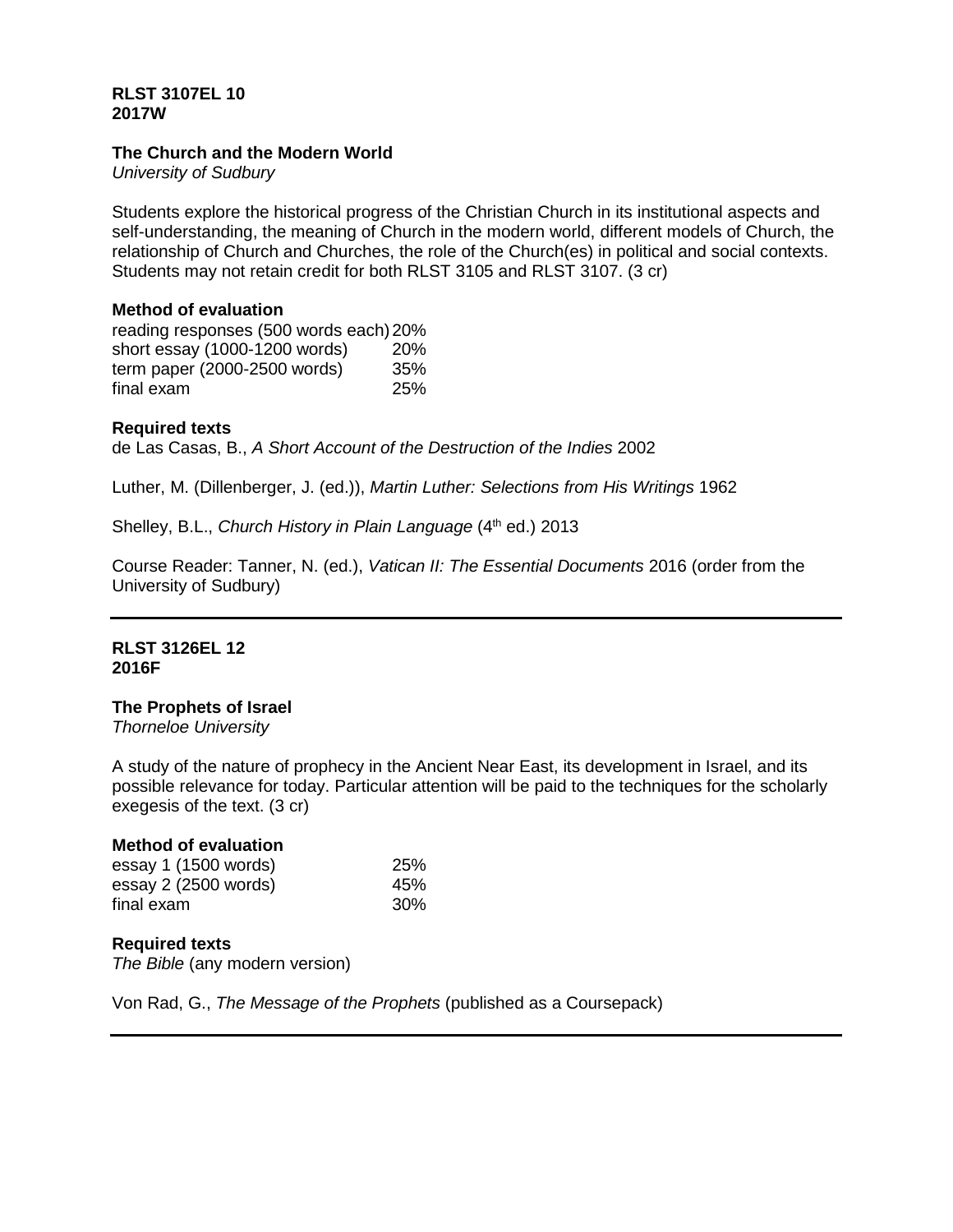## **RLST 3107EL 10 2017W**

## **The Church and the Modern World**

*University of Sudbury*

Students explore the historical progress of the Christian Church in its institutional aspects and self-understanding, the meaning of Church in the modern world, different models of Church, the relationship of Church and Churches, the role of the Church(es) in political and social contexts. Students may not retain credit for both RLST 3105 and RLST 3107. (3 cr)

## **Method of evaluation**

reading responses (500 words each)20% short essay (1000-1200 words) 20% term paper (2000-2500 words) 35% final exam 25%

# **Required texts**

de Las Casas, B., *A Short Account of the Destruction of the Indies* 2002

Luther, M. (Dillenberger, J. (ed.)), *Martin Luther: Selections from His Writings* 1962

Shelley, B.L., *Church History in Plain Language* (4<sup>th</sup> ed.) 2013

Course Reader: Tanner, N. (ed.), *Vatican II: The Essential Documents* 2016 (order from the University of Sudbury)

## **RLST 3126EL 12 2016F**

## **The Prophets of Israel**

*Thorneloe University*

A study of the nature of prophecy in the Ancient Near East, its development in Israel, and its possible relevance for today. Particular attention will be paid to the techniques for the scholarly exegesis of the text. (3 cr)

## **Method of evaluation**

| essay 1 (1500 words) | 25% |
|----------------------|-----|
| essay 2 (2500 words) | 45% |
| final exam           | 30% |

# **Required texts**

*The Bible* (any modern version)

Von Rad, G., *The Message of the Prophets* (published as a Coursepack)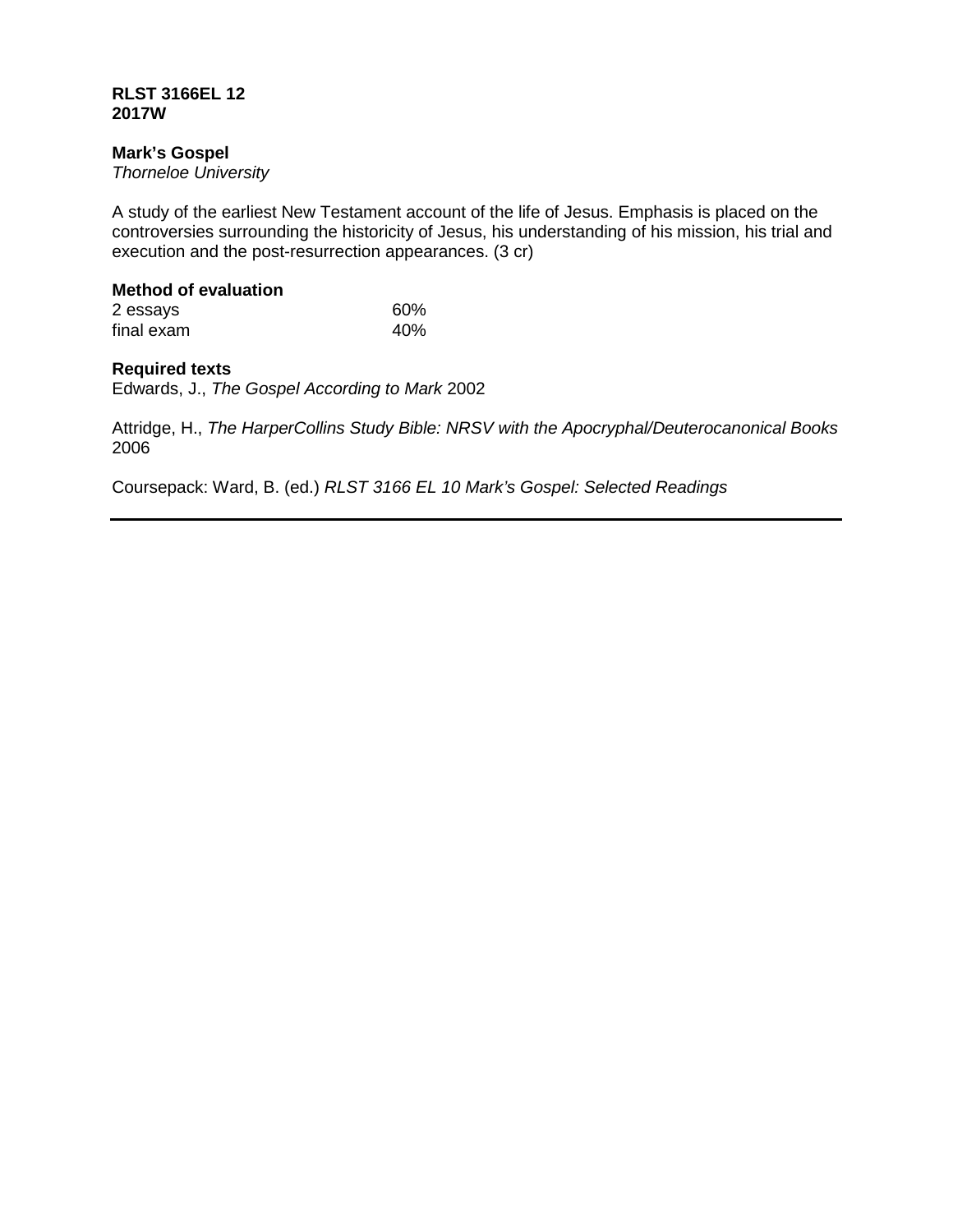## **RLST 3166EL 12 2017W**

# **Mark's Gospel**

*Thorneloe University*

A study of the earliest New Testament account of the life of Jesus. Emphasis is placed on the controversies surrounding the historicity of Jesus, his understanding of his mission, his trial and execution and the post-resurrection appearances. (3 cr)

# **Method of evaluation**

| 2 essays   | 60% |
|------------|-----|
| final exam | 40% |

# **Required texts**

Edwards, J., *The Gospel According to Mark* 2002

Attridge, H., *The HarperCollins Study Bible: NRSV with the Apocryphal/Deuterocanonical Books* 2006

Coursepack: Ward, B. (ed.) *RLST 3166 EL 10 Mark's Gospel: Selected Readings*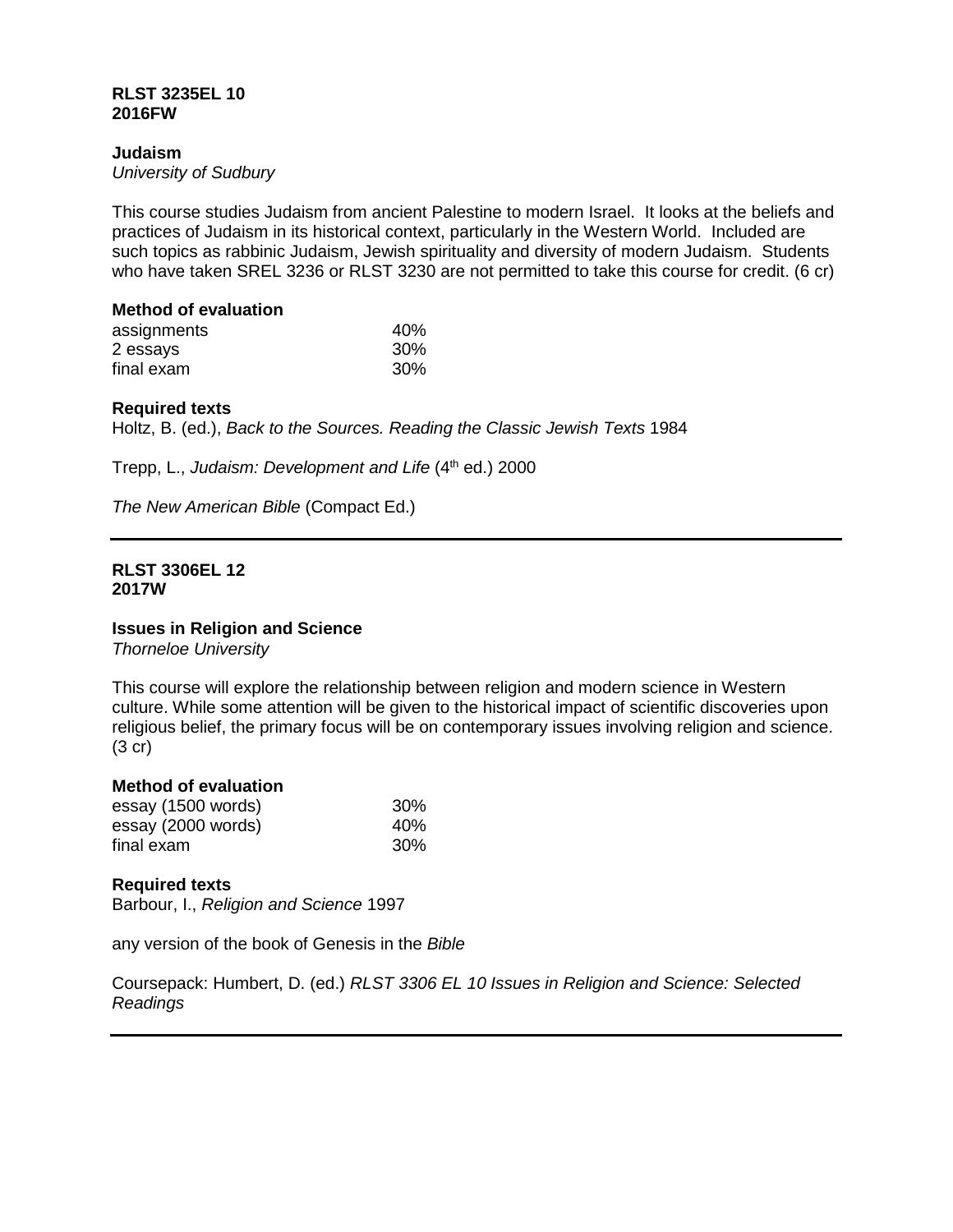### **RLST 3235EL 10 2016FW**

## **Judaism**

*University of Sudbury*

This course studies Judaism from ancient Palestine to modern Israel. It looks at the beliefs and practices of Judaism in its historical context, particularly in the Western World. Included are such topics as rabbinic Judaism, Jewish spirituality and diversity of modern Judaism. Students who have taken SREL 3236 or RLST 3230 are not permitted to take this course for credit. (6 cr)

# **Method of evaluation**

| assignments | 40% |
|-------------|-----|
| 2 essays    | 30% |
| final exam  | 30% |

## **Required texts**

Holtz, B. (ed.), *Back to the Sources. Reading the Classic Jewish Texts* 1984

Trepp, L., *Judaism: Development and Life* (4th ed.) 2000

*The New American Bible* (Compact Ed.)

### **RLST 3306EL 12 2017W**

## **Issues in Religion and Science**

*Thorneloe University*

This course will explore the relationship between religion and modern science in Western culture. While some attention will be given to the historical impact of scientific discoveries upon religious belief, the primary focus will be on contemporary issues involving religion and science. (3 cr)

## **Method of evaluation**

| essay (1500 words) | 30% |
|--------------------|-----|
| essay (2000 words) | 40% |
| final exam         | 30% |

## **Required texts**

Barbour, I., *Religion and Science* 1997

any version of the book of Genesis in the *Bible*

Coursepack: Humbert, D. (ed.) *RLST 3306 EL 10 Issues in Religion and Science: Selected Readings*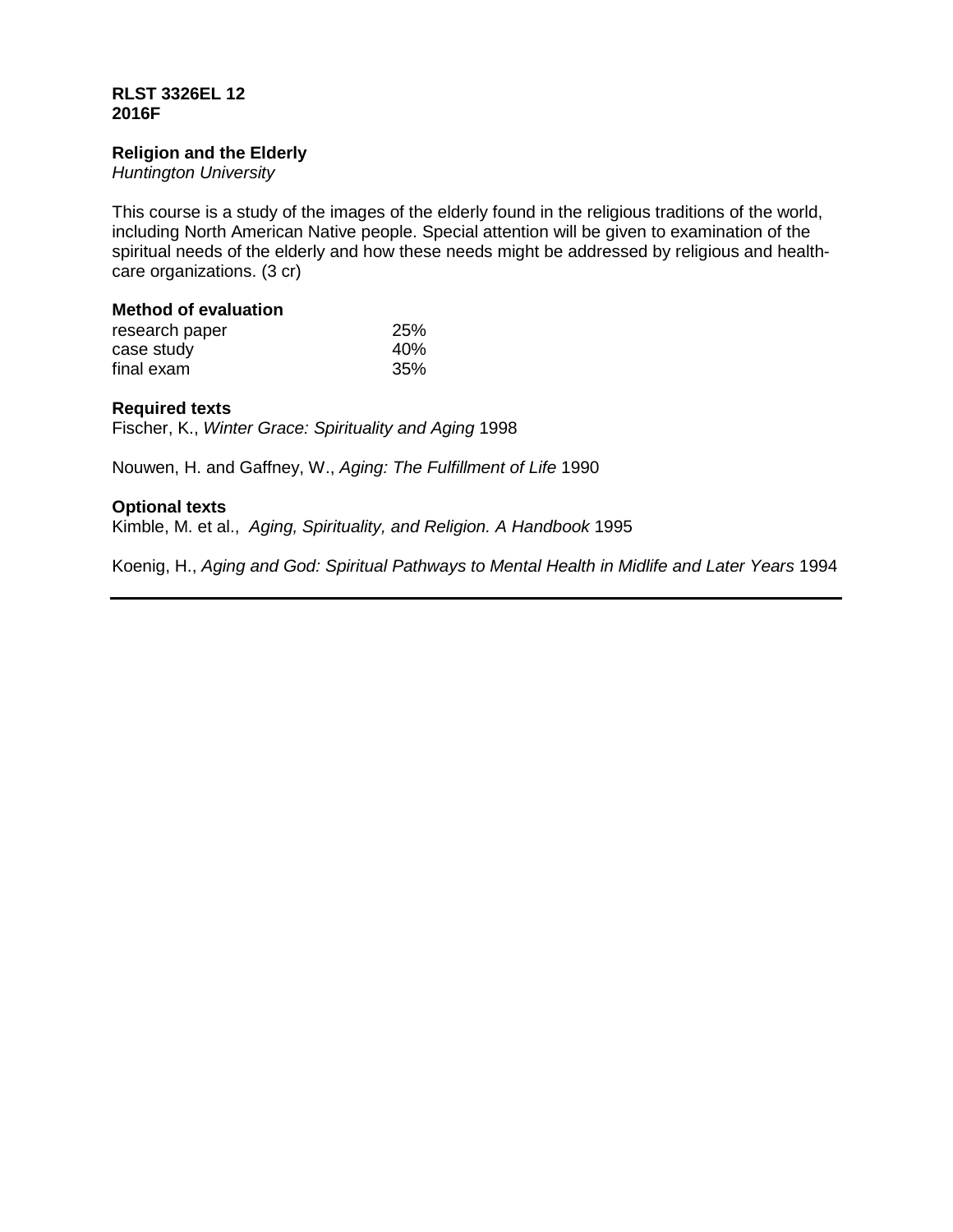## **RLST 3326EL 12 2016F**

### **Religion and the Elderly**

*Huntington University*

This course is a study of the images of the elderly found in the religious traditions of the world, including North American Native people. Special attention will be given to examination of the spiritual needs of the elderly and how these needs might be addressed by religious and healthcare organizations. (3 cr)

### **Method of evaluation**

| research paper | 25% |
|----------------|-----|
| case study     | 40% |
| final exam     | 35% |

## **Required texts**

Fischer, K., *Winter Grace: Spirituality and Aging* 1998

Nouwen, H. and Gaffney, W., *Aging: The Fulfillment of Life* 1990

# **Optional texts**

Kimble, M. et al., *Aging, Spirituality, and Religion. A Handbook* 1995

Koenig, H., *Aging and God: Spiritual Pathways to Mental Health in Midlife and Later Years* 1994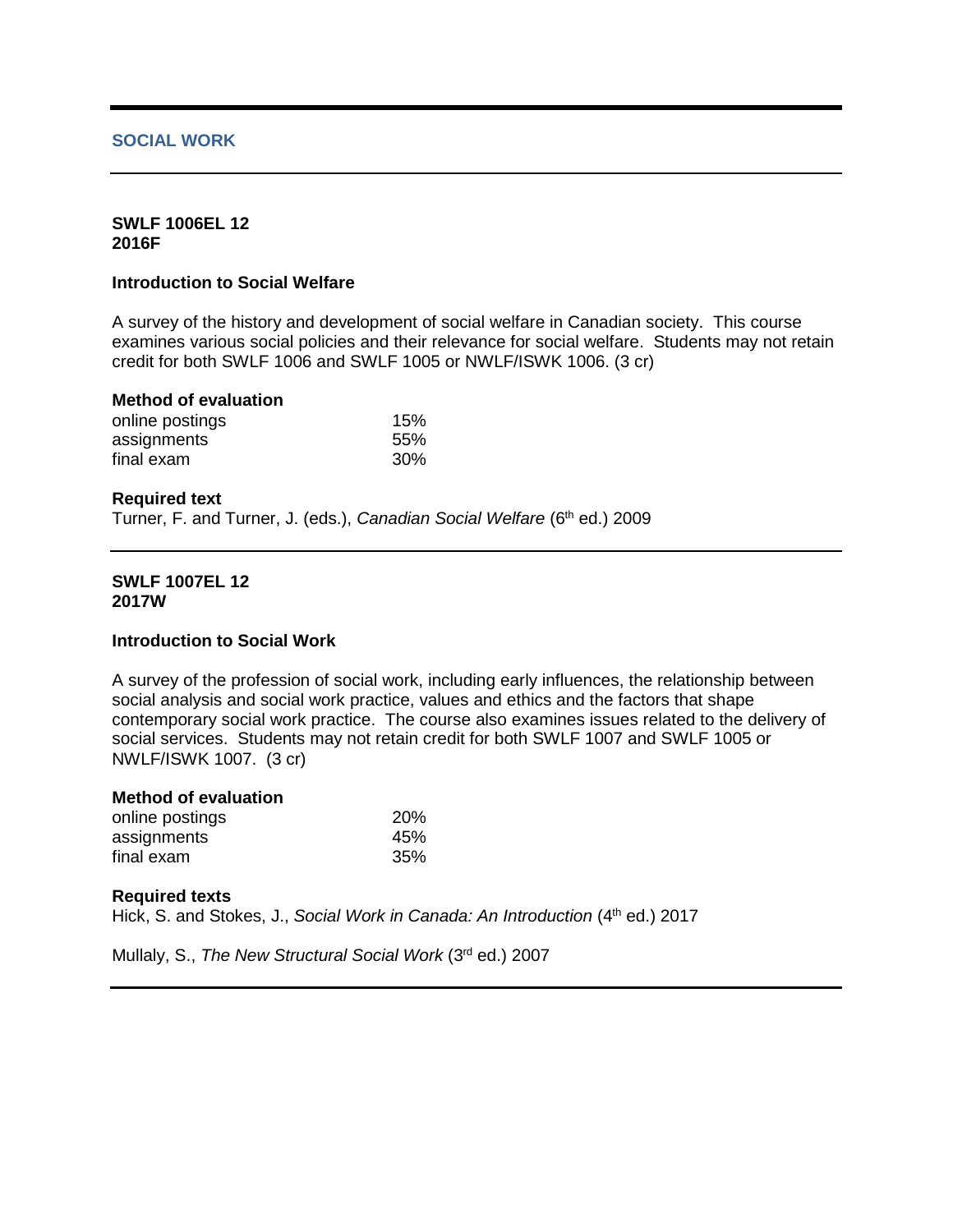## **SOCIAL WORK**

## **SWLF 1006EL 12 2016F**

## **Introduction to Social Welfare**

A survey of the history and development of social welfare in Canadian society. This course examines various social policies and their relevance for social welfare. Students may not retain credit for both SWLF 1006 and SWLF 1005 or NWLF/ISWK 1006. (3 cr)

### **Method of evaluation**

| online postings | 15% |
|-----------------|-----|
| assignments     | 55% |
| final exam      | 30% |

### **Required text**

Turner, F. and Turner, J. (eds.), *Canadian Social Welfare* (6<sup>th</sup> ed.) 2009

### **SWLF 1007EL 12 2017W**

### **Introduction to Social Work**

A survey of the profession of social work, including early influences, the relationship between social analysis and social work practice, values and ethics and the factors that shape contemporary social work practice. The course also examines issues related to the delivery of social services. Students may not retain credit for both SWLF 1007 and SWLF 1005 or NWLF/ISWK 1007. (3 cr)

## **Method of evaluation**

| online postings | <b>20%</b> |
|-----------------|------------|
| assignments     | 45%        |
| final exam      | 35%        |

### **Required texts**

Hick, S. and Stokes, J., *Social Work in Canada: An Introduction* (4<sup>th</sup> ed.) 2017

Mullaly, S., *The New Structural Social Work* (3rd ed.) 2007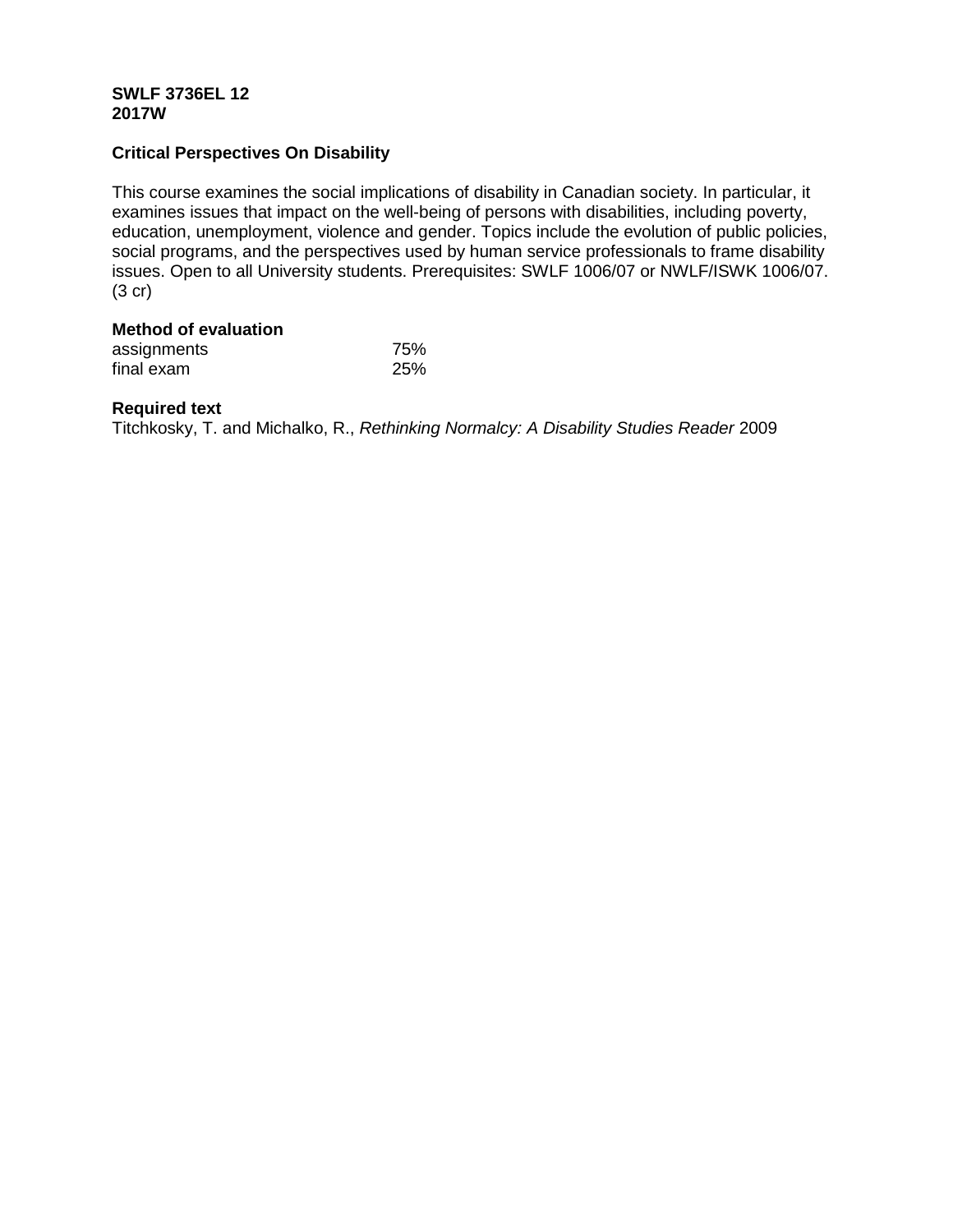## **SWLF 3736EL 12 2017W**

# **Critical Perspectives On Disability**

This course examines the social implications of disability in Canadian society. In particular, it examines issues that impact on the well-being of persons with disabilities, including poverty, education, unemployment, violence and gender. Topics include the evolution of public policies, social programs, and the perspectives used by human service professionals to frame disability issues. Open to all University students. Prerequisites: SWLF 1006/07 or NWLF/ISWK 1006/07. (3 cr)

# **Method of evaluation**

| assignments | 75% |
|-------------|-----|
| final exam  | 25% |

# **Required text**

Titchkosky, T. and Michalko, R., *Rethinking Normalcy: A Disability Studies Reader* 2009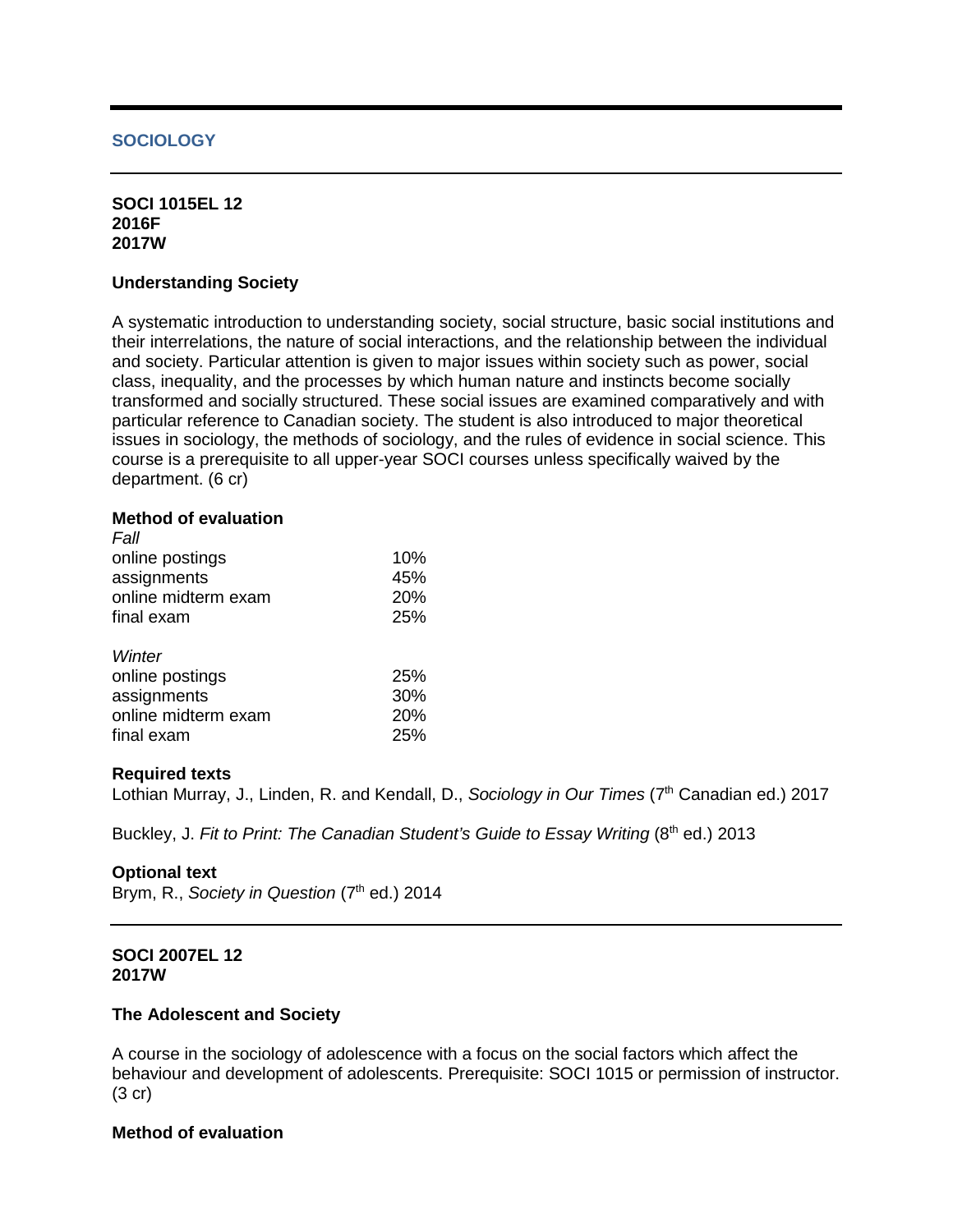## **SOCIOLOGY**

### **SOCI 1015EL 12 2016F 2017W**

### **Understanding Society**

A systematic introduction to understanding society, social structure, basic social institutions and their interrelations, the nature of social interactions, and the relationship between the individual and society. Particular attention is given to major issues within society such as power, social class, inequality, and the processes by which human nature and instincts become socially transformed and socially structured. These social issues are examined comparatively and with particular reference to Canadian society. The student is also introduced to major theoretical issues in sociology, the methods of sociology, and the rules of evidence in social science. This course is a prerequisite to all upper-year SOCI courses unless specifically waived by the department. (6 cr)

### **Method of evaluation**

| Fall                |     |
|---------------------|-----|
| online postings     | 10% |
| assignments         | 45% |
| online midterm exam | 20% |
| final exam          | 25% |
| Winter              |     |
| online postings     | 25% |
| assignments         | 30% |
| online midterm exam | 20% |
| final exam          | 25% |
|                     |     |

### **Required texts**

Lothian Murray, J., Linden, R. and Kendall, D., *Sociology in Our Times* (7<sup>th</sup> Canadian ed.) 2017

Buckley, J. Fit to Print: The Canadian Student's Guide to Essay Writing (8<sup>th</sup> ed.) 2013

### **Optional text**

Brym, R., *Society in Question* (7<sup>th</sup> ed.) 2014

## **SOCI 2007EL 12 2017W**

### **The Adolescent and Society**

A course in the sociology of adolescence with a focus on the social factors which affect the behaviour and development of adolescents. Prerequisite: SOCI 1015 or permission of instructor. (3 cr)

# **Method of evaluation**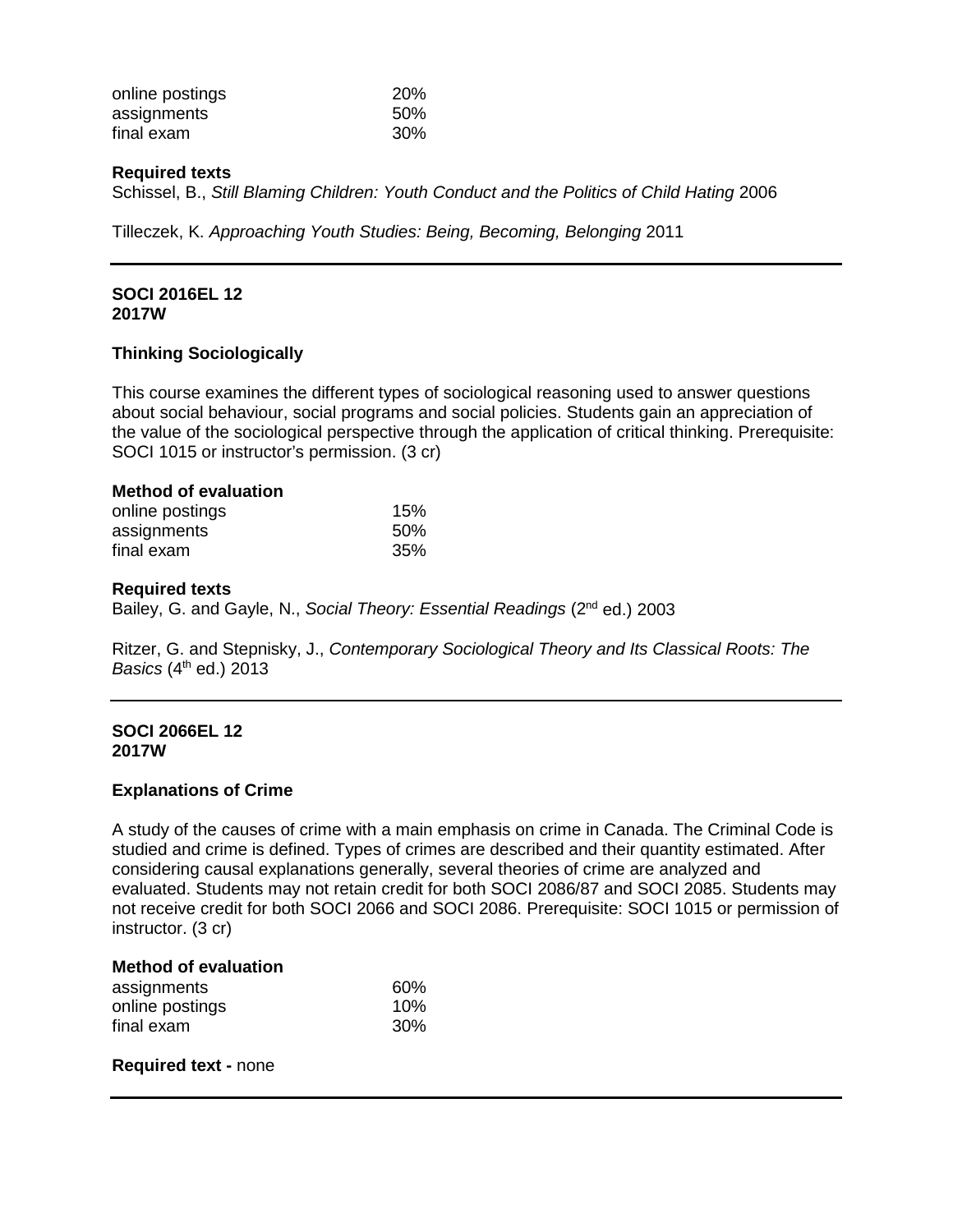| online postings | <b>20%</b> |
|-----------------|------------|
| assignments     | 50%        |
| final exam      | 30%        |

### **Required texts**

Schissel, B., *Still Blaming Children: Youth Conduct and the Politics of Child Hating* 2006

Tilleczek, K. *Approaching Youth Studies: Being, Becoming, Belonging* 2011

### **SOCI 2016EL 12 2017W**

## **Thinking Sociologically**

This course examines the different types of sociological reasoning used to answer questions about social behaviour, social programs and social policies. Students gain an appreciation of the value of the sociological perspective through the application of critical thinking. Prerequisite: SOCI 1015 or instructor's permission. (3 cr)

### **Method of evaluation**

| online postings | 15% |
|-----------------|-----|
| assignments     | 50% |
| final exam      | 35% |

### **Required texts**

Bailey, G. and Gayle, N., *Social Theory: Essential Readings* (2nd ed.) 2003

Ritzer, G. and Stepnisky, J., *Contemporary Sociological Theory and Its Classical Roots: The Basics* (4<sup>th</sup> ed.) 2013

## **SOCI 2066EL 12 2017W**

### **Explanations of Crime**

A study of the causes of crime with a main emphasis on crime in Canada. The Criminal Code is studied and crime is defined. Types of crimes are described and their quantity estimated. After considering causal explanations generally, several theories of crime are analyzed and evaluated. Students may not retain credit for both SOCI 2086/87 and SOCI 2085. Students may not receive credit for both SOCI 2066 and SOCI 2086. Prerequisite: SOCI 1015 or permission of instructor. (3 cr)

## **Method of evaluation**

| assignments     | 60% |
|-----------------|-----|
| online postings | 10% |
| final exam      | 30% |

### **Required text -** none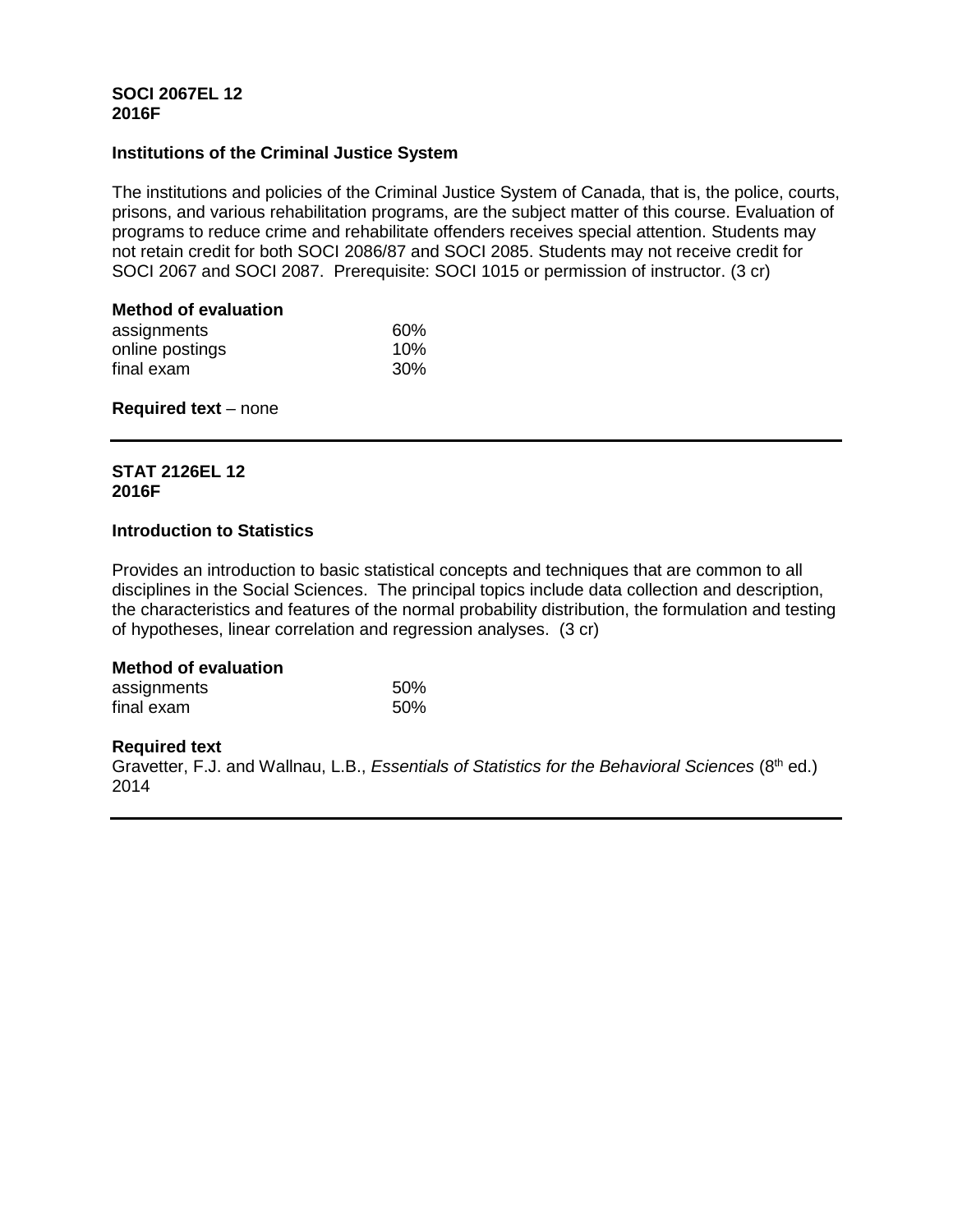## **SOCI 2067EL 12 2016F**

## **Institutions of the Criminal Justice System**

The institutions and policies of the Criminal Justice System of Canada, that is, the police, courts, prisons, and various rehabilitation programs, are the subject matter of this course. Evaluation of programs to reduce crime and rehabilitate offenders receives special attention. Students may not retain credit for both SOCI 2086/87 and SOCI 2085. Students may not receive credit for SOCI 2067 and SOCI 2087. Prerequisite: SOCI 1015 or permission of instructor. (3 cr)

# **Method of evaluation**

| assignments     | 60% |
|-----------------|-----|
| online postings | 10% |
| final exam      | 30% |

# **Required text** – none

# **STAT 2126EL 12 2016F**

# **Introduction to Statistics**

Provides an introduction to basic statistical concepts and techniques that are common to all disciplines in the Social Sciences. The principal topics include data collection and description, the characteristics and features of the normal probability distribution, the formulation and testing of hypotheses, linear correlation and regression analyses. (3 cr)

# **Method of evaluation**

| assignments | .50% |
|-------------|------|
| final exam  | .50% |

## **Required text**

Gravetter, F.J. and Wallnau, L.B., *Essentials of Statistics for the Behavioral Sciences* (8<sup>th</sup> ed.) 2014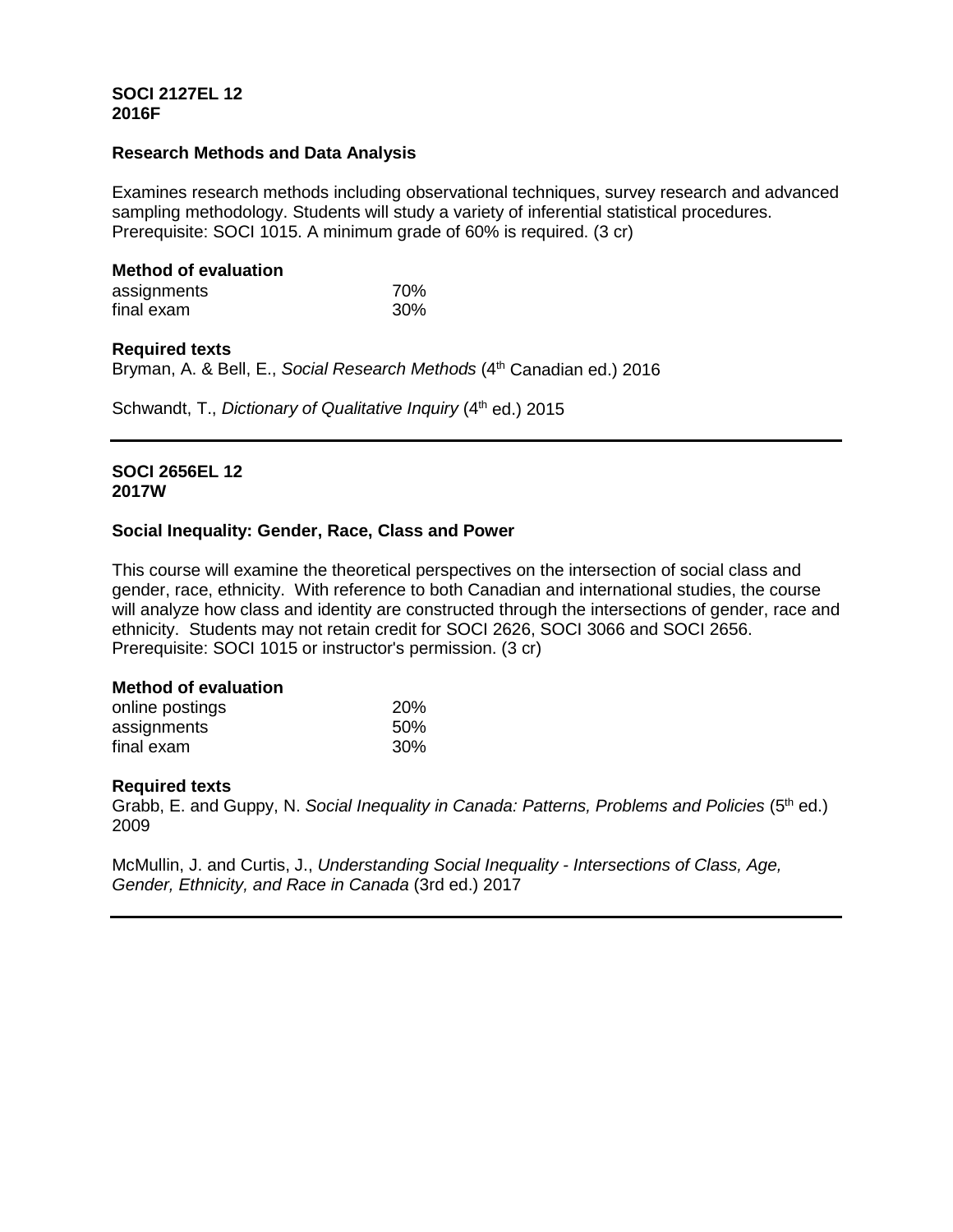## **SOCI 2127EL 12 2016F**

## **Research Methods and Data Analysis**

Examines research methods including observational techniques, survey research and advanced sampling methodology. Students will study a variety of inferential statistical procedures. Prerequisite: SOCI 1015. A minimum grade of 60% is required. (3 cr)

# **Method of evaluation**

| assignments | 70% |
|-------------|-----|
| final exam  | 30% |

# **Required texts**

Bryman, A. & Bell, E., *Social Research Methods* (4th Canadian ed.) 2016

Schwandt, T., *Dictionary of Qualitative Inquiry* (4<sup>th</sup> ed.) 2015

## **SOCI 2656EL 12 2017W**

# **Social Inequality: Gender, Race, Class and Power**

This course will examine the theoretical perspectives on the intersection of social class and gender, race, ethnicity. With reference to both Canadian and international studies, the course will analyze how class and identity are constructed through the intersections of gender, race and ethnicity. Students may not retain credit for SOCI 2626, SOCI 3066 and SOCI 2656. Prerequisite: SOCI 1015 or instructor's permission. (3 cr)

## **Method of evaluation**

| online postings | <b>20%</b> |
|-----------------|------------|
| assignments     | 50%        |
| final exam      | 30%        |

## **Required texts**

Grabb, E. and Guppy, N. *Social Inequality in Canada: Patterns, Problems and Policies* (5th ed.) 2009

McMullin, J. and Curtis, J., *Understanding Social Inequality - Intersections of Class, Age, Gender, Ethnicity, and Race in Canada* (3rd ed.) 2017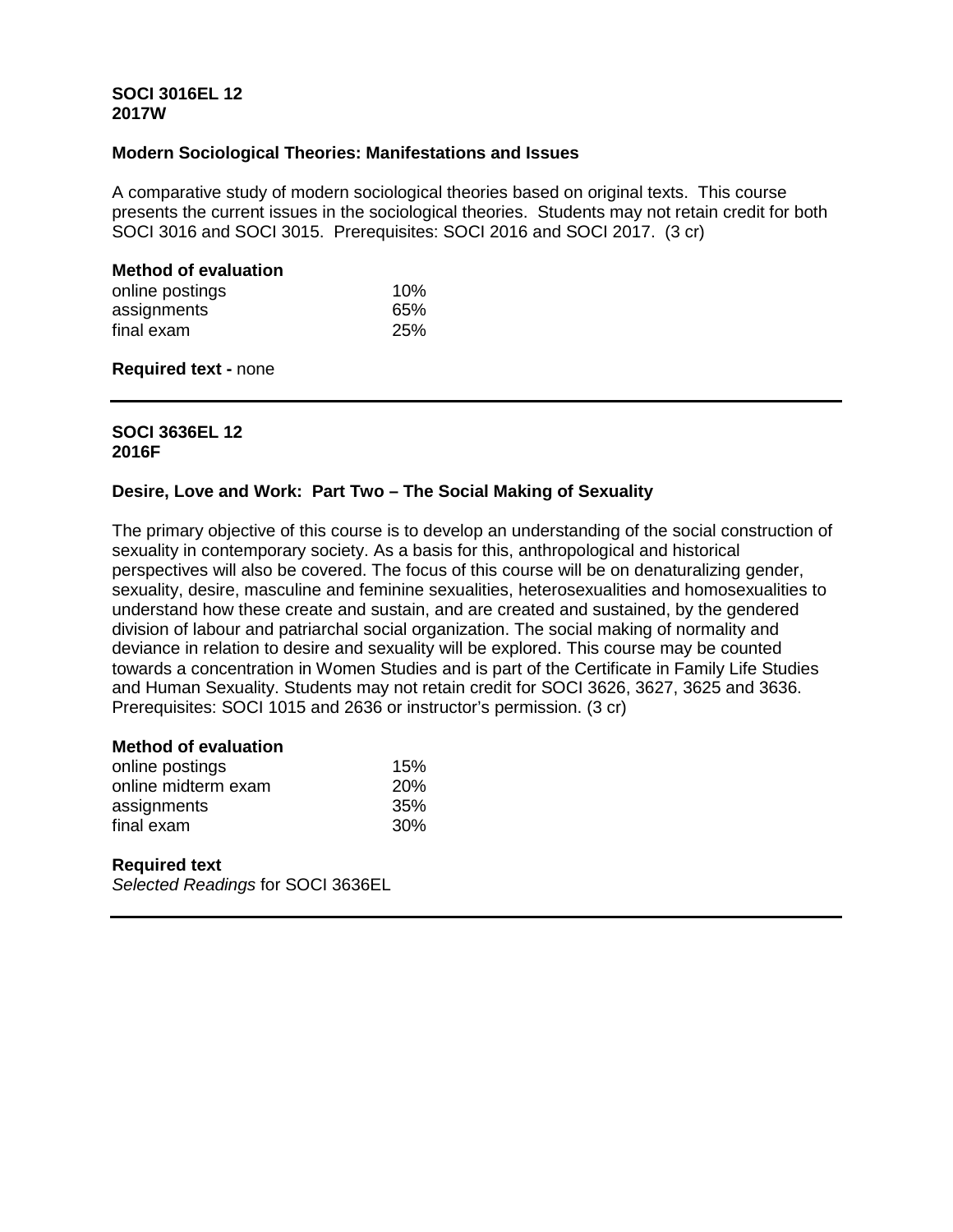## **SOCI 3016EL 12 2017W**

### **Modern Sociological Theories: Manifestations and Issues**

A comparative study of modern sociological theories based on original texts. This course presents the current issues in the sociological theories. Students may not retain credit for both SOCI 3016 and SOCI 3015. Prerequisites: SOCI 2016 and SOCI 2017. (3 cr)

### **Method of evaluation**

| online postings | 10% |
|-----------------|-----|
| assignments     | 65% |
| final exam      | 25% |

### **Required text -** none

# **SOCI 3636EL 12 2016F**

## **Desire, Love and Work: Part Two – The Social Making of Sexuality**

The primary objective of this course is to develop an understanding of the social construction of sexuality in contemporary society. As a basis for this, anthropological and historical perspectives will also be covered. The focus of this course will be on denaturalizing gender, sexuality, desire, masculine and feminine sexualities, heterosexualities and homosexualities to understand how these create and sustain, and are created and sustained, by the gendered division of labour and patriarchal social organization. The social making of normality and deviance in relation to desire and sexuality will be explored. This course may be counted towards a concentration in Women Studies and is part of the Certificate in Family Life Studies and Human Sexuality. Students may not retain credit for SOCI 3626, 3627, 3625 and 3636. Prerequisites: SOCI 1015 and 2636 or instructor's permission. (3 cr)

### **Method of evaluation**

| online postings     | 15%             |
|---------------------|-----------------|
| online midterm exam | <b>20%</b>      |
| assignments         | 35%             |
| final exam          | 30 <sup>%</sup> |

## **Required text**

*Selected Readings* for SOCI 3636EL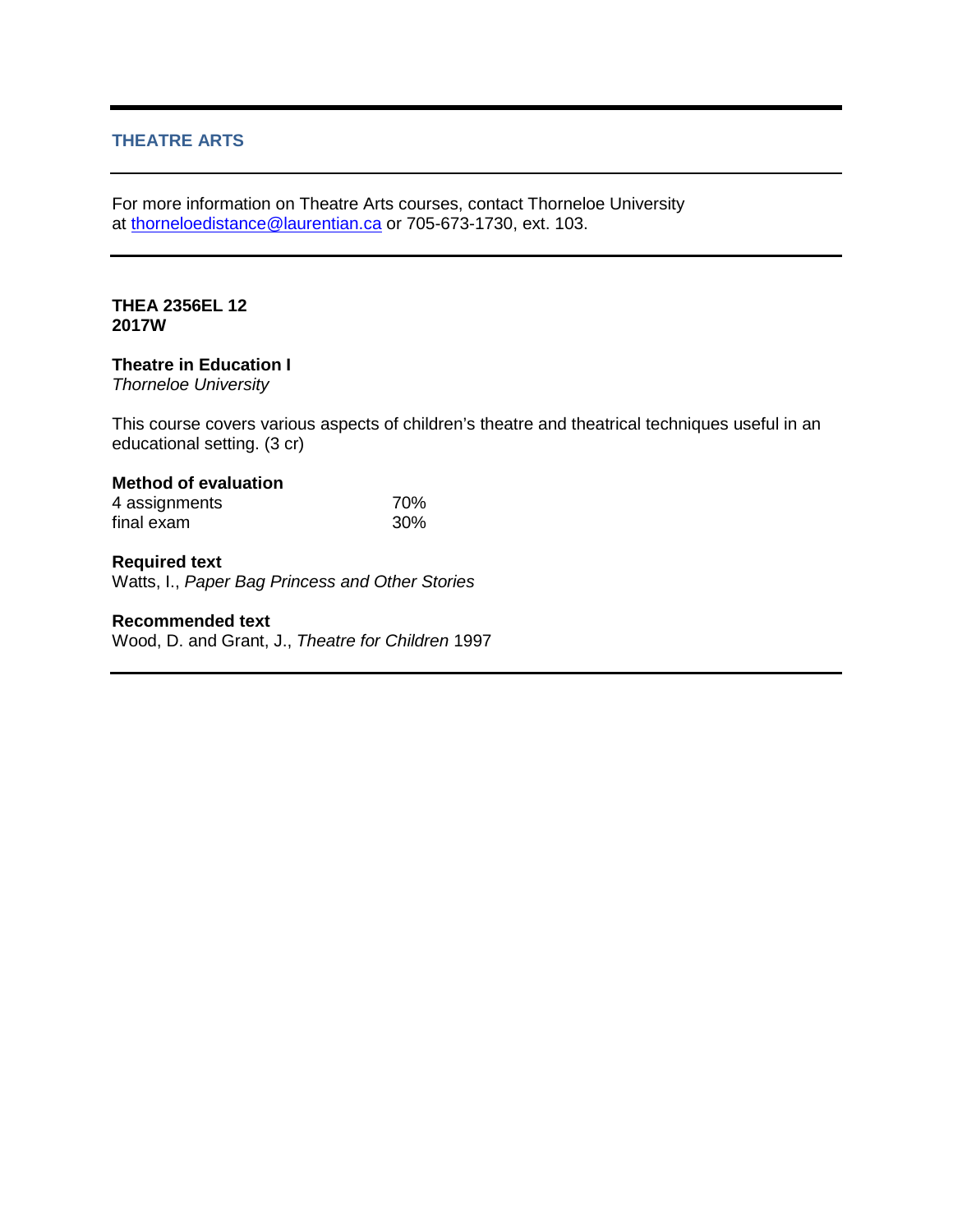# **THEATRE ARTS**

For more information on Theatre Arts courses, contact Thorneloe University at [thorneloedistance@laurentian.ca](mailto:thorneloedistance@laurentian.ca) or 705-673-1730, ext. 103.

## **THEA 2356EL 12 2017W**

## **Theatre in Education I**

*Thorneloe University*

This course covers various aspects of children's theatre and theatrical techniques useful in an educational setting. (3 cr)

# **Method of evaluation**

| 4 assignments | 70% |
|---------------|-----|
| final exam    | 30% |

# **Required text**

Watts, I., *Paper Bag Princess and Other Stories*

## **Recommended text**

Wood, D. and Grant, J., *Theatre for Children* 1997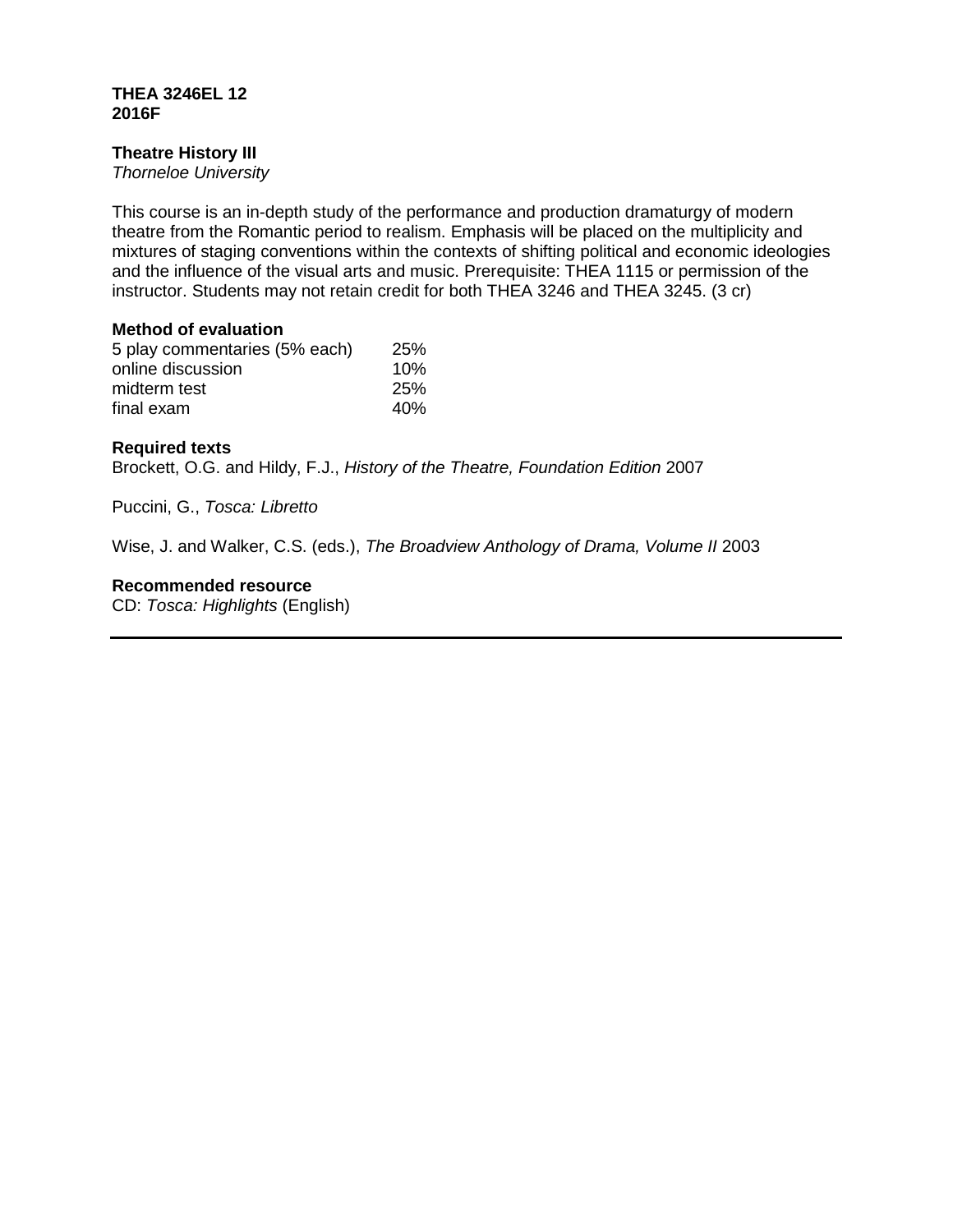## **THEA 3246EL 12 2016F**

# **Theatre History III**

*Thorneloe University*

This course is an in-depth study of the performance and production dramaturgy of modern theatre from the Romantic period to realism. Emphasis will be placed on the multiplicity and mixtures of staging conventions within the contexts of shifting political and economic ideologies and the influence of the visual arts and music. Prerequisite: THEA 1115 or permission of the instructor. Students may not retain credit for both THEA 3246 and THEA 3245. (3 cr)

# **Method of evaluation**

| 5 play commentaries (5% each) | <b>25%</b> |
|-------------------------------|------------|
| online discussion             | 10%        |
| midterm test                  | 25%        |
| final exam                    | 40%        |

# **Required texts**

Brockett, O.G. and Hildy, F.J., *History of the Theatre, Foundation Edition* 2007

Puccini, G., *Tosca: Libretto*

Wise, J. and Walker, C.S. (eds.), *The Broadview Anthology of Drama, Volume II* 2003

**Recommended resource**

CD: *Tosca: Highlights* (English)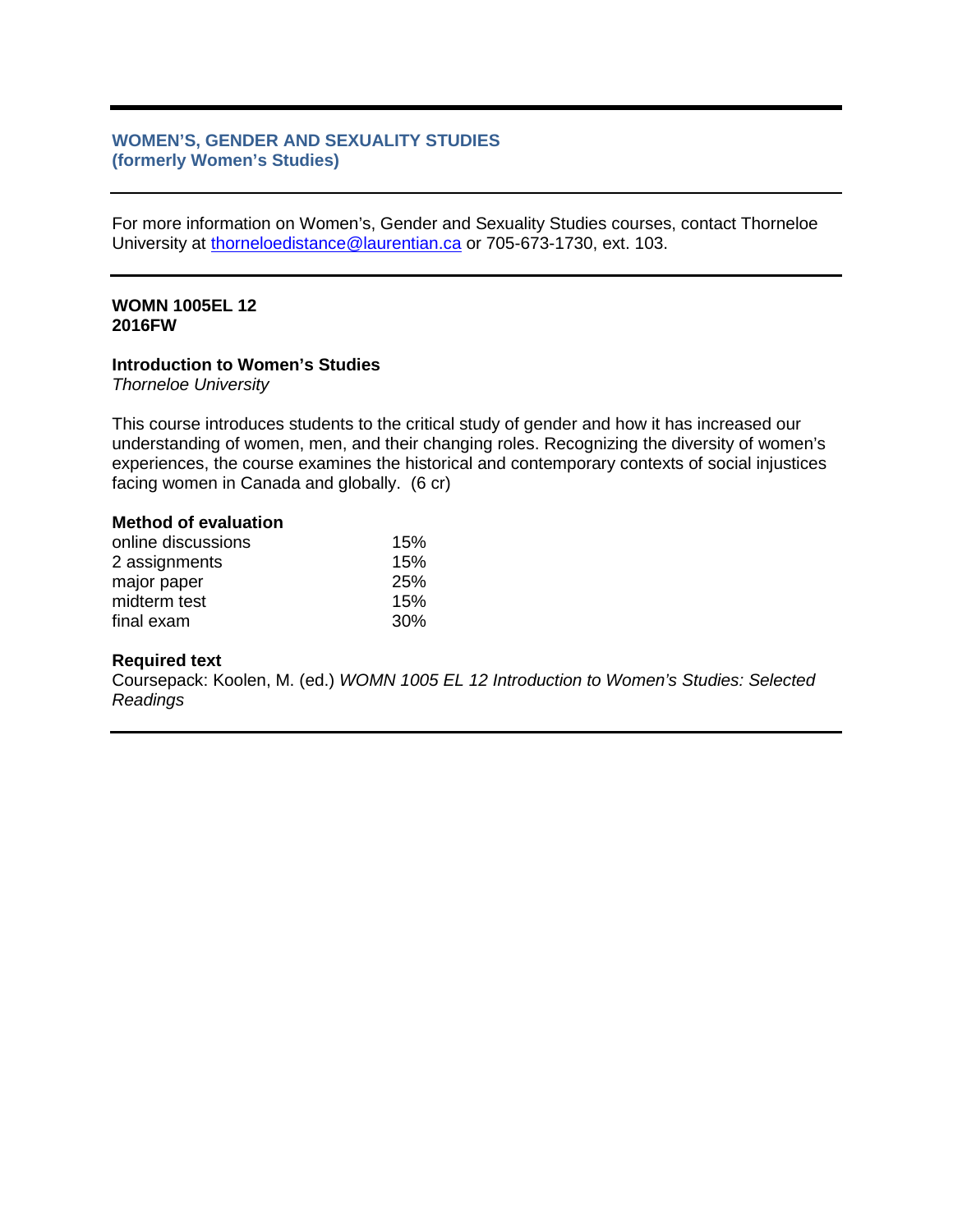# **WOMEN'S, GENDER AND SEXUALITY STUDIES (formerly Women's Studies)**

For more information on Women's, Gender and Sexuality Studies courses, contact Thorneloe University at [thorneloedistance@laurentian.ca](mailto:thorneloedistance@laurentian.ca) or 705-673-1730, ext. 103.

#### **WOMN 1005EL 12 2016FW**

#### **Introduction to Women's Studies**

*Thorneloe University*

This course introduces students to the critical study of gender and how it has increased our understanding of women, men, and their changing roles. Recognizing the diversity of women's experiences, the course examines the historical and contemporary contexts of social injustices facing women in Canada and globally. (6 cr)

# **Method of evaluation**

| online discussions | 15%        |
|--------------------|------------|
| 2 assignments      | 15%        |
| major paper        | <b>25%</b> |
| midterm test       | 15%        |
| final exam         | 30%        |

#### **Required text**

Coursepack: Koolen, M. (ed.) *WOMN 1005 EL 12 Introduction to Women's Studies: Selected Readings*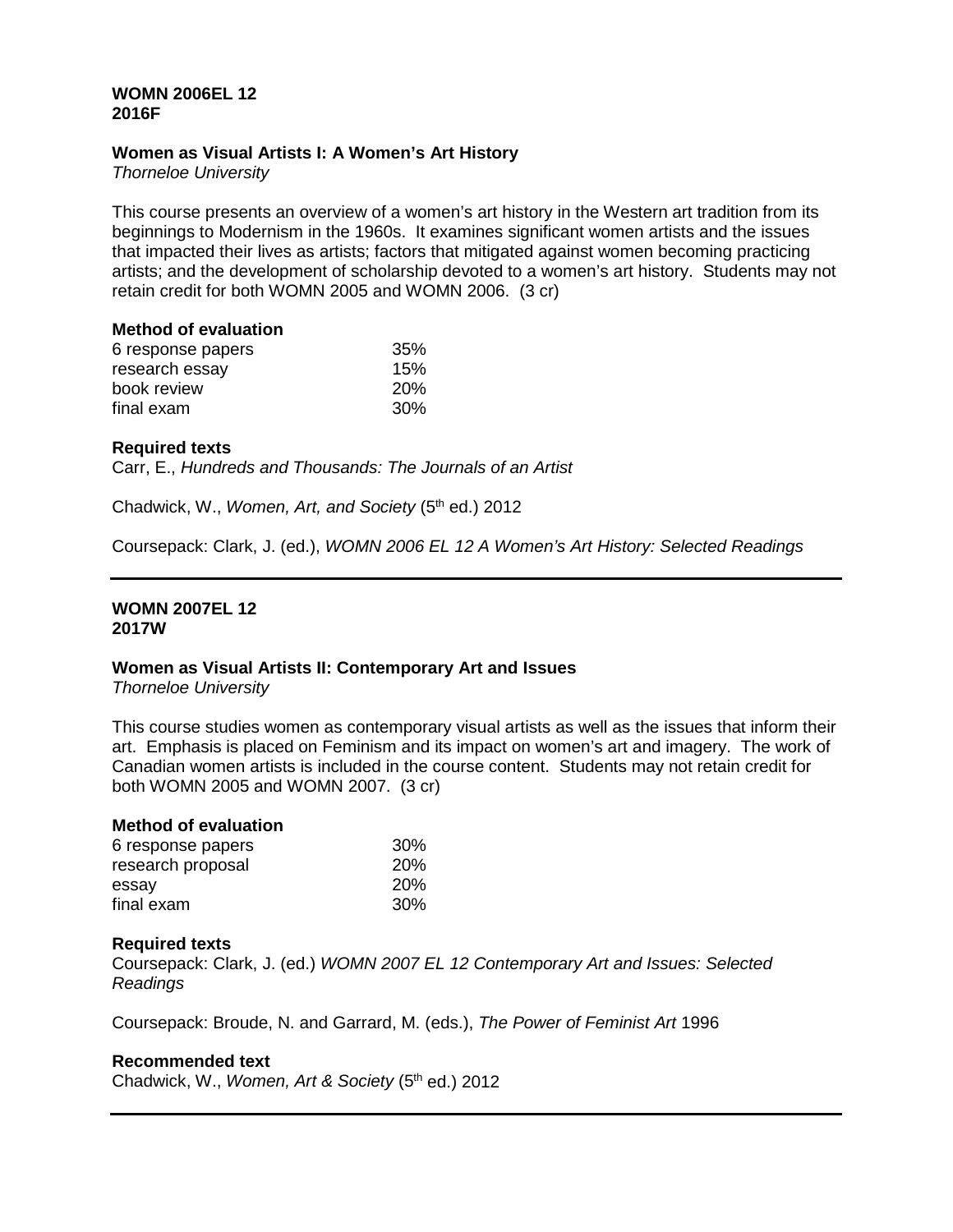## **WOMN 2006EL 12 2016F**

## **Women as Visual Artists I: A Women's Art History**

*Thorneloe University*

This course presents an overview of a women's art history in the Western art tradition from its beginnings to Modernism in the 1960s. It examines significant women artists and the issues that impacted their lives as artists; factors that mitigated against women becoming practicing artists; and the development of scholarship devoted to a women's art history. Students may not retain credit for both WOMN 2005 and WOMN 2006. (3 cr)

#### **Method of evaluation**

| 6 response papers | 35%        |
|-------------------|------------|
| research essay    | 15%        |
| book review       | <b>20%</b> |
| final exam        | 30%        |

## **Required texts**

Carr, E., *Hundreds and Thousands: The Journals of an Artist*

Chadwick, W., *Women, Art, and Society* (5<sup>th</sup> ed.) 2012

Coursepack: Clark, J. (ed.), *WOMN 2006 EL 12 A Women's Art History: Selected Readings*

#### **WOMN 2007EL 12 2017W**

## **Women as Visual Artists II: Contemporary Art and Issues**

*Thorneloe University*

This course studies women as contemporary visual artists as well as the issues that inform their art. Emphasis is placed on Feminism and its impact on women's art and imagery. The work of Canadian women artists is included in the course content. Students may not retain credit for both WOMN 2005 and WOMN 2007. (3 cr)

| <b>Method of evaluation</b> |            |
|-----------------------------|------------|
| 6 response papers           | 30%        |
| research proposal           | <b>20%</b> |
| essay                       | 20%        |
| final exam                  | 30%        |

## **Required texts**

Coursepack: Clark, J. (ed.) *WOMN 2007 EL 12 Contemporary Art and Issues: Selected Readings*

Coursepack: Broude, N. and Garrard, M. (eds.), *The Power of Feminist Art* 1996

#### **Recommended text**

Chadwick, W., *Women, Art & Society* (5<sup>th</sup> ed.) 2012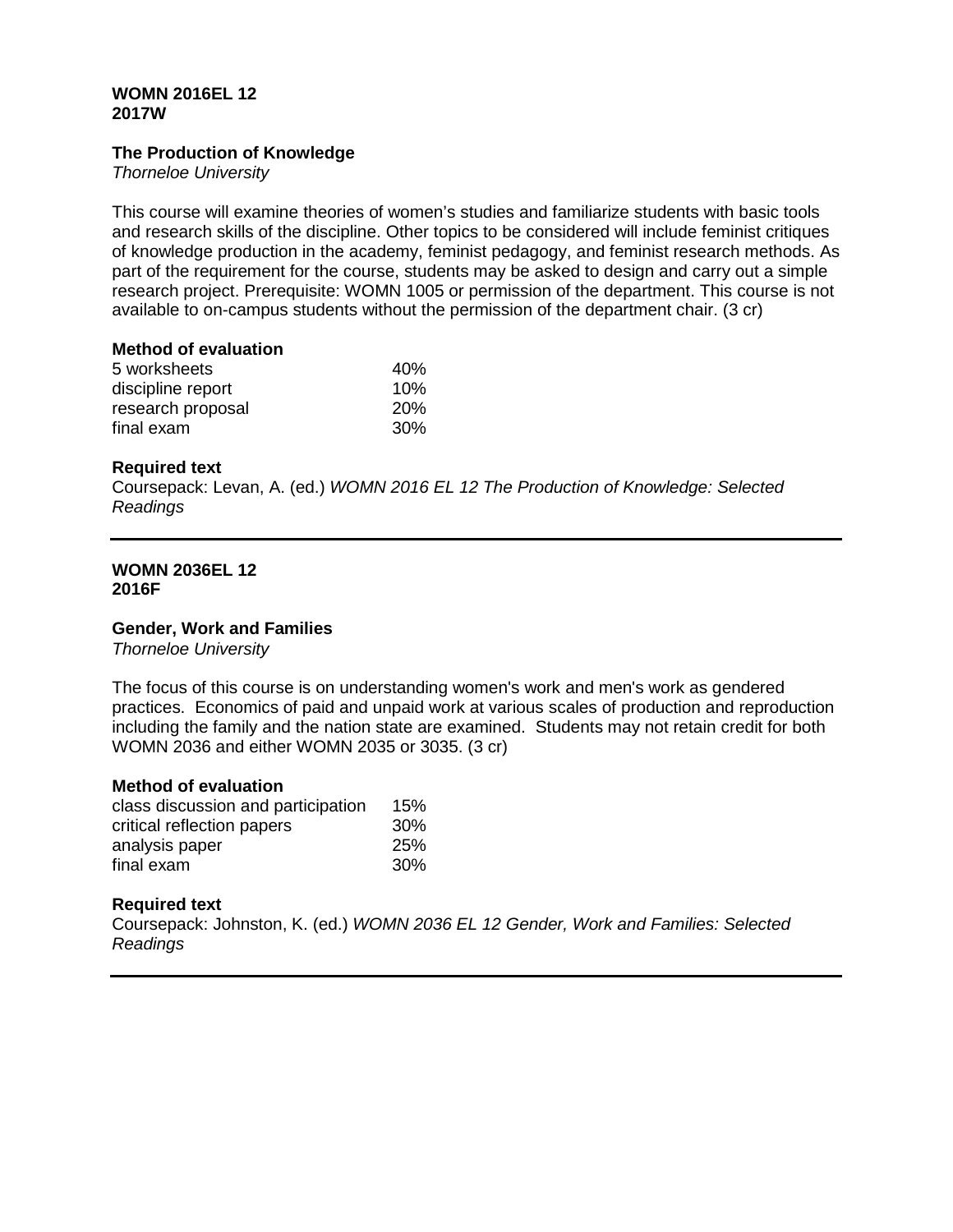## **WOMN 2016EL 12 2017W**

# **The Production of Knowledge**

*Thorneloe University*

This course will examine theories of women's studies and familiarize students with basic tools and research skills of the discipline. Other topics to be considered will include feminist critiques of knowledge production in the academy, feminist pedagogy, and feminist research methods. As part of the requirement for the course, students may be asked to design and carry out a simple research project. Prerequisite: WOMN 1005 or permission of the department. This course is not available to on-campus students without the permission of the department chair. (3 cr)

#### **Method of evaluation**

| 40%        |
|------------|
| 10%        |
| <b>20%</b> |
| <b>30%</b> |
|            |

## **Required text**

Coursepack: Levan, A. (ed.) *WOMN 2016 EL 12 The Production of Knowledge: Selected Readings*

#### **WOMN 2036EL 12 2016F**

## **Gender, Work and Families**

*Thorneloe University*

The focus of this course is on understanding women's work and men's work as gendered practices. Economics of paid and unpaid work at various scales of production and reproduction including the family and the nation state are examined. Students may not retain credit for both WOMN 2036 and either WOMN 2035 or 3035. (3 cr)

## **Method of evaluation**

| class discussion and participation | 15%        |
|------------------------------------|------------|
| critical reflection papers         | 30%        |
| analysis paper                     | <b>25%</b> |
| final exam                         | <b>30%</b> |

## **Required text**

Coursepack: Johnston, K. (ed.) *WOMN 2036 EL 12 Gender, Work and Families: Selected Readings*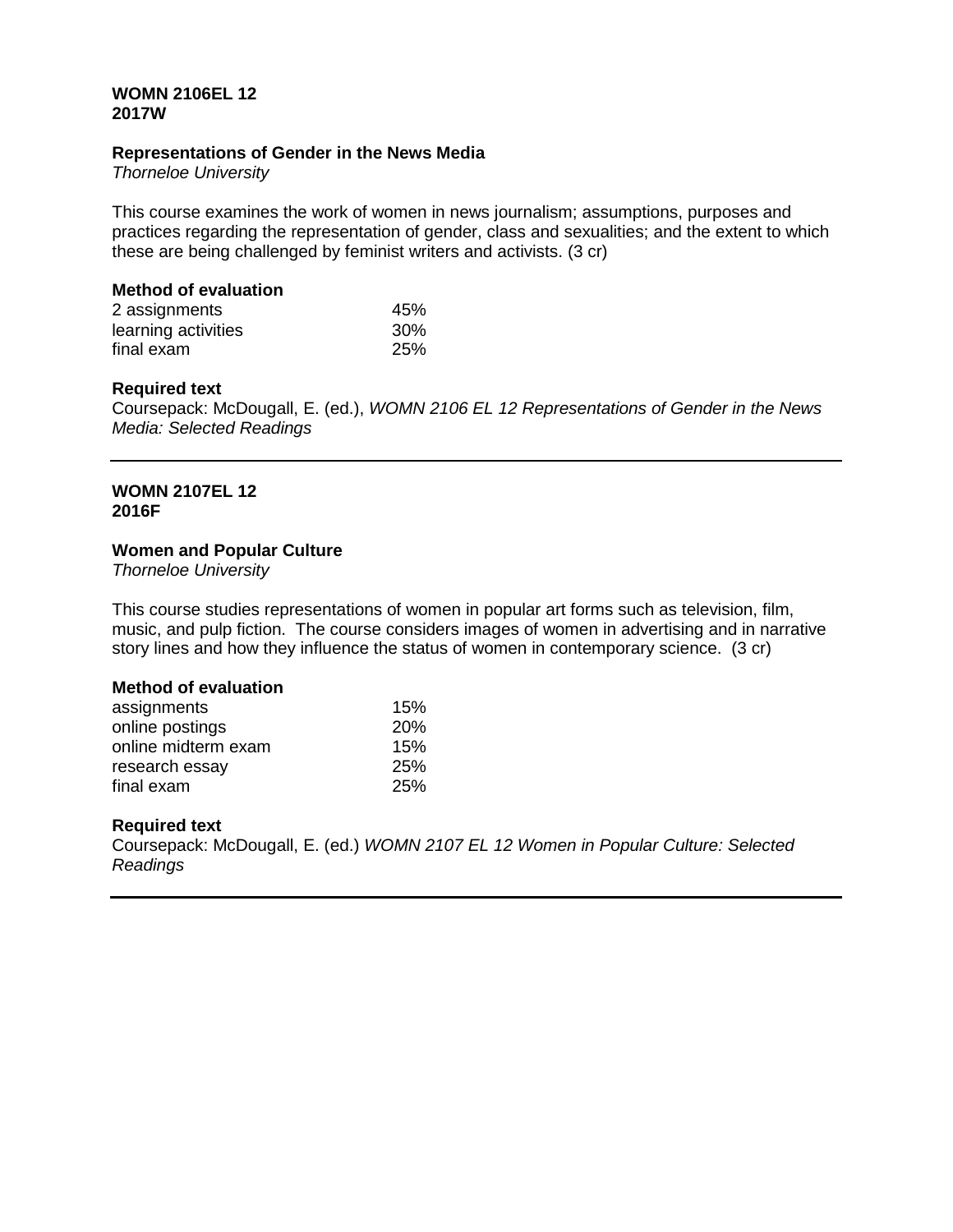#### **WOMN 2106EL 12 2017W**

#### **Representations of Gender in the News Media**

*Thorneloe University*

This course examines the work of women in news journalism; assumptions, purposes and practices regarding the representation of gender, class and sexualities; and the extent to which these are being challenged by feminist writers and activists. (3 cr)

#### **Method of evaluation**

| 2 assignments       | 45%        |
|---------------------|------------|
| learning activities | 30%        |
| final exam          | <b>25%</b> |

#### **Required text**

Coursepack: McDougall, E. (ed.), *WOMN 2106 EL 12 Representations of Gender in the News Media: Selected Readings*

## **WOMN 2107EL 12 2016F**

## **Women and Popular Culture**

*Thorneloe University*

This course studies representations of women in popular art forms such as television, film, music, and pulp fiction. The course considers images of women in advertising and in narrative story lines and how they influence the status of women in contemporary science. (3 cr)

#### **Method of evaluation**

| assignments         | 15%        |
|---------------------|------------|
| online postings     | <b>20%</b> |
| online midterm exam | 15%        |
| research essay      | <b>25%</b> |
| final exam          | <b>25%</b> |

## **Required text**

Coursepack: McDougall, E. (ed.) *WOMN 2107 EL 12 Women in Popular Culture: Selected Readings*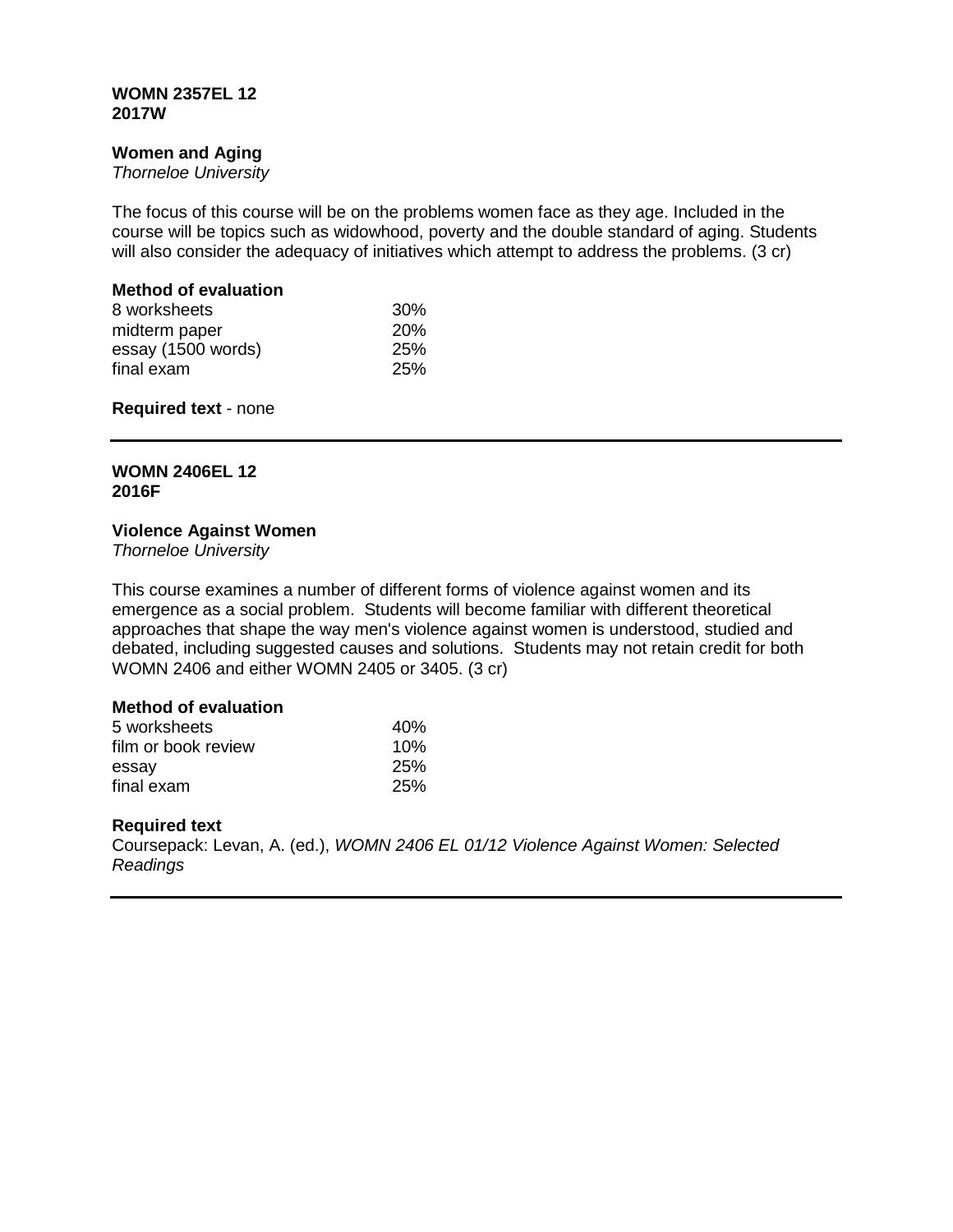#### **WOMN 2357EL 12 2017W**

## **Women and Aging**

*Thorneloe University*

The focus of this course will be on the problems women face as they age. Included in the course will be topics such as widowhood, poverty and the double standard of aging. Students will also consider the adequacy of initiatives which attempt to address the problems. (3 cr)

# **Method of evaluation**

| 30%        |
|------------|
| <b>20%</b> |
| <b>25%</b> |
| <b>25%</b> |
|            |

**Required text** - none

# **WOMN 2406EL 12 2016F**

## **Violence Against Women**

*Thorneloe University*

This course examines a number of different forms of violence against women and its emergence as a social problem. Students will become familiar with different theoretical approaches that shape the way men's violence against women is understood, studied and debated, including suggested causes and solutions. Students may not retain credit for both WOMN 2406 and either WOMN 2405 or 3405. (3 cr)

## **Method of evaluation**

| 5 worksheets        | 40% |
|---------------------|-----|
| film or book review | 10% |
| essay               | 25% |
| final exam          | 25% |

## **Required text**

Coursepack: Levan, A. (ed.), *WOMN 2406 EL 01/12 Violence Against Women: Selected Readings*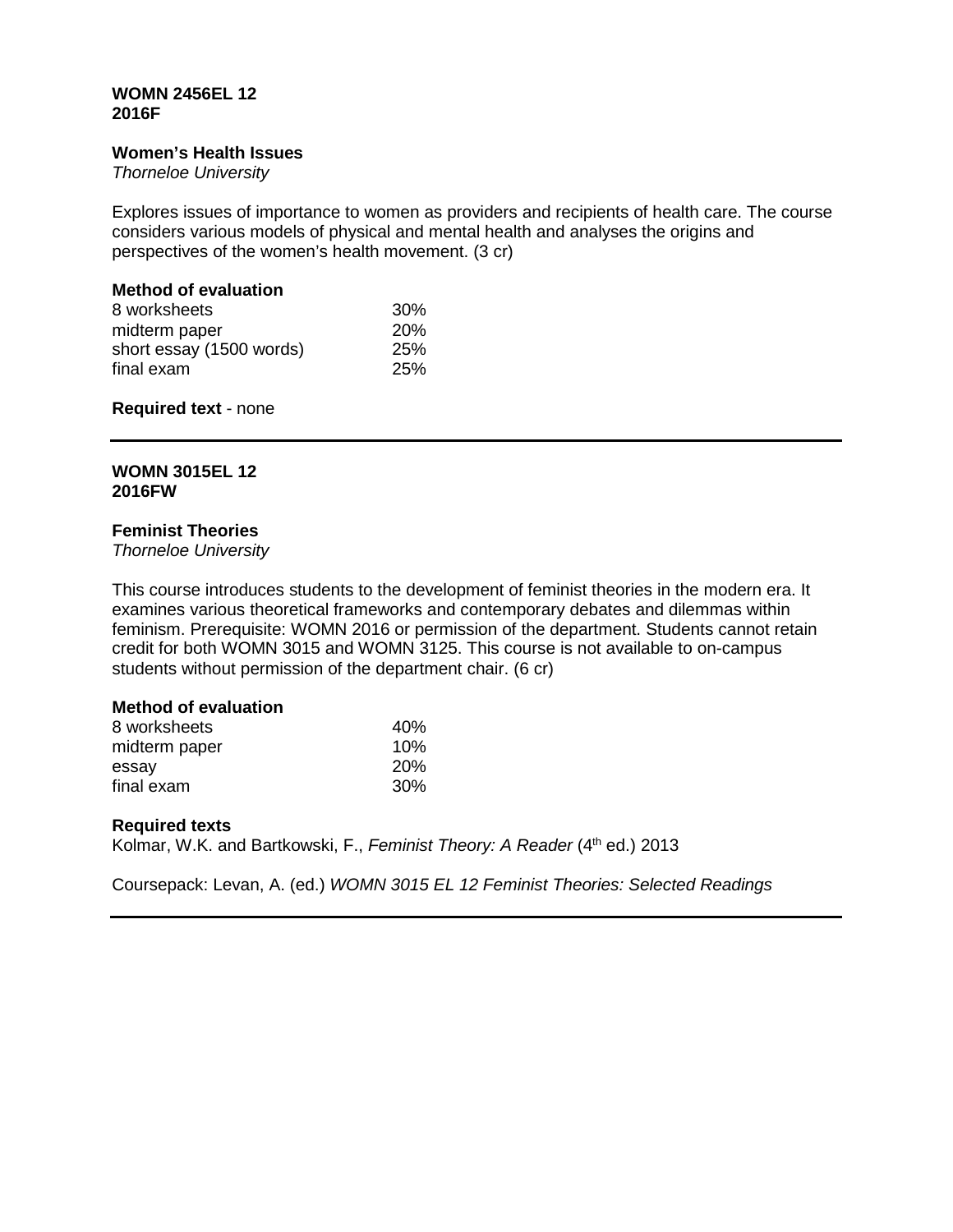#### **WOMN 2456EL 12 2016F**

#### **Women's Health Issues**

*Thorneloe University*

Explores issues of importance to women as providers and recipients of health care. The course considers various models of physical and mental health and analyses the origins and perspectives of the women's health movement. (3 cr)

# **Method of evaluation**

| 8 worksheets             | $30\%$     |
|--------------------------|------------|
| midterm paper            | <b>20%</b> |
| short essay (1500 words) | <b>25%</b> |
| final exam               | 25%        |

## **Required text** - none

# **WOMN 3015EL 12 2016FW**

# **Feminist Theories**

*Thorneloe University*

This course introduces students to the development of feminist theories in the modern era. It examines various theoretical frameworks and contemporary debates and dilemmas within feminism. Prerequisite: WOMN 2016 or permission of the department. Students cannot retain credit for both WOMN 3015 and WOMN 3125. This course is not available to on-campus students without permission of the department chair. (6 cr)

## **Method of evaluation**

| 8 worksheets  | 40%        |
|---------------|------------|
| midterm paper | 10%        |
| essay         | <b>20%</b> |
| final exam    | <b>30%</b> |

## **Required texts**

Kolmar, W.K. and Bartkowski, F., *Feminist Theory: A Reader* (4<sup>th</sup> ed.) 2013

Coursepack: Levan, A. (ed.) *WOMN 3015 EL 12 Feminist Theories: Selected Readings*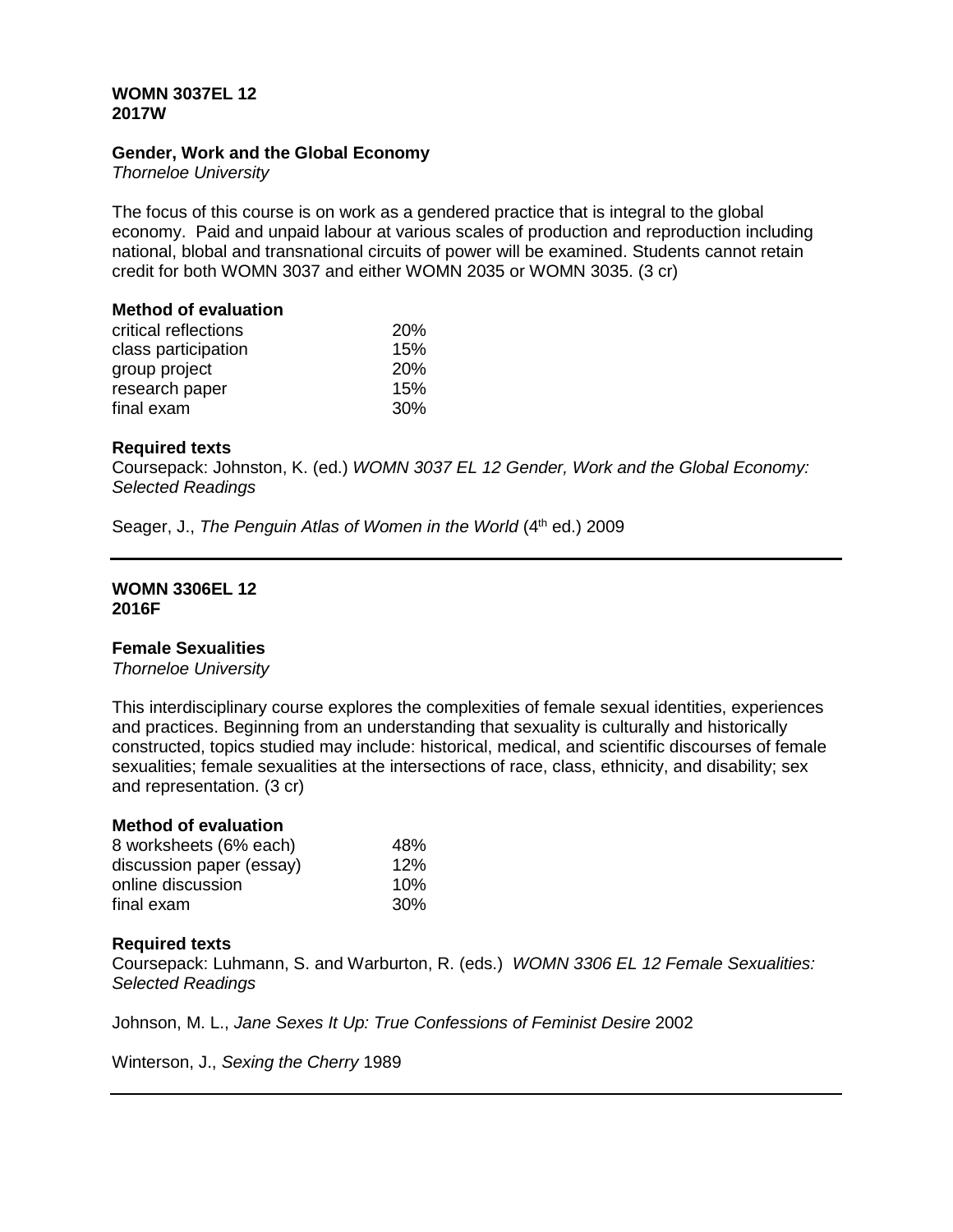## **WOMN 3037EL 12 2017W**

## **Gender, Work and the Global Economy**

*Thorneloe University*

The focus of this course is on work as a gendered practice that is integral to the global economy. Paid and unpaid labour at various scales of production and reproduction including national, blobal and transnational circuits of power will be examined. Students cannot retain credit for both WOMN 3037 and either WOMN 2035 or WOMN 3035. (3 cr)

# **Method of evaluation**

| critical reflections | <b>20%</b>      |
|----------------------|-----------------|
| class participation  | 15%             |
| group project        | <b>20%</b>      |
| research paper       | 15%             |
| final exam           | 30 <sup>%</sup> |

#### **Required texts**

Coursepack: Johnston, K. (ed.) *WOMN 3037 EL 12 Gender, Work and the Global Economy: Selected Readings*

Seager, J., *The Penguin Atlas of Women in the World* (4<sup>th</sup> ed.) 2009

#### **WOMN 3306EL 12 2016F**

#### **Female Sexualities**

*Thorneloe University*

This interdisciplinary course explores the complexities of female sexual identities, experiences and practices. Beginning from an understanding that sexuality is culturally and historically constructed, topics studied may include: historical, medical, and scientific discourses of female sexualities; female sexualities at the intersections of race, class, ethnicity, and disability; sex and representation. (3 cr)

## **Method of evaluation**

| 8 worksheets (6% each)   | 48% |
|--------------------------|-----|
| discussion paper (essay) | 12% |
| online discussion        | 10% |
| final exam               | 30% |

## **Required texts**

Coursepack: Luhmann, S. and Warburton, R. (eds.) *WOMN 3306 EL 12 Female Sexualities: Selected Readings*

Johnson, M. L., *Jane Sexes It Up: True Confessions of Feminist Desire* 2002

Winterson, J., *Sexing the Cherry* 1989